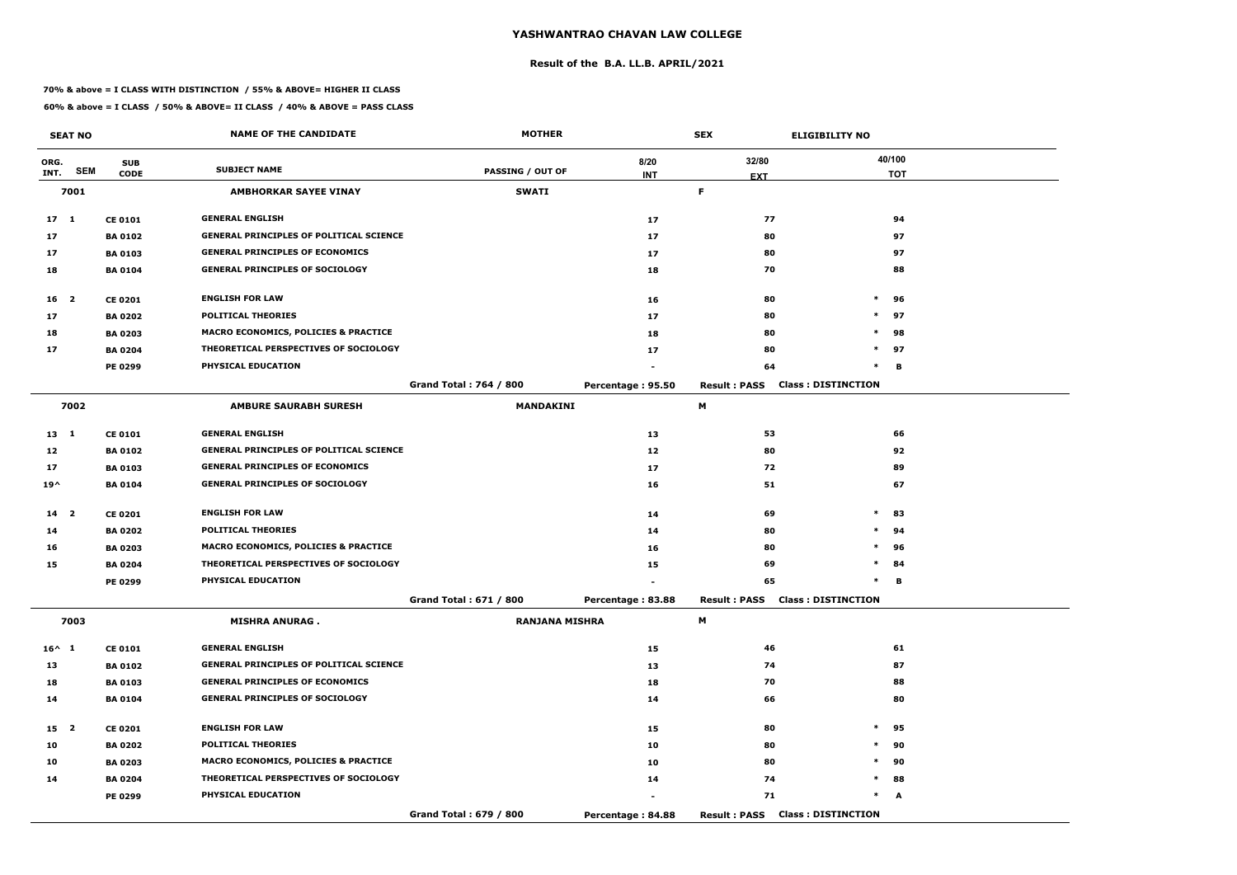#### **Result of the B.A. LL.B. APRIL/2021**

#### **70% & above = I CLASS WITH DISTINCTION / 55% & ABOVE= HIGHER II CLASS**

|                 | <b>SEAT NO</b> |                | <b>NAME OF THE CANDIDATE</b>                    | <b>MOTHER</b>                 |                   | <b>SEX</b>                             | <b>ELIGIBILITY NO</b>     |
|-----------------|----------------|----------------|-------------------------------------------------|-------------------------------|-------------------|----------------------------------------|---------------------------|
| ORG.            |                | <b>SUB</b>     |                                                 |                               | 8/20              | 32/80                                  | 40/100                    |
| INT.            | <b>SEM</b>     | <b>CODE</b>    | <b>SUBJECT NAME</b>                             | <b>PASSING / OUT OF</b>       | <b>INT</b>        | <b>EXT</b>                             | <b>TOT</b>                |
|                 | 7001           |                | <b>AMBHORKAR SAYEE VINAY</b>                    | <b>SWATI</b>                  |                   | F.                                     |                           |
| 17 <sub>1</sub> |                | <b>CE 0101</b> | <b>GENERAL ENGLISH</b>                          |                               | 17                | 77                                     | 94                        |
| 17              |                | <b>BA 0102</b> | <b>GENERAL PRINCIPLES OF POLITICAL SCIENCE</b>  |                               | 17                | 80                                     | 97                        |
| 17              |                | <b>BA 0103</b> | <b>GENERAL PRINCIPLES OF ECONOMICS</b>          |                               | 17                | 80                                     | 97                        |
| 18              |                | <b>BA 0104</b> | <b>GENERAL PRINCIPLES OF SOCIOLOGY</b>          |                               | 18                | 70                                     | 88                        |
| $16 \quad 2$    |                | <b>CE 0201</b> | <b>ENGLISH FOR LAW</b>                          |                               | 16                | 80                                     | $\ast$<br>96              |
| 17              |                | <b>BA 0202</b> | <b>POLITICAL THEORIES</b>                       |                               | 17                | 80                                     | $\ast$<br>97              |
| 18              |                | <b>BA 0203</b> | MACRO ECONOMICS, POLICIES & PRACTICE            |                               | 18                | 80                                     | $\ast$<br>98              |
| 17              |                | <b>BA 0204</b> | THEORETICAL PERSPECTIVES OF SOCIOLOGY           |                               | 17                | 80                                     | $\ast$<br>97              |
|                 |                | <b>PE 0299</b> | PHYSICAL EDUCATION                              |                               |                   | 64                                     | $\ast$<br>В               |
|                 |                |                |                                                 | <b>Grand Total: 764 / 800</b> | Percentage: 95.50 | <b>Result: PASS</b>                    | <b>Class: DISTINCTION</b> |
|                 | 7002           |                | <b>AMBURE SAURABH SURESH</b>                    | <b>MANDAKINI</b>              |                   | М                                      |                           |
| 13 1            |                | <b>CE 0101</b> | <b>GENERAL ENGLISH</b>                          |                               | 13                | 53                                     | 66                        |
| 12              |                | <b>BA 0102</b> | <b>GENERAL PRINCIPLES OF POLITICAL SCIENCE</b>  |                               | 12                | 80                                     | 92                        |
| 17              |                | <b>BA 0103</b> | <b>GENERAL PRINCIPLES OF ECONOMICS</b>          |                               | 17                | 72                                     | 89                        |
| $19^{\wedge}$   |                | <b>BA 0104</b> | <b>GENERAL PRINCIPLES OF SOCIOLOGY</b>          |                               | 16                | 51                                     | 67                        |
| 14 <sub>2</sub> |                | <b>CE 0201</b> | <b>ENGLISH FOR LAW</b>                          |                               | 14                | 69                                     | $\ast$<br>83              |
| 14              |                | <b>BA 0202</b> | <b>POLITICAL THEORIES</b>                       |                               | 14                | 80                                     | $\ast$<br>94              |
| 16              |                | <b>BA 0203</b> | <b>MACRO ECONOMICS, POLICIES &amp; PRACTICE</b> |                               | 16                | 80                                     | $\ast$<br>96              |
| 15              |                | <b>BA 0204</b> | THEORETICAL PERSPECTIVES OF SOCIOLOGY           |                               | 15                | 69                                     | $\ast$<br>84              |
|                 |                | PE 0299        | PHYSICAL EDUCATION                              |                               |                   | 65                                     | в<br>$\ast$               |
|                 |                |                |                                                 | Grand Total: 671 / 800        | Percentage: 83.88 | <b>Result: PASS Class: DISTINCTION</b> |                           |
|                 | 7003           |                | <b>MISHRA ANURAG.</b>                           | <b>RANJANA MISHRA</b>         |                   | M                                      |                           |
| $16^{\wedge} 1$ |                | <b>CE 0101</b> | <b>GENERAL ENGLISH</b>                          |                               | 15                | 46                                     | 61                        |
| 13              |                | <b>BA 0102</b> | <b>GENERAL PRINCIPLES OF POLITICAL SCIENCE</b>  |                               | 13                | 74                                     | 87                        |
| 18              |                | <b>BA 0103</b> | <b>GENERAL PRINCIPLES OF ECONOMICS</b>          |                               | 18                | 70                                     | 88                        |
| 14              |                | <b>BA 0104</b> | <b>GENERAL PRINCIPLES OF SOCIOLOGY</b>          |                               | 14                | 66                                     | 80                        |
| 15 <sub>2</sub> |                | <b>CE 0201</b> | <b>ENGLISH FOR LAW</b>                          |                               | 15                | 80                                     | $\ast$<br>95              |
| 10              |                | <b>BA 0202</b> | <b>POLITICAL THEORIES</b>                       |                               | 10                | 80                                     | $\ast$<br>90              |
| 10              |                | <b>BA 0203</b> | <b>MACRO ECONOMICS, POLICIES &amp; PRACTICE</b> |                               | 10                | 80                                     | $\ast$<br>90              |
| 14              |                | <b>BA 0204</b> | THEORETICAL PERSPECTIVES OF SOCIOLOGY           |                               | 14                | 74                                     | $\ast$<br>88              |
|                 |                | PE 0299        | <b>PHYSICAL EDUCATION</b>                       |                               |                   | 71                                     | $\ast$<br>A               |
|                 |                |                |                                                 | Grand Total: 679 / 800        | Percentage: 84.88 | <b>Result: PASS Class: DISTINCTION</b> |                           |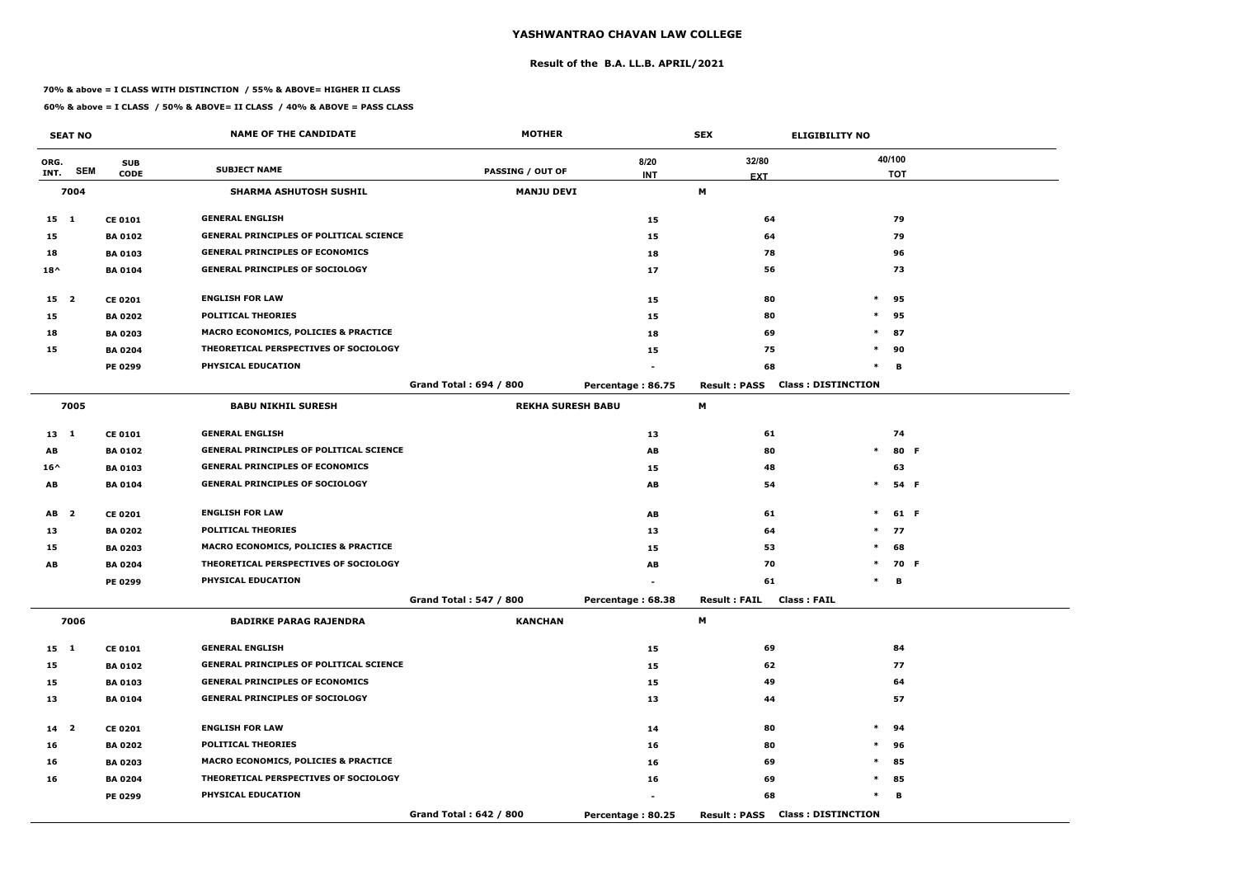#### **Result of the B.A. LL.B. APRIL/2021**

#### **70% & above = I CLASS WITH DISTINCTION / 55% & ABOVE= HIGHER II CLASS**

|                 | <b>SEAT NO</b> |                | <b>NAME OF THE CANDIDATE</b>                    | <b>MOTHER</b>            |                   | <b>SEX</b>          | <b>ELIGIBILITY NO</b>     |            |  |
|-----------------|----------------|----------------|-------------------------------------------------|--------------------------|-------------------|---------------------|---------------------------|------------|--|
| ORG.            |                | <b>SUB</b>     | <b>SUBJECT NAME</b>                             |                          | 8/20              | 32/80               |                           | 40/100     |  |
| INT.            | <b>SEM</b>     | <b>CODE</b>    |                                                 | <b>PASSING / OUT OF</b>  | <b>INT</b>        | <b>EXT</b>          |                           | <b>TOT</b> |  |
|                 | 7004           |                | <b>SHARMA ASHUTOSH SUSHIL</b>                   | <b>MANJU DEVI</b>        |                   | M                   |                           |            |  |
| $15 \quad 1$    |                | <b>CE 0101</b> | <b>GENERAL ENGLISH</b>                          |                          | 15                | 64                  |                           | 79         |  |
| 15              |                | <b>BA 0102</b> | <b>GENERAL PRINCIPLES OF POLITICAL SCIENCE</b>  |                          | 15                | 64                  |                           | 79         |  |
| 18              |                | <b>BA0103</b>  | <b>GENERAL PRINCIPLES OF ECONOMICS</b>          |                          | 18                | 78                  |                           | 96         |  |
| $18^{\wedge}$   |                | <b>BA 0104</b> | <b>GENERAL PRINCIPLES OF SOCIOLOGY</b>          |                          | 17                | 56                  |                           | 73         |  |
| 15 2            |                | <b>CE 0201</b> | <b>ENGLISH FOR LAW</b>                          |                          | 15                | 80                  | $\ast$                    | 95         |  |
| 15              |                | <b>BA 0202</b> | <b>POLITICAL THEORIES</b>                       |                          | 15                | 80                  | $\ast$                    | 95         |  |
| 18              |                | <b>BA 0203</b> | <b>MACRO ECONOMICS, POLICIES &amp; PRACTICE</b> |                          | 18                | 69                  | $\ast$                    | 87         |  |
| 15              |                | <b>BA 0204</b> | THEORETICAL PERSPECTIVES OF SOCIOLOGY           |                          | 15                | 75                  | $\ast$                    | 90         |  |
|                 |                | PE 0299        | PHYSICAL EDUCATION                              |                          |                   | 68                  | $\ast$                    | B          |  |
|                 |                |                |                                                 | Grand Total: 694 / 800   | Percentage: 86.75 | <b>Result: PASS</b> | <b>Class: DISTINCTION</b> |            |  |
|                 | 7005           |                | <b>BABU NIKHIL SURESH</b>                       | <b>REKHA SURESH BABU</b> |                   | М                   |                           |            |  |
| $13 \quad 1$    |                | <b>CE 0101</b> | <b>GENERAL ENGLISH</b>                          |                          | 13                | 61                  |                           | 74         |  |
| AB              |                | <b>BA 0102</b> | <b>GENERAL PRINCIPLES OF POLITICAL SCIENCE</b>  |                          | AB                | 80                  | $\ast$                    | 80 F       |  |
| $16^{\wedge}$   |                | <b>BA 0103</b> | <b>GENERAL PRINCIPLES OF ECONOMICS</b>          |                          | 15                | 48                  |                           | 63         |  |
| AB              |                | <b>BA 0104</b> | <b>GENERAL PRINCIPLES OF SOCIOLOGY</b>          |                          | AB                | 54                  | $\ast$                    | 54 F       |  |
| AB <sub>2</sub> |                | <b>CE 0201</b> | <b>ENGLISH FOR LAW</b>                          |                          | AB                | 61                  | $\ast$                    | 61 F       |  |
| 13              |                | <b>BA 0202</b> | <b>POLITICAL THEORIES</b>                       |                          | 13                | 64                  | $*$                       | 77         |  |
| 15              |                | <b>BA 0203</b> | MACRO ECONOMICS, POLICIES & PRACTICE            |                          | 15                | 53                  | $\ast$                    | 68         |  |
| AB              |                | <b>BA 0204</b> | THEORETICAL PERSPECTIVES OF SOCIOLOGY           |                          | AB                | 70                  | $\ast$                    | 70 F       |  |
|                 |                | PE 0299        | PHYSICAL EDUCATION                              |                          |                   | 61                  | $\ast$                    | в          |  |
|                 |                |                |                                                 | Grand Total: 547 / 800   | Percentage: 68.38 | <b>Result: FAIL</b> | <b>Class: FAIL</b>        |            |  |
|                 | 7006           |                | <b>BADIRKE PARAG RAJENDRA</b>                   | <b>KANCHAN</b>           |                   | M                   |                           |            |  |
| 15 1            |                | <b>CE 0101</b> | <b>GENERAL ENGLISH</b>                          |                          | 15                | 69                  |                           | 84         |  |
| 15              |                | <b>BA 0102</b> | <b>GENERAL PRINCIPLES OF POLITICAL SCIENCE</b>  |                          | 15                | 62                  |                           | 77         |  |
| 15              |                | <b>BA 0103</b> | <b>GENERAL PRINCIPLES OF ECONOMICS</b>          |                          | 15                | 49                  |                           | 64         |  |
| 13              |                | <b>BA 0104</b> | <b>GENERAL PRINCIPLES OF SOCIOLOGY</b>          |                          | 13                | 44                  |                           | 57         |  |
| 14 <sup>2</sup> |                | <b>CE 0201</b> | <b>ENGLISH FOR LAW</b>                          |                          | 14                | 80                  | $\ast$                    | 94         |  |
| 16              |                | <b>BA 0202</b> | <b>POLITICAL THEORIES</b>                       |                          | 16                | 80                  | $\ast$                    | 96         |  |
| 16              |                | <b>BA 0203</b> | MACRO ECONOMICS, POLICIES & PRACTICE            |                          | 16                | 69                  | $\ast$                    | 85         |  |
| 16              |                | <b>BA 0204</b> | THEORETICAL PERSPECTIVES OF SOCIOLOGY           |                          | 16                | 69                  | $\ast$                    | 85         |  |
|                 |                | <b>PE 0299</b> | PHYSICAL EDUCATION                              |                          | $\sim$            | 68                  | $\ast$                    | В          |  |
|                 |                |                |                                                 | Grand Total: 642 / 800   | Percentage: 80.25 | <b>Result: PASS</b> | <b>Class: DISTINCTION</b> |            |  |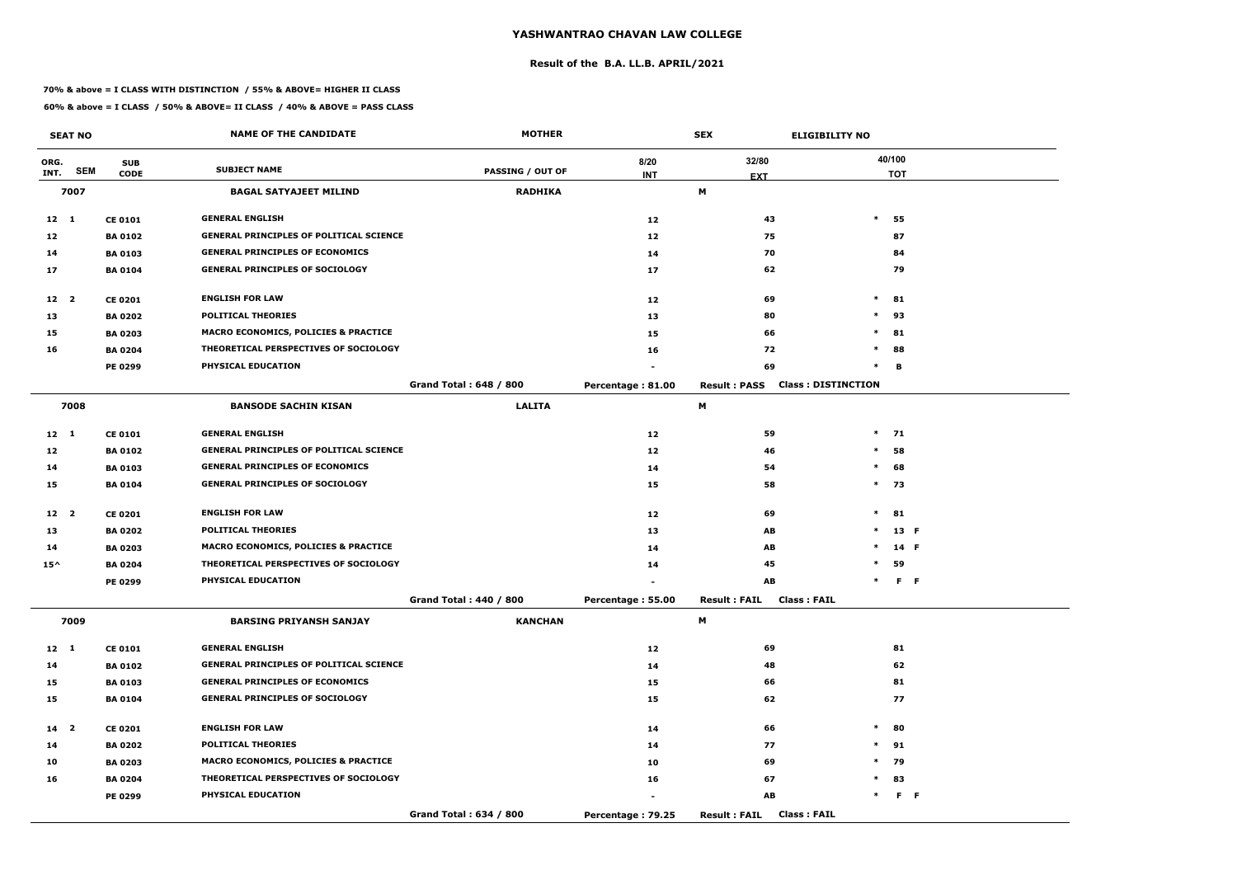#### **Result of the B.A. LL.B. APRIL/2021**

#### **70% & above = I CLASS WITH DISTINCTION / 55% & ABOVE= HIGHER II CLASS**

|                 | <b>SEAT NO</b> |                | <b>NAME OF THE CANDIDATE</b>                   | <b>MOTHER</b>                 |                   | <b>SEX</b><br><b>ELIGIBILITY NO</b>              |                   |
|-----------------|----------------|----------------|------------------------------------------------|-------------------------------|-------------------|--------------------------------------------------|-------------------|
| ORG.            |                | <b>SUB</b>     |                                                |                               | 8/20              | 32/80                                            | 40/100            |
| INT.            | <b>SEM</b>     | <b>CODE</b>    | <b>SUBJECT NAME</b>                            | <b>PASSING / OUT OF</b>       | <b>INT</b>        | <b>EXT</b>                                       | <b>TOT</b>        |
|                 | 7007           |                | <b>BAGAL SATYAJEET MILIND</b>                  | <b>RADHIKA</b>                |                   | M                                                |                   |
| $12 \quad 1$    |                | <b>CE 0101</b> | <b>GENERAL ENGLISH</b>                         |                               | 12                | 43                                               | $\ast$<br>55      |
| 12              |                | <b>BA 0102</b> | <b>GENERAL PRINCIPLES OF POLITICAL SCIENCE</b> |                               | 12                | 75                                               | 87                |
| 14              |                | <b>BA 0103</b> | <b>GENERAL PRINCIPLES OF ECONOMICS</b>         |                               | 14                | 70                                               | 84                |
| 17              |                | <b>BA 0104</b> | <b>GENERAL PRINCIPLES OF SOCIOLOGY</b>         |                               | 17                | 62                                               | 79                |
| 12 2            |                | <b>CE 0201</b> | <b>ENGLISH FOR LAW</b>                         |                               | 12                | 69                                               | $\ast$<br>81      |
| 13              |                | <b>BA 0202</b> | <b>POLITICAL THEORIES</b>                      |                               | 13                | 80                                               | $\ast$<br>93      |
| 15              |                | <b>BA 0203</b> | MACRO ECONOMICS, POLICIES & PRACTICE           |                               | 15                | 66                                               | $\ast$<br>81      |
| 16              |                | <b>BA 0204</b> | THEORETICAL PERSPECTIVES OF SOCIOLOGY          |                               | 16                | 72                                               | 88<br>$\ast$      |
|                 |                | <b>PE 0299</b> | PHYSICAL EDUCATION                             |                               |                   | 69                                               | $\ast$<br>В       |
|                 |                |                |                                                | <b>Grand Total: 648 / 800</b> | Percentage: 81.00 | <b>Class: DISTINCTION</b><br><b>Result: PASS</b> |                   |
|                 | 7008           |                | <b>BANSODE SACHIN KISAN</b>                    | <b>LALITA</b>                 |                   | М                                                |                   |
| $12 \quad 1$    |                | <b>CE 0101</b> | <b>GENERAL ENGLISH</b>                         |                               | 12                | 59                                               | $\ast$<br>71      |
| 12              |                | <b>BA 0102</b> | <b>GENERAL PRINCIPLES OF POLITICAL SCIENCE</b> |                               | 12                | 46                                               | $\ast$<br>58      |
| 14              |                | <b>BA0103</b>  | <b>GENERAL PRINCIPLES OF ECONOMICS</b>         |                               | 14                | 54                                               | $\ast$<br>68      |
| 15              |                | <b>BA 0104</b> | <b>GENERAL PRINCIPLES OF SOCIOLOGY</b>         |                               | 15                | 58                                               | $\ast$<br>73      |
| 12 2            |                | <b>CE 0201</b> | <b>ENGLISH FOR LAW</b>                         |                               | 12                | 69                                               | $\ast$<br>81      |
| 13              |                | <b>BA 0202</b> | <b>POLITICAL THEORIES</b>                      |                               | 13                | AB                                               | 13 F<br>$\ast$    |
| 14              |                | <b>BA 0203</b> | MACRO ECONOMICS, POLICIES & PRACTICE           |                               | 14                | AB                                               | $\ast$<br>14 F    |
| $15^{\wedge}$   |                | <b>BA 0204</b> | THEORETICAL PERSPECTIVES OF SOCIOLOGY          |                               | 14                | 45                                               | $\ast$<br>59      |
|                 |                | PE 0299        | PHYSICAL EDUCATION                             |                               |                   | AB                                               | $F - F$<br>$\ast$ |
|                 |                |                |                                                | Grand Total: 440 / 800        | Percentage: 55.00 | <b>Result: FAIL</b><br>Class : FAIL              |                   |
|                 | 7009           |                | <b>BARSING PRIYANSH SANJAY</b>                 | <b>KANCHAN</b>                |                   | M                                                |                   |
| $12 \quad 1$    |                | <b>CE 0101</b> | <b>GENERAL ENGLISH</b>                         |                               | 12                | 69                                               | 81                |
| 14              |                | <b>BA 0102</b> | <b>GENERAL PRINCIPLES OF POLITICAL SCIENCE</b> |                               | 14                | 48                                               | 62                |
| 15              |                | <b>BA 0103</b> | <b>GENERAL PRINCIPLES OF ECONOMICS</b>         |                               | 15                | 66                                               | 81                |
| 15              |                | <b>BA 0104</b> | <b>GENERAL PRINCIPLES OF SOCIOLOGY</b>         |                               | 15                | 62                                               | 77                |
| 14 <sub>2</sub> |                | <b>CE 0201</b> | <b>ENGLISH FOR LAW</b>                         |                               | 14                | 66                                               | $\ast$<br>80      |
| 14              |                | <b>BA 0202</b> | <b>POLITICAL THEORIES</b>                      |                               | 14                | 77                                               | $\ast$<br>91      |
| 10              |                | <b>BA 0203</b> | MACRO ECONOMICS, POLICIES & PRACTICE           |                               | 10                | 69                                               | $*$<br>79         |
| 16              |                | <b>BA 0204</b> | THEORETICAL PERSPECTIVES OF SOCIOLOGY          |                               | 16                | 67                                               | 83<br>$\ast$      |
|                 |                | PE 0299        | PHYSICAL EDUCATION                             |                               |                   | AB                                               | $F - F$<br>$\ast$ |
|                 |                |                |                                                | Grand Total: 634 / 800        | Percentage: 79.25 | <b>Class: FAIL</b><br><b>Result: FAIL</b>        |                   |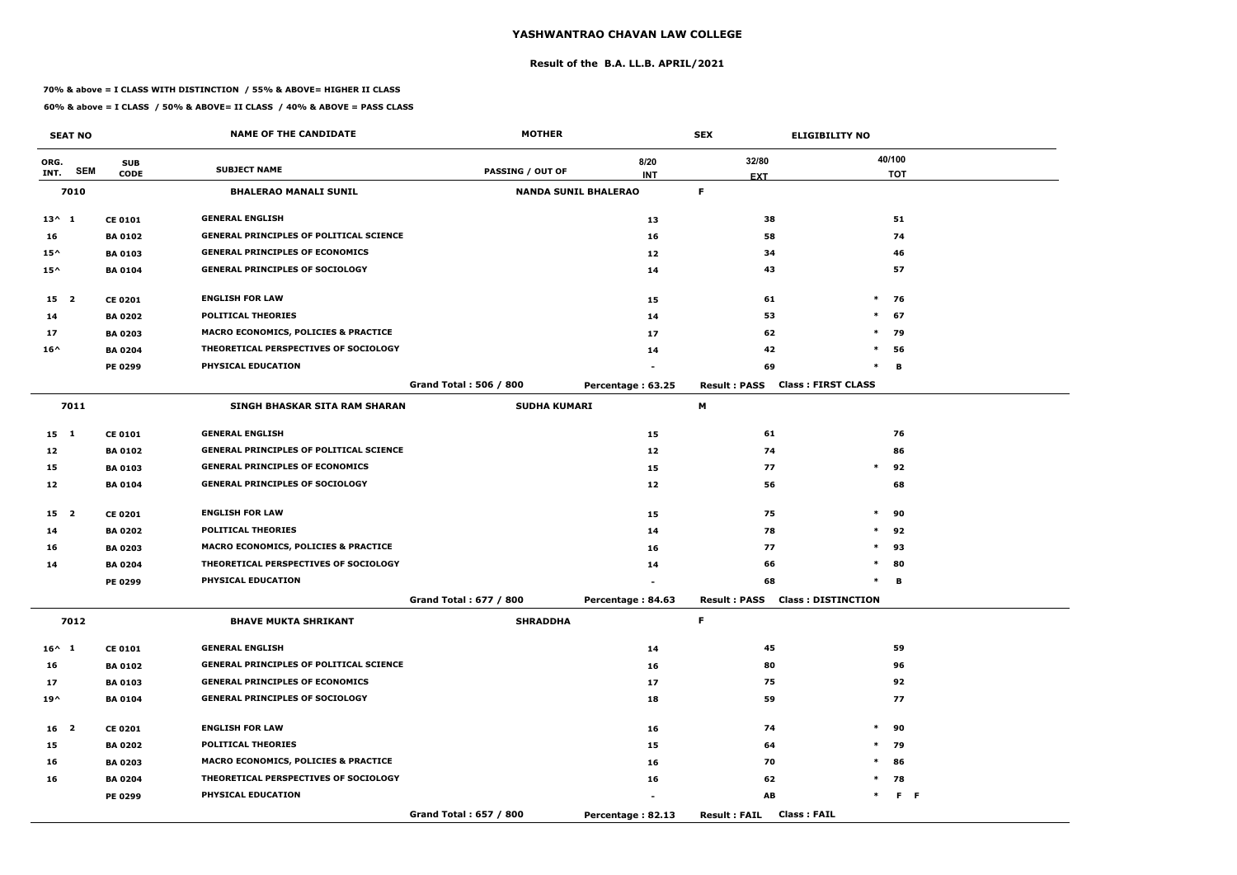#### **Result of the B.A. LL.B. APRIL/2021**

#### **70% & above = I CLASS WITH DISTINCTION / 55% & ABOVE= HIGHER II CLASS**

|                 | <b>SEAT NO</b> |                | <b>NAME OF THE CANDIDATE</b>                    | <b>MOTHER</b>                 |                             | <b>SEX</b>                                       | <b>ELIGIBILITY NO</b> |                |
|-----------------|----------------|----------------|-------------------------------------------------|-------------------------------|-----------------------------|--------------------------------------------------|-----------------------|----------------|
| ORG.            |                | <b>SUB</b>     |                                                 |                               | 8/20                        | 32/80                                            | 40/100                |                |
| INT.            | <b>SEM</b>     | <b>CODE</b>    | <b>SUBJECT NAME</b>                             | PASSING / OUT OF              | <b>INT</b>                  | <b>EXT</b>                                       |                       | <b>TOT</b>     |
|                 | 7010           |                | <b>BHALERAO MANALI SUNIL</b>                    |                               | <b>NANDA SUNIL BHALERAO</b> | F.                                               |                       |                |
| $13^{\wedge} 1$ |                | <b>CE 0101</b> | <b>GENERAL ENGLISH</b>                          |                               | 13                          | 38                                               |                       | 51             |
| 16              |                | <b>BA 0102</b> | <b>GENERAL PRINCIPLES OF POLITICAL SCIENCE</b>  |                               | 16                          | 58                                               |                       | 74             |
| $15^{\wedge}$   |                | <b>BA 0103</b> | <b>GENERAL PRINCIPLES OF ECONOMICS</b>          |                               | 12                          | 34                                               |                       | 46             |
| $15^{\wedge}$   |                | <b>BA 0104</b> | <b>GENERAL PRINCIPLES OF SOCIOLOGY</b>          |                               | 14                          | 43                                               |                       | 57             |
| 15 <sub>2</sub> |                | <b>CE 0201</b> | <b>ENGLISH FOR LAW</b>                          |                               | 15                          | 61                                               | $*$ 76                |                |
| 14              |                | <b>BA 0202</b> | <b>POLITICAL THEORIES</b>                       |                               | 14                          | 53                                               | $\ast$                | 67             |
| 17              |                | <b>BA 0203</b> | <b>MACRO ECONOMICS, POLICIES &amp; PRACTICE</b> |                               | 17                          | 62                                               | $\ast$                | 79             |
| $16^{\wedge}$   |                | <b>BA 0204</b> | THEORETICAL PERSPECTIVES OF SOCIOLOGY           |                               | 14                          | 42                                               | $\ast$                | 56             |
|                 |                | <b>PE 0299</b> | PHYSICAL EDUCATION                              |                               |                             | 69                                               | $\ast$                | В              |
|                 |                |                |                                                 | <b>Grand Total: 506 / 800</b> | Percentage: 63.25           | <b>Class: FIRST CLASS</b><br><b>Result: PASS</b> |                       |                |
|                 | 7011           |                | <b>SINGH BHASKAR SITA RAM SHARAN</b>            | <b>SUDHA KUMARI</b>           |                             | М                                                |                       |                |
| $15 \quad 1$    |                | <b>CE 0101</b> | <b>GENERAL ENGLISH</b>                          |                               | 15                          | 61                                               |                       | 76             |
| 12              |                | <b>BA 0102</b> | <b>GENERAL PRINCIPLES OF POLITICAL SCIENCE</b>  |                               | 12                          | 74                                               |                       | 86             |
| 15              |                | <b>BA 0103</b> | <b>GENERAL PRINCIPLES OF ECONOMICS</b>          |                               | 15                          | 77                                               | $\ast$                | 92             |
| 12              |                | <b>BA 0104</b> | <b>GENERAL PRINCIPLES OF SOCIOLOGY</b>          |                               | 12                          | 56                                               |                       | 68             |
| 15 <sub>2</sub> |                | <b>CE 0201</b> | <b>ENGLISH FOR LAW</b>                          |                               | 15                          | 75                                               | $\ast$                | 90             |
| 14              |                | <b>BA 0202</b> | <b>POLITICAL THEORIES</b>                       |                               | 14                          | 78                                               | $\ast$                | 92             |
| 16              |                | <b>BA 0203</b> | <b>MACRO ECONOMICS, POLICIES &amp; PRACTICE</b> |                               | 16                          | 77                                               | $\ast$                | 93             |
| 14              |                | <b>BA 0204</b> | THEORETICAL PERSPECTIVES OF SOCIOLOGY           |                               | 14                          | 66                                               | $\ast$                | 80             |
|                 |                | <b>PE 0299</b> | PHYSICAL EDUCATION                              |                               |                             | 68                                               | $\ast$                | в              |
|                 |                |                |                                                 | Grand Total: 677 / 800        | Percentage: 84.63           | <b>Result: PASS Class: DISTINCTION</b>           |                       |                |
|                 | 7012           |                | <b>BHAVE MUKTA SHRIKANT</b>                     | <b>SHRADDHA</b>               |                             | F.                                               |                       |                |
| $16^{\wedge} 1$ |                | <b>CE 0101</b> | <b>GENERAL ENGLISH</b>                          |                               | 14                          | 45                                               |                       | 59             |
| 16              |                | <b>BA 0102</b> | <b>GENERAL PRINCIPLES OF POLITICAL SCIENCE</b>  |                               | 16                          | 80                                               |                       | 96             |
| 17              |                | <b>BA 0103</b> | <b>GENERAL PRINCIPLES OF ECONOMICS</b>          |                               | 17                          | 75                                               |                       | 92             |
| $19^{\wedge}$   |                | <b>BA 0104</b> | <b>GENERAL PRINCIPLES OF SOCIOLOGY</b>          |                               | 18                          | 59                                               |                       | 77             |
| 16 <sub>2</sub> |                | <b>CE 0201</b> | <b>ENGLISH FOR LAW</b>                          |                               | 16                          | 74                                               | $\ast$                | 90             |
| 15              |                | <b>BA 0202</b> | POLITICAL THEORIES                              |                               | 15                          | 64                                               | $*$ 79                |                |
| 16              |                | <b>BA 0203</b> | <b>MACRO ECONOMICS, POLICIES &amp; PRACTICE</b> |                               | 16                          | 70                                               | $*$ 86                |                |
| 16              |                | <b>BA 0204</b> | THEORETICAL PERSPECTIVES OF SOCIOLOGY           |                               | 16                          | 62                                               | $*$ 78                |                |
|                 |                | <b>PE 0299</b> | <b>PHYSICAL EDUCATION</b>                       |                               |                             | AB                                               | $\ast$                | F <sub>F</sub> |
|                 |                |                |                                                 | Grand Total: 657 / 800        | Percentage: 82.13           | <b>Class: FAIL</b><br><b>Result : FAIL</b>       |                       |                |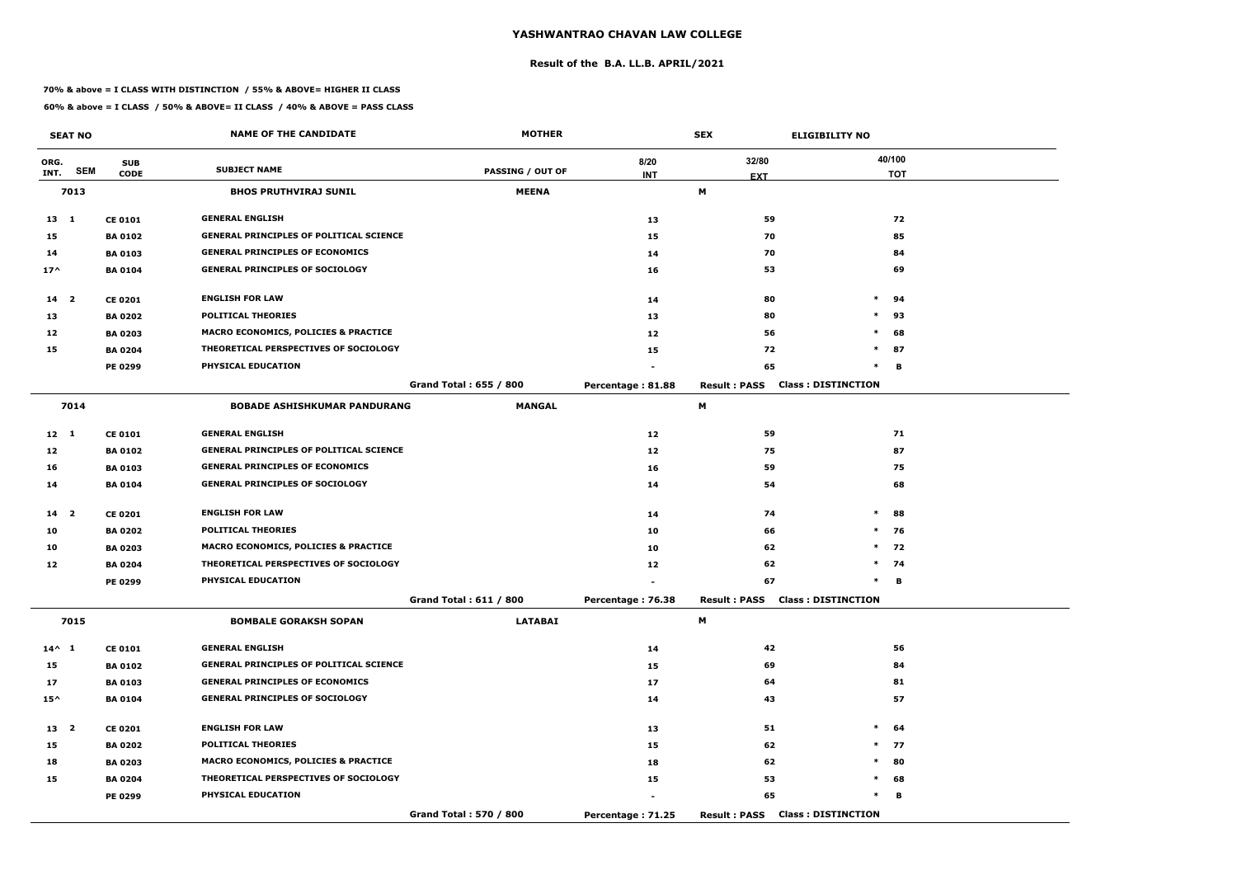#### **Result of the B.A. LL.B. APRIL/2021**

#### **70% & above = I CLASS WITH DISTINCTION / 55% & ABOVE= HIGHER II CLASS**

|                 | <b>SEAT NO</b> |                | <b>NAME OF THE CANDIDATE</b>                    | <b>MOTHER</b>           |                   | <b>SEX</b>                             | <b>ELIGIBILITY NO</b>     |
|-----------------|----------------|----------------|-------------------------------------------------|-------------------------|-------------------|----------------------------------------|---------------------------|
| ORG.            |                | <b>SUB</b>     |                                                 |                         | 8/20              | 32/80                                  | 40/100                    |
| INT.            | <b>SEM</b>     | <b>CODE</b>    | <b>SUBJECT NAME</b>                             | <b>PASSING / OUT OF</b> | <b>INT</b>        | <b>EXT</b>                             | <b>TOT</b>                |
|                 | 7013           |                | <b>BHOS PRUTHVIRAJ SUNIL</b>                    | <b>MEENA</b>            |                   | М                                      |                           |
| $13 \quad 1$    |                | <b>CE 0101</b> | <b>GENERAL ENGLISH</b>                          |                         | 13                | 59                                     | 72                        |
| 15              |                | <b>BA 0102</b> | <b>GENERAL PRINCIPLES OF POLITICAL SCIENCE</b>  |                         | 15                | 70                                     | 85                        |
| 14              |                | <b>BA 0103</b> | <b>GENERAL PRINCIPLES OF ECONOMICS</b>          |                         | 14                | 70                                     | 84                        |
| $17^$           |                | <b>BA 0104</b> | <b>GENERAL PRINCIPLES OF SOCIOLOGY</b>          |                         | 16                | 53                                     | 69                        |
| $14 2$          |                | <b>CE 0201</b> | <b>ENGLISH FOR LAW</b>                          |                         | 14                | 80                                     | $\ast$<br>94              |
| 13              |                | <b>BA 0202</b> | <b>POLITICAL THEORIES</b>                       |                         | 13                | 80                                     | $\ast$<br>93              |
| 12              |                | <b>BA 0203</b> | MACRO ECONOMICS, POLICIES & PRACTICE            |                         | 12                | 56                                     | $\ast$<br>68              |
| 15              |                | <b>BA 0204</b> | THEORETICAL PERSPECTIVES OF SOCIOLOGY           |                         | 15                | 72                                     | $\ast$<br>87              |
|                 |                | <b>PE 0299</b> | PHYSICAL EDUCATION                              |                         |                   | 65                                     | $\ast$<br>B               |
|                 |                |                |                                                 | Grand Total: 655 / 800  | Percentage: 81.88 | <b>Result: PASS</b>                    | <b>Class: DISTINCTION</b> |
|                 | 7014           |                | <b>BOBADE ASHISHKUMAR PANDURANG</b>             | <b>MANGAL</b>           |                   | М                                      |                           |
| $12 \quad 1$    |                | <b>CE 0101</b> | <b>GENERAL ENGLISH</b>                          |                         | 12                | 59                                     | 71                        |
| 12              |                | <b>BA 0102</b> | <b>GENERAL PRINCIPLES OF POLITICAL SCIENCE</b>  |                         | 12                | 75                                     | 87                        |
| 16              |                | <b>BA 0103</b> | <b>GENERAL PRINCIPLES OF ECONOMICS</b>          |                         | 16                | 59                                     | 75                        |
| 14              |                | <b>BA 0104</b> | <b>GENERAL PRINCIPLES OF SOCIOLOGY</b>          |                         | 14                | 54                                     | 68                        |
| 14 <sub>2</sub> |                | <b>CE 0201</b> | <b>ENGLISH FOR LAW</b>                          |                         | 14                | 74                                     | $\ast$<br>88              |
| 10              |                | <b>BA 0202</b> | <b>POLITICAL THEORIES</b>                       |                         | 10                | 66                                     | $\ast$<br>76              |
| 10              |                | <b>BA 0203</b> | <b>MACRO ECONOMICS, POLICIES &amp; PRACTICE</b> |                         | 10                | 62                                     | $\ast$<br>72              |
| 12              |                | <b>BA 0204</b> | THEORETICAL PERSPECTIVES OF SOCIOLOGY           |                         | 12                | 62                                     | $*$<br>74                 |
|                 |                | PE 0299        | PHYSICAL EDUCATION                              |                         |                   | 67                                     | $\ast$<br>в               |
|                 |                |                |                                                 | Grand Total: 611 / 800  | Percentage: 76.38 | <b>Result: PASS Class: DISTINCTION</b> |                           |
|                 | 7015           |                | <b>BOMBALE GORAKSH SOPAN</b>                    | <b>LATABAI</b>          |                   | M                                      |                           |
| $14^{\wedge} 1$ |                | <b>CE 0101</b> | <b>GENERAL ENGLISH</b>                          |                         | 14                | 42                                     | 56                        |
| 15              |                | <b>BA 0102</b> | <b>GENERAL PRINCIPLES OF POLITICAL SCIENCE</b>  |                         | 15                | 69                                     | 84                        |
| 17              |                | <b>BA 0103</b> | <b>GENERAL PRINCIPLES OF ECONOMICS</b>          |                         | 17                | 64                                     | 81                        |
| $15^{\wedge}$   |                | <b>BA 0104</b> | <b>GENERAL PRINCIPLES OF SOCIOLOGY</b>          |                         | 14                | 43                                     | 57                        |
| 13 2            |                | <b>CE 0201</b> | <b>ENGLISH FOR LAW</b>                          |                         | 13                | 51                                     | $\ast$<br>64              |
| 15              |                | <b>BA 0202</b> | <b>POLITICAL THEORIES</b>                       |                         | 15                | 62                                     | $*$ 77                    |
| 18              |                | <b>BA 0203</b> | <b>MACRO ECONOMICS, POLICIES &amp; PRACTICE</b> |                         | 18                | 62                                     | 80<br>$*$                 |
| 15              |                | <b>BA 0204</b> | THEORETICAL PERSPECTIVES OF SOCIOLOGY           |                         | 15                | 53                                     | $\ast$<br>68              |
|                 |                | PE 0299        | <b>PHYSICAL EDUCATION</b>                       |                         |                   | 65                                     | $\ast$<br>в               |
|                 |                |                |                                                 | Grand Total: 570 / 800  | Percentage: 71.25 | <b>Result: PASS Class: DISTINCTION</b> |                           |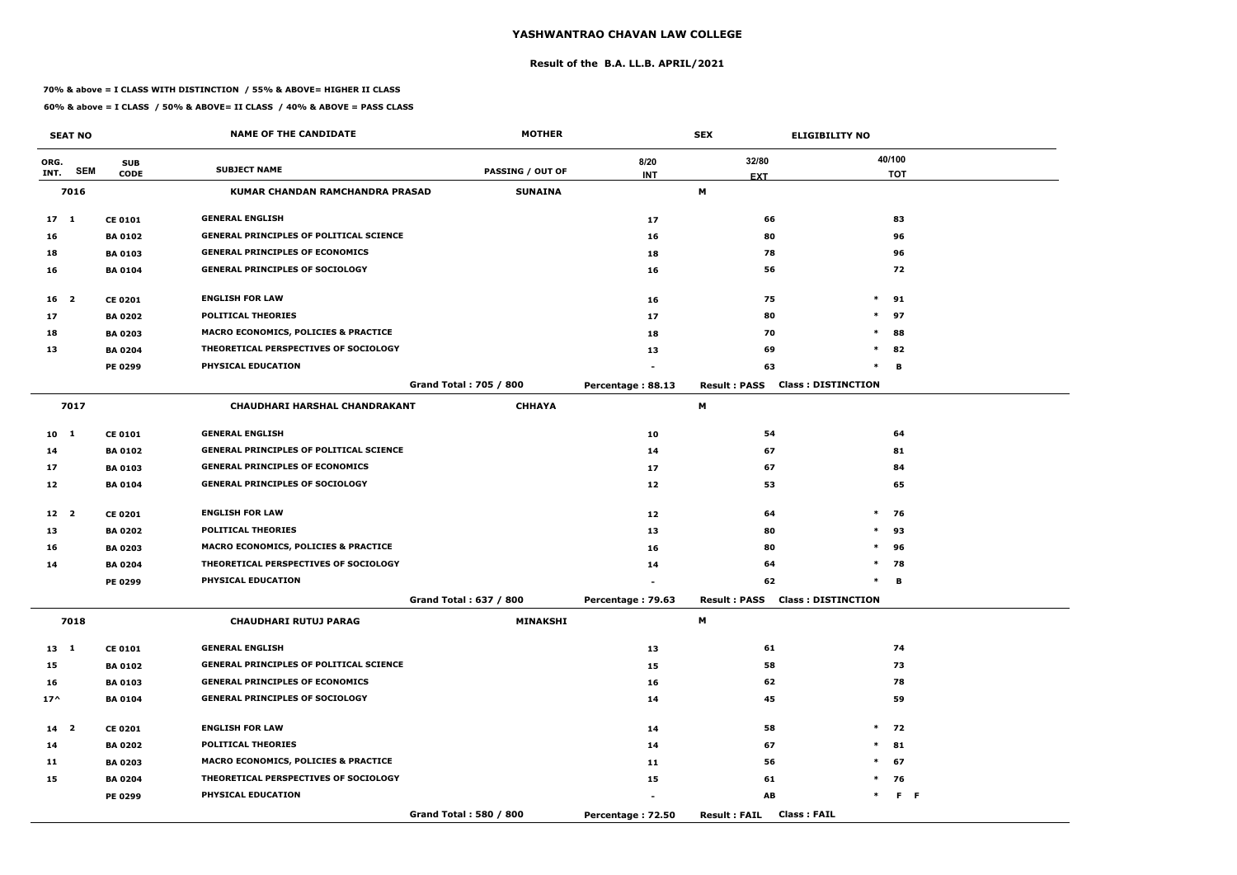#### **Result of the B.A. LL.B. APRIL/2021**

#### **70% & above = I CLASS WITH DISTINCTION / 55% & ABOVE= HIGHER II CLASS**

|                 | <b>SEAT NO</b> |                | <b>NAME OF THE CANDIDATE</b>                    | <b>MOTHER</b>                 |                   | <b>SEX</b><br><b>ELIGIBILITY NO</b>              |        |                |
|-----------------|----------------|----------------|-------------------------------------------------|-------------------------------|-------------------|--------------------------------------------------|--------|----------------|
| ORG.            |                | <b>SUB</b>     |                                                 |                               | 8/20              | 32/80                                            |        | 40/100         |
| INT.            | <b>SEM</b>     | <b>CODE</b>    | <b>SUBJECT NAME</b>                             | <b>PASSING / OUT OF</b>       | <b>INT</b>        | <b>EXT</b>                                       |        | <b>TOT</b>     |
|                 | 7016           |                | <b>KUMAR CHANDAN RAMCHANDRA PRASAD</b>          | <b>SUNAINA</b>                |                   | M                                                |        |                |
| 17 <sub>1</sub> |                | <b>CE 0101</b> | <b>GENERAL ENGLISH</b>                          |                               | 17                | 66                                               |        | 83             |
| 16              |                | <b>BA 0102</b> | <b>GENERAL PRINCIPLES OF POLITICAL SCIENCE</b>  |                               | 16                | 80                                               |        | 96             |
| 18              |                | <b>BA 0103</b> | <b>GENERAL PRINCIPLES OF ECONOMICS</b>          |                               | 18                | 78                                               |        | 96             |
| 16              |                | <b>BA 0104</b> | <b>GENERAL PRINCIPLES OF SOCIOLOGY</b>          |                               | 16                | 56                                               |        | 72             |
| 16 <sup>2</sup> |                | <b>CE 0201</b> | <b>ENGLISH FOR LAW</b>                          |                               | 16                | 75                                               | $\ast$ | 91             |
| 17              |                | <b>BA 0202</b> | <b>POLITICAL THEORIES</b>                       |                               | 17                | 80                                               | $\ast$ | 97             |
| 18              |                | <b>BA 0203</b> | <b>MACRO ECONOMICS, POLICIES &amp; PRACTICE</b> |                               | 18                | 70                                               | $\ast$ | 88             |
| 13              |                | <b>BA 0204</b> | THEORETICAL PERSPECTIVES OF SOCIOLOGY           |                               | 13                | 69                                               | $\ast$ | 82             |
|                 |                | PE 0299        | PHYSICAL EDUCATION                              |                               |                   | 63                                               | $\ast$ | в              |
|                 |                |                |                                                 | <b>Grand Total: 705 / 800</b> | Percentage: 88.13 | <b>Class: DISTINCTION</b><br><b>Result: PASS</b> |        |                |
|                 | 7017           |                | <b>CHAUDHARI HARSHAL CHANDRAKANT</b>            | <b>CHHAYA</b>                 |                   | М                                                |        |                |
| 10 <sub>1</sub> |                | <b>CE 0101</b> | <b>GENERAL ENGLISH</b>                          |                               | 10                | 54                                               |        | 64             |
| 14              |                | <b>BA 0102</b> | <b>GENERAL PRINCIPLES OF POLITICAL SCIENCE</b>  |                               | 14                | 67                                               |        | 81             |
| 17              |                | <b>BA 0103</b> | <b>GENERAL PRINCIPLES OF ECONOMICS</b>          |                               | 17                | 67                                               |        | 84             |
| 12              |                | <b>BA 0104</b> | <b>GENERAL PRINCIPLES OF SOCIOLOGY</b>          |                               | 12                | 53                                               |        | 65             |
| 12 <sub>2</sub> |                | <b>CE 0201</b> | <b>ENGLISH FOR LAW</b>                          |                               | 12                | 64                                               | $\ast$ | 76             |
| 13              |                | <b>BA 0202</b> | <b>POLITICAL THEORIES</b>                       |                               | 13                | 80                                               | $\ast$ | 93             |
| 16              |                | <b>BA 0203</b> | <b>MACRO ECONOMICS, POLICIES &amp; PRACTICE</b> |                               | 16                | 80                                               | $\ast$ | 96             |
| 14              |                | <b>BA 0204</b> | THEORETICAL PERSPECTIVES OF SOCIOLOGY           |                               | 14                | 64                                               | $\ast$ | 78             |
|                 |                | PE 0299        | PHYSICAL EDUCATION                              |                               |                   | 62                                               | $\ast$ | в              |
|                 |                |                |                                                 | Grand Total: 637 / 800        | Percentage: 79.63 | <b>Result: PASS Class: DISTINCTION</b>           |        |                |
|                 | 7018           |                | <b>CHAUDHARI RUTUJ PARAG</b>                    | <b>MINAKSHI</b>               |                   | M                                                |        |                |
| $13 \quad 1$    |                | <b>CE 0101</b> | <b>GENERAL ENGLISH</b>                          |                               | 13                | 61                                               |        | 74             |
| 15              |                | <b>BA 0102</b> | <b>GENERAL PRINCIPLES OF POLITICAL SCIENCE</b>  |                               | 15                | 58                                               |        | 73             |
| 16              |                | <b>BA 0103</b> | <b>GENERAL PRINCIPLES OF ECONOMICS</b>          |                               | 16                | 62                                               |        | 78             |
| $17^{\wedge}$   |                | <b>BA 0104</b> | <b>GENERAL PRINCIPLES OF SOCIOLOGY</b>          |                               | 14                | 45                                               |        | 59             |
| 14 <sub>2</sub> |                | <b>CE 0201</b> | <b>ENGLISH FOR LAW</b>                          |                               | 14                | 58                                               |        | $*$ 72         |
| 14              |                | <b>BA 0202</b> | <b>POLITICAL THEORIES</b>                       |                               | 14                | 67                                               |        | $*$ 81         |
| 11              |                | <b>BA 0203</b> | <b>MACRO ECONOMICS, POLICIES &amp; PRACTICE</b> |                               | 11                | 56                                               |        | $*$ 67         |
| 15              |                | <b>BA 0204</b> | THEORETICAL PERSPECTIVES OF SOCIOLOGY           |                               | 15                | 61                                               |        | $*$ 76         |
|                 |                | <b>PE 0299</b> | PHYSICAL EDUCATION                              |                               |                   | AB                                               | $\ast$ | F <sub>F</sub> |
|                 |                |                |                                                 | Grand Total: 580 / 800        | Percentage: 72.50 | <b>Class: FAIL</b><br><b>Result : FAIL</b>       |        |                |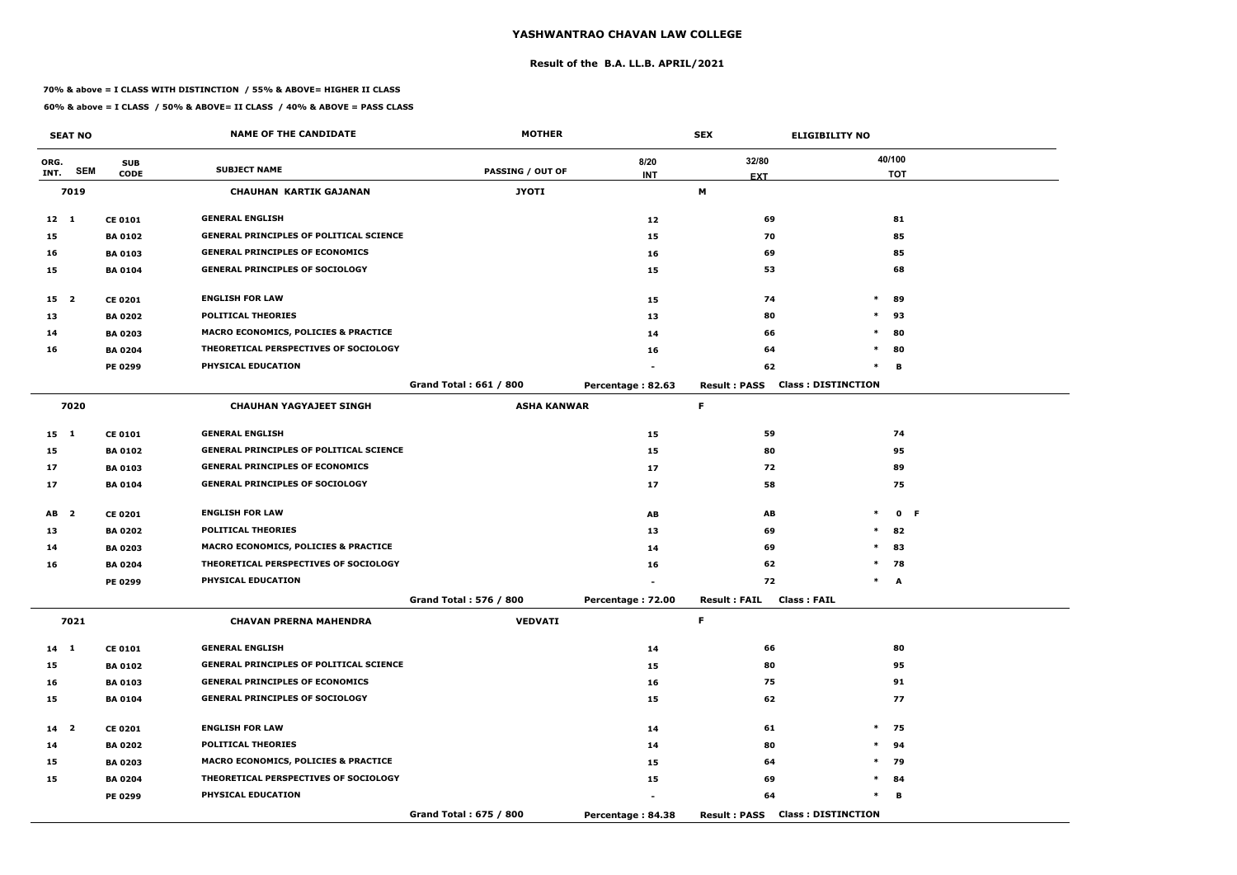#### **Result of the B.A. LL.B. APRIL/2021**

#### **70% & above = I CLASS WITH DISTINCTION / 55% & ABOVE= HIGHER II CLASS**

|                 | <b>SEAT NO</b> |                | <b>NAME OF THE CANDIDATE</b>                    | <b>MOTHER</b>                 |                   | <b>SEX</b>          | <b>ELIGIBILITY NO</b>                  |            |
|-----------------|----------------|----------------|-------------------------------------------------|-------------------------------|-------------------|---------------------|----------------------------------------|------------|
| ORG.            |                | <b>SUB</b>     |                                                 |                               | 8/20              | 32/80               |                                        | 40/100     |
| INT.            | <b>SEM</b>     | <b>CODE</b>    | <b>SUBJECT NAME</b>                             | <b>PASSING / OUT OF</b>       | <b>INT</b>        | <b>EXT</b>          |                                        | <b>TOT</b> |
|                 | 7019           |                | <b>CHAUHAN KARTIK GAJANAN</b>                   | <b>JYOTI</b>                  |                   | М                   |                                        |            |
| $12 \quad 1$    |                | <b>CE 0101</b> | <b>GENERAL ENGLISH</b>                          |                               | 12                | 69                  |                                        | 81         |
| 15              |                | <b>BA 0102</b> | <b>GENERAL PRINCIPLES OF POLITICAL SCIENCE</b>  |                               | 15                | 70                  |                                        | 85         |
| 16              |                | <b>BA 0103</b> | <b>GENERAL PRINCIPLES OF ECONOMICS</b>          |                               | 16                | 69                  |                                        | 85         |
| 15              |                | <b>BA 0104</b> | <b>GENERAL PRINCIPLES OF SOCIOLOGY</b>          |                               | 15                | 53                  |                                        | 68         |
| 15 <sub>2</sub> |                | <b>CE 0201</b> | <b>ENGLISH FOR LAW</b>                          |                               | 15                | 74                  | $\ast$                                 | 89         |
| 13              |                | <b>BA 0202</b> | <b>POLITICAL THEORIES</b>                       |                               | 13                | 80                  | $\ast$                                 | 93         |
| 14              |                | <b>BA 0203</b> | <b>MACRO ECONOMICS, POLICIES &amp; PRACTICE</b> |                               | 14                | 66                  | $\ast$                                 | 80         |
| 16              |                | <b>BA 0204</b> | THEORETICAL PERSPECTIVES OF SOCIOLOGY           |                               | 16                | 64                  | $\ast$                                 | 80         |
|                 |                | PE 0299        | PHYSICAL EDUCATION                              |                               |                   | 62                  | $\ast$                                 | в          |
|                 |                |                |                                                 | <b>Grand Total: 661 / 800</b> | Percentage: 82.63 | <b>Result: PASS</b> | <b>Class: DISTINCTION</b>              |            |
|                 | 7020           |                | <b>CHAUHAN YAGYAJEET SINGH</b>                  | <b>ASHA KANWAR</b>            |                   | F.                  |                                        |            |
| $15 \quad 1$    |                | <b>CE 0101</b> | <b>GENERAL ENGLISH</b>                          |                               | 15                | 59                  |                                        | 74         |
| 15              |                | <b>BA 0102</b> | <b>GENERAL PRINCIPLES OF POLITICAL SCIENCE</b>  |                               | 15                | 80                  |                                        | 95         |
| 17              |                | <b>BA 0103</b> | <b>GENERAL PRINCIPLES OF ECONOMICS</b>          |                               | 17                | 72                  |                                        | 89         |
| 17              |                | <b>BA 0104</b> | <b>GENERAL PRINCIPLES OF SOCIOLOGY</b>          |                               | 17                | 58                  |                                        | 75         |
| AB <sub>2</sub> |                | <b>CE 0201</b> | <b>ENGLISH FOR LAW</b>                          |                               | AB                | AB                  | $\ast$                                 | 0 F        |
| 13              |                | <b>BA 0202</b> | <b>POLITICAL THEORIES</b>                       |                               | 13                | 69                  | $\ast$                                 | 82         |
| 14              |                | <b>BA 0203</b> | <b>MACRO ECONOMICS, POLICIES &amp; PRACTICE</b> |                               | 14                | 69                  | $\ast$                                 | 83         |
| 16              |                | <b>BA 0204</b> | THEORETICAL PERSPECTIVES OF SOCIOLOGY           |                               | 16                | 62                  | $\ast$                                 | 78         |
|                 |                | <b>PE 0299</b> | PHYSICAL EDUCATION                              |                               |                   | 72                  | $\ast$                                 | A          |
|                 |                |                |                                                 | Grand Total: 576 / 800        | Percentage: 72.00 | <b>Result: FAIL</b> | <b>Class: FAIL</b>                     |            |
|                 | 7021           |                | <b>CHAVAN PRERNA MAHENDRA</b>                   | <b>VEDVATI</b>                |                   | F.                  |                                        |            |
| 14 1            |                | <b>CE 0101</b> | <b>GENERAL ENGLISH</b>                          |                               | 14                | 66                  |                                        | 80         |
| 15              |                | <b>BA 0102</b> | <b>GENERAL PRINCIPLES OF POLITICAL SCIENCE</b>  |                               | 15                | 80                  |                                        | 95         |
| 16              |                | <b>BA 0103</b> | <b>GENERAL PRINCIPLES OF ECONOMICS</b>          |                               | 16                | 75                  |                                        | 91         |
| 15              |                | <b>BA 0104</b> | <b>GENERAL PRINCIPLES OF SOCIOLOGY</b>          |                               | 15                | 62                  |                                        | 77         |
| 14 <sub>2</sub> |                | <b>CE 0201</b> | <b>ENGLISH FOR LAW</b>                          |                               | 14                | 61                  | $\ast$                                 | 75         |
| 14              |                | <b>BA 0202</b> | <b>POLITICAL THEORIES</b>                       |                               | 14                | 80                  | $\ast$                                 | 94         |
| 15              |                | <b>BA 0203</b> | MACRO ECONOMICS, POLICIES & PRACTICE            |                               | 15                | 64                  | $*$                                    | 79         |
| 15              |                | <b>BA 0204</b> | THEORETICAL PERSPECTIVES OF SOCIOLOGY           |                               | 15                | 69                  |                                        | $*$ 84     |
|                 |                | <b>PE 0299</b> | PHYSICAL EDUCATION                              |                               |                   | 64                  | $\ast$                                 | в          |
|                 |                |                |                                                 | Grand Total: 675 / 800        | Percentage: 84.38 |                     | <b>Result: PASS Class: DISTINCTION</b> |            |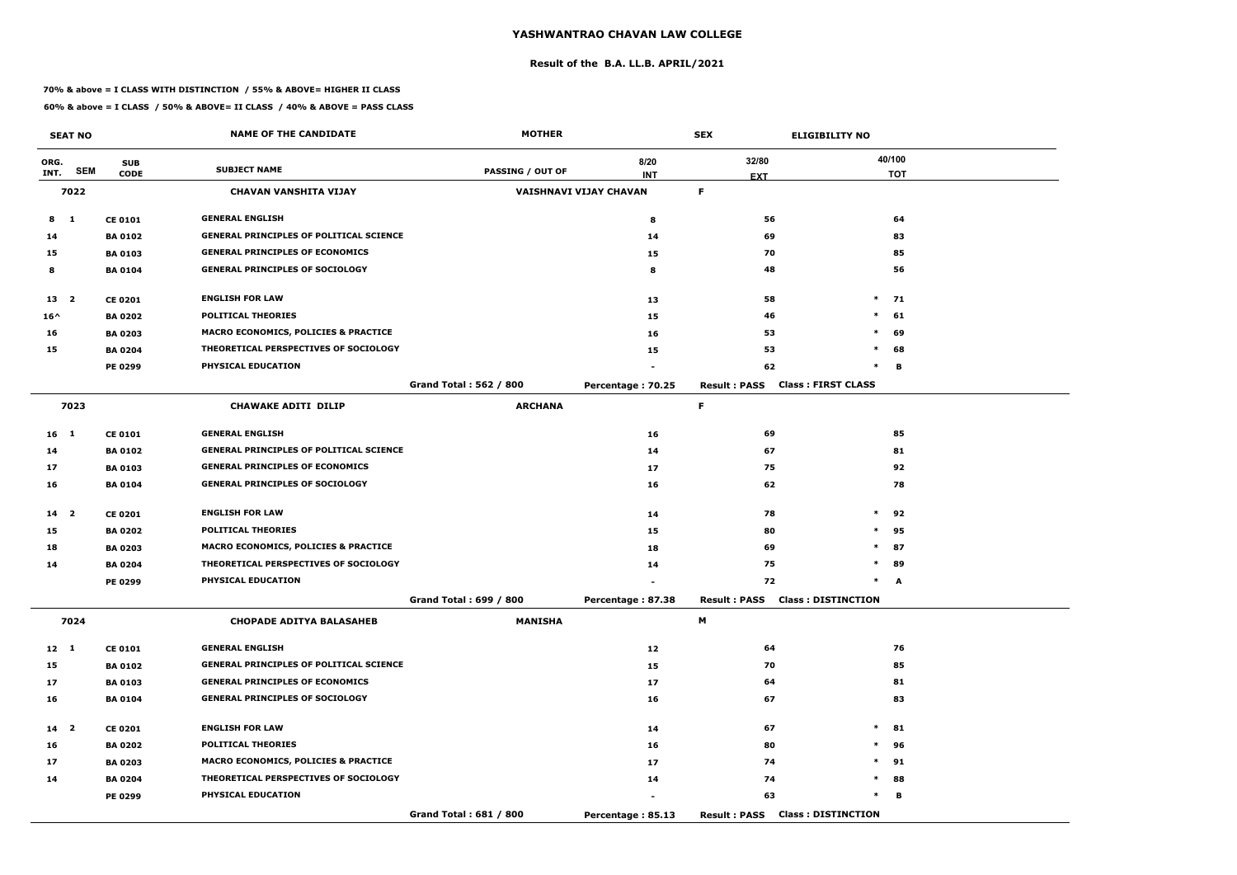#### **Result of the B.A. LL.B. APRIL/2021**

#### **70% & above = I CLASS WITH DISTINCTION / 55% & ABOVE= HIGHER II CLASS**

|                 | <b>SEAT NO</b>          |                | <b>NAME OF THE CANDIDATE</b>                    | <b>MOTHER</b>                 |                        | <b>SEX</b>                             | <b>ELIGIBILITY NO</b>     |
|-----------------|-------------------------|----------------|-------------------------------------------------|-------------------------------|------------------------|----------------------------------------|---------------------------|
| ORG.            |                         | <b>SUB</b>     |                                                 |                               | 8/20                   | 32/80                                  | 40/100                    |
| INT.            | <b>SEM</b>              | <b>CODE</b>    | <b>SUBJECT NAME</b>                             | PASSING / OUT OF              | <b>INT</b>             | <b>EXT</b>                             | <b>TOT</b>                |
|                 | 7022                    |                | <b>CHAVAN VANSHITA VIJAY</b>                    |                               | VAISHNAVI VIJAY CHAVAN | F.                                     |                           |
| 8               | $\mathbf{1}$            | <b>CE 0101</b> | <b>GENERAL ENGLISH</b>                          |                               | 8                      | 56                                     | 64                        |
| 14              |                         | <b>BA 0102</b> | <b>GENERAL PRINCIPLES OF POLITICAL SCIENCE</b>  |                               | 14                     | 69                                     | 83                        |
| 15              |                         | <b>BA0103</b>  | <b>GENERAL PRINCIPLES OF ECONOMICS</b>          |                               | 15                     | 70                                     | 85                        |
| 8               |                         | <b>BA 0104</b> | <b>GENERAL PRINCIPLES OF SOCIOLOGY</b>          |                               | 8                      | 48                                     | 56                        |
| 13              | $\overline{\mathbf{2}}$ | <b>CE 0201</b> | <b>ENGLISH FOR LAW</b>                          |                               | 13                     | 58                                     | $*$ 71                    |
| $16^{\wedge}$   |                         | <b>BA 0202</b> | <b>POLITICAL THEORIES</b>                       |                               | 15                     | 46                                     | $\ast$<br>61              |
| 16              |                         | <b>BA 0203</b> | MACRO ECONOMICS, POLICIES & PRACTICE            |                               | 16                     | 53                                     | $\ast$<br>69              |
| 15              |                         | <b>BA 0204</b> | THEORETICAL PERSPECTIVES OF SOCIOLOGY           |                               | 15                     | 53                                     | 68<br>$\ast$              |
|                 |                         | <b>PE 0299</b> | PHYSICAL EDUCATION                              |                               |                        | 62                                     | $\ast$<br>В               |
|                 |                         |                |                                                 | <b>Grand Total: 562 / 800</b> | Percentage: 70.25      | <b>Result: PASS</b>                    | <b>Class: FIRST CLASS</b> |
|                 | 7023                    |                | <b>CHAWAKE ADITI DILIP</b>                      | <b>ARCHANA</b>                |                        | F                                      |                           |
| 16 <sub>1</sub> |                         | <b>CE 0101</b> | <b>GENERAL ENGLISH</b>                          |                               | 16                     | 69                                     | 85                        |
| 14              |                         | <b>BA 0102</b> | <b>GENERAL PRINCIPLES OF POLITICAL SCIENCE</b>  |                               | 14                     | 67                                     | 81                        |
| 17              |                         | <b>BA 0103</b> | <b>GENERAL PRINCIPLES OF ECONOMICS</b>          |                               | 17                     | 75                                     | 92                        |
| 16              |                         | <b>BA 0104</b> | <b>GENERAL PRINCIPLES OF SOCIOLOGY</b>          |                               | 16                     | 62                                     | 78                        |
| 14 <sub>2</sub> |                         | <b>CE 0201</b> | <b>ENGLISH FOR LAW</b>                          |                               | 14                     | 78                                     | $\ast$<br>92              |
| 15              |                         | <b>BA 0202</b> | <b>POLITICAL THEORIES</b>                       |                               | 15                     | 80                                     | $\ast$<br>95              |
| 18              |                         | <b>BA 0203</b> | MACRO ECONOMICS, POLICIES & PRACTICE            |                               | 18                     | 69                                     | 87<br>$\ast$              |
| 14              |                         | <b>BA 0204</b> | THEORETICAL PERSPECTIVES OF SOCIOLOGY           |                               | 14                     | 75                                     | $\ast$<br>89              |
|                 |                         | <b>PE 0299</b> | PHYSICAL EDUCATION                              |                               |                        | 72                                     | $\ast$<br>A               |
|                 |                         |                |                                                 | Grand Total: 699 / 800        | Percentage: 87.38      | <b>Result: PASS Class: DISTINCTION</b> |                           |
|                 | 7024                    |                | <b>CHOPADE ADITYA BALASAHEB</b>                 | <b>MANISHA</b>                |                        | M                                      |                           |
| $12 \quad 1$    |                         | <b>CE 0101</b> | <b>GENERAL ENGLISH</b>                          |                               | 12                     | 64                                     | 76                        |
| 15              |                         | <b>BA 0102</b> | <b>GENERAL PRINCIPLES OF POLITICAL SCIENCE</b>  |                               | 15                     | 70                                     | 85                        |
| 17              |                         | <b>BA 0103</b> | <b>GENERAL PRINCIPLES OF ECONOMICS</b>          |                               | 17                     | 64                                     | 81                        |
| 16              |                         | <b>BA 0104</b> | <b>GENERAL PRINCIPLES OF SOCIOLOGY</b>          |                               | 16                     | 67                                     | 83                        |
| $14$ 2          |                         | <b>CE 0201</b> | <b>ENGLISH FOR LAW</b>                          |                               | 14                     | 67                                     | $*$<br>81                 |
| 16              |                         | <b>BA 0202</b> | <b>POLITICAL THEORIES</b>                       |                               | 16                     | 80                                     | $\ast$<br>96              |
| 17              |                         | <b>BA 0203</b> | <b>MACRO ECONOMICS, POLICIES &amp; PRACTICE</b> |                               | 17                     | 74                                     | 91<br>$\ast$              |
| 14              |                         | <b>BA 0204</b> | THEORETICAL PERSPECTIVES OF SOCIOLOGY           |                               | 14                     | 74                                     | $\ast$<br>88              |
|                 |                         | <b>PE 0299</b> | PHYSICAL EDUCATION                              |                               |                        | 63                                     | $\ast$<br>в               |
|                 |                         |                |                                                 | Grand Total: 681 / 800        | Percentage: 85.13      | <b>Result: PASS Class: DISTINCTION</b> |                           |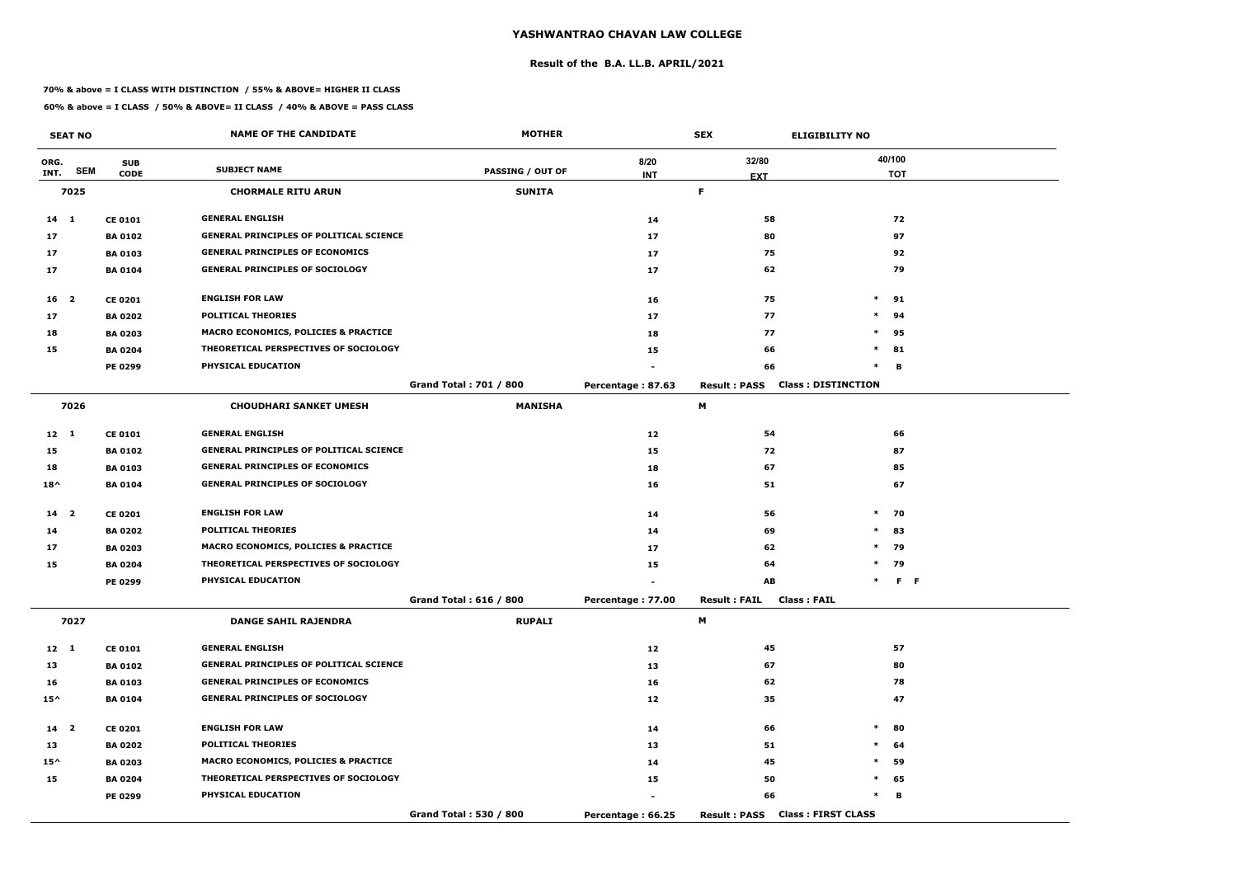#### **Result of the B.A. LL.B. APRIL/2021**

#### **70% & above = I CLASS WITH DISTINCTION / 55% & ABOVE= HIGHER II CLASS**

|                 | <b>SEAT NO</b> |                | <b>NAME OF THE CANDIDATE</b>                    | <b>MOTHER</b>                 |                   | <b>SEX</b>                          | <b>ELIGIBILITY NO</b>     |
|-----------------|----------------|----------------|-------------------------------------------------|-------------------------------|-------------------|-------------------------------------|---------------------------|
| ORG.            |                | <b>SUB</b>     |                                                 |                               | 8/20              | 32/80                               | 40/100                    |
| INT.            | <b>SEM</b>     | <b>CODE</b>    | <b>SUBJECT NAME</b>                             | <b>PASSING / OUT OF</b>       | <b>INT</b>        | <b>EXT</b>                          | <b>TOT</b>                |
|                 | 7025           |                | <b>CHORMALE RITU ARUN</b>                       | <b>SUNITA</b>                 |                   | F.                                  |                           |
| $14 \quad 1$    |                | <b>CE 0101</b> | <b>GENERAL ENGLISH</b>                          |                               | 14                | 58                                  | 72                        |
| 17              |                | <b>BA 0102</b> | <b>GENERAL PRINCIPLES OF POLITICAL SCIENCE</b>  |                               | 17                | 80                                  | 97                        |
| 17              |                | <b>BA 0103</b> | <b>GENERAL PRINCIPLES OF ECONOMICS</b>          |                               | 17                | 75                                  | 92                        |
| 17              |                | <b>BA 0104</b> | <b>GENERAL PRINCIPLES OF SOCIOLOGY</b>          |                               | 17                | 62                                  | 79                        |
| 16 <sup>2</sup> |                | <b>CE 0201</b> | <b>ENGLISH FOR LAW</b>                          |                               | 16                | 75                                  | $\ast$<br>91              |
| 17              |                | <b>BA 0202</b> | <b>POLITICAL THEORIES</b>                       |                               | 17                | 77                                  | $\ast$<br>94              |
| 18              |                | <b>BA 0203</b> | <b>MACRO ECONOMICS, POLICIES &amp; PRACTICE</b> |                               | 18                | 77                                  | $\ast$<br>95              |
| 15              |                | <b>BA 0204</b> | THEORETICAL PERSPECTIVES OF SOCIOLOGY           |                               | 15                | 66                                  | $\ast$<br>81              |
|                 |                | PE 0299        | PHYSICAL EDUCATION                              |                               |                   | 66                                  | $\ast$<br>В               |
|                 |                |                |                                                 | <b>Grand Total: 701 / 800</b> | Percentage: 87.63 | <b>Result: PASS</b>                 | <b>Class: DISTINCTION</b> |
|                 | 7026           |                | <b>CHOUDHARI SANKET UMESH</b>                   | <b>MANISHA</b>                |                   | М                                   |                           |
| $12 \quad 1$    |                | <b>CE 0101</b> | <b>GENERAL ENGLISH</b>                          |                               | 12                | 54                                  | 66                        |
| 15              |                | <b>BA 0102</b> | <b>GENERAL PRINCIPLES OF POLITICAL SCIENCE</b>  |                               | 15                | 72                                  | 87                        |
| 18              |                | <b>BA 0103</b> | <b>GENERAL PRINCIPLES OF ECONOMICS</b>          |                               | 18                | 67                                  | 85                        |
| $18^{\wedge}$   |                | <b>BA 0104</b> | <b>GENERAL PRINCIPLES OF SOCIOLOGY</b>          |                               | 16                | 51                                  | 67                        |
| 14 <sub>2</sub> |                | <b>CE 0201</b> | <b>ENGLISH FOR LAW</b>                          |                               | 14                | 56                                  | $\ast$<br>70              |
| 14              |                | <b>BA 0202</b> | <b>POLITICAL THEORIES</b>                       |                               | 14                | 69                                  | $\ast$<br>83              |
| 17              |                | <b>BA 0203</b> | <b>MACRO ECONOMICS, POLICIES &amp; PRACTICE</b> |                               | 17                | 62                                  | $\ast$<br>79              |
| 15              |                | <b>BA 0204</b> | THEORETICAL PERSPECTIVES OF SOCIOLOGY           |                               | 15                | 64                                  | $\ast$<br>79              |
|                 |                | PE 0299        | PHYSICAL EDUCATION                              |                               |                   | AB                                  | $F - F$<br>$\ast$         |
|                 |                |                |                                                 | Grand Total: 616 / 800        | Percentage: 77.00 | <b>Result: FAIL</b><br>Class : FAIL |                           |
|                 | 7027           |                | <b>DANGE SAHIL RAJENDRA</b>                     | <b>RUPALI</b>                 |                   | M                                   |                           |
| $12 \quad 1$    |                | <b>CE 0101</b> | <b>GENERAL ENGLISH</b>                          |                               | 12                | 45                                  | 57                        |
| 13              |                | <b>BA 0102</b> | <b>GENERAL PRINCIPLES OF POLITICAL SCIENCE</b>  |                               | 13                | 67                                  | 80                        |
| 16              |                | <b>BA 0103</b> | <b>GENERAL PRINCIPLES OF ECONOMICS</b>          |                               | 16                | 62                                  | 78                        |
| $15^{\wedge}$   |                | <b>BA 0104</b> | <b>GENERAL PRINCIPLES OF SOCIOLOGY</b>          |                               | 12                | 35                                  | 47                        |
| $14$ 2          |                | <b>CE 0201</b> | <b>ENGLISH FOR LAW</b>                          |                               | 14                | 66                                  | $\ast$<br>80              |
| 13              |                | <b>BA 0202</b> | <b>POLITICAL THEORIES</b>                       |                               | 13                | 51                                  | $\ast$<br>64              |
| $15^{\wedge}$   |                | <b>BA 0203</b> | MACRO ECONOMICS, POLICIES & PRACTICE            |                               | 14                | 45                                  | $\ast$<br>59              |
| 15              |                | <b>BA 0204</b> | THEORETICAL PERSPECTIVES OF SOCIOLOGY           |                               | 15                | 50                                  | $\ast$<br>65              |
|                 |                | <b>PE 0299</b> | PHYSICAL EDUCATION                              |                               | $\sim$            | 66                                  | $\ast$<br>в               |
|                 |                |                |                                                 | Grand Total: 530 / 800        | Percentage: 66.25 | <b>Result: PASS</b>                 | <b>Class: FIRST CLASS</b> |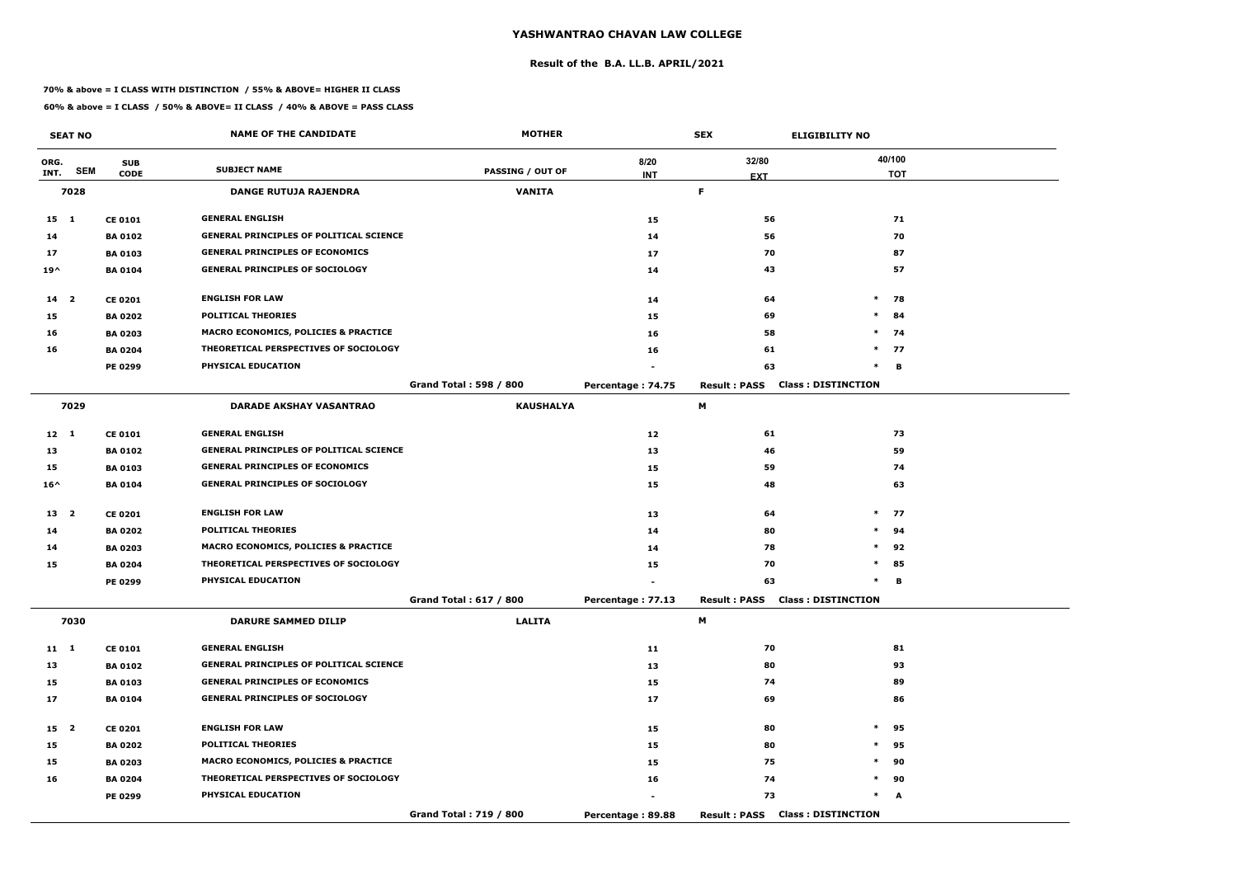#### **Result of the B.A. LL.B. APRIL/2021**

#### **70% & above = I CLASS WITH DISTINCTION / 55% & ABOVE= HIGHER II CLASS**

|                 | <b>SEAT NO</b> |                | <b>NAME OF THE CANDIDATE</b>                    | <b>MOTHER</b>                 |                   | <b>SEX</b>                             | <b>ELIGIBILITY NO</b>     |
|-----------------|----------------|----------------|-------------------------------------------------|-------------------------------|-------------------|----------------------------------------|---------------------------|
| ORG.            |                | <b>SUB</b>     | <b>SUBJECT NAME</b>                             |                               | 8/20              | 32/80                                  | 40/100                    |
| INT.            | <b>SEM</b>     | <b>CODE</b>    |                                                 | <b>PASSING / OUT OF</b>       | <b>INT</b>        | <b>EXT</b>                             | <b>TOT</b>                |
|                 | 7028           |                | <b>DANGE RUTUJA RAJENDRA</b>                    | <b>VANITA</b>                 |                   | F.                                     |                           |
| $15 \quad 1$    |                | <b>CE 0101</b> | <b>GENERAL ENGLISH</b>                          |                               | 15                | 56                                     | 71                        |
| 14              |                | <b>BA 0102</b> | <b>GENERAL PRINCIPLES OF POLITICAL SCIENCE</b>  |                               | 14                | 56                                     | 70                        |
| 17              |                | <b>BA 0103</b> | <b>GENERAL PRINCIPLES OF ECONOMICS</b>          |                               | 17                | 70                                     | 87                        |
| $19^{\wedge}$   |                | <b>BA 0104</b> | <b>GENERAL PRINCIPLES OF SOCIOLOGY</b>          |                               | 14                | 43                                     | 57                        |
| 14 <sup>2</sup> |                | <b>CE 0201</b> | <b>ENGLISH FOR LAW</b>                          |                               | 14                | 64                                     | $\ast$<br>78              |
| 15              |                | <b>BA 0202</b> | <b>POLITICAL THEORIES</b>                       |                               | 15                | 69                                     | $\ast$<br>84              |
| 16              |                | <b>BA 0203</b> | MACRO ECONOMICS, POLICIES & PRACTICE            |                               | 16                | 58                                     | $\ast$<br>74              |
| 16              |                | <b>BA 0204</b> | THEORETICAL PERSPECTIVES OF SOCIOLOGY           |                               | 16                | 61                                     | $*$ 77                    |
|                 |                | <b>PE 0299</b> | PHYSICAL EDUCATION                              |                               |                   | 63                                     | $\ast$<br>B               |
|                 |                |                |                                                 | <b>Grand Total: 598 / 800</b> | Percentage: 74.75 | <b>Result: PASS</b>                    | <b>Class: DISTINCTION</b> |
|                 | 7029           |                | <b>DARADE AKSHAY VASANTRAO</b>                  | <b>KAUSHALYA</b>              |                   | М                                      |                           |
| $12 \quad 1$    |                | <b>CE 0101</b> | <b>GENERAL ENGLISH</b>                          |                               | 12                | 61                                     | 73                        |
| 13              |                | <b>BA 0102</b> | <b>GENERAL PRINCIPLES OF POLITICAL SCIENCE</b>  |                               | 13                | 46                                     | 59                        |
| 15              |                | <b>BA 0103</b> | <b>GENERAL PRINCIPLES OF ECONOMICS</b>          |                               | 15                | 59                                     | 74                        |
| $16^{\wedge}$   |                | <b>BA 0104</b> | <b>GENERAL PRINCIPLES OF SOCIOLOGY</b>          |                               | 15                | 48                                     | 63                        |
| 13 2            |                | <b>CE 0201</b> | <b>ENGLISH FOR LAW</b>                          |                               | 13                | 64                                     | $*$ 77                    |
| 14              |                | <b>BA 0202</b> | <b>POLITICAL THEORIES</b>                       |                               | 14                | 80                                     | $*$ 94                    |
| 14              |                | <b>BA 0203</b> | <b>MACRO ECONOMICS, POLICIES &amp; PRACTICE</b> |                               | 14                | 78                                     | $\ast$<br>92              |
| 15              |                | <b>BA 0204</b> | THEORETICAL PERSPECTIVES OF SOCIOLOGY           |                               | 15                | 70                                     | $\ast$<br>85              |
|                 |                | PE 0299        | PHYSICAL EDUCATION                              |                               |                   | 63                                     | в<br>$\ast$               |
|                 |                |                |                                                 | Grand Total: 617 / 800        | Percentage: 77.13 | <b>Result: PASS Class: DISTINCTION</b> |                           |
|                 | 7030           |                | <b>DARURE SAMMED DILIP</b>                      | <b>LALITA</b>                 |                   | M                                      |                           |
| $11 \quad 1$    |                | <b>CE 0101</b> | <b>GENERAL ENGLISH</b>                          |                               | 11                | 70                                     | 81                        |
| 13              |                | <b>BA 0102</b> | <b>GENERAL PRINCIPLES OF POLITICAL SCIENCE</b>  |                               | 13                | 80                                     | 93                        |
| 15              |                | <b>BA 0103</b> | <b>GENERAL PRINCIPLES OF ECONOMICS</b>          |                               | 15                | 74                                     | 89                        |
| 17              |                | <b>BA 0104</b> | <b>GENERAL PRINCIPLES OF SOCIOLOGY</b>          |                               | 17                | 69                                     | 86                        |
| 15 <sub>2</sub> |                | <b>CE 0201</b> | <b>ENGLISH FOR LAW</b>                          |                               | 15                | 80                                     | $\ast$<br>95              |
| 15              |                | <b>BA 0202</b> | <b>POLITICAL THEORIES</b>                       |                               | 15                | 80                                     | $\ast$<br>95              |
| 15              |                | <b>BA 0203</b> | <b>MACRO ECONOMICS, POLICIES &amp; PRACTICE</b> |                               | 15                | 75                                     | $\ast$<br>90              |
| 16              |                | <b>BA 0204</b> | THEORETICAL PERSPECTIVES OF SOCIOLOGY           |                               | 16                | 74                                     | $\ast$<br>90              |
|                 |                | PE 0299        | <b>PHYSICAL EDUCATION</b>                       |                               |                   | 73                                     | $\ast$<br>A               |
|                 |                |                |                                                 | Grand Total: 719 / 800        | Percentage: 89.88 | <b>Result: PASS Class: DISTINCTION</b> |                           |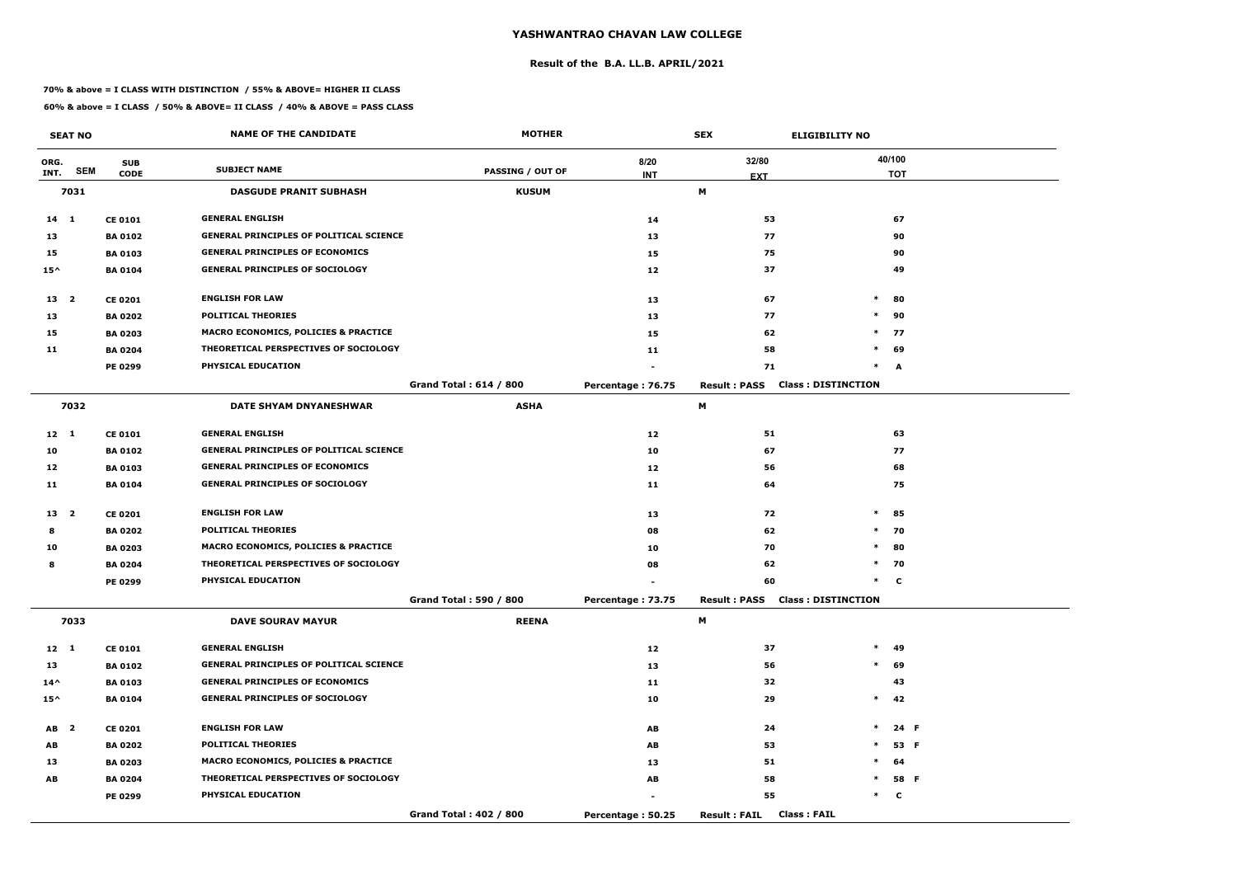#### **Result of the B.A. LL.B. APRIL/2021**

#### **70% & above = I CLASS WITH DISTINCTION / 55% & ABOVE= HIGHER II CLASS**

|                                     | <b>SEAT NO</b> |                | <b>NAME OF THE CANDIDATE</b>                    | <b>MOTHER</b>           |                   | <b>SEX</b>                                 | <b>ELIGIBILITY NO</b>     |
|-------------------------------------|----------------|----------------|-------------------------------------------------|-------------------------|-------------------|--------------------------------------------|---------------------------|
| ORG.                                | <b>SEM</b>     | <b>SUB</b>     | <b>SUBJECT NAME</b>                             |                         | 8/20              | 32/80                                      | 40/100                    |
| INT.                                |                | <b>CODE</b>    |                                                 | <b>PASSING / OUT OF</b> | <b>INT</b>        | <b>EXT</b>                                 | <b>TOT</b>                |
|                                     | 7031           |                | <b>DASGUDE PRANIT SUBHASH</b>                   | <b>KUSUM</b>            |                   | М                                          |                           |
| $14 \quad 1$                        |                | <b>CE 0101</b> | <b>GENERAL ENGLISH</b>                          |                         | 14                | 53                                         | 67                        |
| 13                                  |                | <b>BA0102</b>  | <b>GENERAL PRINCIPLES OF POLITICAL SCIENCE</b>  |                         | 13                | 77                                         | 90                        |
| 15                                  |                | <b>BA0103</b>  | <b>GENERAL PRINCIPLES OF ECONOMICS</b>          |                         | 15                | 75                                         | 90                        |
| $15^{\wedge}$                       |                | <b>BA 0104</b> | <b>GENERAL PRINCIPLES OF SOCIOLOGY</b>          |                         | 12                | 37                                         | 49                        |
| 13 <sup>2</sup>                     |                | <b>CE 0201</b> | <b>ENGLISH FOR LAW</b>                          |                         | 13                | 67                                         | $\ast$<br>80              |
| 13                                  |                | <b>BA 0202</b> | <b>POLITICAL THEORIES</b>                       |                         | 13                | 77                                         | $\ast$<br>90              |
| 15                                  |                | <b>BA 0203</b> | <b>MACRO ECONOMICS, POLICIES &amp; PRACTICE</b> |                         | 15                | 62                                         | $*$<br>77                 |
| 11                                  |                | <b>BA 0204</b> | THEORETICAL PERSPECTIVES OF SOCIOLOGY           |                         | 11                | 58                                         | $*$ 69                    |
|                                     |                | PE 0299        | PHYSICAL EDUCATION                              |                         |                   | 71                                         | $\ast$<br>A               |
|                                     |                |                |                                                 | Grand Total: 614 / 800  | Percentage: 76.75 | <b>Result: PASS</b>                        | <b>Class: DISTINCTION</b> |
|                                     | 7032           |                | DATE SHYAM DNYANESHWAR                          | <b>ASHA</b>             |                   | М                                          |                           |
| $12 \quad 1$                        |                | <b>CE 0101</b> | <b>GENERAL ENGLISH</b>                          |                         | 12                | 51                                         | 63                        |
| 10                                  |                | <b>BA0102</b>  | <b>GENERAL PRINCIPLES OF POLITICAL SCIENCE</b>  |                         | 10                | 67                                         | 77                        |
| 12                                  |                | <b>BA 0103</b> | <b>GENERAL PRINCIPLES OF ECONOMICS</b>          |                         | 12                | 56                                         | 68                        |
| 11                                  |                | <b>BA 0104</b> | <b>GENERAL PRINCIPLES OF SOCIOLOGY</b>          |                         | 11                | 64                                         | 75                        |
| 13 <sub>2</sub>                     |                | <b>CE 0201</b> | <b>ENGLISH FOR LAW</b>                          |                         | 13                | 72                                         | $\ast$<br>85              |
| 8                                   |                | <b>BA 0202</b> | <b>POLITICAL THEORIES</b>                       |                         | 08                | 62                                         | $*$<br>70                 |
| 10                                  |                | <b>BA 0203</b> | <b>MACRO ECONOMICS, POLICIES &amp; PRACTICE</b> |                         | 10                | 70                                         | $\ast$<br>80              |
| 8                                   |                | <b>BA 0204</b> | THEORETICAL PERSPECTIVES OF SOCIOLOGY           |                         | 08                | 62                                         | $\ast$<br>70              |
|                                     |                | PE 0299        | PHYSICAL EDUCATION                              |                         |                   | 60                                         | $*$<br>$\mathbf c$        |
|                                     |                |                |                                                 | Grand Total: 590 / 800  | Percentage: 73.75 | <b>Result: PASS</b>                        | <b>Class: DISTINCTION</b> |
|                                     | 7033           |                | <b>DAVE SOURAV MAYUR</b>                        | <b>REENA</b>            |                   | M                                          |                           |
| 12 1                                |                | <b>CE 0101</b> | <b>GENERAL ENGLISH</b>                          |                         | 12                | 37                                         | $*$ 49                    |
| 13                                  |                | <b>BA 0102</b> | <b>GENERAL PRINCIPLES OF POLITICAL SCIENCE</b>  |                         | 13                | 56                                         | $*$ 69                    |
| $14^{\wedge}$                       |                | <b>BA 0103</b> | <b>GENERAL PRINCIPLES OF ECONOMICS</b>          |                         | 11                | 32                                         | 43                        |
| $15^{\wedge}$                       |                | <b>BA 0104</b> | <b>GENERAL PRINCIPLES OF SOCIOLOGY</b>          |                         | 10                | 29                                         | $*$ 42                    |
| AB <sub>2</sub>                     |                | <b>CE 0201</b> | <b>ENGLISH FOR LAW</b>                          |                         | AB                | 24                                         | $\ast$<br>24 F            |
| AB                                  |                | <b>BA 0202</b> | <b>POLITICAL THEORIES</b>                       |                         | AB                | 53                                         | $\ast$<br>53 F            |
| 13                                  |                | <b>BA 0203</b> | <b>MACRO ECONOMICS, POLICIES &amp; PRACTICE</b> |                         | 13                | 51                                         | $\ast$<br>64              |
| $\boldsymbol{\mathsf{A}\mathsf{B}}$ |                | <b>BA 0204</b> | THEORETICAL PERSPECTIVES OF SOCIOLOGY           |                         | AB                | 58                                         | $*$ 58 F                  |
|                                     |                | <b>PE 0299</b> | PHYSICAL EDUCATION                              |                         |                   | 55                                         | $\ast$<br>C               |
|                                     |                |                |                                                 | Grand Total: 402 / 800  | Percentage: 50.25 | <b>Class: FAIL</b><br><b>Result : FAIL</b> |                           |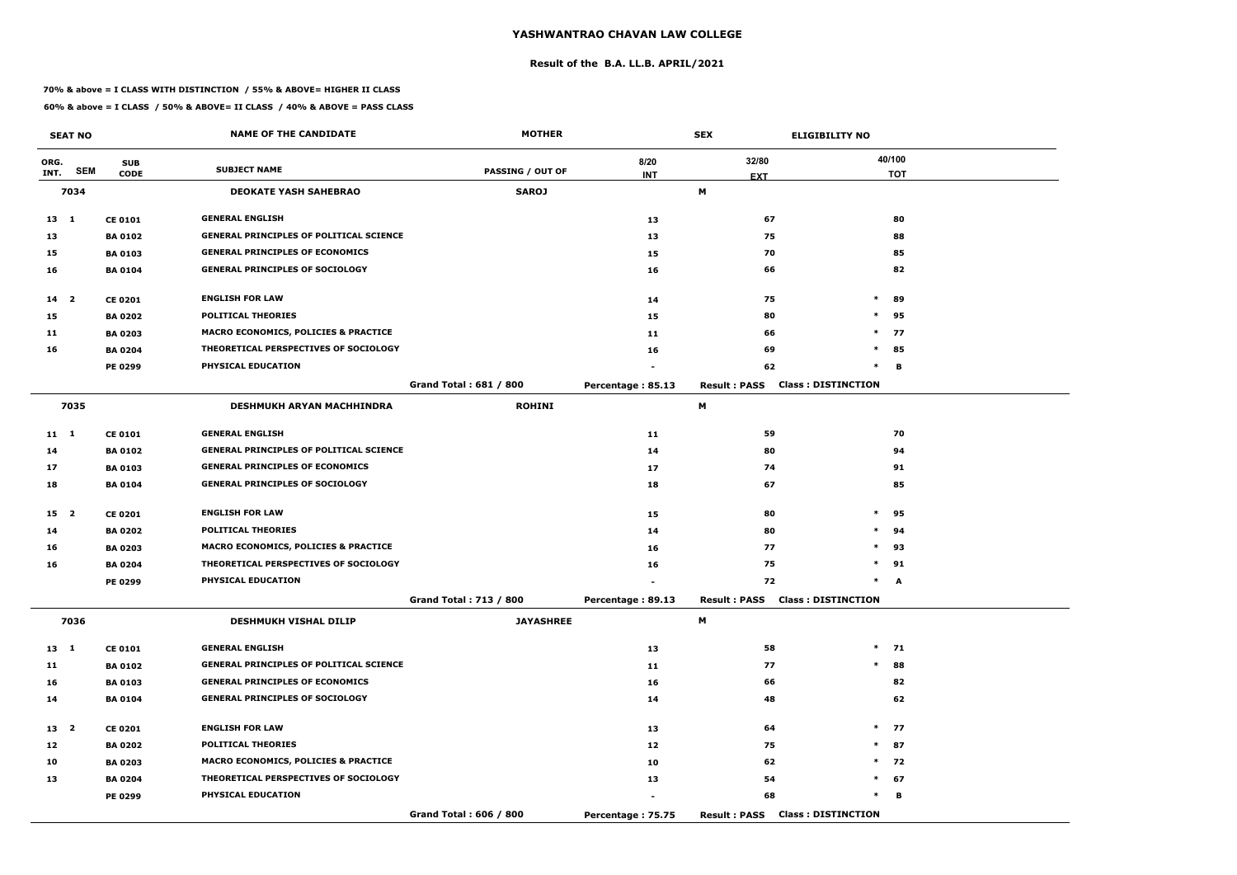#### **Result of the B.A. LL.B. APRIL/2021**

#### **70% & above = I CLASS WITH DISTINCTION / 55% & ABOVE= HIGHER II CLASS**

|              | <b>SEAT NO</b> |                | <b>NAME OF THE CANDIDATE</b>                    | <b>MOTHER</b>                 |                   | <b>SEX</b>                             | <b>ELIGIBILITY NO</b>     |
|--------------|----------------|----------------|-------------------------------------------------|-------------------------------|-------------------|----------------------------------------|---------------------------|
| ORG.         |                | <b>SUB</b>     | <b>SUBJECT NAME</b>                             |                               | 8/20              | 32/80                                  | 40/100                    |
| INT.         | <b>SEM</b>     | <b>CODE</b>    |                                                 | <b>PASSING / OUT OF</b>       | <b>INT</b>        | <b>EXT</b>                             | <b>TOT</b>                |
|              | 7034           |                | <b>DEOKATE YASH SAHEBRAO</b>                    | <b>SAROJ</b>                  |                   | М                                      |                           |
| $13 \quad 1$ |                | <b>CE 0101</b> | <b>GENERAL ENGLISH</b>                          |                               | 13                | 67                                     | 80                        |
| 13           |                | <b>BA 0102</b> | <b>GENERAL PRINCIPLES OF POLITICAL SCIENCE</b>  |                               | 13                | 75                                     | 88                        |
| 15           |                | <b>BA 0103</b> | <b>GENERAL PRINCIPLES OF ECONOMICS</b>          |                               | 15                | 70                                     | 85                        |
| 16           |                | <b>BA 0104</b> | <b>GENERAL PRINCIPLES OF SOCIOLOGY</b>          |                               | 16                | 66                                     | 82                        |
| $14 2$       |                | <b>CE 0201</b> | <b>ENGLISH FOR LAW</b>                          |                               | 14                | 75                                     | $\ast$<br>89              |
| 15           |                | <b>BA 0202</b> | <b>POLITICAL THEORIES</b>                       |                               | 15                | 80                                     | $\ast$<br>95              |
| 11           |                | <b>BA 0203</b> | MACRO ECONOMICS, POLICIES & PRACTICE            |                               | 11                | 66                                     | $\ast$<br>77              |
| 16           |                | <b>BA 0204</b> | THEORETICAL PERSPECTIVES OF SOCIOLOGY           |                               | 16                | 69                                     | $\ast$<br>85              |
|              |                | <b>PE 0299</b> | PHYSICAL EDUCATION                              |                               |                   | 62                                     | $\ast$<br>B               |
|              |                |                |                                                 | <b>Grand Total: 681 / 800</b> | Percentage: 85.13 | <b>Result: PASS</b>                    | <b>Class: DISTINCTION</b> |
|              | 7035           |                | <b>DESHMUKH ARYAN MACHHINDRA</b>                | <b>ROHINI</b>                 |                   | М                                      |                           |
| $11 \quad 1$ |                | <b>CE 0101</b> | <b>GENERAL ENGLISH</b>                          |                               | 11                | 59                                     | 70                        |
| 14           |                | <b>BA 0102</b> | <b>GENERAL PRINCIPLES OF POLITICAL SCIENCE</b>  |                               | 14                | 80                                     | 94                        |
| 17           |                | <b>BA 0103</b> | <b>GENERAL PRINCIPLES OF ECONOMICS</b>          |                               | 17                | 74                                     | 91                        |
| 18           |                | <b>BA 0104</b> | <b>GENERAL PRINCIPLES OF SOCIOLOGY</b>          |                               | 18                | 67                                     | 85                        |
| 15 2         |                | <b>CE 0201</b> | <b>ENGLISH FOR LAW</b>                          |                               | 15                | 80                                     | $\ast$<br>95              |
| 14           |                | <b>BA 0202</b> | <b>POLITICAL THEORIES</b>                       |                               | 14                | 80                                     | $\ast$<br>94              |
| 16           |                | <b>BA 0203</b> | <b>MACRO ECONOMICS, POLICIES &amp; PRACTICE</b> |                               | 16                | 77                                     | $\ast$<br>93              |
| 16           |                | <b>BA 0204</b> | THEORETICAL PERSPECTIVES OF SOCIOLOGY           |                               | 16                | 75                                     | $\ast$<br>91              |
|              |                | PE 0299        | PHYSICAL EDUCATION                              |                               |                   | 72                                     | $\ast$<br>A               |
|              |                |                |                                                 | Grand Total: 713 / 800        | Percentage: 89.13 | <b>Result: PASS Class: DISTINCTION</b> |                           |
|              | 7036           |                | <b>DESHMUKH VISHAL DILIP</b>                    | <b>JAYASHREE</b>              |                   | M                                      |                           |
| $13 \quad 1$ |                | <b>CE 0101</b> | <b>GENERAL ENGLISH</b>                          |                               | 13                | 58                                     | $*$ 71                    |
| 11           |                | <b>BA 0102</b> | <b>GENERAL PRINCIPLES OF POLITICAL SCIENCE</b>  |                               | 11                | 77                                     | $\ast$<br>88              |
| 16           |                | <b>BA 0103</b> | <b>GENERAL PRINCIPLES OF ECONOMICS</b>          |                               | 16                | 66                                     | 82                        |
| 14           |                | <b>BA 0104</b> | <b>GENERAL PRINCIPLES OF SOCIOLOGY</b>          |                               | 14                | 48                                     | 62                        |
| 13 2         |                | <b>CE 0201</b> | <b>ENGLISH FOR LAW</b>                          |                               | 13                | 64                                     | $*$<br>77                 |
| 12           |                | <b>BA 0202</b> | <b>POLITICAL THEORIES</b>                       |                               | 12                | 75                                     | $*$ 87                    |
| 10           |                | <b>BA 0203</b> | <b>MACRO ECONOMICS, POLICIES &amp; PRACTICE</b> |                               | 10                | 62                                     | $*$ 72                    |
| 13           |                | <b>BA 0204</b> | THEORETICAL PERSPECTIVES OF SOCIOLOGY           |                               | 13                | 54                                     | 67<br>$\ast$              |
|              |                | PE 0299        | <b>PHYSICAL EDUCATION</b>                       |                               |                   | 68                                     | $\ast$<br>В               |
|              |                |                |                                                 | Grand Total: 606 / 800        | Percentage: 75.75 | <b>Result: PASS Class: DISTINCTION</b> |                           |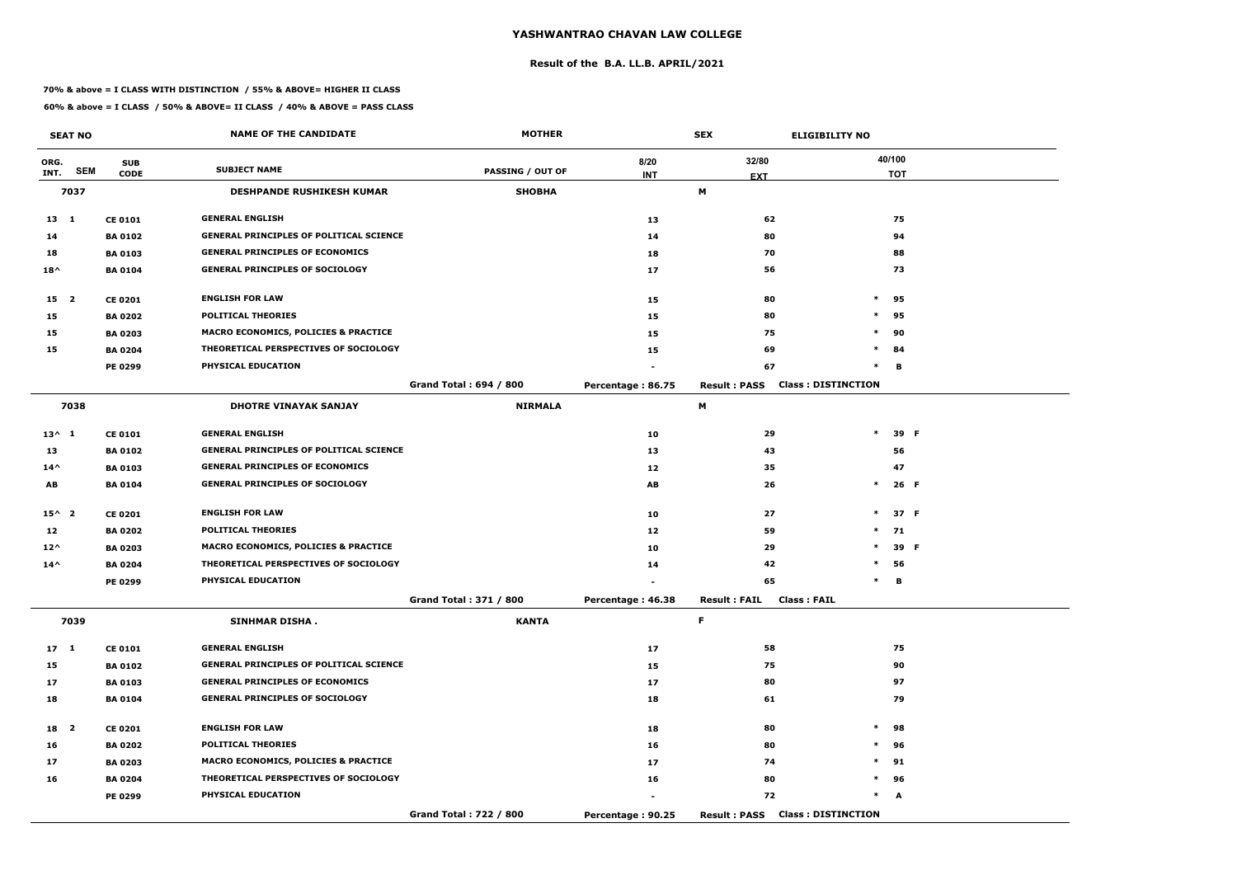#### **Result of the B.A. LL.B. APRIL/2021**

#### **70% & above = I CLASS WITH DISTINCTION / 55% & ABOVE= HIGHER II CLASS**

|                 | <b>SEAT NO</b> |                | <b>NAME OF THE CANDIDATE</b>                    | <b>MOTHER</b>                 |                   | <b>SEX</b>                                | <b>ELIGIBILITY NO</b>     |
|-----------------|----------------|----------------|-------------------------------------------------|-------------------------------|-------------------|-------------------------------------------|---------------------------|
| ORG.            |                | <b>SUB</b>     |                                                 |                               | 8/20              | 32/80                                     | 40/100                    |
| INT.            | <b>SEM</b>     | <b>CODE</b>    | <b>SUBJECT NAME</b>                             | <b>PASSING / OUT OF</b>       | <b>INT</b>        | <b>EXT</b>                                | <b>TOT</b>                |
|                 | 7037           |                | <b>DESHPANDE RUSHIKESH KUMAR</b>                | <b>SHOBHA</b>                 |                   | M                                         |                           |
| $13 \quad 1$    |                | <b>CE 0101</b> | <b>GENERAL ENGLISH</b>                          |                               | 13                | 62                                        | 75                        |
| 14              |                | <b>BA 0102</b> | <b>GENERAL PRINCIPLES OF POLITICAL SCIENCE</b>  |                               | 14                | 80                                        | 94                        |
| 18              |                | <b>BA0103</b>  | <b>GENERAL PRINCIPLES OF ECONOMICS</b>          |                               | 18                | 70                                        | 88                        |
| $18^{\wedge}$   |                | <b>BA 0104</b> | <b>GENERAL PRINCIPLES OF SOCIOLOGY</b>          |                               | 17                | 56                                        | 73                        |
| 15 2            |                | <b>CE 0201</b> | <b>ENGLISH FOR LAW</b>                          |                               | 15                | 80                                        | $\ast$<br>95              |
| 15              |                | <b>BA 0202</b> | <b>POLITICAL THEORIES</b>                       |                               | 15                | 80                                        | $\ast$<br>95              |
| 15              |                | <b>BA 0203</b> | <b>MACRO ECONOMICS, POLICIES &amp; PRACTICE</b> |                               | 15                | 75                                        | $\ast$<br>90              |
| 15              |                | <b>BA 0204</b> | THEORETICAL PERSPECTIVES OF SOCIOLOGY           |                               | 15                | 69                                        | $\ast$<br>84              |
|                 |                | PE 0299        | PHYSICAL EDUCATION                              |                               |                   | 67                                        | $\ast$<br>в               |
|                 |                |                |                                                 | <b>Grand Total: 694 / 800</b> | Percentage: 86.75 | <b>Result: PASS</b>                       | <b>Class: DISTINCTION</b> |
|                 | 7038           |                | <b>DHOTRE VINAYAK SANJAY</b>                    | <b>NIRMALA</b>                |                   | М                                         |                           |
| $13^{\wedge} 1$ |                | <b>CE 0101</b> | <b>GENERAL ENGLISH</b>                          |                               | 10                | 29                                        | $\ast$<br>39 F            |
| 13              |                | <b>BA 0102</b> | <b>GENERAL PRINCIPLES OF POLITICAL SCIENCE</b>  |                               | 13                | 43                                        | 56                        |
| $14^{\wedge}$   |                | <b>BA 0103</b> | <b>GENERAL PRINCIPLES OF ECONOMICS</b>          |                               | 12                | 35                                        | 47                        |
| AB              |                | <b>BA 0104</b> | <b>GENERAL PRINCIPLES OF SOCIOLOGY</b>          |                               | AB                | 26                                        | $\ast$<br>26 F            |
| $15^{\wedge}$ 2 |                | <b>CE 0201</b> | <b>ENGLISH FOR LAW</b>                          |                               | 10                | 27                                        | $\ast$<br>37 F            |
| 12              |                | <b>BA 0202</b> | <b>POLITICAL THEORIES</b>                       |                               | 12                | 59                                        | $\ast$<br>71              |
| $12^{\wedge}$   |                | <b>BA 0203</b> | MACRO ECONOMICS, POLICIES & PRACTICE            |                               | 10                | 29                                        | $\ast$<br>39 F            |
| $14^{\wedge}$   |                | <b>BA 0204</b> | THEORETICAL PERSPECTIVES OF SOCIOLOGY           |                               | 14                | 42                                        | $\ast$<br>56              |
|                 |                | PE 0299        | PHYSICAL EDUCATION                              |                               |                   | 65                                        | $\ast$<br>в               |
|                 |                |                |                                                 | Grand Total: 371 / 800        | Percentage: 46.38 | <b>Class: FAIL</b><br><b>Result: FAIL</b> |                           |
|                 | 7039           |                | <b>SINHMAR DISHA.</b>                           | <b>KANTA</b>                  |                   | F.                                        |                           |
| $17 \quad 1$    |                | <b>CE 0101</b> | <b>GENERAL ENGLISH</b>                          |                               | 17                | 58                                        | 75                        |
| 15              |                | <b>BA 0102</b> | <b>GENERAL PRINCIPLES OF POLITICAL SCIENCE</b>  |                               | 15                | 75                                        | 90                        |
| 17              |                | <b>BA 0103</b> | <b>GENERAL PRINCIPLES OF ECONOMICS</b>          |                               | 17                | 80                                        | 97                        |
| 18              |                | <b>BA 0104</b> | <b>GENERAL PRINCIPLES OF SOCIOLOGY</b>          |                               | 18                | 61                                        | 79                        |
| 18 2            |                | <b>CE 0201</b> | <b>ENGLISH FOR LAW</b>                          |                               | 18                | 80                                        | $\ast$<br>98              |
| 16              |                | <b>BA 0202</b> | <b>POLITICAL THEORIES</b>                       |                               | 16                | 80                                        | $\ast$<br>96              |
| 17              |                | <b>BA 0203</b> | MACRO ECONOMICS, POLICIES & PRACTICE            |                               | 17                | 74                                        | $\ast$<br>91              |
| 16              |                | <b>BA 0204</b> | THEORETICAL PERSPECTIVES OF SOCIOLOGY           |                               | 16                | 80                                        | $*$ 96                    |
|                 |                | <b>PE 0299</b> | PHYSICAL EDUCATION                              |                               | $\blacksquare$    | 72                                        | $*$<br>A                  |
|                 |                |                |                                                 | Grand Total: 722 / 800        | Percentage: 90.25 | <b>Result : PASS</b>                      | <b>Class: DISTINCTION</b> |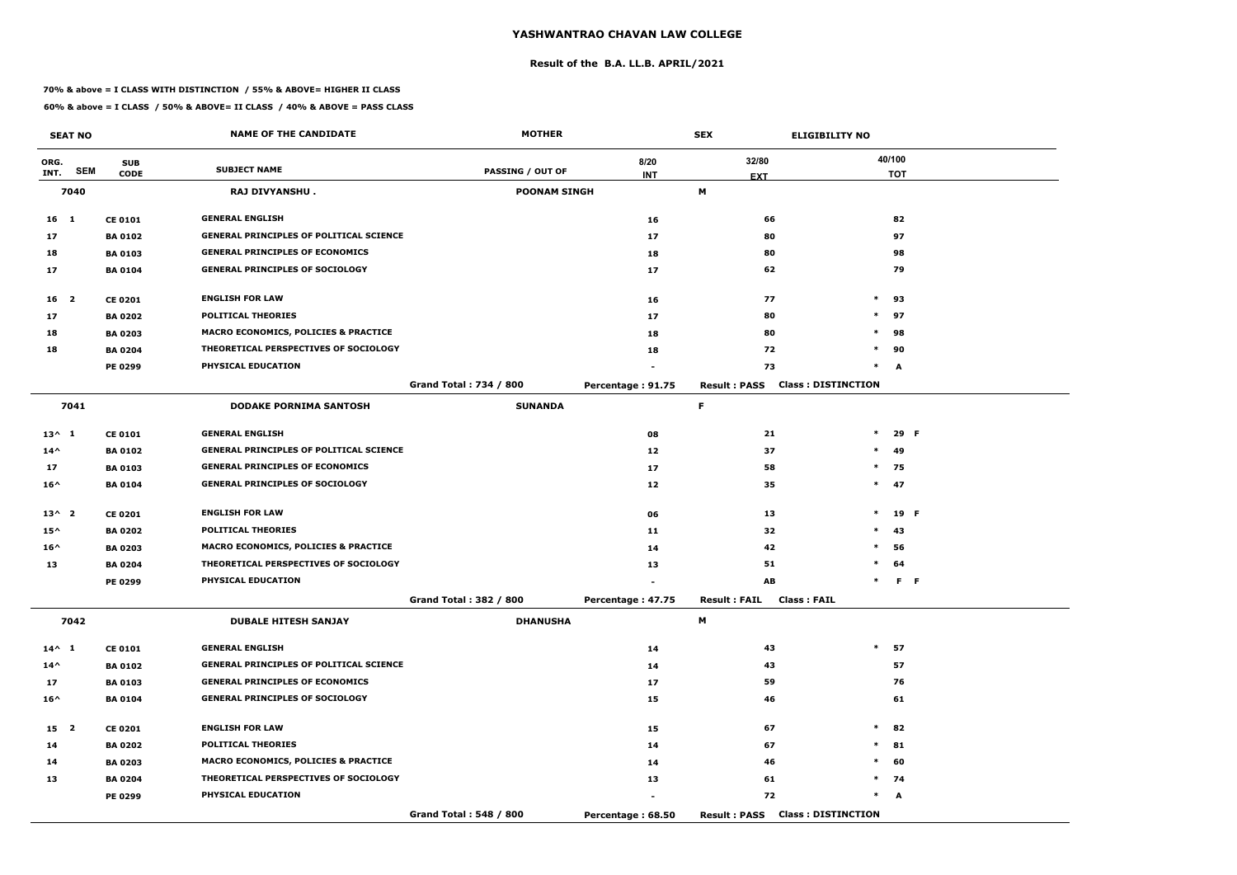#### **Result of the B.A. LL.B. APRIL/2021**

#### **70% & above = I CLASS WITH DISTINCTION / 55% & ABOVE= HIGHER II CLASS**

|                 | <b>SEAT NO</b> |                | <b>NAME OF THE CANDIDATE</b>                    | <b>MOTHER</b>                 |                   | <b>SEX</b>          | <b>ELIGIBILITY NO</b>     |
|-----------------|----------------|----------------|-------------------------------------------------|-------------------------------|-------------------|---------------------|---------------------------|
| ORG.            |                | <b>SUB</b>     |                                                 |                               | 8/20              | 32/80               | 40/100                    |
| INT.            | <b>SEM</b>     | <b>CODE</b>    | <b>SUBJECT NAME</b>                             | <b>PASSING / OUT OF</b>       | <b>INT</b>        | <b>EXT</b>          | <b>TOT</b>                |
|                 | 7040           |                | RAJ DIVYANSHU.                                  | <b>POONAM SINGH</b>           |                   | М                   |                           |
| 16 <sub>1</sub> |                | <b>CE 0101</b> | <b>GENERAL ENGLISH</b>                          |                               | 16                | 66                  | 82                        |
| 17              |                | <b>BA 0102</b> | <b>GENERAL PRINCIPLES OF POLITICAL SCIENCE</b>  |                               | 17                | 80                  | 97                        |
| 18              |                | <b>BA 0103</b> | <b>GENERAL PRINCIPLES OF ECONOMICS</b>          |                               | 18                | 80                  | 98                        |
| 17              |                | <b>BA 0104</b> | <b>GENERAL PRINCIPLES OF SOCIOLOGY</b>          |                               | 17                | 62                  | 79                        |
| 16 <sup>2</sup> |                | <b>CE 0201</b> | <b>ENGLISH FOR LAW</b>                          |                               | 16                | 77                  | $\ast$<br>93              |
| 17              |                | <b>BA 0202</b> | <b>POLITICAL THEORIES</b>                       |                               | 17                | 80                  | $\ast$<br>97              |
| 18              |                | <b>BA 0203</b> | <b>MACRO ECONOMICS, POLICIES &amp; PRACTICE</b> |                               | 18                | 80                  | $\ast$<br>98              |
| 18              |                | <b>BA 0204</b> | THEORETICAL PERSPECTIVES OF SOCIOLOGY           |                               | 18                | 72                  | 90<br>$\ast$              |
|                 |                | PE 0299        | PHYSICAL EDUCATION                              |                               |                   | 73                  | $\ast$<br>A               |
|                 |                |                |                                                 | <b>Grand Total: 734 / 800</b> | Percentage: 91.75 | <b>Result: PASS</b> | <b>Class: DISTINCTION</b> |
|                 | 7041           |                | <b>DODAKE PORNIMA SANTOSH</b>                   | <b>SUNANDA</b>                |                   | F.                  |                           |
| $13^{\wedge} 1$ |                | <b>CE 0101</b> | <b>GENERAL ENGLISH</b>                          |                               | 08                | 21                  | $\ast$<br>29 F            |
| $14^{\wedge}$   |                | <b>BA 0102</b> | <b>GENERAL PRINCIPLES OF POLITICAL SCIENCE</b>  |                               | 12                | 37                  | $\ast$<br>49              |
| 17              |                | <b>BA0103</b>  | <b>GENERAL PRINCIPLES OF ECONOMICS</b>          |                               | 17                | 58                  | $*$<br>75                 |
| $16^{\wedge}$   |                | <b>BA0104</b>  | <b>GENERAL PRINCIPLES OF SOCIOLOGY</b>          |                               | 12                | 35                  | $*$ 47                    |
| $13^{\wedge}2$  |                | <b>CE 0201</b> | <b>ENGLISH FOR LAW</b>                          |                               | 06                | 13                  | $\ast$<br>19 F            |
| $15^{\wedge}$   |                | <b>BA 0202</b> | <b>POLITICAL THEORIES</b>                       |                               | 11                | 32                  | $\ast$<br>43              |
| $16^{\wedge}$   |                | <b>BA 0203</b> | MACRO ECONOMICS, POLICIES & PRACTICE            |                               | 14                | 42                  | $\ast$<br>56              |
| 13              |                | <b>BA 0204</b> | THEORETICAL PERSPECTIVES OF SOCIOLOGY           |                               | 13                | 51                  | $\ast$<br>64              |
|                 |                | PE 0299        | PHYSICAL EDUCATION                              |                               |                   | AB                  | F <sub>F</sub><br>$\ast$  |
|                 |                |                |                                                 | Grand Total: 382 / 800        | Percentage: 47.75 | <b>Result: FAIL</b> | <b>Class : FAIL</b>       |
|                 | 7042           |                | <b>DUBALE HITESH SANJAY</b>                     | <b>DHANUSHA</b>               |                   | M                   |                           |
| $14^{\wedge} 1$ |                | <b>CE 0101</b> | <b>GENERAL ENGLISH</b>                          |                               | 14                | 43                  | $*$ 57                    |
| $14^{\wedge}$   |                | <b>BA 0102</b> | <b>GENERAL PRINCIPLES OF POLITICAL SCIENCE</b>  |                               | 14                | 43                  | 57                        |
| 17              |                | <b>BA 0103</b> | <b>GENERAL PRINCIPLES OF ECONOMICS</b>          |                               | 17                | 59                  | 76                        |
| $16^{\wedge}$   |                | <b>BA 0104</b> | <b>GENERAL PRINCIPLES OF SOCIOLOGY</b>          |                               | 15                | 46                  | 61                        |
| 15 <sub>2</sub> |                | <b>CE 0201</b> | <b>ENGLISH FOR LAW</b>                          |                               | 15                | 67                  | $*$ 82                    |
| 14              |                | <b>BA 0202</b> | <b>POLITICAL THEORIES</b>                       |                               | 14                | 67                  | $*$ 81                    |
| 14              |                | <b>BA 0203</b> | MACRO ECONOMICS, POLICIES & PRACTICE            |                               | 14                | 46                  | $\ast$<br>60              |
| 13              |                | <b>BA 0204</b> | THEORETICAL PERSPECTIVES OF SOCIOLOGY           |                               | 13                | 61                  | $*$ 74                    |
|                 |                | <b>PE 0299</b> | PHYSICAL EDUCATION                              |                               |                   | 72                  | $*$ A                     |
|                 |                |                |                                                 | Grand Total: 548 / 800        | Percentage: 68.50 | <b>Result: PASS</b> | <b>Class: DISTINCTION</b> |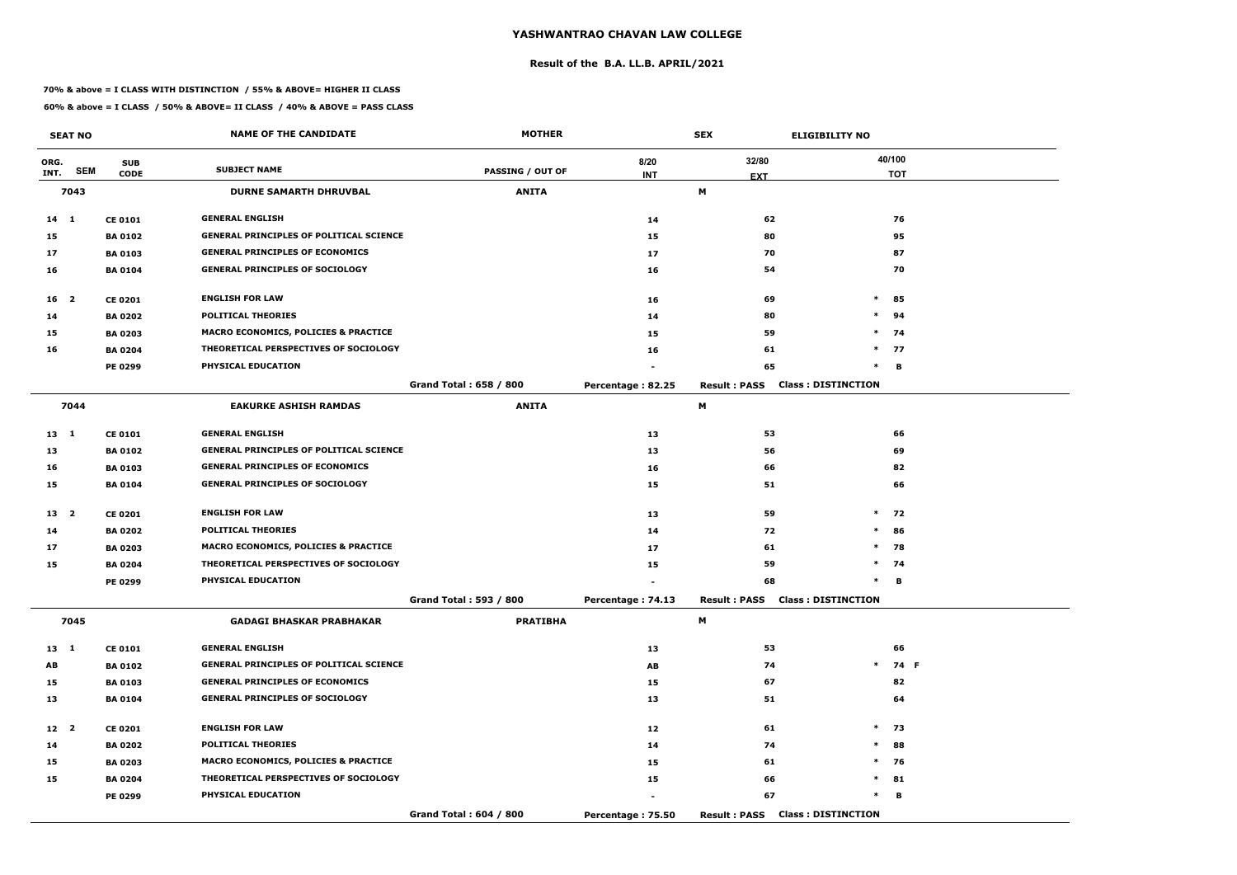#### **Result of the B.A. LL.B. APRIL/2021**

#### **70% & above = I CLASS WITH DISTINCTION / 55% & ABOVE= HIGHER II CLASS**

|                 | <b>SEAT NO</b>          |                | <b>NAME OF THE CANDIDATE</b>                    | <b>MOTHER</b>           |                   | <b>SEX</b>                             | <b>ELIGIBILITY NO</b>     |
|-----------------|-------------------------|----------------|-------------------------------------------------|-------------------------|-------------------|----------------------------------------|---------------------------|
| ORG.            |                         | <b>SUB</b>     |                                                 |                         | 8/20              | 32/80                                  | 40/100                    |
| INT.            | <b>SEM</b>              | <b>CODE</b>    | <b>SUBJECT NAME</b>                             | <b>PASSING / OUT OF</b> | <b>INT</b>        | <b>EXT</b>                             | <b>TOT</b>                |
|                 | 7043                    |                | <b>DURNE SAMARTH DHRUVBAL</b>                   | <b>ANITA</b>            |                   | M                                      |                           |
| $14 \quad 1$    |                         | <b>CE 0101</b> | <b>GENERAL ENGLISH</b>                          |                         | 14                | 62                                     | 76                        |
| 15              |                         | <b>BA 0102</b> | <b>GENERAL PRINCIPLES OF POLITICAL SCIENCE</b>  |                         | 15                | 80                                     | 95                        |
| 17              |                         | <b>BA 0103</b> | <b>GENERAL PRINCIPLES OF ECONOMICS</b>          |                         | 17                | 70                                     | 87                        |
| 16              |                         | <b>BA 0104</b> | <b>GENERAL PRINCIPLES OF SOCIOLOGY</b>          |                         | 16                | 54                                     | 70                        |
| 16              | $\overline{\mathbf{2}}$ | <b>CE 0201</b> | <b>ENGLISH FOR LAW</b>                          |                         | 16                | 69                                     | $\ast$<br>85              |
| 14              |                         | <b>BA 0202</b> | <b>POLITICAL THEORIES</b>                       |                         | 14                | 80                                     | $\ast$<br>94              |
| 15              |                         | <b>BA 0203</b> | <b>MACRO ECONOMICS, POLICIES &amp; PRACTICE</b> |                         | 15                | 59                                     | $\ast$<br>74              |
| 16              |                         | <b>BA 0204</b> | THEORETICAL PERSPECTIVES OF SOCIOLOGY           |                         | 16                | 61                                     | $*$ 77                    |
|                 |                         | <b>PE 0299</b> | PHYSICAL EDUCATION                              |                         |                   | 65                                     | $\ast$<br>B               |
|                 |                         |                |                                                 | Grand Total: 658 / 800  | Percentage: 82.25 | <b>Result: PASS</b>                    | <b>Class: DISTINCTION</b> |
|                 | 7044                    |                | <b>EAKURKE ASHISH RAMDAS</b>                    | <b>ANITA</b>            |                   | М                                      |                           |
| 13 1            |                         | <b>CE 0101</b> | <b>GENERAL ENGLISH</b>                          |                         | 13                | 53                                     | 66                        |
| 13              |                         | <b>BA 0102</b> | <b>GENERAL PRINCIPLES OF POLITICAL SCIENCE</b>  |                         | 13                | 56                                     | 69                        |
| 16              |                         | <b>BA 0103</b> | <b>GENERAL PRINCIPLES OF ECONOMICS</b>          |                         | 16                | 66                                     | 82                        |
| 15              |                         | <b>BA 0104</b> | <b>GENERAL PRINCIPLES OF SOCIOLOGY</b>          |                         | 15                | 51                                     | 66                        |
| 13 <sub>2</sub> |                         | <b>CE 0201</b> | <b>ENGLISH FOR LAW</b>                          |                         | 13                | 59                                     | $\ast$<br>72              |
| 14              |                         | <b>BA 0202</b> | <b>POLITICAL THEORIES</b>                       |                         | 14                | 72                                     | $\ast$<br>86              |
| 17              |                         | <b>BA 0203</b> | MACRO ECONOMICS, POLICIES & PRACTICE            |                         | 17                | 61                                     | $\ast$<br>78              |
| 15              |                         | <b>BA 0204</b> | THEORETICAL PERSPECTIVES OF SOCIOLOGY           |                         | 15                | 59                                     | $\ast$<br>74              |
|                 |                         | <b>PE 0299</b> | PHYSICAL EDUCATION                              |                         |                   | 68                                     | в<br>$\ast$               |
|                 |                         |                |                                                 | Grand Total: 593 / 800  | Percentage: 74.13 | <b>Result: PASS Class: DISTINCTION</b> |                           |
|                 | 7045                    |                | <b>GADAGI BHASKAR PRABHAKAR</b>                 | <b>PRATIBHA</b>         |                   | M                                      |                           |
| $13 \quad 1$    |                         | <b>CE 0101</b> | <b>GENERAL ENGLISH</b>                          |                         | 13                | 53                                     | 66                        |
| <b>AB</b>       |                         | <b>BA 0102</b> | <b>GENERAL PRINCIPLES OF POLITICAL SCIENCE</b>  |                         | AB                | 74                                     | $\ast$<br>74 F            |
| 15              |                         | <b>BA 0103</b> | <b>GENERAL PRINCIPLES OF ECONOMICS</b>          |                         | 15                | 67                                     | 82                        |
| 13              |                         | <b>BA 0104</b> | <b>GENERAL PRINCIPLES OF SOCIOLOGY</b>          |                         | 13                | 51                                     | 64                        |
| 12 <sup>2</sup> |                         | <b>CE 0201</b> | <b>ENGLISH FOR LAW</b>                          |                         | 12                | 61                                     | $\ast$<br>73              |
| 14              |                         | <b>BA 0202</b> | <b>POLITICAL THEORIES</b>                       |                         | 14                | 74                                     | $\ast$<br>88              |
| 15              |                         | <b>BA 0203</b> | MACRO ECONOMICS, POLICIES & PRACTICE            |                         | 15                | 61                                     | $\ast$<br>76              |
| 15              |                         | <b>BA 0204</b> | THEORETICAL PERSPECTIVES OF SOCIOLOGY           |                         | 15                | 66                                     | $\ast$<br>81              |
|                 |                         | <b>PE 0299</b> | PHYSICAL EDUCATION                              |                         | $\sim$            | 67                                     | $\ast$<br>в               |
|                 |                         |                |                                                 | Grand Total: 604 / 800  | Percentage: 75.50 | <b>Result: PASS</b>                    | <b>Class: DISTINCTION</b> |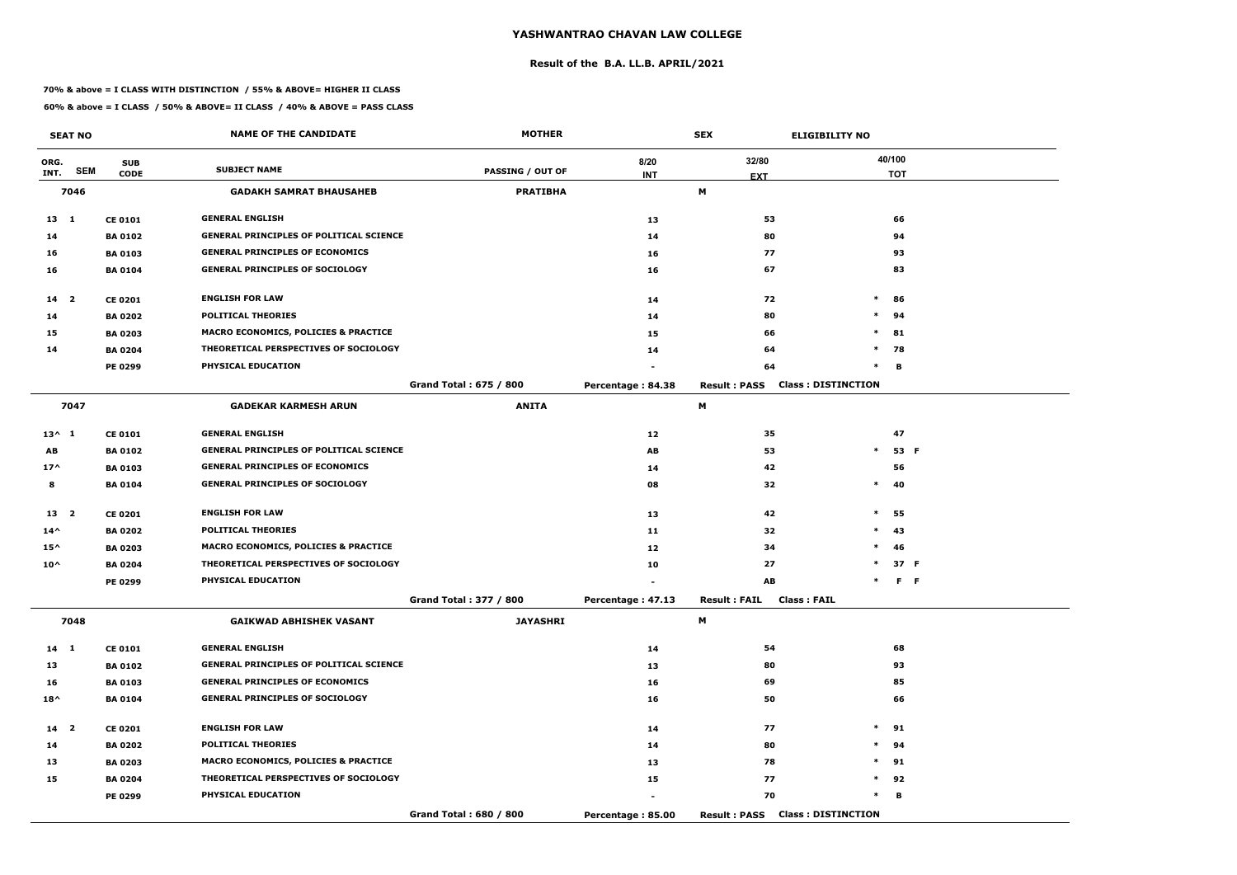#### **Result of the B.A. LL.B. APRIL/2021**

#### **70% & above = I CLASS WITH DISTINCTION / 55% & ABOVE= HIGHER II CLASS**

|                 | <b>SEAT NO</b> |                | <b>NAME OF THE CANDIDATE</b>                    | <b>MOTHER</b>           |                   | <b>SEX</b>          | <b>ELIGIBILITY NO</b>     |
|-----------------|----------------|----------------|-------------------------------------------------|-------------------------|-------------------|---------------------|---------------------------|
| ORG.            |                | <b>SUB</b>     |                                                 |                         | 8/20              | 32/80               | 40/100                    |
| INT.            | <b>SEM</b>     | <b>CODE</b>    | <b>SUBJECT NAME</b>                             | <b>PASSING / OUT OF</b> | <b>INT</b>        | <b>EXT</b>          | <b>TOT</b>                |
|                 | 7046           |                | <b>GADAKH SAMRAT BHAUSAHEB</b>                  | <b>PRATIBHA</b>         |                   | М                   |                           |
| $13 \quad 1$    |                | <b>CE 0101</b> | <b>GENERAL ENGLISH</b>                          |                         | 13                | 53                  | 66                        |
| 14              |                | <b>BA 0102</b> | <b>GENERAL PRINCIPLES OF POLITICAL SCIENCE</b>  |                         | 14                | 80                  | 94                        |
| 16              |                | <b>BA 0103</b> | <b>GENERAL PRINCIPLES OF ECONOMICS</b>          |                         | 16                | 77                  | 93                        |
| 16              |                | <b>BA 0104</b> | <b>GENERAL PRINCIPLES OF SOCIOLOGY</b>          |                         | 16                | 67                  | 83                        |
| $14 2$          |                | <b>CE 0201</b> | <b>ENGLISH FOR LAW</b>                          |                         | 14                | 72                  | $\ast$<br>86              |
| 14              |                | <b>BA 0202</b> | <b>POLITICAL THEORIES</b>                       |                         | 14                | 80                  | $\ast$<br>94              |
| 15              |                | <b>BA 0203</b> | <b>MACRO ECONOMICS, POLICIES &amp; PRACTICE</b> |                         | 15                | 66                  | $\ast$<br>81              |
| 14              |                | <b>BA 0204</b> | THEORETICAL PERSPECTIVES OF SOCIOLOGY           |                         | 14                | 64                  | $*$<br>78                 |
|                 |                | PE 0299        | PHYSICAL EDUCATION                              |                         |                   | 64                  | $\ast$<br>в               |
|                 |                |                |                                                 | Grand Total: 675 / 800  | Percentage: 84.38 | <b>Result: PASS</b> | <b>Class: DISTINCTION</b> |
|                 | 7047           |                | <b>GADEKAR KARMESH ARUN</b>                     | <b>ANITA</b>            |                   | М                   |                           |
| $13^{\wedge} 1$ |                | <b>CE 0101</b> | <b>GENERAL ENGLISH</b>                          |                         | 12                | 35                  | 47                        |
| AB              |                | <b>BA0102</b>  | <b>GENERAL PRINCIPLES OF POLITICAL SCIENCE</b>  |                         | AB                | 53                  | $\ast$<br>53 F            |
| $17^$           |                | <b>BA 0103</b> | <b>GENERAL PRINCIPLES OF ECONOMICS</b>          |                         | 14                | 42                  | 56                        |
| 8               |                | <b>BA 0104</b> | <b>GENERAL PRINCIPLES OF SOCIOLOGY</b>          |                         | 08                | 32                  | $\ast$<br>40              |
| 13 <sub>2</sub> |                | <b>CE 0201</b> | <b>ENGLISH FOR LAW</b>                          |                         | 13                | 42                  | $\ast$<br>55              |
| $14^{\wedge}$   |                | <b>BA 0202</b> | <b>POLITICAL THEORIES</b>                       |                         | 11                | 32                  | $\ast$<br>43              |
| $15^{\wedge}$   |                | <b>BA 0203</b> | MACRO ECONOMICS, POLICIES & PRACTICE            |                         | 12                | 34                  | 46<br>$\ast$              |
| $10^{\wedge}$   |                | <b>BA 0204</b> | THEORETICAL PERSPECTIVES OF SOCIOLOGY           |                         | 10                | 27                  | $\ast$<br>37 F            |
|                 |                | PE 0299        | PHYSICAL EDUCATION                              |                         |                   | AB                  | F F<br>$\ast$             |
|                 |                |                |                                                 | Grand Total: 377 / 800  | Percentage: 47.13 | <b>Result: FAIL</b> | <b>Class : FAIL</b>       |
|                 | 7048           |                | <b>GAIKWAD ABHISHEK VASANT</b>                  | <b>JAYASHRI</b>         |                   | M                   |                           |
| $14 \quad 1$    |                | <b>CE 0101</b> | <b>GENERAL ENGLISH</b>                          |                         | 14                | 54                  | 68                        |
| 13              |                | <b>BA 0102</b> | <b>GENERAL PRINCIPLES OF POLITICAL SCIENCE</b>  |                         | 13                | 80                  | 93                        |
| 16              |                | <b>BA 0103</b> | <b>GENERAL PRINCIPLES OF ECONOMICS</b>          |                         | 16                | 69                  | 85                        |
| $18^{\wedge}$   |                | <b>BA 0104</b> | <b>GENERAL PRINCIPLES OF SOCIOLOGY</b>          |                         | 16                | 50                  | 66                        |
| 14 <sub>2</sub> |                | <b>CE 0201</b> | <b>ENGLISH FOR LAW</b>                          |                         | 14                | 77                  | $*$ 91                    |
| 14              |                | <b>BA 0202</b> | <b>POLITICAL THEORIES</b>                       |                         | 14                | 80                  | 94<br>$\ast$              |
| 13              |                | <b>BA 0203</b> | MACRO ECONOMICS, POLICIES & PRACTICE            |                         | 13                | 78                  | $*$ 91                    |
| 15              |                | <b>BA 0204</b> | THEORETICAL PERSPECTIVES OF SOCIOLOGY           |                         | 15                | 77                  | $*$<br>92                 |
|                 |                | <b>PE 0299</b> | PHYSICAL EDUCATION                              |                         | $\blacksquare$    | 70                  | $\ast$<br>в               |
|                 |                |                |                                                 | Grand Total: 680 / 800  | Percentage: 85.00 | <b>Result: PASS</b> | <b>Class: DISTINCTION</b> |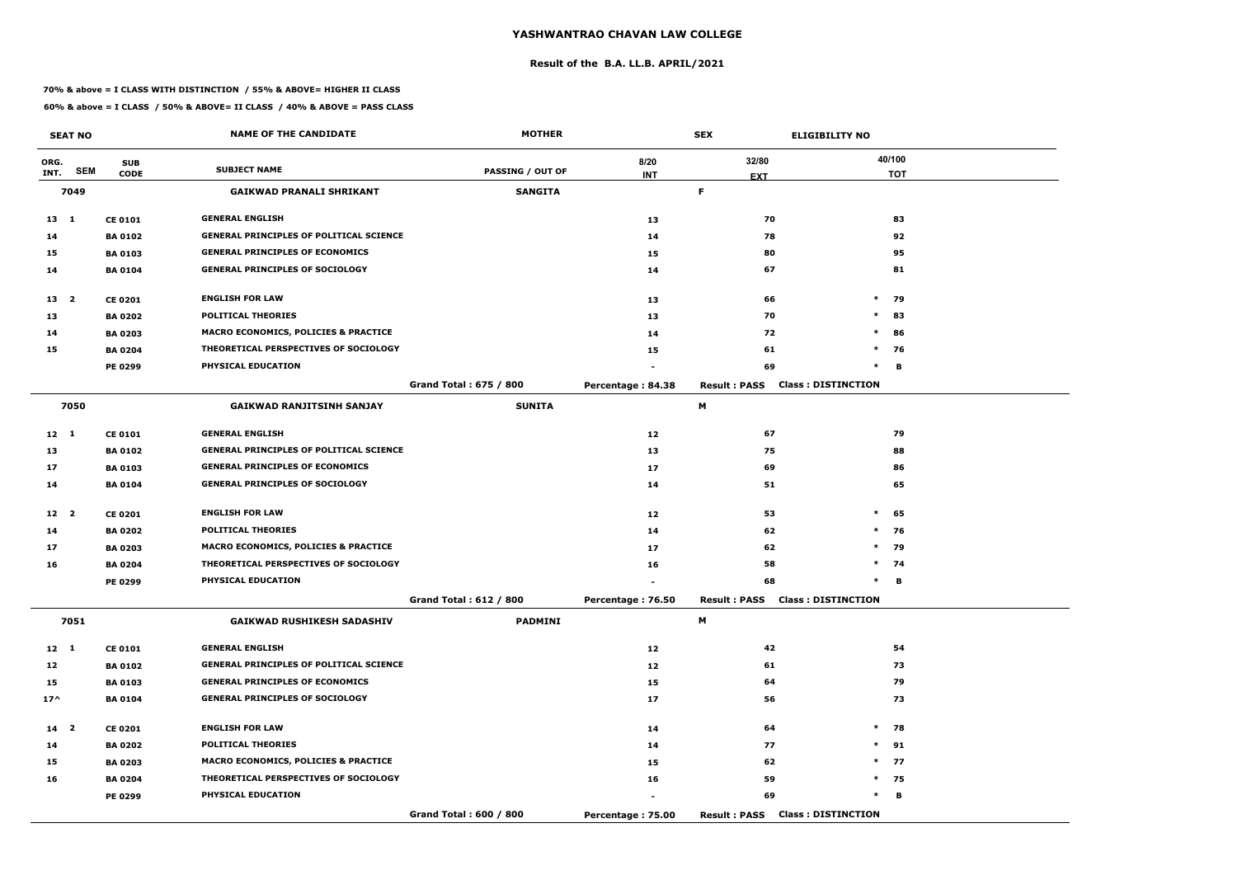#### **Result of the B.A. LL.B. APRIL/2021**

#### **70% & above = I CLASS WITH DISTINCTION / 55% & ABOVE= HIGHER II CLASS**

|                 | <b>SEAT NO</b> |                | <b>NAME OF THE CANDIDATE</b>                    | <b>MOTHER</b>           |                   | <b>SEX</b>                             | <b>ELIGIBILITY NO</b>     |
|-----------------|----------------|----------------|-------------------------------------------------|-------------------------|-------------------|----------------------------------------|---------------------------|
| ORG.            |                | <b>SUB</b>     |                                                 |                         | 8/20              | 32/80                                  | 40/100                    |
| INT.            | <b>SEM</b>     | <b>CODE</b>    | <b>SUBJECT NAME</b>                             | <b>PASSING / OUT OF</b> | <b>INT</b>        | <b>EXT</b>                             | <b>TOT</b>                |
|                 | 7049           |                | <b>GAIKWAD PRANALI SHRIKANT</b>                 | <b>SANGITA</b>          |                   | F.                                     |                           |
| $13 \quad 1$    |                | <b>CE 0101</b> | <b>GENERAL ENGLISH</b>                          |                         | 13                | 70                                     | 83                        |
| 14              |                | <b>BA 0102</b> | <b>GENERAL PRINCIPLES OF POLITICAL SCIENCE</b>  |                         | 14                | 78                                     | 92                        |
| 15              |                | <b>BA 0103</b> | <b>GENERAL PRINCIPLES OF ECONOMICS</b>          |                         | 15                | 80                                     | 95                        |
| 14              |                | <b>BA 0104</b> | <b>GENERAL PRINCIPLES OF SOCIOLOGY</b>          |                         | 14                | 67                                     | 81                        |
| 13 <sup>2</sup> |                | <b>CE 0201</b> | <b>ENGLISH FOR LAW</b>                          |                         | 13                | 66                                     | $\ast$<br>79              |
| 13              |                | <b>BA 0202</b> | <b>POLITICAL THEORIES</b>                       |                         | 13                | 70                                     | $\ast$<br>83              |
| 14              |                | <b>BA 0203</b> | MACRO ECONOMICS, POLICIES & PRACTICE            |                         | 14                | 72                                     | $\ast$<br>86              |
| 15              |                | <b>BA 0204</b> | THEORETICAL PERSPECTIVES OF SOCIOLOGY           |                         | 15                | 61                                     | $\ast$<br>76              |
|                 |                | <b>PE 0299</b> | PHYSICAL EDUCATION                              |                         |                   | 69                                     | $\ast$<br>B               |
|                 |                |                |                                                 | Grand Total: 675 / 800  | Percentage: 84.38 | <b>Result: PASS</b>                    | <b>Class: DISTINCTION</b> |
|                 | 7050           |                | <b>GAIKWAD RANJITSINH SANJAY</b>                | <b>SUNITA</b>           |                   | М                                      |                           |
| $12 \quad 1$    |                | <b>CE 0101</b> | <b>GENERAL ENGLISH</b>                          |                         | 12                | 67                                     | 79                        |
| 13              |                | <b>BA 0102</b> | <b>GENERAL PRINCIPLES OF POLITICAL SCIENCE</b>  |                         | 13                | 75                                     | 88                        |
| 17              |                | <b>BA 0103</b> | <b>GENERAL PRINCIPLES OF ECONOMICS</b>          |                         | 17                | 69                                     | 86                        |
| 14              |                | <b>BA 0104</b> | <b>GENERAL PRINCIPLES OF SOCIOLOGY</b>          |                         | 14                | 51                                     | 65                        |
| 12 2            |                | <b>CE 0201</b> | <b>ENGLISH FOR LAW</b>                          |                         | 12                | 53                                     | $\ast$<br>65              |
| 14              |                | <b>BA 0202</b> | <b>POLITICAL THEORIES</b>                       |                         | 14                | 62                                     | $\ast$<br>76              |
| 17              |                | <b>BA 0203</b> | <b>MACRO ECONOMICS, POLICIES &amp; PRACTICE</b> |                         | 17                | 62                                     | 79<br>$\ast$              |
| 16              |                | <b>BA 0204</b> | THEORETICAL PERSPECTIVES OF SOCIOLOGY           |                         | 16                | 58                                     | $\ast$<br>74              |
|                 |                | PE 0299        | PHYSICAL EDUCATION                              |                         |                   | 68                                     | в<br>$\ast$               |
|                 |                |                |                                                 | Grand Total: 612 / 800  | Percentage: 76.50 | <b>Result: PASS Class: DISTINCTION</b> |                           |
|                 | 7051           |                | <b>GAIKWAD RUSHIKESH SADASHIV</b>               | <b>PADMINI</b>          |                   | M                                      |                           |
| $12 \quad 1$    |                | <b>CE 0101</b> | <b>GENERAL ENGLISH</b>                          |                         | 12                | 42                                     | 54                        |
| 12              |                | <b>BA 0102</b> | <b>GENERAL PRINCIPLES OF POLITICAL SCIENCE</b>  |                         | 12                | 61                                     | 73                        |
| 15              |                | <b>BA 0103</b> | <b>GENERAL PRINCIPLES OF ECONOMICS</b>          |                         | 15                | 64                                     | 79                        |
| $17^{\wedge}$   |                | <b>BA 0104</b> | <b>GENERAL PRINCIPLES OF SOCIOLOGY</b>          |                         | 17                | 56                                     | 73                        |
| $14$ 2          |                | <b>CE 0201</b> | <b>ENGLISH FOR LAW</b>                          |                         | 14                | 64                                     | $\ast$<br>78              |
| 14              |                | <b>BA 0202</b> | <b>POLITICAL THEORIES</b>                       |                         | 14                | 77                                     | $*$<br>91                 |
| 15              |                | <b>BA 0203</b> | <b>MACRO ECONOMICS, POLICIES &amp; PRACTICE</b> |                         | 15                | 62                                     | $*$ 77                    |
| 16              |                | <b>BA 0204</b> | THEORETICAL PERSPECTIVES OF SOCIOLOGY           |                         | 16                | 59                                     | $*$ 75                    |
|                 |                | PE 0299        | <b>PHYSICAL EDUCATION</b>                       |                         |                   | 69                                     | $\ast$<br>В               |
|                 |                |                |                                                 | Grand Total: 600 / 800  | Percentage: 75.00 | <b>Result: PASS Class: DISTINCTION</b> |                           |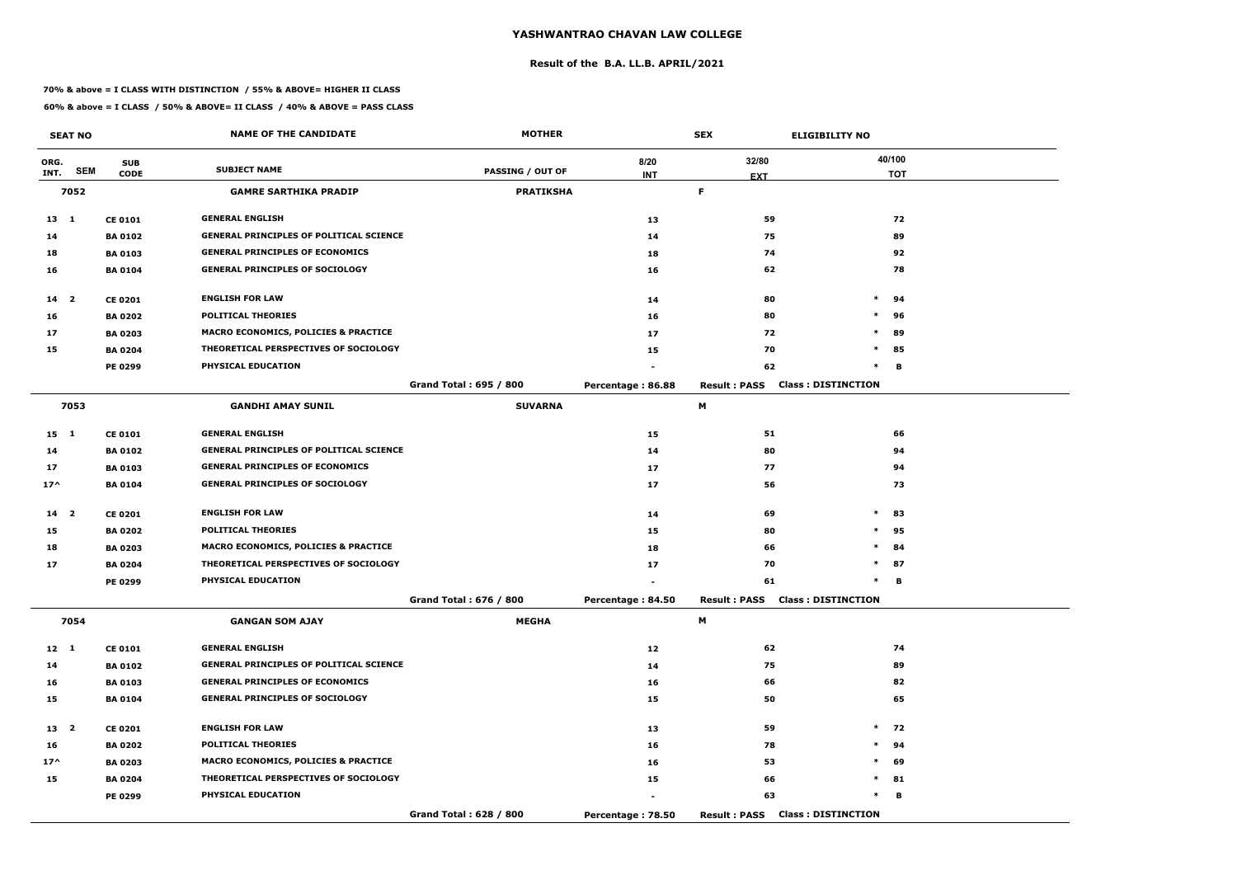#### **Result of the B.A. LL.B. APRIL/2021**

#### **70% & above = I CLASS WITH DISTINCTION / 55% & ABOVE= HIGHER II CLASS**

|                 | <b>SEAT NO</b> |                | <b>NAME OF THE CANDIDATE</b>                    | <b>MOTHER</b>           |                   | <b>SEX</b>          | <b>ELIGIBILITY NO</b>                  |
|-----------------|----------------|----------------|-------------------------------------------------|-------------------------|-------------------|---------------------|----------------------------------------|
| ORG.            |                | <b>SUB</b>     |                                                 |                         | 8/20              | 32/80               | 40/100                                 |
| INT.            | <b>SEM</b>     | <b>CODE</b>    | <b>SUBJECT NAME</b>                             | <b>PASSING / OUT OF</b> | <b>INT</b>        | <b>EXT</b>          | <b>TOT</b>                             |
|                 | 7052           |                | <b>GAMRE SARTHIKA PRADIP</b>                    | <b>PRATIKSHA</b>        |                   | F.                  |                                        |
| $13 \quad 1$    |                | <b>CE 0101</b> | <b>GENERAL ENGLISH</b>                          |                         | 13                | 59                  | 72                                     |
| 14              |                | <b>BA 0102</b> | <b>GENERAL PRINCIPLES OF POLITICAL SCIENCE</b>  |                         | 14                | 75                  | 89                                     |
| 18              |                | <b>BA 0103</b> | <b>GENERAL PRINCIPLES OF ECONOMICS</b>          |                         | 18                | 74                  | 92                                     |
| 16              |                | <b>BA 0104</b> | <b>GENERAL PRINCIPLES OF SOCIOLOGY</b>          |                         | 16                | 62                  | 78                                     |
| $14 2$          |                | <b>CE 0201</b> | <b>ENGLISH FOR LAW</b>                          |                         | 14                | 80                  | $\ast$<br>94                           |
| 16              |                | <b>BA 0202</b> | <b>POLITICAL THEORIES</b>                       |                         | 16                | 80                  | $\ast$<br>96                           |
| 17              |                | <b>BA 0203</b> | MACRO ECONOMICS, POLICIES & PRACTICE            |                         | 17                | 72                  | $\ast$<br>89                           |
| 15              |                | <b>BA 0204</b> | THEORETICAL PERSPECTIVES OF SOCIOLOGY           |                         | 15                | 70                  | $\ast$<br>85                           |
|                 |                | <b>PE 0299</b> | PHYSICAL EDUCATION                              |                         |                   | 62                  | $\ast$<br>В                            |
|                 |                |                |                                                 | Grand Total: 695 / 800  | Percentage: 86.88 | <b>Result: PASS</b> | <b>Class: DISTINCTION</b>              |
|                 | 7053           |                | <b>GANDHI AMAY SUNIL</b>                        | <b>SUVARNA</b>          |                   | М                   |                                        |
| 15 1            |                | <b>CE 0101</b> | <b>GENERAL ENGLISH</b>                          |                         | 15                | 51                  | 66                                     |
| 14              |                | <b>BA 0102</b> | <b>GENERAL PRINCIPLES OF POLITICAL SCIENCE</b>  |                         | 14                | 80                  | 94                                     |
| 17              |                | <b>BA 0103</b> | <b>GENERAL PRINCIPLES OF ECONOMICS</b>          |                         | 17                | 77                  | 94                                     |
| $17^$           |                | <b>BA 0104</b> | <b>GENERAL PRINCIPLES OF SOCIOLOGY</b>          |                         | 17                | 56                  | 73                                     |
| 14 <sub>2</sub> |                | <b>CE 0201</b> | <b>ENGLISH FOR LAW</b>                          |                         | 14                | 69                  | $\ast$<br>83                           |
| 15              |                | <b>BA 0202</b> | <b>POLITICAL THEORIES</b>                       |                         | 15                | 80                  | 95<br>$\ast$                           |
| 18              |                | <b>BA 0203</b> | <b>MACRO ECONOMICS, POLICIES &amp; PRACTICE</b> |                         | 18                | 66                  | $\ast$<br>84                           |
| 17              |                | <b>BA 0204</b> | THEORETICAL PERSPECTIVES OF SOCIOLOGY           |                         | 17                | 70                  | $\ast$<br>87                           |
|                 |                | PE 0299        | PHYSICAL EDUCATION                              |                         |                   | 61                  | в<br>$\ast$                            |
|                 |                |                |                                                 | Grand Total: 676 / 800  | Percentage: 84.50 |                     | <b>Result: PASS Class: DISTINCTION</b> |
|                 | 7054           |                | <b>GANGAN SOM AJAY</b>                          | <b>MEGHA</b>            |                   | M                   |                                        |
| $12 \quad 1$    |                | <b>CE 0101</b> | <b>GENERAL ENGLISH</b>                          |                         | 12                | 62                  | 74                                     |
| 14              |                | <b>BA 0102</b> | <b>GENERAL PRINCIPLES OF POLITICAL SCIENCE</b>  |                         | 14                | 75                  | 89                                     |
| 16              |                | <b>BA 0103</b> | <b>GENERAL PRINCIPLES OF ECONOMICS</b>          |                         | 16                | 66                  | 82                                     |
| 15              |                | <b>BA 0104</b> | <b>GENERAL PRINCIPLES OF SOCIOLOGY</b>          |                         | 15                | 50                  | 65                                     |
| 13 2            |                | <b>CE 0201</b> | <b>ENGLISH FOR LAW</b>                          |                         | 13                | 59                  | $\ast$<br>72                           |
| 16              |                | <b>BA 0202</b> | <b>POLITICAL THEORIES</b>                       |                         | 16                | 78                  | $\ast$<br>94                           |
| $17^{\wedge}$   |                | <b>BA 0203</b> | <b>MACRO ECONOMICS, POLICIES &amp; PRACTICE</b> |                         | 16                | 53                  | $\ast$<br>69                           |
| 15              |                | <b>BA 0204</b> | THEORETICAL PERSPECTIVES OF SOCIOLOGY           |                         | 15                | 66                  | $*$ 81                                 |
|                 |                | PE 0299        | <b>PHYSICAL EDUCATION</b>                       |                         |                   | 63                  | $\ast$<br>в                            |
|                 |                |                |                                                 | Grand Total: 628 / 800  | Percentage: 78.50 |                     | <b>Result: PASS Class: DISTINCTION</b> |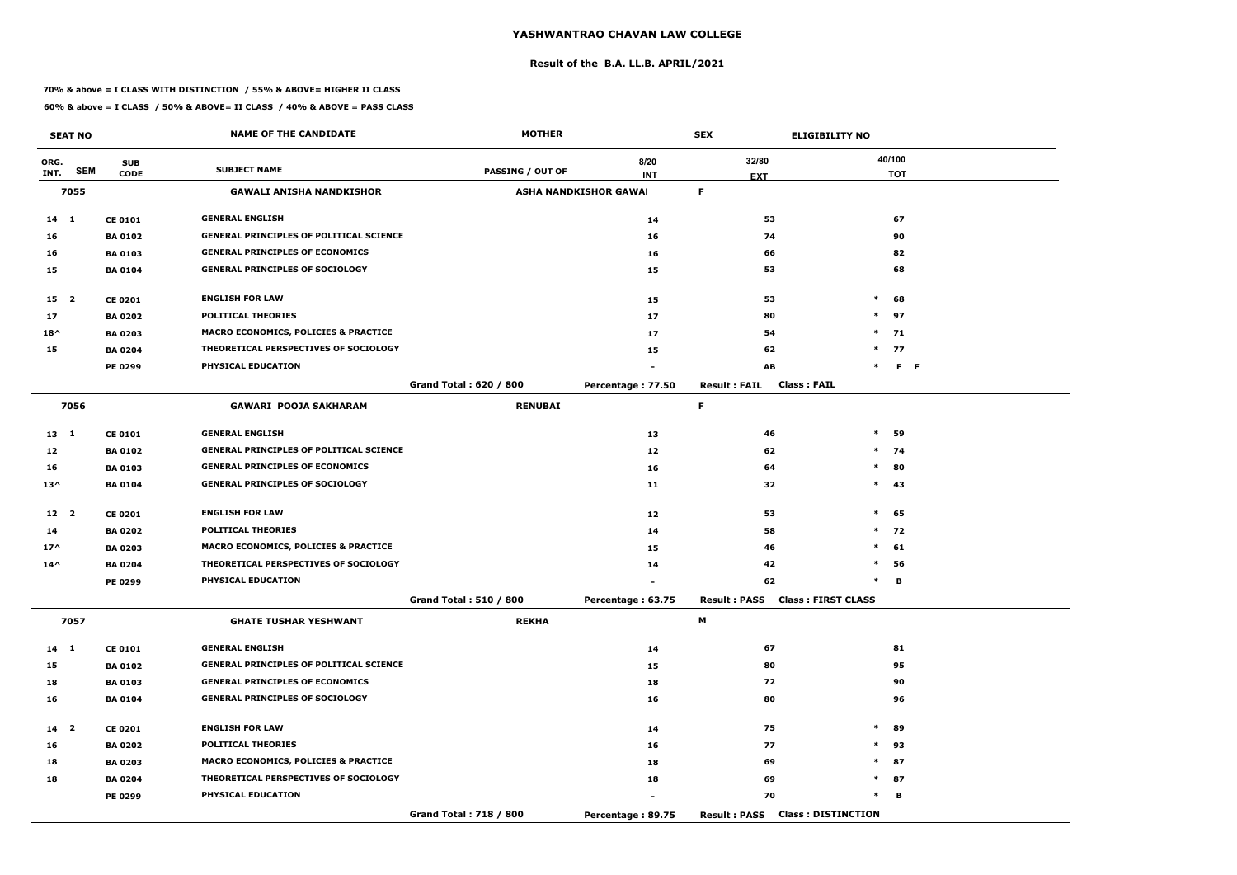#### **Result of the B.A. LL.B. APRIL/2021**

#### **70% & above = I CLASS WITH DISTINCTION / 55% & ABOVE= HIGHER II CLASS**

|                 | <b>SEAT NO</b> |                | <b>NAME OF THE CANDIDATE</b>                   | <b>MOTHER</b>           |                              | <b>SEX</b>                             | <b>ELIGIBILITY NO</b>     |
|-----------------|----------------|----------------|------------------------------------------------|-------------------------|------------------------------|----------------------------------------|---------------------------|
| ORG.            |                | <b>SUB</b>     |                                                |                         | 8/20                         | 32/80                                  | 40/100                    |
| INT.            | <b>SEM</b>     | <b>CODE</b>    | <b>SUBJECT NAME</b>                            | <b>PASSING / OUT OF</b> | <b>INT</b>                   | <b>EXT</b>                             | <b>TOT</b>                |
|                 | 7055           |                | <b>GAWALI ANISHA NANDKISHOR</b>                |                         | <b>ASHA NANDKISHOR GAWAI</b> | F.                                     |                           |
| $14 \quad 1$    |                | <b>CE 0101</b> | <b>GENERAL ENGLISH</b>                         |                         | 14                           | 53                                     | 67                        |
| 16              |                | <b>BA 0102</b> | <b>GENERAL PRINCIPLES OF POLITICAL SCIENCE</b> |                         | 16                           | 74                                     | 90                        |
| 16              |                | <b>BA 0103</b> | <b>GENERAL PRINCIPLES OF ECONOMICS</b>         |                         | 16                           | 66                                     | 82                        |
| 15              |                | <b>BA0104</b>  | <b>GENERAL PRINCIPLES OF SOCIOLOGY</b>         |                         | 15                           | 53                                     | 68                        |
| 15 2            |                | <b>CE 0201</b> | <b>ENGLISH FOR LAW</b>                         |                         | 15                           | 53                                     | $\ast$<br>68              |
| 17              |                | <b>BA 0202</b> | <b>POLITICAL THEORIES</b>                      |                         | 17                           | 80                                     | $\ast$<br>97              |
| $18^{\wedge}$   |                | <b>BA 0203</b> | MACRO ECONOMICS, POLICIES & PRACTICE           |                         | 17                           | 54                                     | $\ast$<br>71              |
| 15              |                | <b>BA 0204</b> | THEORETICAL PERSPECTIVES OF SOCIOLOGY          |                         | 15                           | 62                                     | $*$ 77                    |
|                 |                | PE 0299        | PHYSICAL EDUCATION                             |                         |                              | AB                                     | $F - F$<br>$\ast$         |
|                 |                |                |                                                | Grand Total: 620 / 800  | Percentage: 77.50            | <b>Result: FAIL</b>                    | <b>Class: FAIL</b>        |
|                 | 7056           |                | <b>GAWARI POOJA SAKHARAM</b>                   | <b>RENUBAI</b>          |                              | F.                                     |                           |
| $13 \quad 1$    |                | <b>CE 0101</b> | <b>GENERAL ENGLISH</b>                         |                         | 13                           | 46                                     | $\ast$<br>59              |
| 12              |                | <b>BA 0102</b> | <b>GENERAL PRINCIPLES OF POLITICAL SCIENCE</b> |                         | 12                           | 62                                     | $\ast$<br>74              |
| 16              |                | <b>BA0103</b>  | <b>GENERAL PRINCIPLES OF ECONOMICS</b>         |                         | 16                           | 64                                     | $\ast$<br>80              |
| $13^{\wedge}$   |                | <b>BA 0104</b> | <b>GENERAL PRINCIPLES OF SOCIOLOGY</b>         |                         | 11                           | 32                                     | $\ast$<br>43              |
| 12 2            |                | <b>CE 0201</b> | <b>ENGLISH FOR LAW</b>                         |                         | 12                           | 53                                     | $\ast$<br>65              |
| 14              |                | <b>BA 0202</b> | <b>POLITICAL THEORIES</b>                      |                         | 14                           | 58                                     | $*$ 72                    |
| $17^$           |                | <b>BA 0203</b> | MACRO ECONOMICS, POLICIES & PRACTICE           |                         | 15                           | 46                                     | $\ast$<br>61              |
| $14^{\wedge}$   |                | <b>BA 0204</b> | THEORETICAL PERSPECTIVES OF SOCIOLOGY          |                         | 14                           | 42                                     | $\ast$<br>56              |
|                 |                | PE 0299        | PHYSICAL EDUCATION                             |                         |                              | 62                                     | В<br>$\ast$               |
|                 |                |                |                                                | Grand Total: 510 / 800  | Percentage: 63.75            | <b>Result : PASS</b>                   | <b>Class: FIRST CLASS</b> |
|                 | 7057           |                | <b>GHATE TUSHAR YESHWANT</b>                   | <b>REKHA</b>            |                              | M                                      |                           |
| 14 1            |                | <b>CE 0101</b> | <b>GENERAL ENGLISH</b>                         |                         | 14                           | 67                                     | 81                        |
| 15              |                | <b>BA 0102</b> | <b>GENERAL PRINCIPLES OF POLITICAL SCIENCE</b> |                         | 15                           | 80                                     | 95                        |
| 18              |                | <b>BA 0103</b> | <b>GENERAL PRINCIPLES OF ECONOMICS</b>         |                         | 18                           | 72                                     | 90                        |
| 16              |                | <b>BA 0104</b> | <b>GENERAL PRINCIPLES OF SOCIOLOGY</b>         |                         | 16                           | 80                                     | 96                        |
| 14 <sub>2</sub> |                | <b>CE 0201</b> | <b>ENGLISH FOR LAW</b>                         |                         | 14                           | 75                                     | $\ast$<br>89              |
| 16              |                | <b>BA 0202</b> | <b>POLITICAL THEORIES</b>                      |                         | 16                           | 77                                     | $\ast$<br>93              |
| 18              |                | <b>BA 0203</b> | MACRO ECONOMICS, POLICIES & PRACTICE           |                         | 18                           | 69                                     | $\ast$<br>87              |
| 18              |                | <b>BA 0204</b> | THEORETICAL PERSPECTIVES OF SOCIOLOGY          |                         | 18                           | 69                                     | $*$ 87                    |
|                 |                | <b>PE 0299</b> | PHYSICAL EDUCATION                             |                         | $\sim$                       | 70                                     | $\ast$<br>В               |
|                 |                |                |                                                | Grand Total: 718 / 800  | Percentage: 89.75            | <b>Result: PASS Class: DISTINCTION</b> |                           |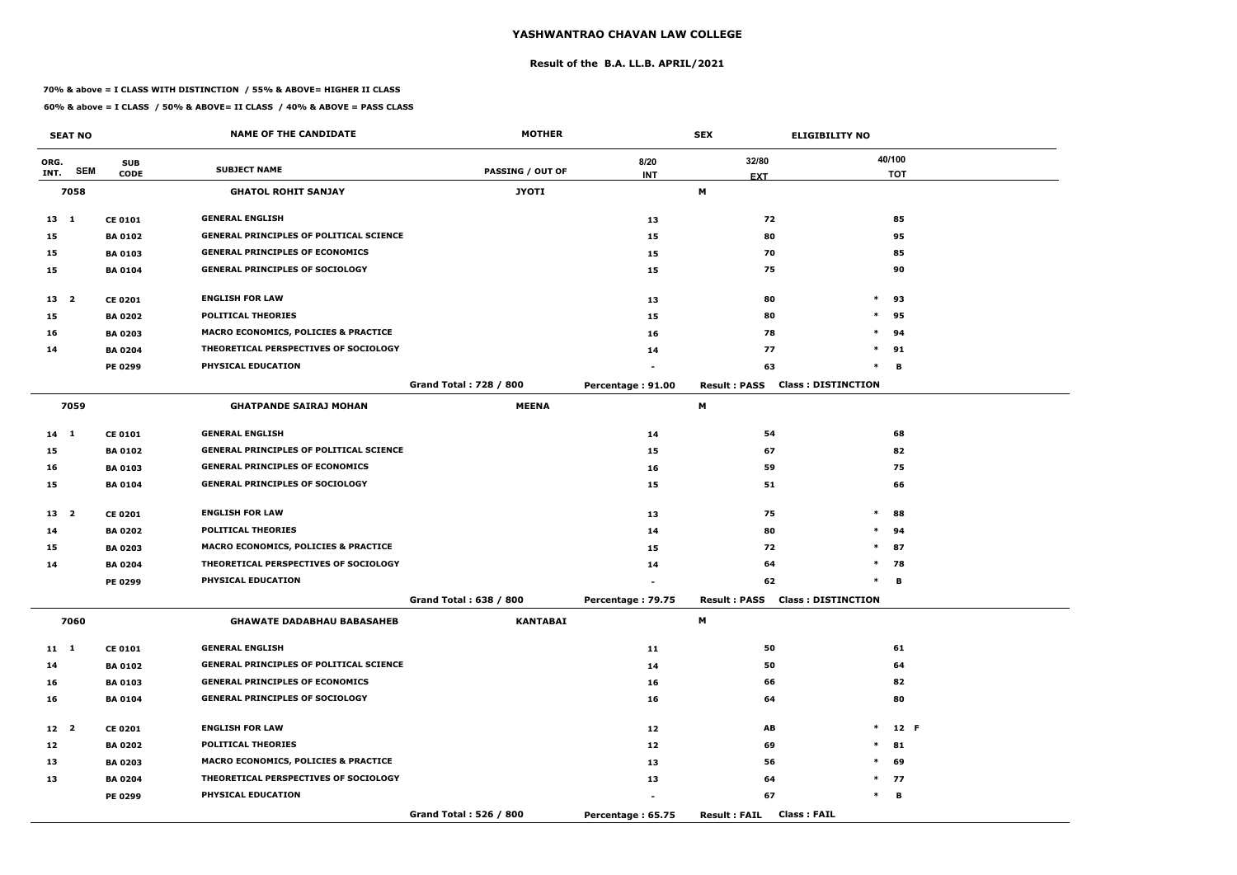#### **Result of the B.A. LL.B. APRIL/2021**

#### **70% & above = I CLASS WITH DISTINCTION / 55% & ABOVE= HIGHER II CLASS**

|                 | <b>SEAT NO</b> |                | <b>NAME OF THE CANDIDATE</b>                    | <b>MOTHER</b>                 |                   | <b>SEX</b><br><b>ELIGIBILITY NO</b>              |        |            |
|-----------------|----------------|----------------|-------------------------------------------------|-------------------------------|-------------------|--------------------------------------------------|--------|------------|
| ORG.            |                | <b>SUB</b>     | <b>SUBJECT NAME</b>                             |                               | 8/20              | 32/80                                            |        | 40/100     |
| INT.            | <b>SEM</b>     | <b>CODE</b>    |                                                 | <b>PASSING / OUT OF</b>       | <b>INT</b>        | <b>EXT</b>                                       |        | <b>TOT</b> |
|                 | 7058           |                | <b>GHATOL ROHIT SANJAY</b>                      | <b>JYOTI</b>                  |                   | M                                                |        |            |
| $13 \quad 1$    |                | <b>CE 0101</b> | <b>GENERAL ENGLISH</b>                          |                               | 13                | 72                                               |        | 85         |
| 15              |                | <b>BA 0102</b> | <b>GENERAL PRINCIPLES OF POLITICAL SCIENCE</b>  |                               | 15                | 80                                               |        | 95         |
| 15              |                | <b>BA 0103</b> | <b>GENERAL PRINCIPLES OF ECONOMICS</b>          |                               | 15                | 70                                               |        | 85         |
| 15              |                | <b>BA 0104</b> | <b>GENERAL PRINCIPLES OF SOCIOLOGY</b>          |                               | 15                | 75                                               |        | 90         |
| 13 <sup>2</sup> |                | <b>CE 0201</b> | <b>ENGLISH FOR LAW</b>                          |                               | 13                | 80                                               | $\ast$ | 93         |
| 15              |                | <b>BA 0202</b> | <b>POLITICAL THEORIES</b>                       |                               | 15                | 80                                               | $\ast$ | 95         |
| 16              |                | <b>BA 0203</b> | <b>MACRO ECONOMICS, POLICIES &amp; PRACTICE</b> |                               | 16                | 78                                               | $\ast$ | 94         |
| 14              |                | <b>BA 0204</b> | THEORETICAL PERSPECTIVES OF SOCIOLOGY           |                               | 14                | 77                                               | $\ast$ | 91         |
|                 |                | <b>PE 0299</b> | PHYSICAL EDUCATION                              |                               |                   | 63                                               | $\ast$ | В          |
|                 |                |                |                                                 | <b>Grand Total: 728 / 800</b> | Percentage: 91.00 | <b>Class: DISTINCTION</b><br><b>Result: PASS</b> |        |            |
|                 | 7059           |                | <b>GHATPANDE SAIRAJ MOHAN</b>                   | <b>MEENA</b>                  |                   | М                                                |        |            |
| 14 1            |                | <b>CE 0101</b> | <b>GENERAL ENGLISH</b>                          |                               | 14                | 54                                               |        | 68         |
| 15              |                | <b>BA0102</b>  | <b>GENERAL PRINCIPLES OF POLITICAL SCIENCE</b>  |                               | 15                | 67                                               |        | 82         |
| 16              |                | <b>BA 0103</b> | <b>GENERAL PRINCIPLES OF ECONOMICS</b>          |                               | 16                | 59                                               |        | 75         |
| 15              |                | <b>BA 0104</b> | <b>GENERAL PRINCIPLES OF SOCIOLOGY</b>          |                               | 15                | 51                                               |        | 66         |
| 13 <sub>2</sub> |                | <b>CE 0201</b> | <b>ENGLISH FOR LAW</b>                          |                               | 13                | 75                                               | $\ast$ | 88         |
| 14              |                | <b>BA 0202</b> | <b>POLITICAL THEORIES</b>                       |                               | 14                | 80                                               | $\ast$ | 94         |
| 15              |                | <b>BA 0203</b> | <b>MACRO ECONOMICS, POLICIES &amp; PRACTICE</b> |                               | 15                | 72                                               | $\ast$ | 87         |
| 14              |                | <b>BA 0204</b> | THEORETICAL PERSPECTIVES OF SOCIOLOGY           |                               | 14                | 64                                               | $\ast$ | 78         |
|                 |                | PE 0299        | PHYSICAL EDUCATION                              |                               |                   | 62                                               | $\ast$ | В          |
|                 |                |                |                                                 | Grand Total: 638 / 800        | Percentage: 79.75 | <b>Result: PASS Class: DISTINCTION</b>           |        |            |
|                 | 7060           |                | <b>GHAWATE DADABHAU BABASAHEB</b>               | <b>KANTABAI</b>               |                   | M                                                |        |            |
| $11 \quad 1$    |                | <b>CE 0101</b> | <b>GENERAL ENGLISH</b>                          |                               | 11                | 50                                               |        | 61         |
| 14              |                | <b>BA 0102</b> | <b>GENERAL PRINCIPLES OF POLITICAL SCIENCE</b>  |                               | 14                | 50                                               |        | 64         |
| 16              |                | <b>BA 0103</b> | <b>GENERAL PRINCIPLES OF ECONOMICS</b>          |                               | 16                | 66                                               |        | 82         |
| 16              |                | <b>BA 0104</b> | <b>GENERAL PRINCIPLES OF SOCIOLOGY</b>          |                               | 16                | 64                                               |        | 80         |
| 12 <sup>2</sup> |                | <b>CE 0201</b> | <b>ENGLISH FOR LAW</b>                          |                               | 12                | AB                                               | $\ast$ | 12 F       |
| 12              |                | <b>BA 0202</b> | <b>POLITICAL THEORIES</b>                       |                               | 12                | 69                                               | $\ast$ | 81         |
| 13              |                | <b>BA 0203</b> | <b>MACRO ECONOMICS, POLICIES &amp; PRACTICE</b> |                               | 13                | 56                                               | $\ast$ | 69         |
| 13              |                | <b>BA 0204</b> | THEORETICAL PERSPECTIVES OF SOCIOLOGY           |                               | 13                | 64                                               |        | $*$ 77     |
|                 |                | <b>PE 0299</b> | PHYSICAL EDUCATION                              |                               |                   | 67                                               | $\ast$ | B          |
|                 |                |                |                                                 | Grand Total: 526 / 800        | Percentage: 65.75 | <b>Class: FAIL</b><br><b>Result: FAIL</b>        |        |            |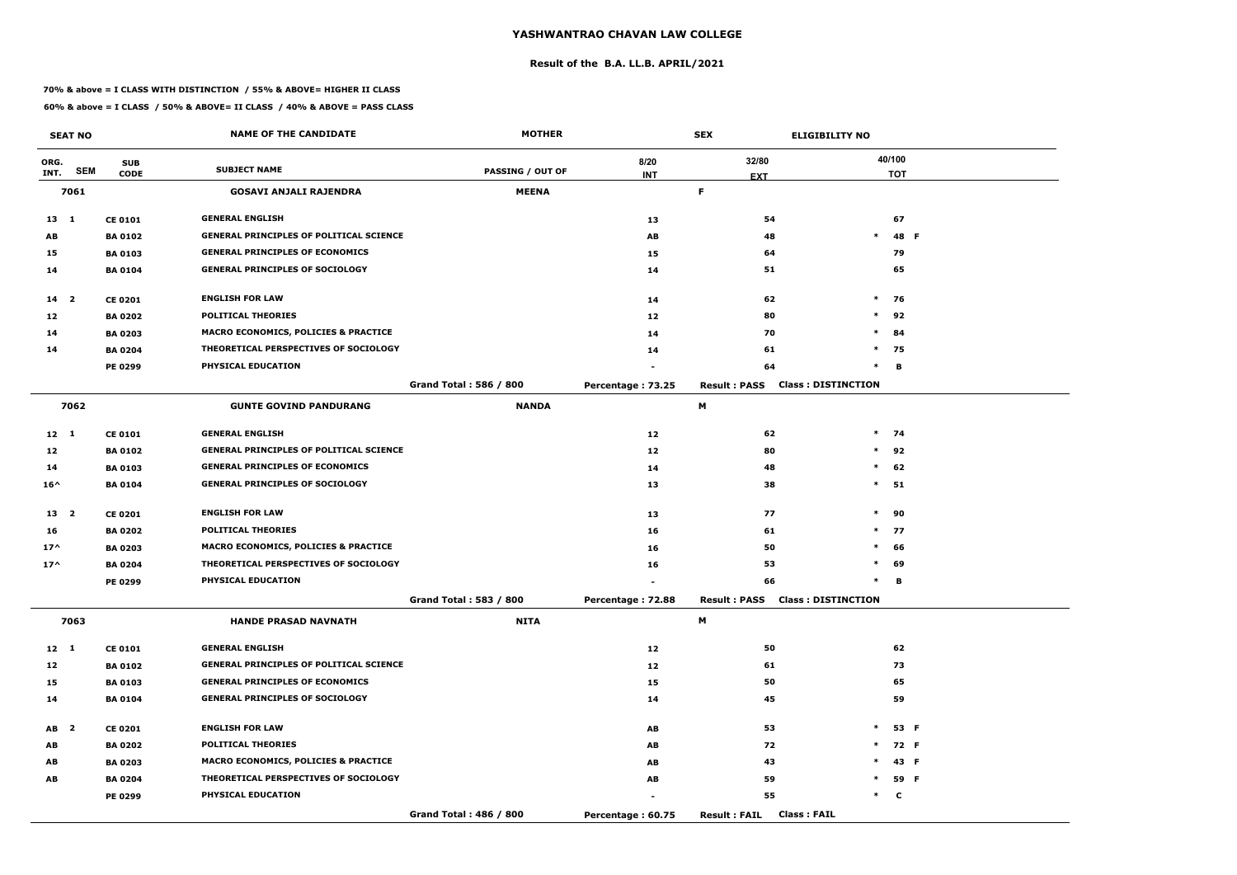#### **Result of the B.A. LL.B. APRIL/2021**

#### **70% & above = I CLASS WITH DISTINCTION / 55% & ABOVE= HIGHER II CLASS**

|                 | <b>SEAT NO</b> |                | <b>NAME OF THE CANDIDATE</b>                    | <b>MOTHER</b>           |                                     | <b>SEX</b>          | <b>ELIGIBILITY NO</b>                  |            |  |
|-----------------|----------------|----------------|-------------------------------------------------|-------------------------|-------------------------------------|---------------------|----------------------------------------|------------|--|
| ORG.            |                | <b>SUB</b>     |                                                 |                         | 8/20                                | 32/80               |                                        | 40/100     |  |
| INT.            | <b>SEM</b>     | <b>CODE</b>    | <b>SUBJECT NAME</b>                             | <b>PASSING / OUT OF</b> | <b>INT</b>                          | <b>EXT</b>          |                                        | <b>TOT</b> |  |
|                 | 7061           |                | <b>GOSAVI ANJALI RAJENDRA</b>                   | <b>MEENA</b>            |                                     | F.                  |                                        |            |  |
| $13 \quad 1$    |                | <b>CE 0101</b> | <b>GENERAL ENGLISH</b>                          |                         | 13                                  | 54                  |                                        | 67         |  |
| AB              |                | <b>BA0102</b>  | <b>GENERAL PRINCIPLES OF POLITICAL SCIENCE</b>  |                         | AB                                  | 48                  | $\ast$                                 | 48 F       |  |
| 15              |                | <b>BA 0103</b> | <b>GENERAL PRINCIPLES OF ECONOMICS</b>          |                         | 15                                  | 64                  |                                        | 79         |  |
| 14              |                | <b>BA 0104</b> | <b>GENERAL PRINCIPLES OF SOCIOLOGY</b>          |                         | 14                                  | 51                  |                                        | 65         |  |
| 14 <sup>2</sup> |                | <b>CE 0201</b> | <b>ENGLISH FOR LAW</b>                          |                         | 14                                  | 62                  | $\ast$                                 | - 76       |  |
| 12              |                | <b>BA 0202</b> | <b>POLITICAL THEORIES</b>                       |                         | 12                                  | 80                  | $\ast$                                 | 92         |  |
| 14              |                | <b>BA 0203</b> | <b>MACRO ECONOMICS, POLICIES &amp; PRACTICE</b> |                         | 14                                  | 70                  | $\ast$                                 | 84         |  |
| 14              |                | <b>BA 0204</b> | THEORETICAL PERSPECTIVES OF SOCIOLOGY           |                         | 14                                  | 61                  |                                        | $*$ 75     |  |
|                 |                | <b>PE 0299</b> | PHYSICAL EDUCATION                              |                         |                                     | 64                  | $\ast$                                 | В          |  |
|                 |                |                |                                                 | Grand Total: 586 / 800  | Percentage: 73.25                   | <b>Result: PASS</b> | <b>Class: DISTINCTION</b>              |            |  |
|                 | 7062           |                | <b>GUNTE GOVIND PANDURANG</b>                   | <b>NANDA</b>            |                                     | M                   |                                        |            |  |
| $12 \quad 1$    |                | <b>CE 0101</b> | <b>GENERAL ENGLISH</b>                          |                         | 12                                  | 62                  |                                        | $*$ 74     |  |
| 12              |                | <b>BA 0102</b> | <b>GENERAL PRINCIPLES OF POLITICAL SCIENCE</b>  |                         | 12                                  | 80                  |                                        | $*$ 92     |  |
| 14              |                | <b>BA 0103</b> | <b>GENERAL PRINCIPLES OF ECONOMICS</b>          |                         | 14                                  | 48                  | $\ast$                                 | 62         |  |
| $16^{\wedge}$   |                | <b>BA 0104</b> | <b>GENERAL PRINCIPLES OF SOCIOLOGY</b>          |                         | 13                                  | 38                  | $\ast$                                 | 51         |  |
| 13 <sub>2</sub> |                | <b>CE 0201</b> | <b>ENGLISH FOR LAW</b>                          |                         | 13                                  | 77                  | $\ast$                                 | 90         |  |
| 16              |                | <b>BA 0202</b> | <b>POLITICAL THEORIES</b>                       |                         | 16                                  | 61                  |                                        | $*$ 77     |  |
| $17^{\wedge}$   |                | <b>BA 0203</b> | MACRO ECONOMICS, POLICIES & PRACTICE            |                         | 16                                  | 50                  | $\ast$                                 | 66         |  |
| $17^$           |                | <b>BA 0204</b> | THEORETICAL PERSPECTIVES OF SOCIOLOGY           |                         | 16                                  | 53                  | $\ast$                                 | 69         |  |
|                 |                | <b>PE 0299</b> | PHYSICAL EDUCATION                              |                         |                                     | 66                  | $\ast$                                 | В          |  |
|                 |                |                |                                                 | Grand Total: 583 / 800  | Percentage: 72.88                   |                     | <b>Result: PASS Class: DISTINCTION</b> |            |  |
|                 | 7063           |                | <b>HANDE PRASAD NAVNATH</b>                     | <b>NITA</b>             |                                     | M                   |                                        |            |  |
| $12 \quad 1$    |                | <b>CE 0101</b> | <b>GENERAL ENGLISH</b>                          |                         | 12                                  | 50                  |                                        | 62         |  |
| 12              |                | <b>BA 0102</b> | <b>GENERAL PRINCIPLES OF POLITICAL SCIENCE</b>  |                         | 12                                  | 61                  |                                        | 73         |  |
| 15              |                | <b>BA 0103</b> | <b>GENERAL PRINCIPLES OF ECONOMICS</b>          |                         | 15                                  | 50                  |                                        | 65         |  |
| 14              |                | <b>BA 0104</b> | <b>GENERAL PRINCIPLES OF SOCIOLOGY</b>          |                         | 14                                  | 45                  |                                        | 59         |  |
| AB <sub>2</sub> |                | <b>CE 0201</b> | <b>ENGLISH FOR LAW</b>                          |                         | AB                                  | 53                  | $\ast$                                 | 53 F       |  |
| AB              |                | <b>BA 0202</b> | <b>POLITICAL THEORIES</b>                       |                         | $\boldsymbol{\mathsf{A}\mathsf{B}}$ | 72                  |                                        | $*$ 72 F   |  |
| AB              |                | <b>BA 0203</b> | <b>MACRO ECONOMICS, POLICIES &amp; PRACTICE</b> |                         | AB                                  | 43                  | $\ast$                                 | 43 F       |  |
| AB              |                | <b>BA 0204</b> | THEORETICAL PERSPECTIVES OF SOCIOLOGY           |                         | AB                                  | 59                  | $\ast$                                 | 59 F       |  |
|                 |                | <b>PE 0299</b> | PHYSICAL EDUCATION                              |                         |                                     | 55                  |                                        | $*$ C      |  |
|                 |                |                |                                                 | Grand Total: 486 / 800  | Percentage: 60.75                   | <b>Result: FAIL</b> | <b>Class: FAIL</b>                     |            |  |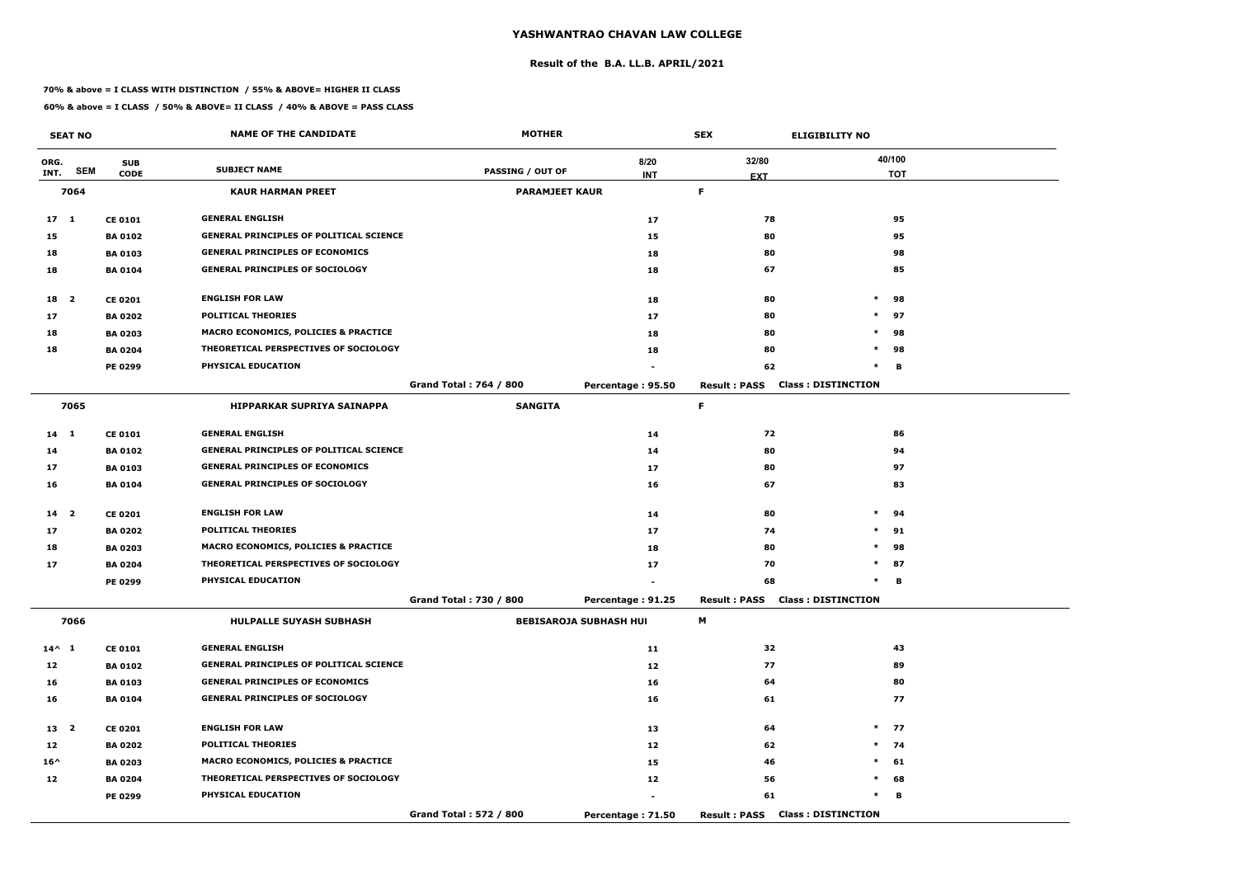#### **Result of the B.A. LL.B. APRIL/2021**

#### **70% & above = I CLASS WITH DISTINCTION / 55% & ABOVE= HIGHER II CLASS**

|                 | <b>SEAT NO</b> |                | <b>NAME OF THE CANDIDATE</b>                    | <b>MOTHER</b>                 |                               | <b>SEX</b>          | <b>ELIGIBILITY NO</b>     |
|-----------------|----------------|----------------|-------------------------------------------------|-------------------------------|-------------------------------|---------------------|---------------------------|
| ORG.            |                | <b>SUB</b>     |                                                 |                               | 8/20                          | 32/80               | 40/100                    |
| INT.            | <b>SEM</b>     | <b>CODE</b>    | <b>SUBJECT NAME</b>                             | PASSING / OUT OF              | <b>INT</b>                    | <b>EXT</b>          | <b>TOT</b>                |
|                 | 7064           |                | <b>KAUR HARMAN PREET</b>                        | <b>PARAMJEET KAUR</b>         |                               | F.                  |                           |
| 17 <sub>1</sub> |                | <b>CE 0101</b> | <b>GENERAL ENGLISH</b>                          |                               | 17                            | 78                  | 95                        |
| 15              |                | <b>BA 0102</b> | <b>GENERAL PRINCIPLES OF POLITICAL SCIENCE</b>  |                               | 15                            | 80                  | 95                        |
| 18              |                | <b>BA 0103</b> | <b>GENERAL PRINCIPLES OF ECONOMICS</b>          |                               | 18                            | 80                  | 98                        |
| 18              |                | <b>BA 0104</b> | <b>GENERAL PRINCIPLES OF SOCIOLOGY</b>          |                               | 18                            | 67                  | 85                        |
| 18 2            |                | <b>CE 0201</b> | <b>ENGLISH FOR LAW</b>                          |                               | 18                            | 80                  | $\ast$<br>98              |
| 17              |                | <b>BA 0202</b> | <b>POLITICAL THEORIES</b>                       |                               | 17                            | 80                  | $\ast$<br>97              |
| 18              |                | <b>BA 0203</b> | MACRO ECONOMICS, POLICIES & PRACTICE            |                               | 18                            | 80                  | $\ast$<br>98              |
| 18              |                | <b>BA 0204</b> | THEORETICAL PERSPECTIVES OF SOCIOLOGY           |                               | 18                            | 80                  | 98<br>$\ast$              |
|                 |                | PE 0299        | PHYSICAL EDUCATION                              |                               |                               | 62                  | $\ast$<br>в               |
|                 |                |                |                                                 | <b>Grand Total: 764 / 800</b> | Percentage: 95.50             | <b>Result: PASS</b> | <b>Class: DISTINCTION</b> |
|                 | 7065           |                | <b>HIPPARKAR SUPRIYA SAINAPPA</b>               | <b>SANGITA</b>                |                               | F.                  |                           |
| $14 \quad 1$    |                | <b>CE 0101</b> | <b>GENERAL ENGLISH</b>                          |                               | 14                            | 72                  | 86                        |
| 14              |                | <b>BA 0102</b> | <b>GENERAL PRINCIPLES OF POLITICAL SCIENCE</b>  |                               | 14                            | 80                  | 94                        |
| 17              |                | <b>BA 0103</b> | <b>GENERAL PRINCIPLES OF ECONOMICS</b>          |                               | 17                            | 80                  | 97                        |
| 16              |                | <b>BA 0104</b> | <b>GENERAL PRINCIPLES OF SOCIOLOGY</b>          |                               | 16                            | 67                  | 83                        |
| 14 <sub>2</sub> |                | <b>CE 0201</b> | <b>ENGLISH FOR LAW</b>                          |                               | 14                            | 80                  | $\ast$<br>94              |
| 17              |                | <b>BA 0202</b> | <b>POLITICAL THEORIES</b>                       |                               | 17                            | 74                  | 91<br>$\ast$              |
| 18              |                | <b>BA 0203</b> | <b>MACRO ECONOMICS, POLICIES &amp; PRACTICE</b> |                               | 18                            | 80                  | $\ast$<br>98              |
| 17              |                | <b>BA 0204</b> | THEORETICAL PERSPECTIVES OF SOCIOLOGY           |                               | 17                            | 70                  | $\ast$<br>87              |
|                 |                | <b>PE 0299</b> | PHYSICAL EDUCATION                              |                               |                               | 68                  | в<br>$\ast$               |
|                 |                |                |                                                 | Grand Total: 730 / 800        | Percentage: 91.25             | <b>Result: PASS</b> | <b>Class: DISTINCTION</b> |
|                 | 7066           |                | <b>HULPALLE SUYASH SUBHASH</b>                  |                               | <b>BEBISAROJA SUBHASH HUI</b> | M                   |                           |
| $14^{\wedge} 1$ |                | <b>CE 0101</b> | <b>GENERAL ENGLISH</b>                          |                               | 11                            | 32                  | 43                        |
| 12              |                | <b>BA 0102</b> | <b>GENERAL PRINCIPLES OF POLITICAL SCIENCE</b>  |                               | 12                            | 77                  | 89                        |
| 16              |                | <b>BA 0103</b> | <b>GENERAL PRINCIPLES OF ECONOMICS</b>          |                               | 16                            | 64                  | 80                        |
| 16              |                | <b>BA 0104</b> | <b>GENERAL PRINCIPLES OF SOCIOLOGY</b>          |                               | 16                            | 61                  | 77                        |
| 13 2            |                | <b>CE 0201</b> | <b>ENGLISH FOR LAW</b>                          |                               | 13                            | 64                  | $*$ 77                    |
| 12              |                | <b>BA 0202</b> | <b>POLITICAL THEORIES</b>                       |                               | 12                            | 62                  | $*$ 74                    |
| $16^{\wedge}$   |                | <b>BA 0203</b> | MACRO ECONOMICS, POLICIES & PRACTICE            |                               | 15                            | 46                  | $*$<br>61                 |
| 12              |                | <b>BA 0204</b> | THEORETICAL PERSPECTIVES OF SOCIOLOGY           |                               | 12                            | 56                  | $\ast$<br>68              |
|                 |                | <b>PE 0299</b> | <b>PHYSICAL EDUCATION</b>                       |                               | $\blacksquare$                | 61                  | $\ast$<br>в               |
|                 |                |                |                                                 | Grand Total: 572 / 800        | Percentage: 71.50             | <b>Result: PASS</b> | <b>Class: DISTINCTION</b> |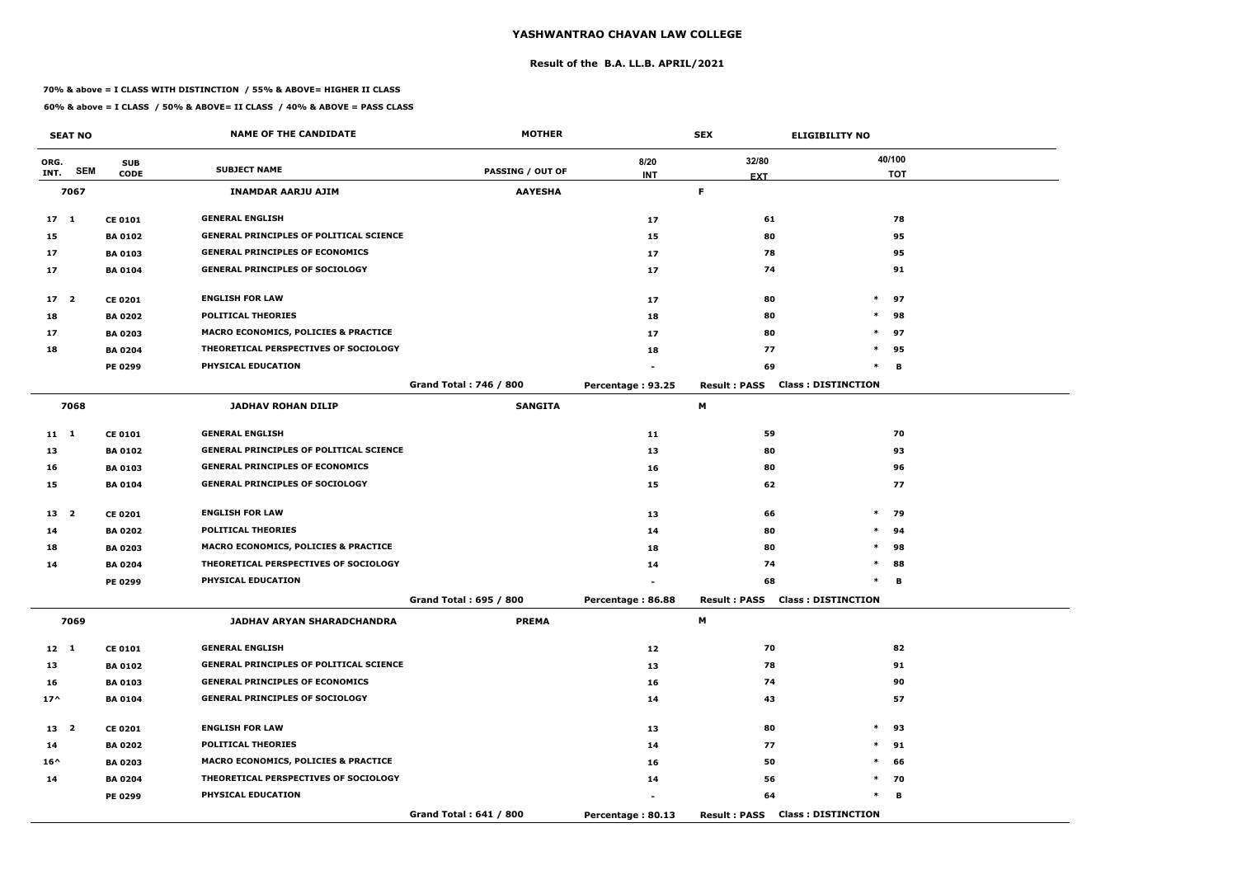#### **Result of the B.A. LL.B. APRIL/2021**

#### **70% & above = I CLASS WITH DISTINCTION / 55% & ABOVE= HIGHER II CLASS**

|                 | <b>SEAT NO</b> |                | <b>NAME OF THE CANDIDATE</b>                   | <b>MOTHER</b>                 |                   | <b>SEX</b>          | <b>ELIGIBILITY NO</b>                  |            |
|-----------------|----------------|----------------|------------------------------------------------|-------------------------------|-------------------|---------------------|----------------------------------------|------------|
| ORG.            |                | <b>SUB</b>     |                                                |                               | 8/20              | 32/80               |                                        | 40/100     |
| INT.            | <b>SEM</b>     | <b>CODE</b>    | <b>SUBJECT NAME</b>                            | <b>PASSING / OUT OF</b>       | <b>INT</b>        | <b>EXT</b>          |                                        | <b>TOT</b> |
|                 | 7067           |                | <b>INAMDAR AARJU AJIM</b>                      | <b>AAYESHA</b>                |                   | F.                  |                                        |            |
| $17 \quad 1$    |                | <b>CE 0101</b> | <b>GENERAL ENGLISH</b>                         |                               | 17                | 61                  |                                        | 78         |
| 15              |                | <b>BA 0102</b> | <b>GENERAL PRINCIPLES OF POLITICAL SCIENCE</b> |                               | 15                | 80                  |                                        | 95         |
| 17              |                | <b>BA 0103</b> | <b>GENERAL PRINCIPLES OF ECONOMICS</b>         |                               | 17                | 78                  |                                        | 95         |
| 17              |                | <b>BA 0104</b> | <b>GENERAL PRINCIPLES OF SOCIOLOGY</b>         |                               | 17                | 74                  |                                        | 91         |
| 17 <sup>2</sup> |                | <b>CE 0201</b> | <b>ENGLISH FOR LAW</b>                         |                               | 17                | 80                  | $\ast$                                 | 97         |
| 18              |                | <b>BA 0202</b> | <b>POLITICAL THEORIES</b>                      |                               | 18                | 80                  | $\ast$                                 | 98         |
| 17              |                | <b>BA 0203</b> | MACRO ECONOMICS, POLICIES & PRACTICE           |                               | 17                | 80                  | $\ast$                                 | 97         |
| 18              |                | <b>BA 0204</b> | THEORETICAL PERSPECTIVES OF SOCIOLOGY          |                               | 18                | 77                  | $\ast$                                 | 95         |
|                 |                | PE 0299        | PHYSICAL EDUCATION                             |                               |                   | 69                  | $\ast$                                 | В          |
|                 |                |                |                                                | <b>Grand Total: 746 / 800</b> | Percentage: 93.25 | <b>Result: PASS</b> | <b>Class: DISTINCTION</b>              |            |
|                 | 7068           |                | <b>JADHAV ROHAN DILIP</b>                      | <b>SANGITA</b>                |                   | М                   |                                        |            |
| $11 \quad 1$    |                | <b>CE 0101</b> | <b>GENERAL ENGLISH</b>                         |                               | 11                | 59                  |                                        | 70         |
| 13              |                | <b>BA 0102</b> | GENERAL PRINCIPLES OF POLITICAL SCIENCE        |                               | 13                | 80                  |                                        | 93         |
| 16              |                | <b>BA 0103</b> | <b>GENERAL PRINCIPLES OF ECONOMICS</b>         |                               | 16                | 80                  |                                        | 96         |
| 15              |                | <b>BA 0104</b> | <b>GENERAL PRINCIPLES OF SOCIOLOGY</b>         |                               | 15                | 62                  |                                        | 77         |
| 13 <sub>2</sub> |                | <b>CE 0201</b> | <b>ENGLISH FOR LAW</b>                         |                               | 13                | 66                  | $\ast$                                 | 79         |
| 14              |                | <b>BA 0202</b> | <b>POLITICAL THEORIES</b>                      |                               | 14                | 80                  | $\ast$                                 | 94         |
| 18              |                | <b>BA 0203</b> | MACRO ECONOMICS, POLICIES & PRACTICE           |                               | 18                | 80                  | $\ast$                                 | 98         |
| 14              |                | <b>BA 0204</b> | THEORETICAL PERSPECTIVES OF SOCIOLOGY          |                               | 14                | 74                  | $\ast$                                 | 88         |
|                 |                | <b>PE 0299</b> | PHYSICAL EDUCATION                             |                               |                   | 68                  | $\ast$                                 | в          |
|                 |                |                |                                                | Grand Total: 695 / 800        | Percentage: 86.88 |                     | <b>Result: PASS Class: DISTINCTION</b> |            |
|                 | 7069           |                | JADHAV ARYAN SHARADCHANDRA                     | <b>PREMA</b>                  |                   | M                   |                                        |            |
| 12 1            |                | <b>CE 0101</b> | <b>GENERAL ENGLISH</b>                         |                               | 12                | 70                  |                                        | 82         |
| 13              |                | <b>BA 0102</b> | <b>GENERAL PRINCIPLES OF POLITICAL SCIENCE</b> |                               | 13                | 78                  |                                        | 91         |
| 16              |                | <b>BA 0103</b> | <b>GENERAL PRINCIPLES OF ECONOMICS</b>         |                               | 16                | 74                  |                                        | 90         |
| $17^{\wedge}$   |                | <b>BA 0104</b> | <b>GENERAL PRINCIPLES OF SOCIOLOGY</b>         |                               | 14                | 43                  |                                        | 57         |
| 13 <sup>2</sup> |                | <b>CE 0201</b> | <b>ENGLISH FOR LAW</b>                         |                               | 13                | 80                  | $\ast$                                 | 93         |
| 14              |                | <b>BA 0202</b> | <b>POLITICAL THEORIES</b>                      |                               | 14                | 77                  | $*$                                    | 91         |
| $16^{\wedge}$   |                | <b>BA 0203</b> | MACRO ECONOMICS, POLICIES & PRACTICE           |                               | 16                | 50                  | $\ast$                                 | 66         |
| 14              |                | <b>BA 0204</b> | THEORETICAL PERSPECTIVES OF SOCIOLOGY          |                               | 14                | 56                  |                                        | $*$ 70     |
|                 |                | <b>PE 0299</b> | PHYSICAL EDUCATION                             |                               |                   | 64                  | $\ast$                                 | в          |
|                 |                |                |                                                | Grand Total: 641 / 800        | Percentage: 80.13 |                     | <b>Result: PASS Class: DISTINCTION</b> |            |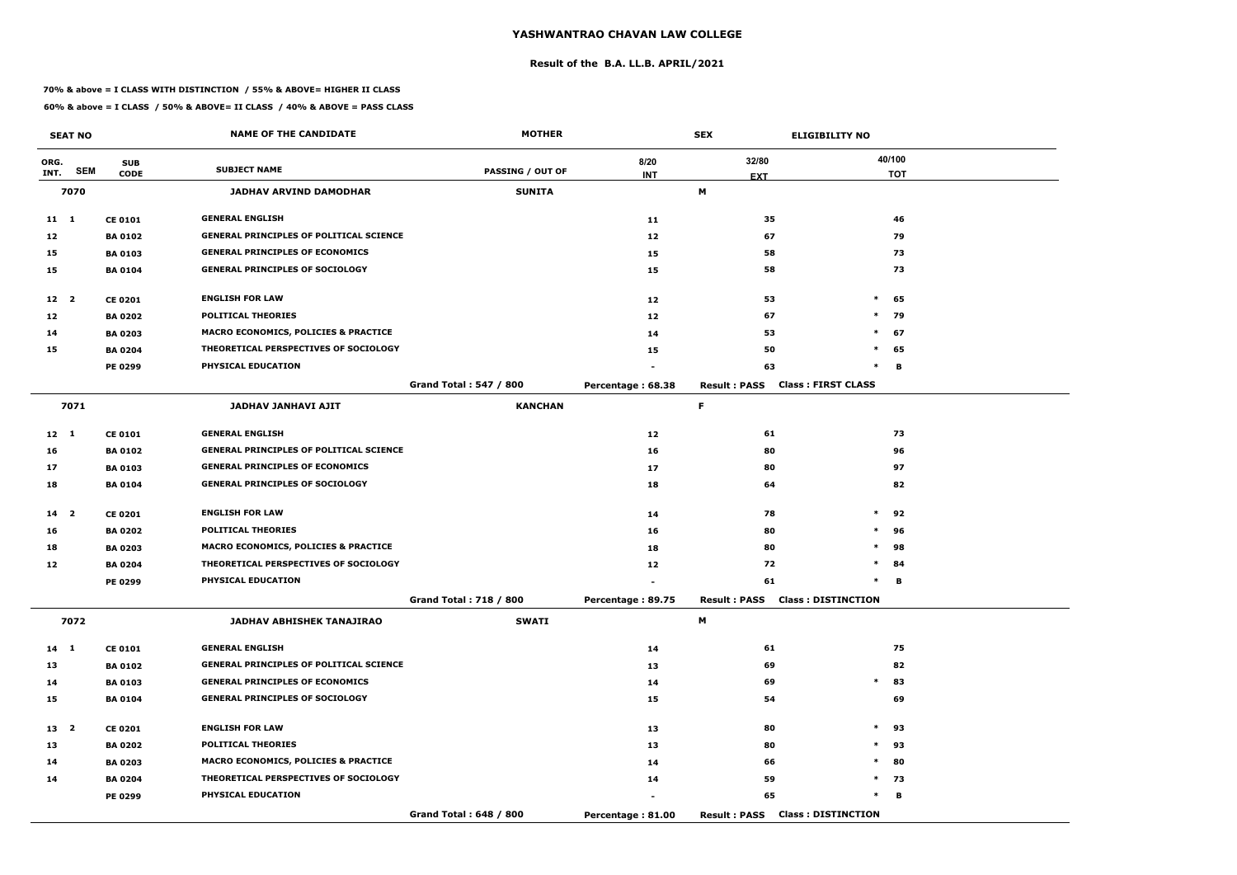#### **Result of the B.A. LL.B. APRIL/2021**

#### **70% & above = I CLASS WITH DISTINCTION / 55% & ABOVE= HIGHER II CLASS**

|                 | <b>SEAT NO</b> |                | <b>NAME OF THE CANDIDATE</b>                    | <b>MOTHER</b>                 |                   | <b>SEX</b>                             | <b>ELIGIBILITY NO</b>     |
|-----------------|----------------|----------------|-------------------------------------------------|-------------------------------|-------------------|----------------------------------------|---------------------------|
| ORG.            |                | <b>SUB</b>     |                                                 |                               | 8/20              | 32/80                                  | 40/100                    |
| INT.            | <b>SEM</b>     | <b>CODE</b>    | <b>SUBJECT NAME</b>                             | <b>PASSING / OUT OF</b>       | <b>INT</b>        | <b>EXT</b>                             | <b>TOT</b>                |
|                 | 7070           |                | <b>JADHAV ARVIND DAMODHAR</b>                   | <b>SUNITA</b>                 |                   | М                                      |                           |
| $11 \quad 1$    |                | <b>CE 0101</b> | <b>GENERAL ENGLISH</b>                          |                               | 11                | 35                                     | 46                        |
| 12              |                | <b>BA 0102</b> | <b>GENERAL PRINCIPLES OF POLITICAL SCIENCE</b>  |                               | 12                | 67                                     | 79                        |
| 15              |                | <b>BA 0103</b> | <b>GENERAL PRINCIPLES OF ECONOMICS</b>          |                               | 15                | 58                                     | 73                        |
| 15              |                | <b>BA 0104</b> | <b>GENERAL PRINCIPLES OF SOCIOLOGY</b>          |                               | 15                | 58                                     | 73                        |
| 12 2            |                | <b>CE 0201</b> | <b>ENGLISH FOR LAW</b>                          |                               | 12                | 53                                     | $\ast$<br>65              |
| 12              |                | <b>BA 0202</b> | <b>POLITICAL THEORIES</b>                       |                               | 12                | 67                                     | $\ast$<br>79              |
| 14              |                | <b>BA 0203</b> | <b>MACRO ECONOMICS, POLICIES &amp; PRACTICE</b> |                               | 14                | 53                                     | $\ast$<br>67              |
| 15              |                | <b>BA 0204</b> | THEORETICAL PERSPECTIVES OF SOCIOLOGY           |                               | 15                | 50                                     | $\ast$<br>65              |
|                 |                | PE 0299        | PHYSICAL EDUCATION                              |                               |                   | 63                                     | $\ast$<br>в               |
|                 |                |                |                                                 | <b>Grand Total: 547 / 800</b> | Percentage: 68.38 | <b>Result: PASS</b>                    | <b>Class: FIRST CLASS</b> |
|                 | 7071           |                | <b>JADHAV JANHAVI AJIT</b>                      | <b>KANCHAN</b>                |                   | F.                                     |                           |
| $12 \quad 1$    |                | <b>CE 0101</b> | <b>GENERAL ENGLISH</b>                          |                               | 12                | 61                                     | 73                        |
| 16              |                | <b>BA 0102</b> | <b>GENERAL PRINCIPLES OF POLITICAL SCIENCE</b>  |                               | 16                | 80                                     | 96                        |
| 17              |                | <b>BA 0103</b> | <b>GENERAL PRINCIPLES OF ECONOMICS</b>          |                               | 17                | 80                                     | 97                        |
| 18              |                | <b>BA 0104</b> | <b>GENERAL PRINCIPLES OF SOCIOLOGY</b>          |                               | 18                | 64                                     | 82                        |
| 14 <sub>2</sub> |                | <b>CE 0201</b> | <b>ENGLISH FOR LAW</b>                          |                               | 14                | 78                                     | $\ast$<br>92              |
| 16              |                | <b>BA 0202</b> | <b>POLITICAL THEORIES</b>                       |                               | 16                | 80                                     | $\ast$<br>96              |
| 18              |                | <b>BA 0203</b> | <b>MACRO ECONOMICS, POLICIES &amp; PRACTICE</b> |                               | 18                | 80                                     | $\ast$<br>98              |
| 12              |                | <b>BA 0204</b> | THEORETICAL PERSPECTIVES OF SOCIOLOGY           |                               | 12                | 72                                     | $\ast$<br>84              |
|                 |                | PE 0299        | PHYSICAL EDUCATION                              |                               |                   | 61                                     | $\ast$<br>В               |
|                 |                |                |                                                 | <b>Grand Total: 718 / 800</b> | Percentage: 89.75 | <b>Result : PASS</b>                   | <b>Class: DISTINCTION</b> |
|                 | 7072           |                | JADHAV ABHISHEK TANAJIRAO                       | <b>SWATI</b>                  |                   | M                                      |                           |
| 14 1            |                | <b>CE 0101</b> | <b>GENERAL ENGLISH</b>                          |                               | 14                | 61                                     | 75                        |
| 13              |                | <b>BA 0102</b> | <b>GENERAL PRINCIPLES OF POLITICAL SCIENCE</b>  |                               | 13                | 69                                     | 82                        |
| 14              |                | <b>BA 0103</b> | <b>GENERAL PRINCIPLES OF ECONOMICS</b>          |                               | 14                | 69                                     | $\ast$<br>83              |
| 15              |                | <b>BA 0104</b> | <b>GENERAL PRINCIPLES OF SOCIOLOGY</b>          |                               | 15                | 54                                     | 69                        |
| 13 <sup>2</sup> |                | <b>CE 0201</b> | <b>ENGLISH FOR LAW</b>                          |                               | 13                | 80                                     | $*$ 93                    |
| 13              |                | <b>BA 0202</b> | <b>POLITICAL THEORIES</b>                       |                               | 13                | 80                                     | $\ast$<br>93              |
| 14              |                | <b>BA 0203</b> | <b>MACRO ECONOMICS, POLICIES &amp; PRACTICE</b> |                               | 14                | 66                                     | $\ast$<br>80              |
| 14              |                | <b>BA 0204</b> | THEORETICAL PERSPECTIVES OF SOCIOLOGY           |                               | 14                | 59                                     | $*$ 73                    |
|                 |                | <b>PE 0299</b> | PHYSICAL EDUCATION                              |                               |                   | 65                                     | $\ast$<br>в               |
|                 |                |                |                                                 | Grand Total: 648 / 800        | Percentage: 81.00 | <b>Result: PASS Class: DISTINCTION</b> |                           |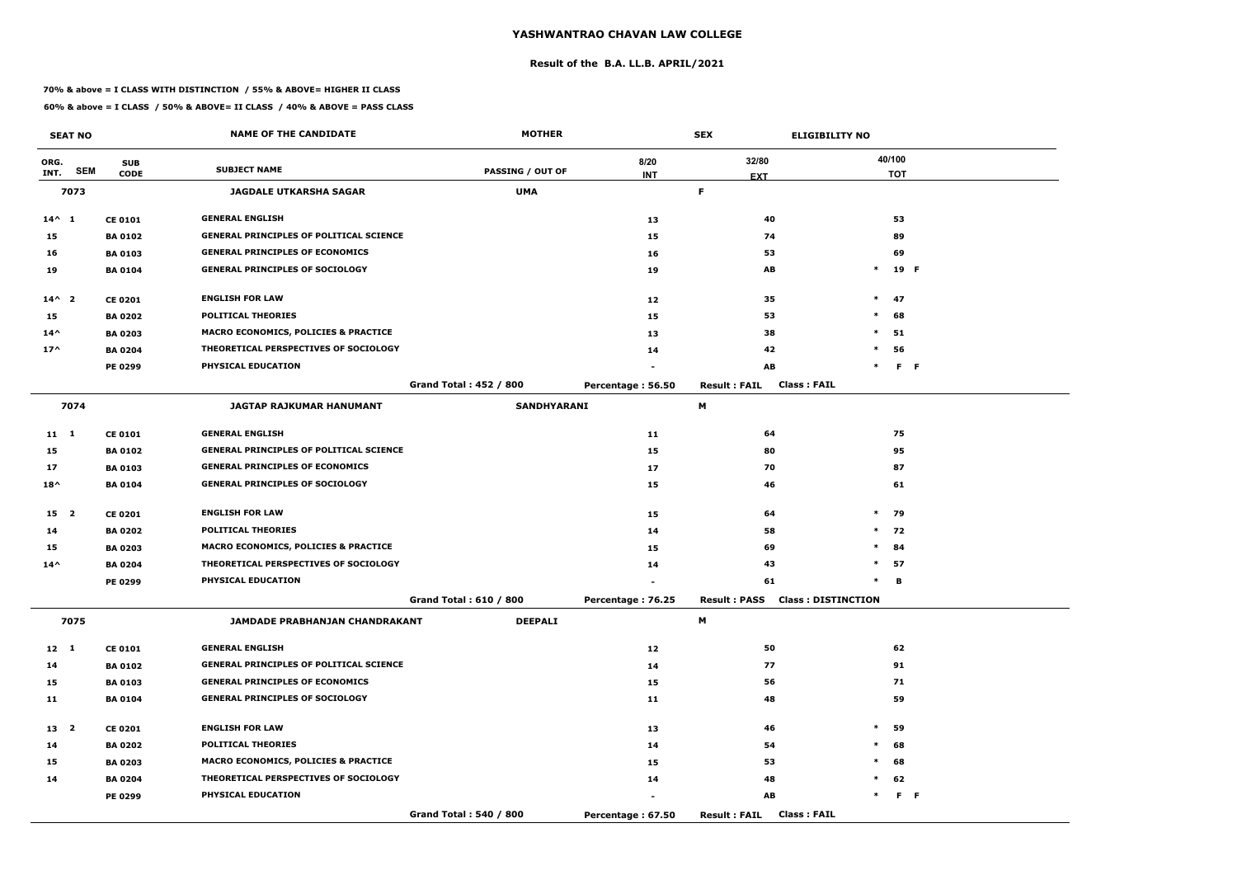#### **Result of the B.A. LL.B. APRIL/2021**

#### **70% & above = I CLASS WITH DISTINCTION / 55% & ABOVE= HIGHER II CLASS**

|                 | <b>SEAT NO</b> |                | <b>NAME OF THE CANDIDATE</b>                    | <b>MOTHER</b>                 |                   | <b>SEX</b>                                 | <b>ELIGIBILITY NO</b> |
|-----------------|----------------|----------------|-------------------------------------------------|-------------------------------|-------------------|--------------------------------------------|-----------------------|
| ORG.            | <b>SEM</b>     | <b>SUB</b>     | <b>SUBJECT NAME</b>                             | <b>PASSING / OUT OF</b>       | 8/20              | 32/80                                      | 40/100                |
| INT.            |                | <b>CODE</b>    |                                                 |                               | <b>INT</b>        | <b>EXT</b>                                 | <b>TOT</b>            |
|                 | 7073           |                | <b>JAGDALE UTKARSHA SAGAR</b>                   | <b>UMA</b>                    |                   | F.                                         |                       |
| $14^{\wedge} 1$ |                | <b>CE 0101</b> | <b>GENERAL ENGLISH</b>                          |                               | 13                | 40                                         | 53                    |
| 15              |                | <b>BA0102</b>  | <b>GENERAL PRINCIPLES OF POLITICAL SCIENCE</b>  |                               | 15                | 74                                         | 89                    |
| 16              |                | <b>BA 0103</b> | <b>GENERAL PRINCIPLES OF ECONOMICS</b>          |                               | 16                | 53                                         | 69                    |
| 19              |                | <b>BA 0104</b> | <b>GENERAL PRINCIPLES OF SOCIOLOGY</b>          |                               | 19                | AB                                         | 19 F<br>$\ast$        |
| $14^{\wedge}2$  |                | <b>CE 0201</b> | <b>ENGLISH FOR LAW</b>                          |                               | 12                | 35                                         | $\ast$<br>47          |
| 15              |                | <b>BA 0202</b> | <b>POLITICAL THEORIES</b>                       |                               | 15                | 53                                         | $\ast$<br>68          |
| $14^{\wedge}$   |                | <b>BA 0203</b> | <b>MACRO ECONOMICS, POLICIES &amp; PRACTICE</b> |                               | 13                | 38                                         | $\ast$<br>51          |
| $17^$           |                | <b>BA 0204</b> | THEORETICAL PERSPECTIVES OF SOCIOLOGY           |                               | 14                | 42                                         | 56<br>$\ast$          |
|                 |                | <b>PE 0299</b> | PHYSICAL EDUCATION                              |                               |                   | AB                                         | $F - F$<br>$\ast$     |
|                 |                |                |                                                 | <b>Grand Total: 452 / 800</b> | Percentage: 56.50 | <b>Class: FAIL</b><br><b>Result: FAIL</b>  |                       |
|                 | 7074           |                | <b>JAGTAP RAJKUMAR HANUMANT</b>                 | <b>SANDHYARANI</b>            |                   | M                                          |                       |
| 11 1            |                | <b>CE 0101</b> | <b>GENERAL ENGLISH</b>                          |                               | 11                | 64                                         | 75                    |
| 15              |                | <b>BA0102</b>  | <b>GENERAL PRINCIPLES OF POLITICAL SCIENCE</b>  |                               | 15                | 80                                         | 95                    |
| 17              |                | <b>BA0103</b>  | <b>GENERAL PRINCIPLES OF ECONOMICS</b>          |                               | 17                | 70                                         | 87                    |
| $18^{\wedge}$   |                | <b>BA 0104</b> | <b>GENERAL PRINCIPLES OF SOCIOLOGY</b>          |                               | 15                | 46                                         | 61                    |
| 15 2            |                | <b>CE 0201</b> | <b>ENGLISH FOR LAW</b>                          |                               | 15                | 64                                         | $\ast$<br>79          |
| 14              |                | <b>BA 0202</b> | <b>POLITICAL THEORIES</b>                       |                               | 14                | 58                                         | $*$ 72                |
| 15              |                | <b>BA 0203</b> | <b>MACRO ECONOMICS, POLICIES &amp; PRACTICE</b> |                               | 15                | 69                                         | 84<br>$*$             |
| $14^{\wedge}$   |                | <b>BA 0204</b> | THEORETICAL PERSPECTIVES OF SOCIOLOGY           |                               | 14                | 43                                         | $\ast$<br>57          |
|                 |                | PE 0299        | <b>PHYSICAL EDUCATION</b>                       |                               |                   | 61                                         | в<br>$\ast$           |
|                 |                |                |                                                 | Grand Total: 610 / 800        | Percentage: 76.25 | <b>Result: PASS Class: DISTINCTION</b>     |                       |
|                 | 7075           |                | JAMDADE PRABHANJAN CHANDRAKANT                  | <b>DEEPALI</b>                |                   | M                                          |                       |
| $12 \quad 1$    |                | <b>CE 0101</b> | <b>GENERAL ENGLISH</b>                          |                               | 12                | 50                                         | 62                    |
| 14              |                | <b>BA 0102</b> | <b>GENERAL PRINCIPLES OF POLITICAL SCIENCE</b>  |                               | 14                | 77                                         | 91                    |
| 15              |                | <b>BA 0103</b> | <b>GENERAL PRINCIPLES OF ECONOMICS</b>          |                               | 15                | 56                                         | 71                    |
| 11              |                | <b>BA 0104</b> | <b>GENERAL PRINCIPLES OF SOCIOLOGY</b>          |                               | 11                | 48                                         | 59                    |
| 13 <sub>2</sub> |                | <b>CE 0201</b> | <b>ENGLISH FOR LAW</b>                          |                               | 13                | 46                                         | $\ast$<br>59          |
| 14              |                | <b>BA 0202</b> | <b>POLITICAL THEORIES</b>                       |                               | 14                | 54                                         | $\ast$<br>68          |
| 15              |                | <b>BA 0203</b> | <b>MACRO ECONOMICS, POLICIES &amp; PRACTICE</b> |                               | 15                | 53                                         | 68<br>$\ast$          |
| 14              |                | <b>BA 0204</b> | THEORETICAL PERSPECTIVES OF SOCIOLOGY           |                               | 14                | 48                                         | 62<br>$\ast$          |
|                 |                | <b>PE 0299</b> | <b>PHYSICAL EDUCATION</b>                       |                               |                   | AB                                         | $F - F$<br>$\ast$     |
|                 |                |                |                                                 | Grand Total: 540 / 800        | Percentage: 67.50 | <b>Class: FAIL</b><br><b>Result : FAIL</b> |                       |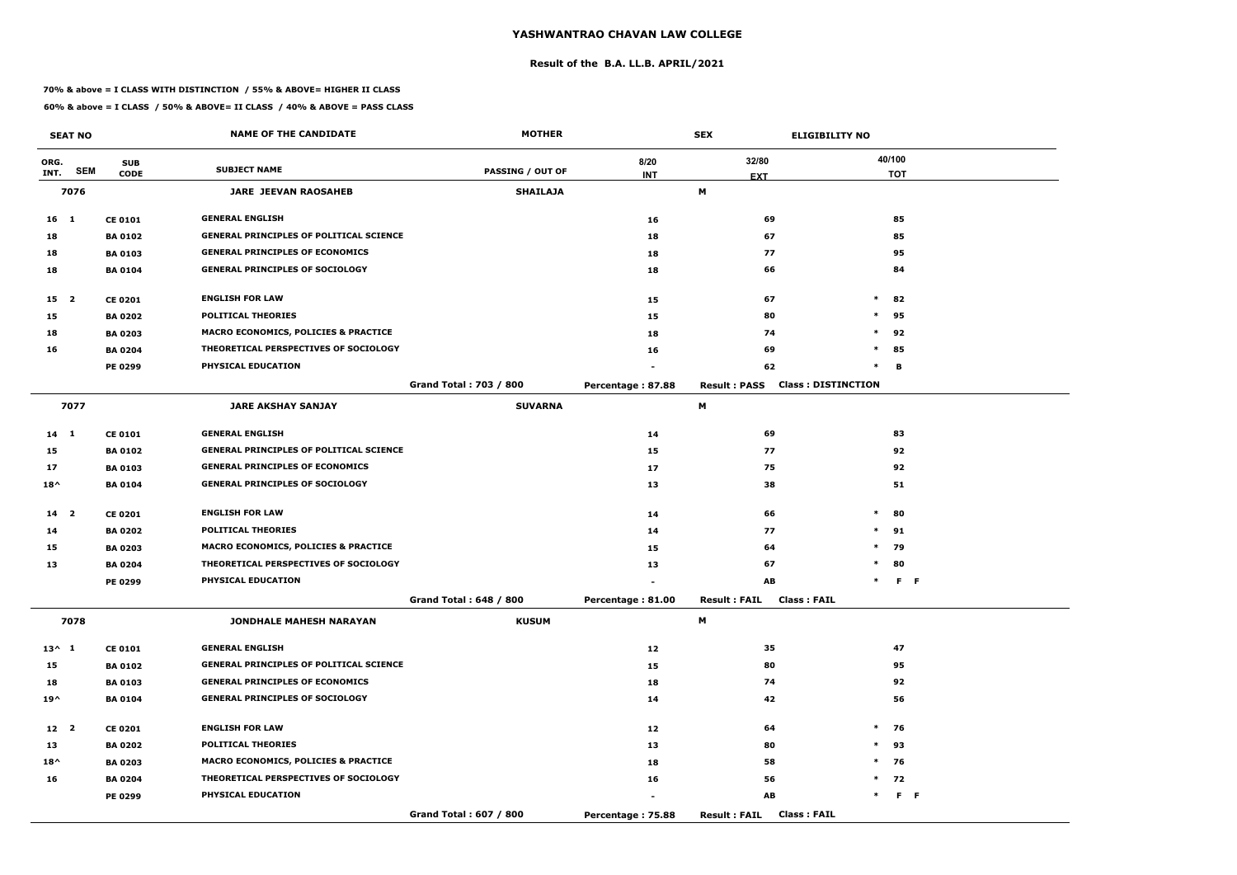#### **Result of the B.A. LL.B. APRIL/2021**

#### **70% & above = I CLASS WITH DISTINCTION / 55% & ABOVE= HIGHER II CLASS**

|                 | <b>SEAT NO</b> |                | <b>NAME OF THE CANDIDATE</b>                    | <b>MOTHER</b>                 |                   | <b>SEX</b><br><b>ELIGIBILITY NO</b>              |        |            |                |
|-----------------|----------------|----------------|-------------------------------------------------|-------------------------------|-------------------|--------------------------------------------------|--------|------------|----------------|
| ORG.            |                | <b>SUB</b>     |                                                 |                               | 8/20              | 32/80                                            |        | 40/100     |                |
| INT.            | <b>SEM</b>     | <b>CODE</b>    | <b>SUBJECT NAME</b>                             | <b>PASSING / OUT OF</b>       | <b>INT</b>        | <b>EXT</b>                                       |        | <b>TOT</b> |                |
|                 | 7076           |                | <b>JARE JEEVAN RAOSAHEB</b>                     | <b>SHAILAJA</b>               |                   | М                                                |        |            |                |
| $16 \quad 1$    |                | <b>CE 0101</b> | <b>GENERAL ENGLISH</b>                          |                               | 16                | 69                                               |        | 85         |                |
| 18              |                | <b>BA 0102</b> | <b>GENERAL PRINCIPLES OF POLITICAL SCIENCE</b>  |                               | 18                | 67                                               |        | 85         |                |
| 18              |                | <b>BA 0103</b> | <b>GENERAL PRINCIPLES OF ECONOMICS</b>          |                               | 18                | 77                                               |        | 95         |                |
| 18              |                | <b>BA 0104</b> | <b>GENERAL PRINCIPLES OF SOCIOLOGY</b>          |                               | 18                | 66                                               |        | 84         |                |
| 15 2            |                | <b>CE 0201</b> | <b>ENGLISH FOR LAW</b>                          |                               | 15                | 67                                               | $\ast$ | 82         |                |
| 15              |                | <b>BA 0202</b> | <b>POLITICAL THEORIES</b>                       |                               | 15                | 80                                               | $\ast$ | 95         |                |
| 18              |                | <b>BA 0203</b> | <b>MACRO ECONOMICS, POLICIES &amp; PRACTICE</b> |                               | 18                | 74                                               | $\ast$ | 92         |                |
| 16              |                | <b>BA 0204</b> | THEORETICAL PERSPECTIVES OF SOCIOLOGY           |                               | 16                | 69                                               | $\ast$ | 85         |                |
|                 |                | PE 0299        | PHYSICAL EDUCATION                              |                               |                   | 62                                               | $\ast$ | B          |                |
|                 |                |                |                                                 | <b>Grand Total: 703 / 800</b> | Percentage: 87.88 | <b>Class: DISTINCTION</b><br><b>Result: PASS</b> |        |            |                |
|                 | 7077           |                | <b>JARE AKSHAY SANJAY</b>                       | <b>SUVARNA</b>                |                   | М                                                |        |            |                |
| $14 \quad 1$    |                | <b>CE 0101</b> | <b>GENERAL ENGLISH</b>                          |                               | 14                | 69                                               |        | 83         |                |
| 15              |                | <b>BA 0102</b> | <b>GENERAL PRINCIPLES OF POLITICAL SCIENCE</b>  |                               | 15                | 77                                               |        | 92         |                |
| 17              |                | <b>BA 0103</b> | <b>GENERAL PRINCIPLES OF ECONOMICS</b>          |                               | 17                | 75                                               |        | 92         |                |
| $18^{\wedge}$   |                | <b>BA 0104</b> | <b>GENERAL PRINCIPLES OF SOCIOLOGY</b>          |                               | 13                | 38                                               |        | 51         |                |
| 14 <sub>2</sub> |                | <b>CE 0201</b> | <b>ENGLISH FOR LAW</b>                          |                               | 14                | 66                                               | $\ast$ | 80         |                |
| 14              |                | <b>BA 0202</b> | <b>POLITICAL THEORIES</b>                       |                               | 14                | 77                                               | $*$    | 91         |                |
| 15              |                | <b>BA 0203</b> | <b>MACRO ECONOMICS, POLICIES &amp; PRACTICE</b> |                               | 15                | 64                                               | $\ast$ | 79         |                |
| 13              |                | <b>BA 0204</b> | THEORETICAL PERSPECTIVES OF SOCIOLOGY           |                               | 13                | 67                                               | $\ast$ | 80         |                |
|                 |                | <b>PE 0299</b> | PHYSICAL EDUCATION                              |                               |                   | AB                                               | $\ast$ |            | F <sub>F</sub> |
|                 |                |                |                                                 | Grand Total: 648 / 800        | Percentage: 81.00 | <b>Class: FAIL</b><br><b>Result: FAIL</b>        |        |            |                |
|                 | 7078           |                | <b>JONDHALE MAHESH NARAYAN</b>                  | <b>KUSUM</b>                  |                   | M                                                |        |            |                |
| $13^{\wedge} 1$ |                | <b>CE 0101</b> | <b>GENERAL ENGLISH</b>                          |                               | 12                | 35                                               |        | 47         |                |
| 15              |                | <b>BA 0102</b> | <b>GENERAL PRINCIPLES OF POLITICAL SCIENCE</b>  |                               | 15                | 80                                               |        | 95         |                |
| 18              |                | <b>BA 0103</b> | <b>GENERAL PRINCIPLES OF ECONOMICS</b>          |                               | 18                | 74                                               |        | 92         |                |
| $19^{\wedge}$   |                | <b>BA 0104</b> | <b>GENERAL PRINCIPLES OF SOCIOLOGY</b>          |                               | 14                | 42                                               |        | 56         |                |
| 12 <sup>2</sup> |                | <b>CE 0201</b> | <b>ENGLISH FOR LAW</b>                          |                               | 12                | 64                                               |        | $*$ 76     |                |
| 13              |                | <b>BA 0202</b> | <b>POLITICAL THEORIES</b>                       |                               | 13                | 80                                               | $\ast$ | 93         |                |
| $18^{\wedge}$   |                | <b>BA 0203</b> | <b>MACRO ECONOMICS, POLICIES &amp; PRACTICE</b> |                               | 18                | 58                                               |        | $*$ 76     |                |
| 16              |                | <b>BA 0204</b> | THEORETICAL PERSPECTIVES OF SOCIOLOGY           |                               | 16                | 56                                               |        | $*$ 72     |                |
|                 |                | <b>PE 0299</b> | PHYSICAL EDUCATION                              |                               |                   | $\boldsymbol{\mathsf{A}\mathsf{B}}$              | $\ast$ |            | F <sub>F</sub> |
|                 |                |                |                                                 | Grand Total: 607 / 800        | Percentage: 75.88 | <b>Class: FAIL</b><br><b>Result: FAIL</b>        |        |            |                |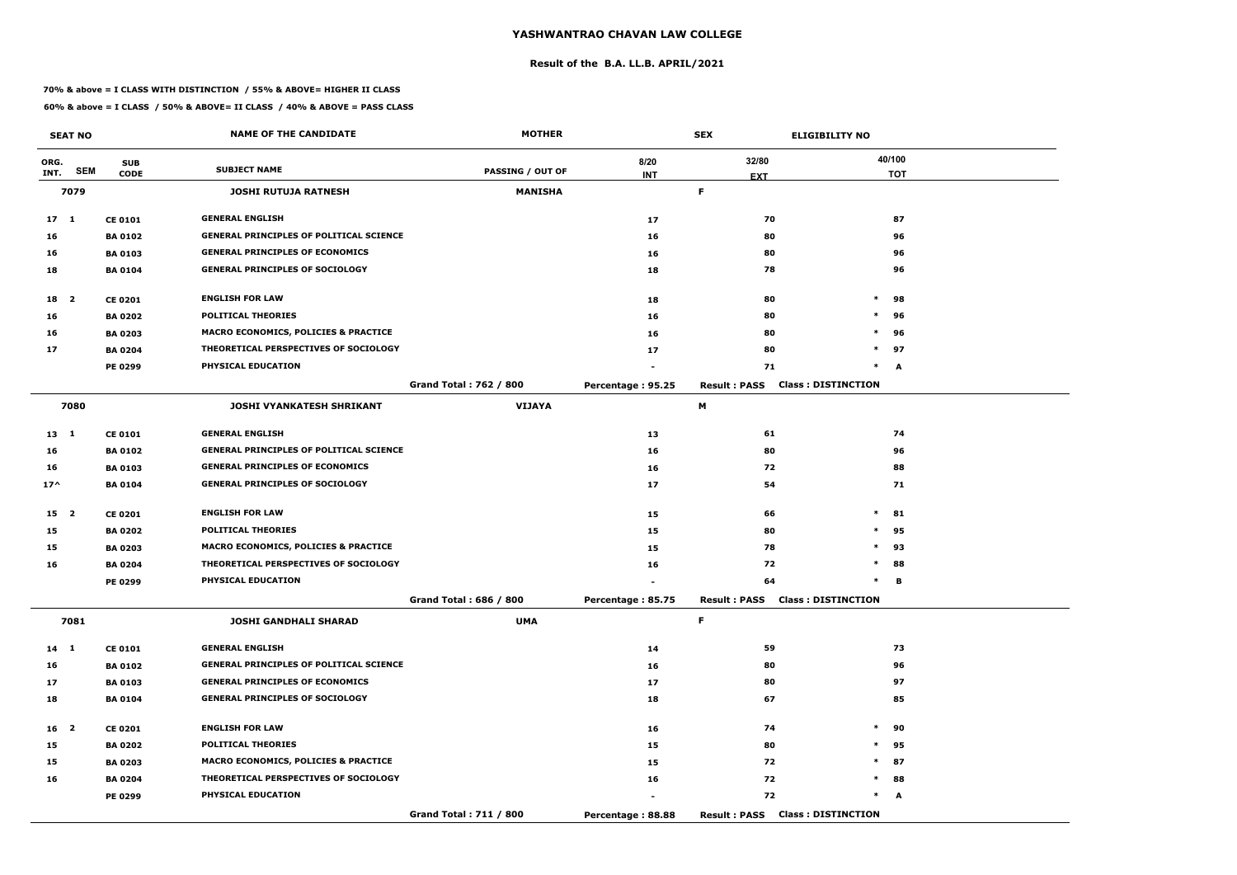#### **Result of the B.A. LL.B. APRIL/2021**

#### **70% & above = I CLASS WITH DISTINCTION / 55% & ABOVE= HIGHER II CLASS**

|                 | <b>SEAT NO</b> |                | <b>NAME OF THE CANDIDATE</b>                   | <b>MOTHER</b>                 |                   | <b>SEX</b>          | <b>ELIGIBILITY NO</b>                  |            |
|-----------------|----------------|----------------|------------------------------------------------|-------------------------------|-------------------|---------------------|----------------------------------------|------------|
| ORG.            |                | <b>SUB</b>     |                                                |                               | 8/20              | 32/80               |                                        | 40/100     |
| INT.            | <b>SEM</b>     | <b>CODE</b>    | <b>SUBJECT NAME</b>                            | <b>PASSING / OUT OF</b>       | <b>INT</b>        | <b>EXT</b>          |                                        | <b>TOT</b> |
|                 | 7079           |                | <b>JOSHI RUTUJA RATNESH</b>                    | <b>MANISHA</b>                |                   | F.                  |                                        |            |
| 17 <sub>1</sub> |                | <b>CE 0101</b> | <b>GENERAL ENGLISH</b>                         |                               | 17                | 70                  |                                        | 87         |
| 16              |                | <b>BA 0102</b> | <b>GENERAL PRINCIPLES OF POLITICAL SCIENCE</b> |                               | 16                | 80                  |                                        | 96         |
| 16              |                | <b>BA 0103</b> | <b>GENERAL PRINCIPLES OF ECONOMICS</b>         |                               | 16                | 80                  |                                        | 96         |
| 18              |                | <b>BA 0104</b> | <b>GENERAL PRINCIPLES OF SOCIOLOGY</b>         |                               | 18                | 78                  |                                        | 96         |
| 18 2            |                | <b>CE 0201</b> | <b>ENGLISH FOR LAW</b>                         |                               | 18                | 80                  | $\ast$                                 | 98         |
| 16              |                | <b>BA 0202</b> | <b>POLITICAL THEORIES</b>                      |                               | 16                | 80                  | $\ast$                                 | 96         |
| 16              |                | <b>BA 0203</b> | MACRO ECONOMICS, POLICIES & PRACTICE           |                               | 16                | 80                  | $\ast$                                 | 96         |
| 17              |                | <b>BA 0204</b> | THEORETICAL PERSPECTIVES OF SOCIOLOGY          |                               | 17                | 80                  |                                        | $*$ 97     |
|                 |                | PE 0299        | PHYSICAL EDUCATION                             |                               |                   | 71                  | $\ast$                                 | A          |
|                 |                |                |                                                | <b>Grand Total: 762 / 800</b> | Percentage: 95.25 | <b>Result: PASS</b> | <b>Class: DISTINCTION</b>              |            |
|                 | 7080           |                | JOSHI VYANKATESH SHRIKANT                      | <b>VIJAYA</b>                 |                   | М                   |                                        |            |
| $13 \quad 1$    |                | <b>CE 0101</b> | <b>GENERAL ENGLISH</b>                         |                               | 13                | 61                  |                                        | 74         |
| 16              |                | <b>BA 0102</b> | <b>GENERAL PRINCIPLES OF POLITICAL SCIENCE</b> |                               | 16                | 80                  |                                        | 96         |
| 16              |                | <b>BA 0103</b> | <b>GENERAL PRINCIPLES OF ECONOMICS</b>         |                               | 16                | 72                  |                                        | 88         |
| $17^$           |                | <b>BA 0104</b> | <b>GENERAL PRINCIPLES OF SOCIOLOGY</b>         |                               | 17                | 54                  |                                        | 71         |
| 15 <sub>2</sub> |                | <b>CE 0201</b> | <b>ENGLISH FOR LAW</b>                         |                               | 15                | 66                  | $\ast$                                 | 81         |
| 15              |                | <b>BA 0202</b> | <b>POLITICAL THEORIES</b>                      |                               | 15                | 80                  | $\ast$                                 | 95         |
| 15              |                | <b>BA 0203</b> | MACRO ECONOMICS, POLICIES & PRACTICE           |                               | 15                | 78                  | $\ast$                                 | 93         |
| 16              |                | <b>BA 0204</b> | THEORETICAL PERSPECTIVES OF SOCIOLOGY          |                               | 16                | 72                  | $\ast$                                 | 88         |
|                 |                | <b>PE 0299</b> | PHYSICAL EDUCATION                             |                               |                   | 64                  | $\ast$                                 | в          |
|                 |                |                |                                                | Grand Total: 686 / 800        | Percentage: 85.75 |                     | <b>Result: PASS Class: DISTINCTION</b> |            |
|                 | 7081           |                | <b>JOSHI GANDHALI SHARAD</b>                   | <b>UMA</b>                    |                   | F.                  |                                        |            |
| 14 1            |                | <b>CE 0101</b> | <b>GENERAL ENGLISH</b>                         |                               | 14                | 59                  |                                        | 73         |
| 16              |                | <b>BA 0102</b> | <b>GENERAL PRINCIPLES OF POLITICAL SCIENCE</b> |                               | 16                | 80                  |                                        | 96         |
| 17              |                | <b>BA 0103</b> | <b>GENERAL PRINCIPLES OF ECONOMICS</b>         |                               | 17                | 80                  |                                        | 97         |
| 18              |                | <b>BA 0104</b> | <b>GENERAL PRINCIPLES OF SOCIOLOGY</b>         |                               | 18                | 67                  |                                        | 85         |
| 16 <sub>2</sub> |                | <b>CE 0201</b> | <b>ENGLISH FOR LAW</b>                         |                               | 16                | 74                  | $\ast$                                 | 90         |
| 15              |                | <b>BA 0202</b> | <b>POLITICAL THEORIES</b>                      |                               | 15                | 80                  | $\ast$                                 | 95         |
| 15              |                | <b>BA 0203</b> | MACRO ECONOMICS, POLICIES & PRACTICE           |                               | 15                | 72                  | $\ast$                                 | 87         |
| 16              |                | <b>BA 0204</b> | THEORETICAL PERSPECTIVES OF SOCIOLOGY          |                               | 16                | 72                  |                                        | $*$ 88     |
|                 |                | <b>PE 0299</b> | PHYSICAL EDUCATION                             |                               |                   | 72                  | $\ast$                                 | A          |
|                 |                |                |                                                | Grand Total: 711 / 800        | Percentage: 88.88 |                     | <b>Result: PASS Class: DISTINCTION</b> |            |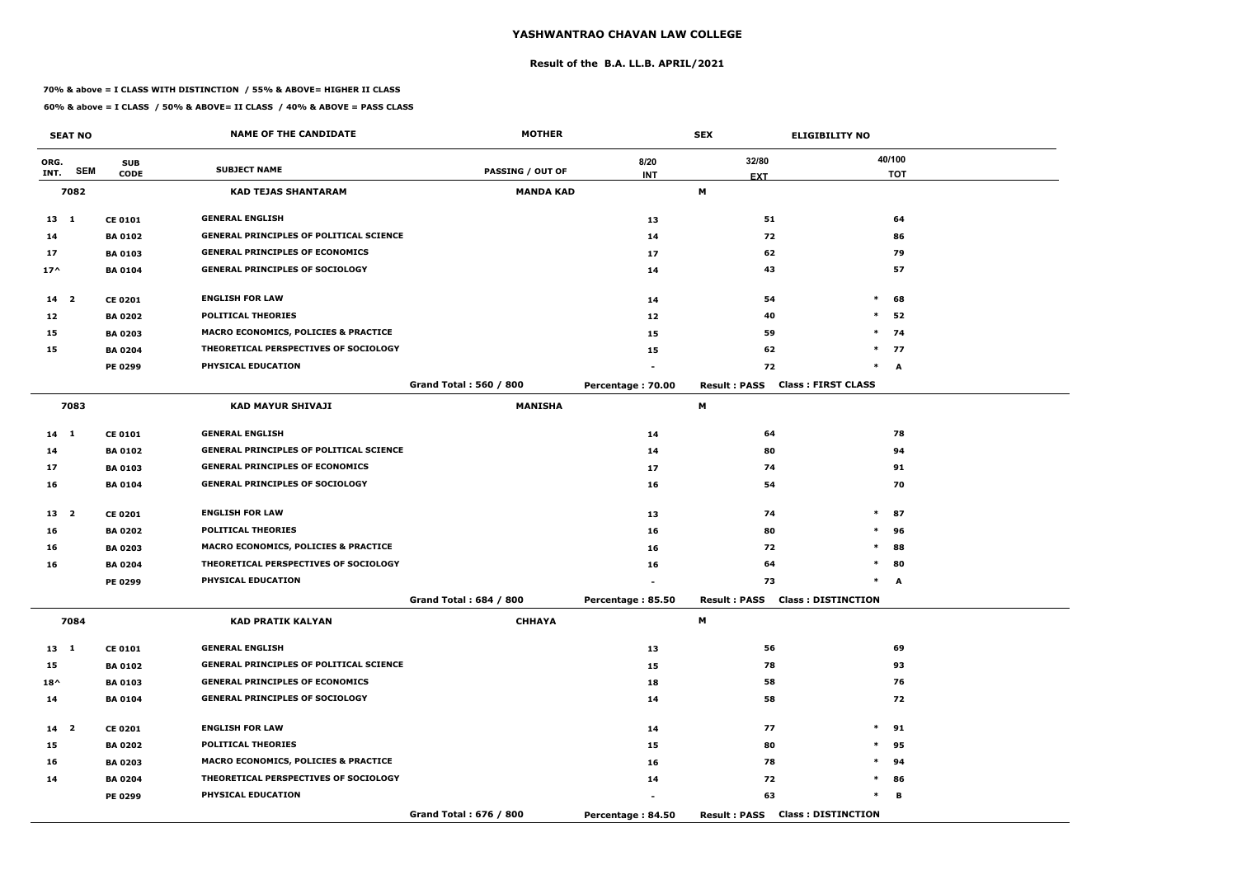#### **Result of the B.A. LL.B. APRIL/2021**

#### **70% & above = I CLASS WITH DISTINCTION / 55% & ABOVE= HIGHER II CLASS**

|                 | <b>SEAT NO</b> |                | <b>NAME OF THE CANDIDATE</b>                   | <b>MOTHER</b>                 |                   | <b>SEX</b>          | <b>ELIGIBILITY NO</b>                  |            |
|-----------------|----------------|----------------|------------------------------------------------|-------------------------------|-------------------|---------------------|----------------------------------------|------------|
| ORG.            |                | <b>SUB</b>     |                                                |                               | 8/20              | 32/80               |                                        | 40/100     |
| INT.            | <b>SEM</b>     | <b>CODE</b>    | <b>SUBJECT NAME</b>                            | <b>PASSING / OUT OF</b>       | <b>INT</b>        | <b>EXT</b>          |                                        | <b>TOT</b> |
|                 | 7082           |                | <b>KAD TEJAS SHANTARAM</b>                     | <b>MANDA KAD</b>              |                   | М                   |                                        |            |
| $13 \quad 1$    |                | <b>CE 0101</b> | <b>GENERAL ENGLISH</b>                         |                               | 13                | 51                  |                                        | 64         |
| 14              |                | <b>BA 0102</b> | <b>GENERAL PRINCIPLES OF POLITICAL SCIENCE</b> |                               | 14                | 72                  |                                        | 86         |
| 17              |                | <b>BA 0103</b> | <b>GENERAL PRINCIPLES OF ECONOMICS</b>         |                               | 17                | 62                  |                                        | 79         |
| $17^$           |                | <b>BA 0104</b> | <b>GENERAL PRINCIPLES OF SOCIOLOGY</b>         |                               | 14                | 43                  |                                        | 57         |
| 14 <sup>2</sup> |                | <b>CE 0201</b> | <b>ENGLISH FOR LAW</b>                         |                               | 14                | 54                  | $\ast$                                 | 68         |
| 12              |                | <b>BA 0202</b> | <b>POLITICAL THEORIES</b>                      |                               | 12                | 40                  | $\ast$                                 | 52         |
| 15              |                | <b>BA 0203</b> | MACRO ECONOMICS, POLICIES & PRACTICE           |                               | 15                | 59                  | $\ast$                                 | 74         |
| 15              |                | <b>BA 0204</b> | THEORETICAL PERSPECTIVES OF SOCIOLOGY          |                               | 15                | 62                  |                                        | $*$ 77     |
|                 |                | PE 0299        | PHYSICAL EDUCATION                             |                               |                   | 72                  | $\ast$                                 | A          |
|                 |                |                |                                                | <b>Grand Total: 560 / 800</b> | Percentage: 70.00 | <b>Result: PASS</b> | <b>Class: FIRST CLASS</b>              |            |
|                 | 7083           |                | <b>KAD MAYUR SHIVAJI</b>                       | <b>MANISHA</b>                |                   | М                   |                                        |            |
| 14 1            |                | <b>CE 0101</b> | <b>GENERAL ENGLISH</b>                         |                               | 14                | 64                  |                                        | 78         |
| 14              |                | <b>BA 0102</b> | <b>GENERAL PRINCIPLES OF POLITICAL SCIENCE</b> |                               | 14                | 80                  |                                        | 94         |
| 17              |                | <b>BA 0103</b> | <b>GENERAL PRINCIPLES OF ECONOMICS</b>         |                               | 17                | 74                  |                                        | 91         |
| 16              |                | <b>BA 0104</b> | <b>GENERAL PRINCIPLES OF SOCIOLOGY</b>         |                               | 16                | 54                  |                                        | 70         |
| 13 <sub>2</sub> |                | <b>CE 0201</b> | <b>ENGLISH FOR LAW</b>                         |                               | 13                | 74                  | $\ast$                                 | 87         |
| 16              |                | <b>BA 0202</b> | <b>POLITICAL THEORIES</b>                      |                               | 16                | 80                  | $\ast$                                 | 96         |
| 16              |                | <b>BA 0203</b> | MACRO ECONOMICS, POLICIES & PRACTICE           |                               | 16                | 72                  | $\ast$                                 | 88         |
| 16              |                | <b>BA 0204</b> | THEORETICAL PERSPECTIVES OF SOCIOLOGY          |                               | 16                | 64                  | $\ast$                                 | 80         |
|                 |                | <b>PE 0299</b> | PHYSICAL EDUCATION                             |                               |                   | 73                  | $\ast$                                 | A          |
|                 |                |                |                                                | Grand Total: 684 / 800        | Percentage: 85.50 |                     | <b>Result: PASS Class: DISTINCTION</b> |            |
|                 | 7084           |                | <b>KAD PRATIK KALYAN</b>                       | <b>CHHAYA</b>                 |                   | M                   |                                        |            |
| 13 1            |                | <b>CE 0101</b> | <b>GENERAL ENGLISH</b>                         |                               | 13                | 56                  |                                        | 69         |
| 15              |                | <b>BA 0102</b> | <b>GENERAL PRINCIPLES OF POLITICAL SCIENCE</b> |                               | 15                | 78                  |                                        | 93         |
| $18^{\wedge}$   |                | <b>BA 0103</b> | <b>GENERAL PRINCIPLES OF ECONOMICS</b>         |                               | 18                | 58                  |                                        | 76         |
| 14              |                | <b>BA 0104</b> | <b>GENERAL PRINCIPLES OF SOCIOLOGY</b>         |                               | 14                | 58                  |                                        | 72         |
| 14 <sub>2</sub> |                | <b>CE 0201</b> | <b>ENGLISH FOR LAW</b>                         |                               | 14                | 77                  | $\ast$                                 | 91         |
| 15              |                | <b>BA 0202</b> | <b>POLITICAL THEORIES</b>                      |                               | 15                | 80                  | $\ast$                                 | 95         |
| 16              |                | <b>BA 0203</b> | MACRO ECONOMICS, POLICIES & PRACTICE           |                               | 16                | 78                  | $\ast$                                 | 94         |
| 14              |                | <b>BA 0204</b> | THEORETICAL PERSPECTIVES OF SOCIOLOGY          |                               | 14                | 72                  |                                        | $*$ 86     |
|                 |                | <b>PE 0299</b> | PHYSICAL EDUCATION                             |                               |                   | 63                  | $\ast$                                 | в          |
|                 |                |                |                                                | Grand Total: 676 / 800        | Percentage: 84.50 |                     | <b>Result: PASS Class: DISTINCTION</b> |            |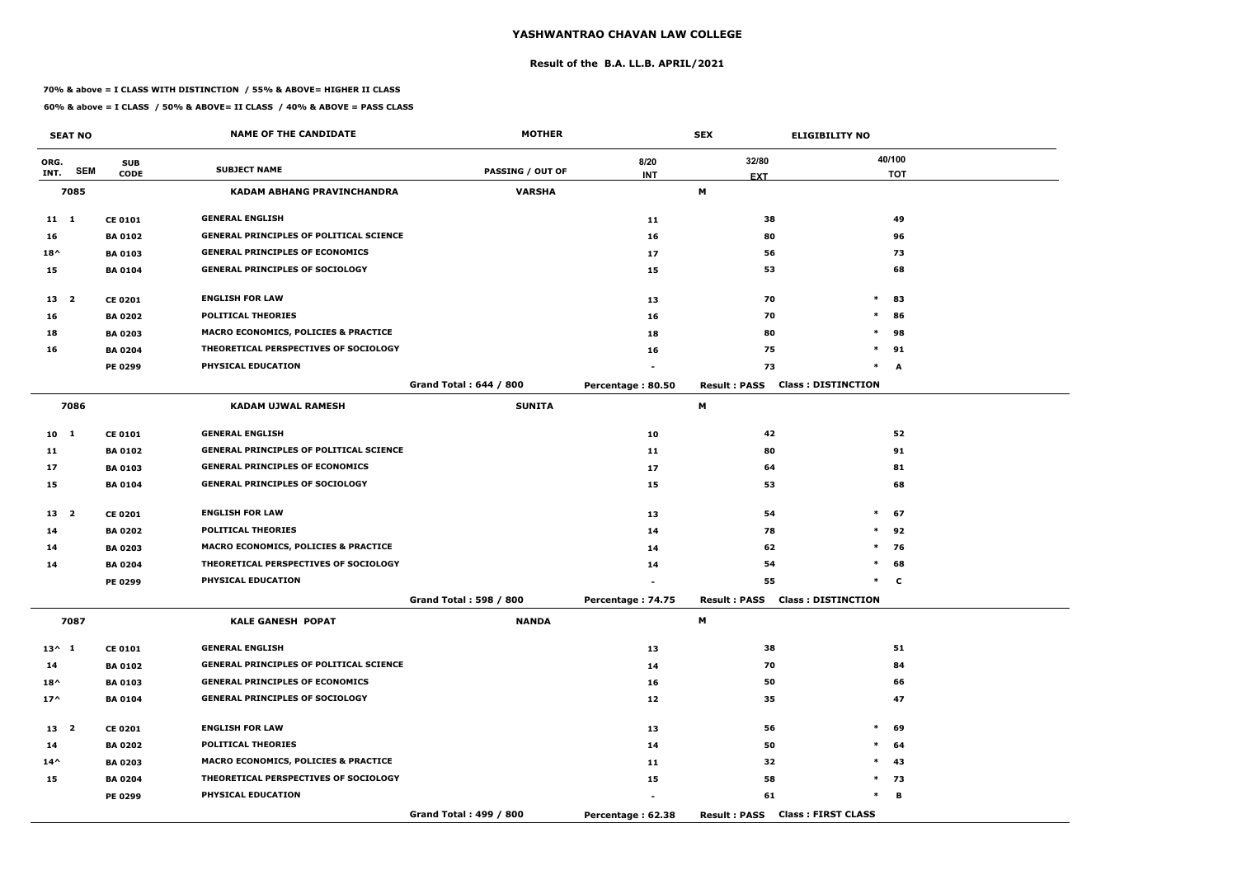#### **Result of the B.A. LL.B. APRIL/2021**

#### **70% & above = I CLASS WITH DISTINCTION / 55% & ABOVE= HIGHER II CLASS**

|                 | <b>SEAT NO</b> |                | <b>NAME OF THE CANDIDATE</b>                    | <b>MOTHER</b>                 |                   | <b>SEX</b>          | <b>ELIGIBILITY NO</b>                  |            |
|-----------------|----------------|----------------|-------------------------------------------------|-------------------------------|-------------------|---------------------|----------------------------------------|------------|
| ORG.            |                | <b>SUB</b>     |                                                 |                               | 8/20              | 32/80               |                                        | 40/100     |
| INT.            | <b>SEM</b>     | <b>CODE</b>    | <b>SUBJECT NAME</b>                             | <b>PASSING / OUT OF</b>       | <b>INT</b>        | <b>EXT</b>          |                                        | <b>TOT</b> |
|                 | 7085           |                | KADAM ABHANG PRAVINCHANDRA                      | <b>VARSHA</b>                 |                   | M                   |                                        |            |
| $11 \quad 1$    |                | <b>CE 0101</b> | <b>GENERAL ENGLISH</b>                          |                               | 11                | 38                  |                                        | 49         |
| 16              |                | <b>BA0102</b>  | <b>GENERAL PRINCIPLES OF POLITICAL SCIENCE</b>  |                               | 16                | 80                  |                                        | 96         |
| $18^{\wedge}$   |                | <b>BA 0103</b> | <b>GENERAL PRINCIPLES OF ECONOMICS</b>          |                               | 17                | 56                  |                                        | 73         |
| 15              |                | <b>BA0104</b>  | <b>GENERAL PRINCIPLES OF SOCIOLOGY</b>          |                               | 15                | 53                  |                                        | 68         |
| 13 <sup>2</sup> |                | <b>CE 0201</b> | <b>ENGLISH FOR LAW</b>                          |                               | 13                | 70                  | $\ast$                                 | 83         |
| 16              |                | <b>BA 0202</b> | <b>POLITICAL THEORIES</b>                       |                               | 16                | 70                  | $\ast$                                 | 86         |
| 18              |                | <b>BA 0203</b> | <b>MACRO ECONOMICS, POLICIES &amp; PRACTICE</b> |                               | 18                | 80                  | $\ast$                                 | 98         |
| 16              |                | <b>BA 0204</b> | THEORETICAL PERSPECTIVES OF SOCIOLOGY           |                               | 16                | 75                  | $\ast$                                 | 91         |
|                 |                | <b>PE 0299</b> | PHYSICAL EDUCATION                              |                               |                   | 73                  | $\ast$                                 | A          |
|                 |                |                |                                                 | <b>Grand Total: 644 / 800</b> | Percentage: 80.50 | <b>Result: PASS</b> | <b>Class: DISTINCTION</b>              |            |
|                 | 7086           |                | <b>KADAM UJWAL RAMESH</b>                       | <b>SUNITA</b>                 |                   | M                   |                                        |            |
| 10 1            |                | <b>CE 0101</b> | <b>GENERAL ENGLISH</b>                          |                               | 10                | 42                  |                                        | 52         |
| 11              |                | <b>BA0102</b>  | <b>GENERAL PRINCIPLES OF POLITICAL SCIENCE</b>  |                               | 11                | 80                  |                                        | 91         |
| 17              |                | <b>BA0103</b>  | <b>GENERAL PRINCIPLES OF ECONOMICS</b>          |                               | 17                | 64                  |                                        | 81         |
| 15              |                | <b>BA 0104</b> | <b>GENERAL PRINCIPLES OF SOCIOLOGY</b>          |                               | 15                | 53                  |                                        | 68         |
| 13 <sub>2</sub> |                | <b>CE 0201</b> | <b>ENGLISH FOR LAW</b>                          |                               | 13                | 54                  | $\ast$                                 | 67         |
| 14              |                | <b>BA 0202</b> | <b>POLITICAL THEORIES</b>                       |                               | 14                | 78                  | $\ast$                                 | 92         |
| 14              |                | <b>BA 0203</b> | <b>MACRO ECONOMICS, POLICIES &amp; PRACTICE</b> |                               | 14                | 62                  | $\ast$                                 | 76         |
| 14              |                | <b>BA 0204</b> | THEORETICAL PERSPECTIVES OF SOCIOLOGY           |                               | 14                | 54                  | $\ast$                                 | 68         |
|                 |                | <b>PE 0299</b> | PHYSICAL EDUCATION                              |                               |                   | 55                  | $\ast$                                 | C          |
|                 |                |                |                                                 | Grand Total: 598 / 800        | Percentage: 74.75 |                     | <b>Result: PASS Class: DISTINCTION</b> |            |
|                 | 7087           |                | <b>KALE GANESH POPAT</b>                        | <b>NANDA</b>                  |                   | M                   |                                        |            |
| $13^{\wedge} 1$ |                | <b>CE 0101</b> | <b>GENERAL ENGLISH</b>                          |                               | 13                | 38                  |                                        | 51         |
| 14              |                | <b>BA 0102</b> | <b>GENERAL PRINCIPLES OF POLITICAL SCIENCE</b>  |                               | 14                | 70                  |                                        | 84         |
| $18^{\wedge}$   |                | <b>BA 0103</b> | <b>GENERAL PRINCIPLES OF ECONOMICS</b>          |                               | 16                | 50                  |                                        | 66         |
| $17^{\wedge}$   |                | <b>BA 0104</b> | <b>GENERAL PRINCIPLES OF SOCIOLOGY</b>          |                               | 12                | 35                  |                                        | 47         |
| 13 2            |                | <b>CE 0201</b> | <b>ENGLISH FOR LAW</b>                          |                               | 13                | 56                  | $\ast$                                 | 69         |
| 14              |                | <b>BA 0202</b> | <b>POLITICAL THEORIES</b>                       |                               | 14                | 50                  | $\ast$                                 | 64         |
| $14^{\wedge}$   |                | <b>BA 0203</b> | <b>MACRO ECONOMICS, POLICIES &amp; PRACTICE</b> |                               | 11                | 32                  | $\ast$                                 | 43         |
| 15              |                | <b>BA 0204</b> | THEORETICAL PERSPECTIVES OF SOCIOLOGY           |                               | 15                | 58                  |                                        | $*$ 73     |
|                 |                | <b>PE 0299</b> | PHYSICAL EDUCATION                              |                               |                   | 61                  | $\ast$                                 | в          |
|                 |                |                |                                                 | Grand Total: 499 / 800        | Percentage: 62.38 |                     | Result: PASS Class: FIRST CLASS        |            |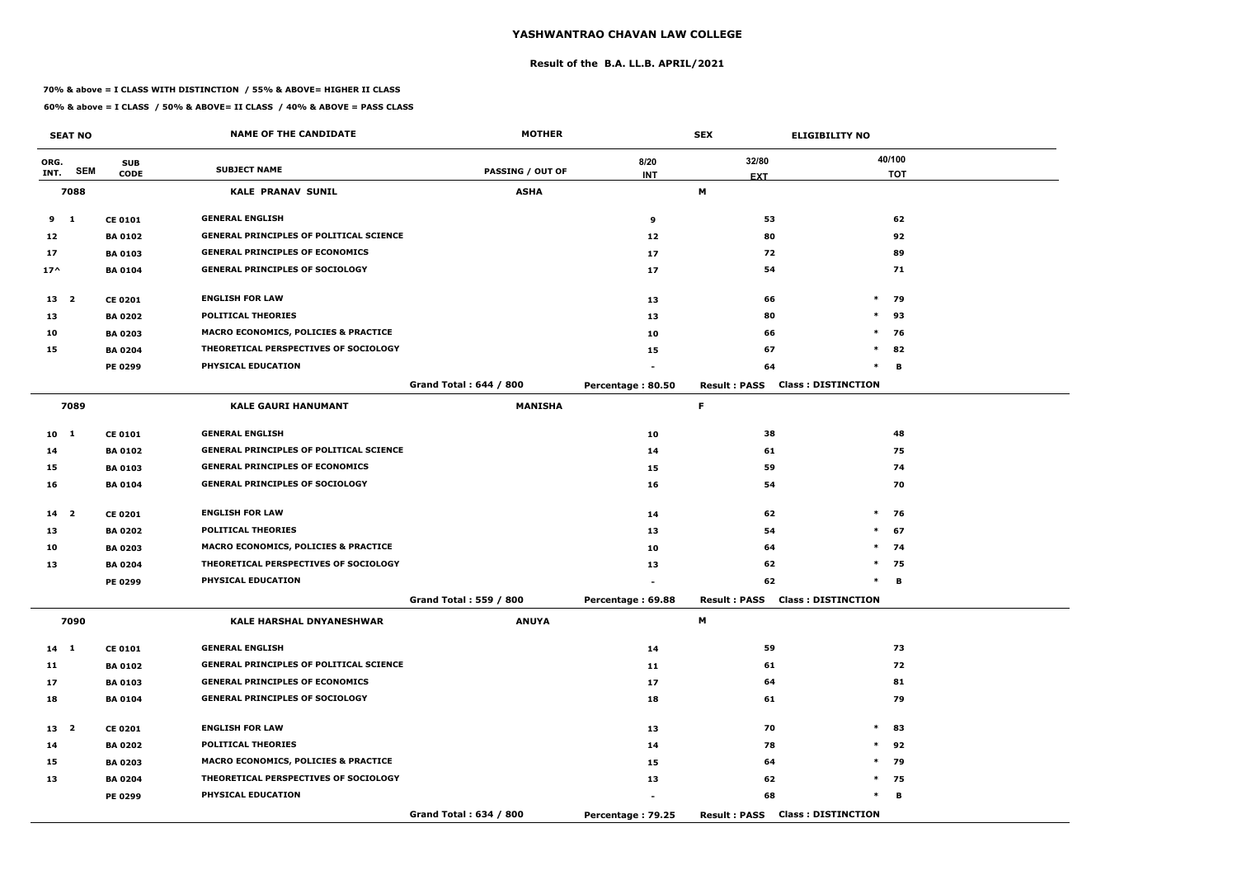#### **Result of the B.A. LL.B. APRIL/2021**

#### **70% & above = I CLASS WITH DISTINCTION / 55% & ABOVE= HIGHER II CLASS**

|                 | <b>SEAT NO</b> |                | <b>NAME OF THE CANDIDATE</b>                   | <b>MOTHER</b>                 |                   | <b>SEX</b>          | <b>ELIGIBILITY NO</b>                  |            |
|-----------------|----------------|----------------|------------------------------------------------|-------------------------------|-------------------|---------------------|----------------------------------------|------------|
| ORG.            |                | <b>SUB</b>     |                                                |                               | 8/20              | 32/80               |                                        | 40/100     |
| INT.            | <b>SEM</b>     | <b>CODE</b>    | <b>SUBJECT NAME</b>                            | <b>PASSING / OUT OF</b>       | <b>INT</b>        | <b>EXT</b>          |                                        | <b>TOT</b> |
|                 | 7088           |                | <b>KALE PRANAV SUNIL</b>                       | <b>ASHA</b>                   |                   | М                   |                                        |            |
| 9               | $\mathbf{1}$   | <b>CE 0101</b> | <b>GENERAL ENGLISH</b>                         |                               | 9                 | 53                  |                                        | 62         |
| 12              |                | <b>BA 0102</b> | <b>GENERAL PRINCIPLES OF POLITICAL SCIENCE</b> |                               | 12                | 80                  |                                        | 92         |
| 17              |                | <b>BA 0103</b> | <b>GENERAL PRINCIPLES OF ECONOMICS</b>         |                               | 17                | 72                  |                                        | 89         |
| $17^{\wedge}$   |                | <b>BA 0104</b> | <b>GENERAL PRINCIPLES OF SOCIOLOGY</b>         |                               | 17                | 54                  |                                        | 71         |
| 13 2            |                | <b>CE 0201</b> | <b>ENGLISH FOR LAW</b>                         |                               | 13                | 66                  | $\ast$                                 | 79         |
| 13              |                | <b>BA 0202</b> | <b>POLITICAL THEORIES</b>                      |                               | 13                | 80                  | $\ast$                                 | 93         |
| 10              |                | <b>BA 0203</b> | MACRO ECONOMICS, POLICIES & PRACTICE           |                               | 10                | 66                  | $\ast$                                 | 76         |
| 15              |                | <b>BA 0204</b> | THEORETICAL PERSPECTIVES OF SOCIOLOGY          |                               | 15                | 67                  | $\ast$                                 | 82         |
|                 |                | PE 0299        | PHYSICAL EDUCATION                             |                               |                   | 64                  | $\ast$                                 | B          |
|                 |                |                |                                                | <b>Grand Total: 644 / 800</b> | Percentage: 80.50 | <b>Result: PASS</b> | <b>Class: DISTINCTION</b>              |            |
|                 | 7089           |                | <b>KALE GAURI HANUMANT</b>                     | <b>MANISHA</b>                |                   | F.                  |                                        |            |
| 10 1            |                | <b>CE 0101</b> | <b>GENERAL ENGLISH</b>                         |                               | 10                | 38                  |                                        | 48         |
| 14              |                | <b>BA 0102</b> | <b>GENERAL PRINCIPLES OF POLITICAL SCIENCE</b> |                               | 14                | 61                  |                                        | 75         |
| 15              |                | <b>BA 0103</b> | <b>GENERAL PRINCIPLES OF ECONOMICS</b>         |                               | 15                | 59                  |                                        | 74         |
| 16              |                | <b>BA 0104</b> | <b>GENERAL PRINCIPLES OF SOCIOLOGY</b>         |                               | 16                | 54                  |                                        | 70         |
| 14 <sub>2</sub> |                | <b>CE 0201</b> | <b>ENGLISH FOR LAW</b>                         |                               | 14                | 62                  | $\ast$                                 | 76         |
| 13              |                | <b>BA 0202</b> | <b>POLITICAL THEORIES</b>                      |                               | 13                | 54                  | $\ast$                                 | 67         |
| 10              |                | <b>BA 0203</b> | MACRO ECONOMICS, POLICIES & PRACTICE           |                               | 10                | 64                  | $\ast$                                 | 74         |
| 13              |                | <b>BA 0204</b> | THEORETICAL PERSPECTIVES OF SOCIOLOGY          |                               | 13                | 62                  | $\ast$                                 | 75         |
|                 |                | <b>PE 0299</b> | PHYSICAL EDUCATION                             |                               |                   | 62                  | $\ast$                                 | в          |
|                 |                |                |                                                | Grand Total: 559 / 800        | Percentage: 69.88 |                     | <b>Result: PASS Class: DISTINCTION</b> |            |
|                 | 7090           |                | <b>KALE HARSHAL DNYANESHWAR</b>                | <b>ANUYA</b>                  |                   | M                   |                                        |            |
| 14 1            |                | <b>CE 0101</b> | <b>GENERAL ENGLISH</b>                         |                               | 14                | 59                  |                                        | 73         |
| 11              |                | <b>BA 0102</b> | <b>GENERAL PRINCIPLES OF POLITICAL SCIENCE</b> |                               | 11                | 61                  |                                        | 72         |
| 17              |                | <b>BA 0103</b> | <b>GENERAL PRINCIPLES OF ECONOMICS</b>         |                               | 17                | 64                  |                                        | 81         |
| 18              |                | <b>BA 0104</b> | <b>GENERAL PRINCIPLES OF SOCIOLOGY</b>         |                               | 18                | 61                  |                                        | 79         |
| 13 <sup>2</sup> |                | <b>CE 0201</b> | <b>ENGLISH FOR LAW</b>                         |                               | 13                | 70                  | $\ast$                                 | 83         |
| 14              |                | <b>BA 0202</b> | <b>POLITICAL THEORIES</b>                      |                               | 14                | 78                  |                                        | $*$ 92     |
| 15              |                | <b>BA 0203</b> | MACRO ECONOMICS, POLICIES & PRACTICE           |                               | 15                | 64                  | $*$                                    | 79         |
| 13              |                | <b>BA 0204</b> | THEORETICAL PERSPECTIVES OF SOCIOLOGY          |                               | 13                | 62                  |                                        | $*$ 75     |
|                 |                | <b>PE 0299</b> | PHYSICAL EDUCATION                             |                               |                   | 68                  | $\ast$                                 | В          |
|                 |                |                |                                                | Grand Total: 634 / 800        | Percentage: 79.25 |                     | <b>Result: PASS Class: DISTINCTION</b> |            |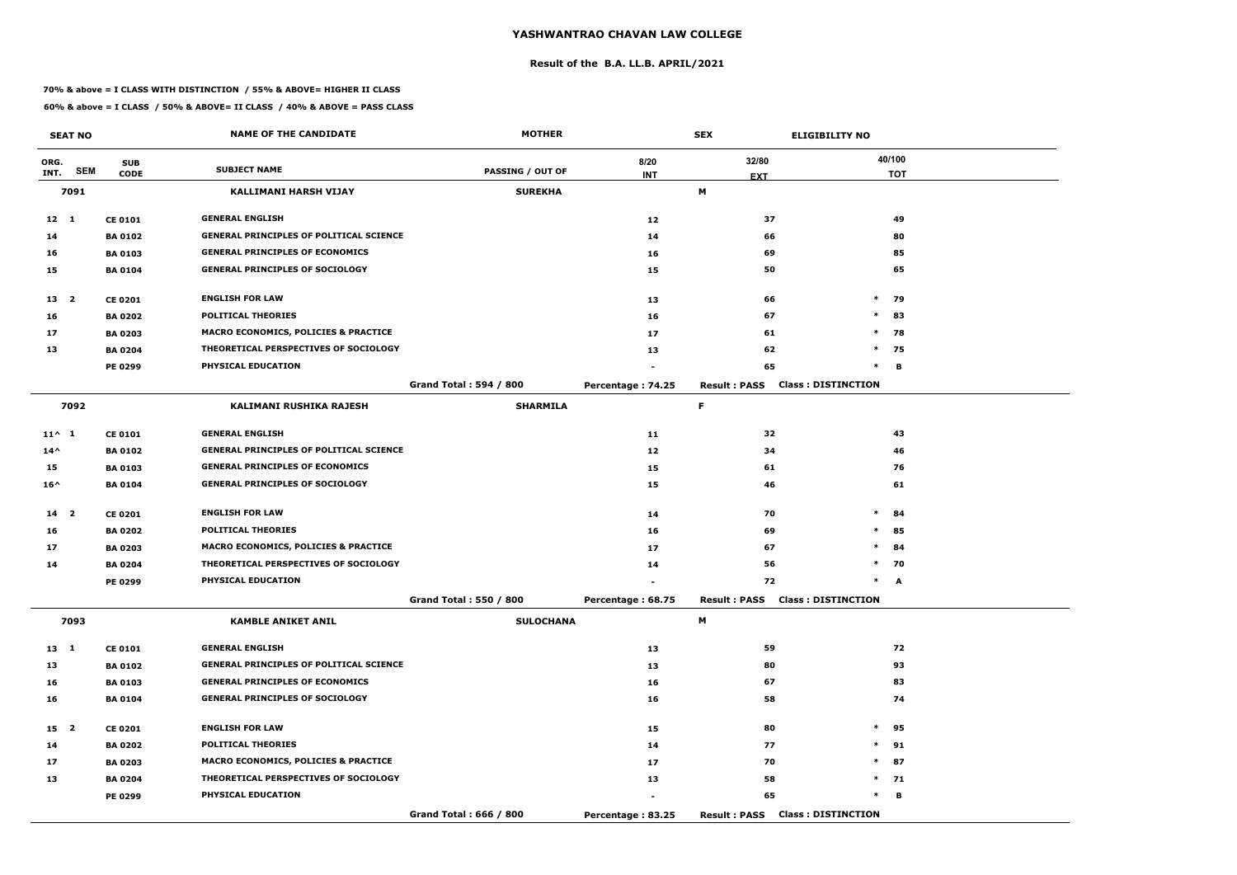#### **Result of the B.A. LL.B. APRIL/2021**

#### **70% & above = I CLASS WITH DISTINCTION / 55% & ABOVE= HIGHER II CLASS**

|                 | <b>SEAT NO</b> |                | <b>NAME OF THE CANDIDATE</b>                    | <b>MOTHER</b>                 |                   | <b>SEX</b>                             | <b>ELIGIBILITY NO</b>     |
|-----------------|----------------|----------------|-------------------------------------------------|-------------------------------|-------------------|----------------------------------------|---------------------------|
| ORG.            |                | <b>SUB</b>     |                                                 |                               | 8/20              | 32/80                                  | 40/100                    |
| INT.            | <b>SEM</b>     | <b>CODE</b>    | <b>SUBJECT NAME</b>                             | <b>PASSING / OUT OF</b>       | <b>INT</b>        | <b>EXT</b>                             | <b>TOT</b>                |
|                 | 7091           |                | <b>KALLIMANI HARSH VIJAY</b>                    | <b>SUREKHA</b>                |                   | М                                      |                           |
| $12 \quad 1$    |                | <b>CE 0101</b> | <b>GENERAL ENGLISH</b>                          |                               | 12                | 37                                     | 49                        |
| 14              |                | <b>BA 0102</b> | <b>GENERAL PRINCIPLES OF POLITICAL SCIENCE</b>  |                               | 14                | 66                                     | 80                        |
| 16              |                | <b>BA 0103</b> | <b>GENERAL PRINCIPLES OF ECONOMICS</b>          |                               | 16                | 69                                     | 85                        |
| 15              |                | <b>BA 0104</b> | <b>GENERAL PRINCIPLES OF SOCIOLOGY</b>          |                               | 15                | 50                                     | 65                        |
| 13 <sup>2</sup> |                | <b>CE 0201</b> | <b>ENGLISH FOR LAW</b>                          |                               | 13                | 66                                     | $\ast$<br>79              |
| 16              |                | <b>BA 0202</b> | <b>POLITICAL THEORIES</b>                       |                               | 16                | 67                                     | $\ast$<br>83              |
| 17              |                | <b>BA 0203</b> | MACRO ECONOMICS, POLICIES & PRACTICE            |                               | 17                | 61                                     | $\ast$<br>78              |
| 13              |                | <b>BA 0204</b> | THEORETICAL PERSPECTIVES OF SOCIOLOGY           |                               | 13                | 62                                     | $\ast$<br>75              |
|                 |                | <b>PE 0299</b> | PHYSICAL EDUCATION                              |                               |                   | 65                                     | $\ast$<br>B               |
|                 |                |                |                                                 | <b>Grand Total: 594 / 800</b> | Percentage: 74.25 | <b>Result: PASS</b>                    | <b>Class: DISTINCTION</b> |
|                 | 7092           |                | KALIMANI RUSHIKA RAJESH                         | <b>SHARMILA</b>               |                   | F.                                     |                           |
| $11^{\wedge} 1$ |                | <b>CE 0101</b> | <b>GENERAL ENGLISH</b>                          |                               | 11                | 32                                     | 43                        |
| $14^{\wedge}$   |                | <b>BA 0102</b> | <b>GENERAL PRINCIPLES OF POLITICAL SCIENCE</b>  |                               | 12                | 34                                     | 46                        |
| 15              |                | <b>BA 0103</b> | <b>GENERAL PRINCIPLES OF ECONOMICS</b>          |                               | 15                | 61                                     | 76                        |
| $16^{\wedge}$   |                | <b>BA 0104</b> | <b>GENERAL PRINCIPLES OF SOCIOLOGY</b>          |                               | 15                | 46                                     | 61                        |
| 14 <sub>2</sub> |                | <b>CE 0201</b> | <b>ENGLISH FOR LAW</b>                          |                               | 14                | 70                                     | $\ast$<br>84              |
| 16              |                | <b>BA 0202</b> | <b>POLITICAL THEORIES</b>                       |                               | 16                | 69                                     | 85<br>$\ast$              |
| 17              |                | <b>BA 0203</b> | <b>MACRO ECONOMICS, POLICIES &amp; PRACTICE</b> |                               | 17                | 67                                     | $\ast$<br>84              |
| 14              |                | <b>BA 0204</b> | THEORETICAL PERSPECTIVES OF SOCIOLOGY           |                               | 14                | 56                                     | $\ast$<br>70              |
|                 |                | PE 0299        | PHYSICAL EDUCATION                              |                               |                   | 72                                     | $\ast$<br>A               |
|                 |                |                |                                                 | Grand Total: 550 / 800        | Percentage: 68.75 | <b>Result: PASS Class: DISTINCTION</b> |                           |
|                 | 7093           |                | <b>KAMBLE ANIKET ANIL</b>                       | <b>SULOCHANA</b>              |                   | M                                      |                           |
| $13 \quad 1$    |                | <b>CE 0101</b> | <b>GENERAL ENGLISH</b>                          |                               | 13                | 59                                     | 72                        |
| 13              |                | <b>BA 0102</b> | <b>GENERAL PRINCIPLES OF POLITICAL SCIENCE</b>  |                               | 13                | 80                                     | 93                        |
| 16              |                | <b>BA 0103</b> | <b>GENERAL PRINCIPLES OF ECONOMICS</b>          |                               | 16                | 67                                     | 83                        |
| 16              |                | <b>BA 0104</b> | <b>GENERAL PRINCIPLES OF SOCIOLOGY</b>          |                               | 16                | 58                                     | 74                        |
| 15 <sub>2</sub> |                | <b>CE 0201</b> | <b>ENGLISH FOR LAW</b>                          |                               | 15                | 80                                     | $*$<br>95                 |
| 14              |                | <b>BA 0202</b> | <b>POLITICAL THEORIES</b>                       |                               | 14                | 77                                     | $\ast$<br>91              |
| 17              |                | <b>BA 0203</b> | <b>MACRO ECONOMICS, POLICIES &amp; PRACTICE</b> |                               | 17                | 70                                     | $*$ 87                    |
| 13              |                | <b>BA 0204</b> | THEORETICAL PERSPECTIVES OF SOCIOLOGY           |                               | 13                | 58                                     | $*$ 71                    |
|                 |                | PE 0299        | <b>PHYSICAL EDUCATION</b>                       |                               |                   | 65                                     | $\ast$<br>в               |
|                 |                |                |                                                 | Grand Total: 666 / 800        | Percentage: 83.25 | <b>Result: PASS Class: DISTINCTION</b> |                           |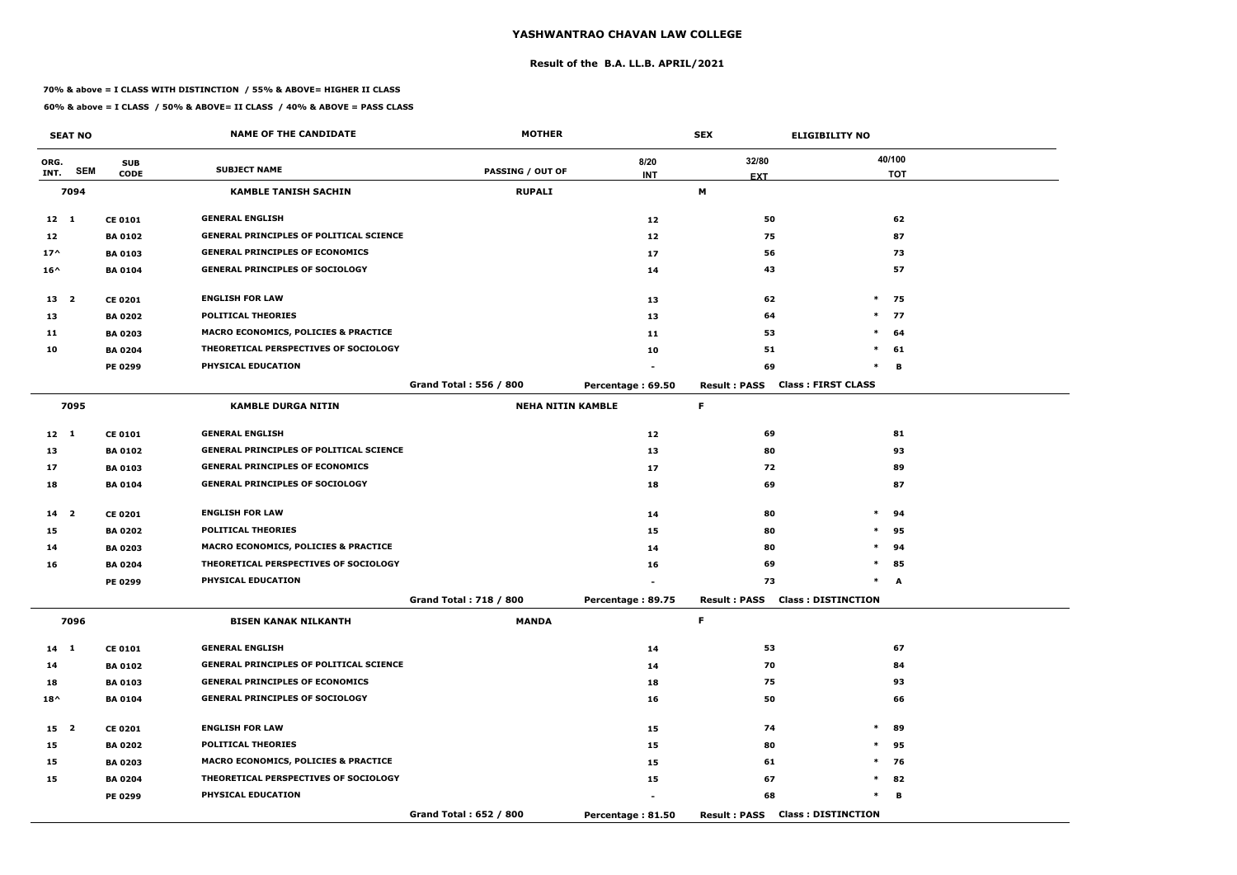#### **Result of the B.A. LL.B. APRIL/2021**

#### **70% & above = I CLASS WITH DISTINCTION / 55% & ABOVE= HIGHER II CLASS**

|                 | <b>SEAT NO</b> |                           | <b>NAME OF THE CANDIDATE</b>                    | <b>MOTHER</b>                 |                   | <b>SEX</b>                             | <b>ELIGIBILITY NO</b>     |
|-----------------|----------------|---------------------------|-------------------------------------------------|-------------------------------|-------------------|----------------------------------------|---------------------------|
| ORG.<br>INT.    | <b>SEM</b>     | <b>SUB</b><br><b>CODE</b> | <b>SUBJECT NAME</b>                             | <b>PASSING / OUT OF</b>       | 8/20              | 32/80                                  | 40/100                    |
|                 |                |                           |                                                 |                               | <b>INT</b>        | <b>EXT</b><br>М                        | <b>TOT</b>                |
|                 | 7094           |                           | <b>KAMBLE TANISH SACHIN</b>                     | <b>RUPALI</b>                 |                   |                                        |                           |
| $12 \quad 1$    |                | <b>CE 0101</b>            | <b>GENERAL ENGLISH</b>                          |                               | 12                | 50                                     | 62                        |
| 12              |                | <b>BA 0102</b>            | <b>GENERAL PRINCIPLES OF POLITICAL SCIENCE</b>  |                               | 12                | 75                                     | 87                        |
| $17^$           |                | <b>BA 0103</b>            | <b>GENERAL PRINCIPLES OF ECONOMICS</b>          |                               | 17                | 56                                     | 73                        |
| $16^{\wedge}$   |                | <b>BA0104</b>             | <b>GENERAL PRINCIPLES OF SOCIOLOGY</b>          |                               | 14                | 43                                     | 57                        |
| 13 2            |                | <b>CE 0201</b>            | <b>ENGLISH FOR LAW</b>                          |                               | 13                | 62                                     | $*$ 75                    |
| 13              |                | <b>BA 0202</b>            | <b>POLITICAL THEORIES</b>                       |                               | 13                | 64                                     | $\ast$<br>77              |
| 11              |                | <b>BA 0203</b>            | MACRO ECONOMICS, POLICIES & PRACTICE            |                               | 11                | 53                                     | $\ast$<br>64              |
| 10              |                | <b>BA 0204</b>            | THEORETICAL PERSPECTIVES OF SOCIOLOGY           |                               | 10                | 51                                     | $\ast$<br>61              |
|                 |                | PE 0299                   | PHYSICAL EDUCATION                              |                               |                   | 69                                     | $\ast$<br>в               |
|                 |                |                           |                                                 | Grand Total: 556 / 800        | Percentage: 69.50 | <b>Result: PASS</b>                    | <b>Class: FIRST CLASS</b> |
|                 | 7095           |                           | <b>KAMBLE DURGA NITIN</b>                       | <b>NEHA NITIN KAMBLE</b>      |                   | F.                                     |                           |
| $12 \quad 1$    |                | <b>CE 0101</b>            | <b>GENERAL ENGLISH</b>                          |                               | 12                | 69                                     | 81                        |
| 13              |                | <b>BA 0102</b>            | <b>GENERAL PRINCIPLES OF POLITICAL SCIENCE</b>  |                               | 13                | 80                                     | 93                        |
| 17              |                | <b>BA 0103</b>            | <b>GENERAL PRINCIPLES OF ECONOMICS</b>          |                               | 17                | 72                                     | 89                        |
| 18              |                | <b>BA 0104</b>            | <b>GENERAL PRINCIPLES OF SOCIOLOGY</b>          |                               | 18                | 69                                     | 87                        |
| 14 <sub>2</sub> |                | <b>CE 0201</b>            | <b>ENGLISH FOR LAW</b>                          |                               | 14                | 80                                     | $\ast$<br>94              |
| 15              |                | <b>BA 0202</b>            | <b>POLITICAL THEORIES</b>                       |                               | 15                | 80                                     | $\ast$<br>95              |
| 14              |                | <b>BA 0203</b>            | <b>MACRO ECONOMICS, POLICIES &amp; PRACTICE</b> |                               | 14                | 80                                     | $\ast$<br>94              |
| 16              |                | <b>BA 0204</b>            | THEORETICAL PERSPECTIVES OF SOCIOLOGY           |                               | 16                | 69                                     | $\ast$<br>85              |
|                 |                | PE 0299                   | PHYSICAL EDUCATION                              |                               |                   | 73                                     | $\ast$<br>A               |
|                 |                |                           |                                                 | <b>Grand Total: 718 / 800</b> | Percentage: 89.75 | Result: PASS Class: DISTINCTION        |                           |
|                 | 7096           |                           | <b>BISEN KANAK NILKANTH</b>                     | <b>MANDA</b>                  |                   | F.                                     |                           |
| 14 1            |                | <b>CE 0101</b>            | <b>GENERAL ENGLISH</b>                          |                               | 14                | 53                                     | 67                        |
| 14              |                | <b>BA 0102</b>            | <b>GENERAL PRINCIPLES OF POLITICAL SCIENCE</b>  |                               | 14                | 70                                     | 84                        |
| 18              |                | <b>BA 0103</b>            | <b>GENERAL PRINCIPLES OF ECONOMICS</b>          |                               | 18                | 75                                     | 93                        |
| $18^{\wedge}$   |                | <b>BA 0104</b>            | <b>GENERAL PRINCIPLES OF SOCIOLOGY</b>          |                               | 16                | 50                                     | 66                        |
| 15 2            |                | <b>CE 0201</b>            | <b>ENGLISH FOR LAW</b>                          |                               | 15                | 74                                     | $\ast$<br>89              |
| 15              |                | <b>BA 0202</b>            | <b>POLITICAL THEORIES</b>                       |                               | 15                | 80                                     | $\ast$<br>95              |
| 15              |                | <b>BA 0203</b>            | <b>MACRO ECONOMICS, POLICIES &amp; PRACTICE</b> |                               | 15                | 61                                     | $\ast$<br>76              |
| 15              |                | <b>BA 0204</b>            | THEORETICAL PERSPECTIVES OF SOCIOLOGY           |                               | 15                | 67                                     | $*$ 82                    |
|                 |                | <b>PE 0299</b>            | PHYSICAL EDUCATION                              |                               |                   | 68                                     | $\ast$<br>в               |
|                 |                |                           |                                                 | Grand Total: 652 / 800        | Percentage: 81.50 | <b>Result: PASS Class: DISTINCTION</b> |                           |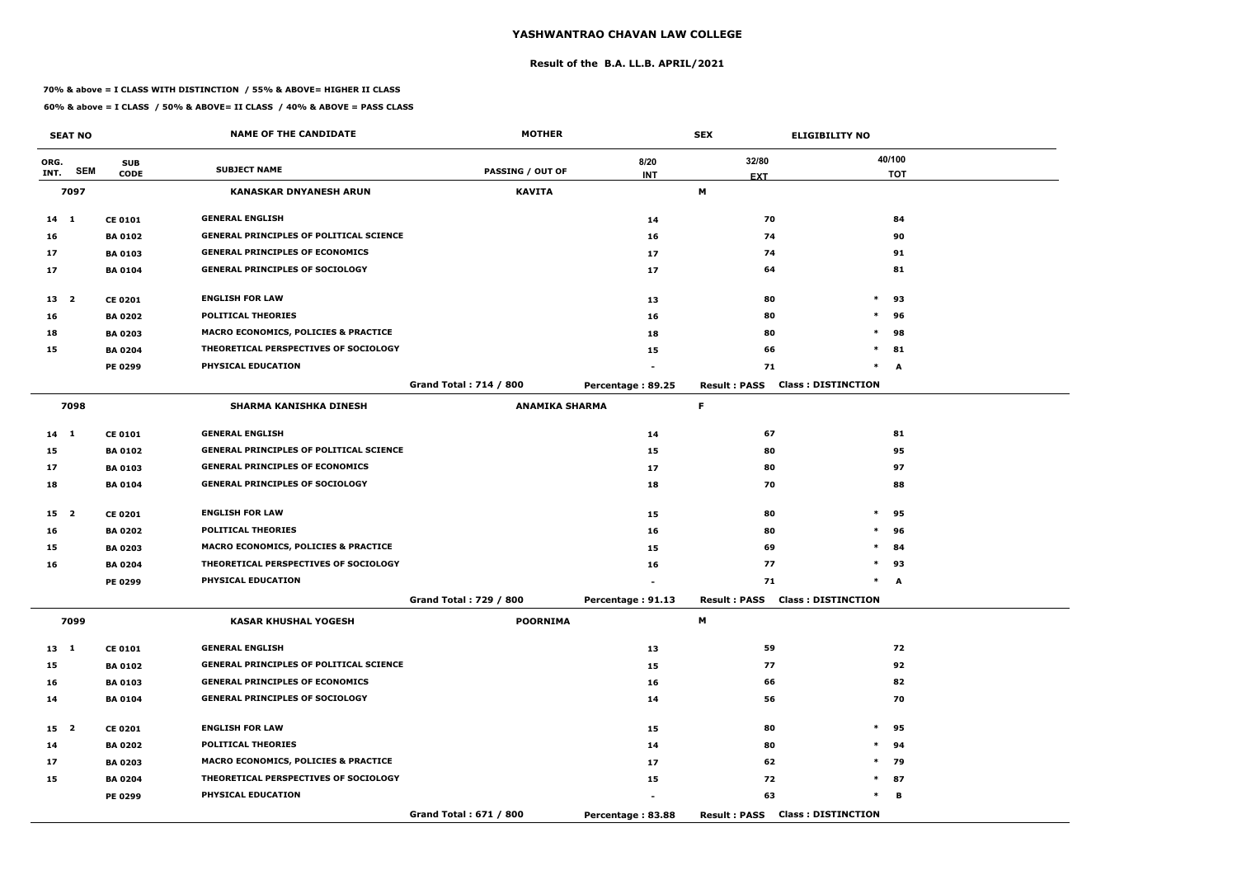#### **Result of the B.A. LL.B. APRIL/2021**

#### **70% & above = I CLASS WITH DISTINCTION / 55% & ABOVE= HIGHER II CLASS**

|                 | <b>SEAT NO</b> |                | <b>NAME OF THE CANDIDATE</b>                    | <b>MOTHER</b>                 |                   | <b>SEX</b><br><b>ELIGIBILITY NO</b> |                                        |            |
|-----------------|----------------|----------------|-------------------------------------------------|-------------------------------|-------------------|-------------------------------------|----------------------------------------|------------|
| ORG.            |                | <b>SUB</b>     |                                                 |                               | 8/20              | 32/80                               |                                        | 40/100     |
| INT.            | <b>SEM</b>     | <b>CODE</b>    | <b>SUBJECT NAME</b>                             | <b>PASSING / OUT OF</b>       | <b>INT</b>        | <b>EXT</b>                          |                                        | <b>TOT</b> |
|                 | 7097           |                | <b>KANASKAR DNYANESH ARUN</b>                   | <b>KAVITA</b>                 |                   | M                                   |                                        |            |
| $14 \quad 1$    |                | <b>CE 0101</b> | <b>GENERAL ENGLISH</b>                          |                               | 14                | 70                                  |                                        | 84         |
| 16              |                | <b>BA0102</b>  | <b>GENERAL PRINCIPLES OF POLITICAL SCIENCE</b>  |                               | 16                | 74                                  |                                        | 90         |
| 17              |                | <b>BA 0103</b> | <b>GENERAL PRINCIPLES OF ECONOMICS</b>          |                               | 17                | 74                                  |                                        | 91         |
| 17              |                | <b>BA0104</b>  | <b>GENERAL PRINCIPLES OF SOCIOLOGY</b>          |                               | 17                | 64                                  |                                        | 81         |
| 13 <sup>2</sup> |                | <b>CE 0201</b> | <b>ENGLISH FOR LAW</b>                          |                               | 13                | 80                                  | $\ast$                                 | 93         |
| 16              |                | <b>BA 0202</b> | <b>POLITICAL THEORIES</b>                       |                               | 16                | 80                                  | $\ast$                                 | 96         |
| 18              |                | <b>BA 0203</b> | <b>MACRO ECONOMICS, POLICIES &amp; PRACTICE</b> |                               | 18                | 80                                  | $\ast$                                 | 98         |
| 15              |                | <b>BA 0204</b> | THEORETICAL PERSPECTIVES OF SOCIOLOGY           |                               | 15                | 66                                  | $\ast$                                 | 81         |
|                 |                | <b>PE 0299</b> | PHYSICAL EDUCATION                              |                               |                   | 71                                  | $\ast$                                 | A          |
|                 |                |                |                                                 | <b>Grand Total: 714 / 800</b> | Percentage: 89.25 | <b>Result: PASS</b>                 | <b>Class: DISTINCTION</b>              |            |
|                 | 7098           |                | <b>SHARMA KANISHKA DINESH</b>                   | <b>ANAMIKA SHARMA</b>         |                   | F.                                  |                                        |            |
| $14 \quad 1$    |                | <b>CE 0101</b> | <b>GENERAL ENGLISH</b>                          |                               | 14                | 67                                  |                                        | 81         |
| 15              |                | <b>BA0102</b>  | <b>GENERAL PRINCIPLES OF POLITICAL SCIENCE</b>  |                               | 15                | 80                                  |                                        | 95         |
| 17              |                | <b>BA0103</b>  | <b>GENERAL PRINCIPLES OF ECONOMICS</b>          |                               | 17                | 80                                  |                                        | 97         |
| 18              |                | <b>BA 0104</b> | <b>GENERAL PRINCIPLES OF SOCIOLOGY</b>          |                               | 18                | 70                                  |                                        | 88         |
| 15 2            |                | <b>CE 0201</b> | <b>ENGLISH FOR LAW</b>                          |                               | 15                | 80                                  | $\ast$                                 | 95         |
| 16              |                | <b>BA 0202</b> | <b>POLITICAL THEORIES</b>                       |                               | 16                | 80                                  | $\ast$                                 | 96         |
| 15              |                | <b>BA 0203</b> | <b>MACRO ECONOMICS, POLICIES &amp; PRACTICE</b> |                               | 15                | 69                                  | $\ast$                                 | 84         |
| 16              |                | <b>BA 0204</b> | THEORETICAL PERSPECTIVES OF SOCIOLOGY           |                               | 16                | 77                                  | $\ast$                                 | 93         |
|                 |                | <b>PE 0299</b> | PHYSICAL EDUCATION                              |                               |                   | 71                                  | $\ast$                                 | A          |
|                 |                |                |                                                 | <b>Grand Total: 729 / 800</b> | Percentage: 91.13 |                                     | <b>Result: PASS Class: DISTINCTION</b> |            |
|                 | 7099           |                | <b>KASAR KHUSHAL YOGESH</b>                     | <b>POORNIMA</b>               |                   | M                                   |                                        |            |
| $13 \quad 1$    |                | <b>CE 0101</b> | <b>GENERAL ENGLISH</b>                          |                               | 13                | 59                                  |                                        | 72         |
| 15              |                | <b>BA 0102</b> | <b>GENERAL PRINCIPLES OF POLITICAL SCIENCE</b>  |                               | 15                | 77                                  |                                        | 92         |
| 16              |                | <b>BA 0103</b> | <b>GENERAL PRINCIPLES OF ECONOMICS</b>          |                               | 16                | 66                                  |                                        | 82         |
| 14              |                | <b>BA 0104</b> | <b>GENERAL PRINCIPLES OF SOCIOLOGY</b>          |                               | 14                | 56                                  |                                        | 70         |
| 15 <sub>2</sub> |                | <b>CE 0201</b> | <b>ENGLISH FOR LAW</b>                          |                               | 15                | 80                                  | $\ast$                                 | 95         |
| 14              |                | <b>BA 0202</b> | <b>POLITICAL THEORIES</b>                       |                               | 14                | 80                                  | $\ast$                                 | 94         |
| 17              |                | <b>BA 0203</b> | <b>MACRO ECONOMICS, POLICIES &amp; PRACTICE</b> |                               | 17                | 62                                  |                                        | * 79       |
| 15              |                | <b>BA 0204</b> | THEORETICAL PERSPECTIVES OF SOCIOLOGY           |                               | 15                | 72                                  |                                        | $*$ 87     |
|                 |                | <b>PE 0299</b> | PHYSICAL EDUCATION                              |                               |                   | 63                                  | $\ast$                                 | в          |
|                 |                |                |                                                 | Grand Total: 671 / 800        | Percentage: 83.88 |                                     | <b>Result: PASS Class: DISTINCTION</b> |            |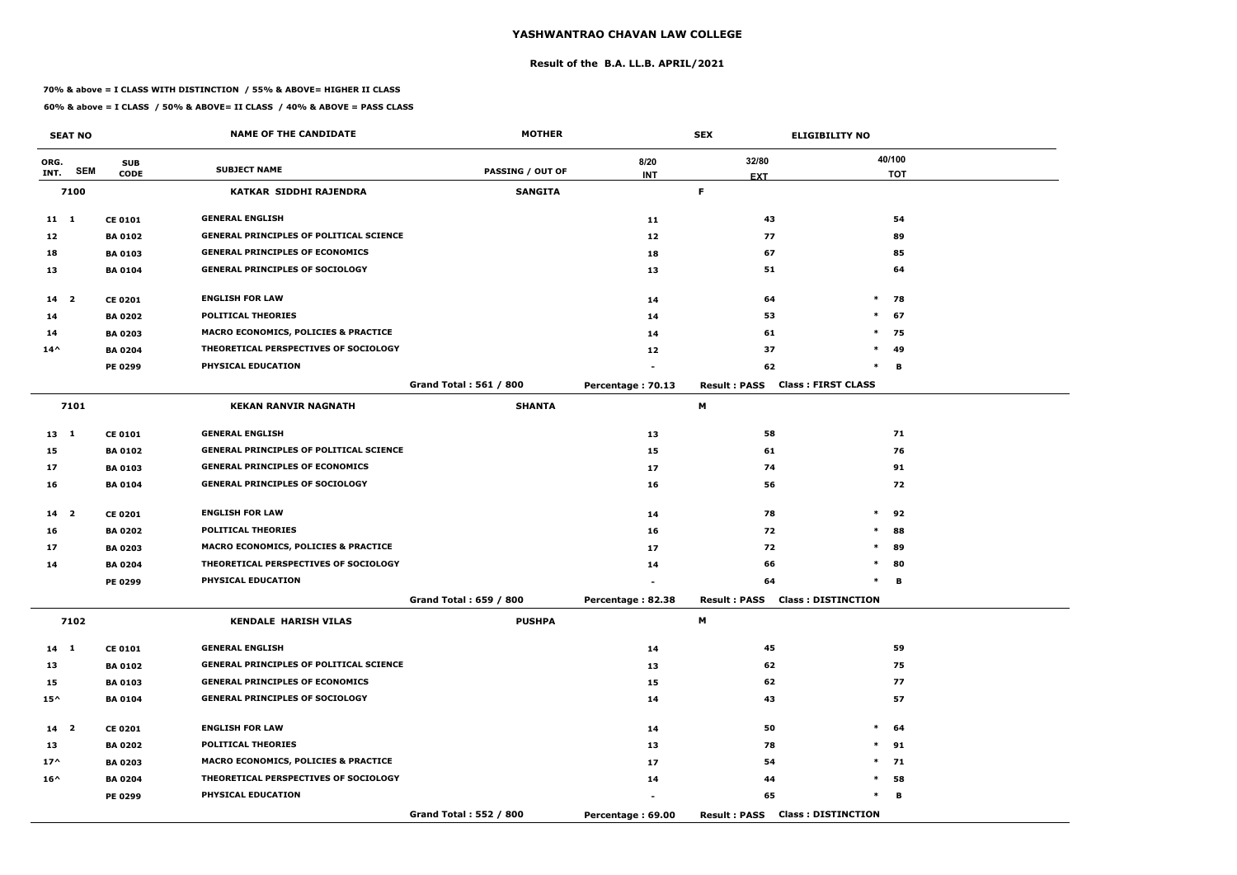#### **Result of the B.A. LL.B. APRIL/2021**

#### **70% & above = I CLASS WITH DISTINCTION / 55% & ABOVE= HIGHER II CLASS**

|                 | <b>SEAT NO</b> |                | <b>NAME OF THE CANDIDATE</b>                    | <b>MOTHER</b>                 |                   | <b>SEX</b>                             | <b>ELIGIBILITY NO</b>     |
|-----------------|----------------|----------------|-------------------------------------------------|-------------------------------|-------------------|----------------------------------------|---------------------------|
| ORG.            |                | <b>SUB</b>     |                                                 |                               | 8/20              | 32/80                                  | 40/100                    |
| INT.            | <b>SEM</b>     | <b>CODE</b>    | <b>SUBJECT NAME</b>                             | <b>PASSING / OUT OF</b>       | <b>INT</b>        | <b>EXT</b>                             | <b>TOT</b>                |
|                 | 7100           |                | KATKAR SIDDHI RAJENDRA                          | <b>SANGITA</b>                |                   | F.                                     |                           |
| $11 \quad 1$    |                | <b>CE 0101</b> | <b>GENERAL ENGLISH</b>                          |                               | 11                | 43                                     | 54                        |
| 12              |                | <b>BA 0102</b> | <b>GENERAL PRINCIPLES OF POLITICAL SCIENCE</b>  |                               | 12                | 77                                     | 89                        |
| 18              |                | <b>BA0103</b>  | <b>GENERAL PRINCIPLES OF ECONOMICS</b>          |                               | 18                | 67                                     | 85                        |
| 13              |                | <b>BA 0104</b> | <b>GENERAL PRINCIPLES OF SOCIOLOGY</b>          |                               | 13                | 51                                     | 64                        |
| $14 2$          |                | <b>CE 0201</b> | <b>ENGLISH FOR LAW</b>                          |                               | 14                | 64                                     | $*$ 78                    |
| 14              |                | <b>BA 0202</b> | <b>POLITICAL THEORIES</b>                       |                               | 14                | 53                                     | $\ast$<br>67              |
| 14              |                | <b>BA 0203</b> | MACRO ECONOMICS, POLICIES & PRACTICE            |                               | 14                | 61                                     | $*$ 75                    |
| $14^{\wedge}$   |                | <b>BA 0204</b> | THEORETICAL PERSPECTIVES OF SOCIOLOGY           |                               | 12                | 37                                     | $\ast$<br>-49             |
|                 |                | PE 0299        | PHYSICAL EDUCATION                              |                               |                   | 62                                     | $\ast$<br>В               |
|                 |                |                |                                                 | <b>Grand Total: 561 / 800</b> | Percentage: 70.13 | <b>Result: PASS</b>                    | <b>Class: FIRST CLASS</b> |
|                 | 7101           |                | <b>KEKAN RANVIR NAGNATH</b>                     | <b>SHANTA</b>                 |                   | М                                      |                           |
| $13 \quad 1$    |                | <b>CE 0101</b> | <b>GENERAL ENGLISH</b>                          |                               | 13                | 58                                     | 71                        |
| 15              |                | <b>BA 0102</b> | <b>GENERAL PRINCIPLES OF POLITICAL SCIENCE</b>  |                               | 15                | 61                                     | 76                        |
| 17              |                | <b>BA 0103</b> | <b>GENERAL PRINCIPLES OF ECONOMICS</b>          |                               | 17                | 74                                     | 91                        |
| 16              |                | <b>BA 0104</b> | <b>GENERAL PRINCIPLES OF SOCIOLOGY</b>          |                               | 16                | 56                                     | 72                        |
| 14 <sub>2</sub> |                | <b>CE 0201</b> | <b>ENGLISH FOR LAW</b>                          |                               | 14                | 78                                     | $\ast$<br>92              |
| 16              |                | <b>BA 0202</b> | <b>POLITICAL THEORIES</b>                       |                               | 16                | 72                                     | $\ast$<br>88              |
| 17              |                | <b>BA 0203</b> | MACRO ECONOMICS, POLICIES & PRACTICE            |                               | 17                | 72                                     | 89<br>$\ast$              |
| 14              |                | <b>BA 0204</b> | THEORETICAL PERSPECTIVES OF SOCIOLOGY           |                               | 14                | 66                                     | $\ast$<br>80              |
|                 |                | <b>PE 0299</b> | PHYSICAL EDUCATION                              |                               |                   | 64                                     | В<br>$\ast$               |
|                 |                |                |                                                 | Grand Total: 659 / 800        | Percentage: 82.38 | <b>Result: PASS Class: DISTINCTION</b> |                           |
|                 | 7102           |                | <b>KENDALE HARISH VILAS</b>                     | <b>PUSHPA</b>                 |                   | M                                      |                           |
| $14 \quad 1$    |                | <b>CE 0101</b> | <b>GENERAL ENGLISH</b>                          |                               | 14                | 45                                     | 59                        |
| 13              |                | <b>BA 0102</b> | <b>GENERAL PRINCIPLES OF POLITICAL SCIENCE</b>  |                               | 13                | 62                                     | 75                        |
| 15              |                | <b>BA 0103</b> | <b>GENERAL PRINCIPLES OF ECONOMICS</b>          |                               | 15                | 62                                     | 77                        |
| $15^{\wedge}$   |                | <b>BA 0104</b> | <b>GENERAL PRINCIPLES OF SOCIOLOGY</b>          |                               | 14                | 43                                     | 57                        |
| 14 <sub>2</sub> |                | <b>CE 0201</b> | <b>ENGLISH FOR LAW</b>                          |                               | 14                | 50                                     | $*$ 64                    |
| 13              |                | <b>BA 0202</b> | <b>POLITICAL THEORIES</b>                       |                               | 13                | 78                                     | $*$ 91                    |
| $17^{\wedge}$   |                | <b>BA 0203</b> | <b>MACRO ECONOMICS, POLICIES &amp; PRACTICE</b> |                               | 17                | 54                                     | $*$ 71                    |
| $16^{\wedge}$   |                | <b>BA 0204</b> | THEORETICAL PERSPECTIVES OF SOCIOLOGY           |                               | 14                | 44                                     | $*$ 58                    |
|                 |                | <b>PE 0299</b> | PHYSICAL EDUCATION                              |                               |                   | 65                                     | $\ast$<br>в               |
|                 |                |                |                                                 | Grand Total: 552 / 800        | Percentage: 69.00 | <b>Result: PASS Class: DISTINCTION</b> |                           |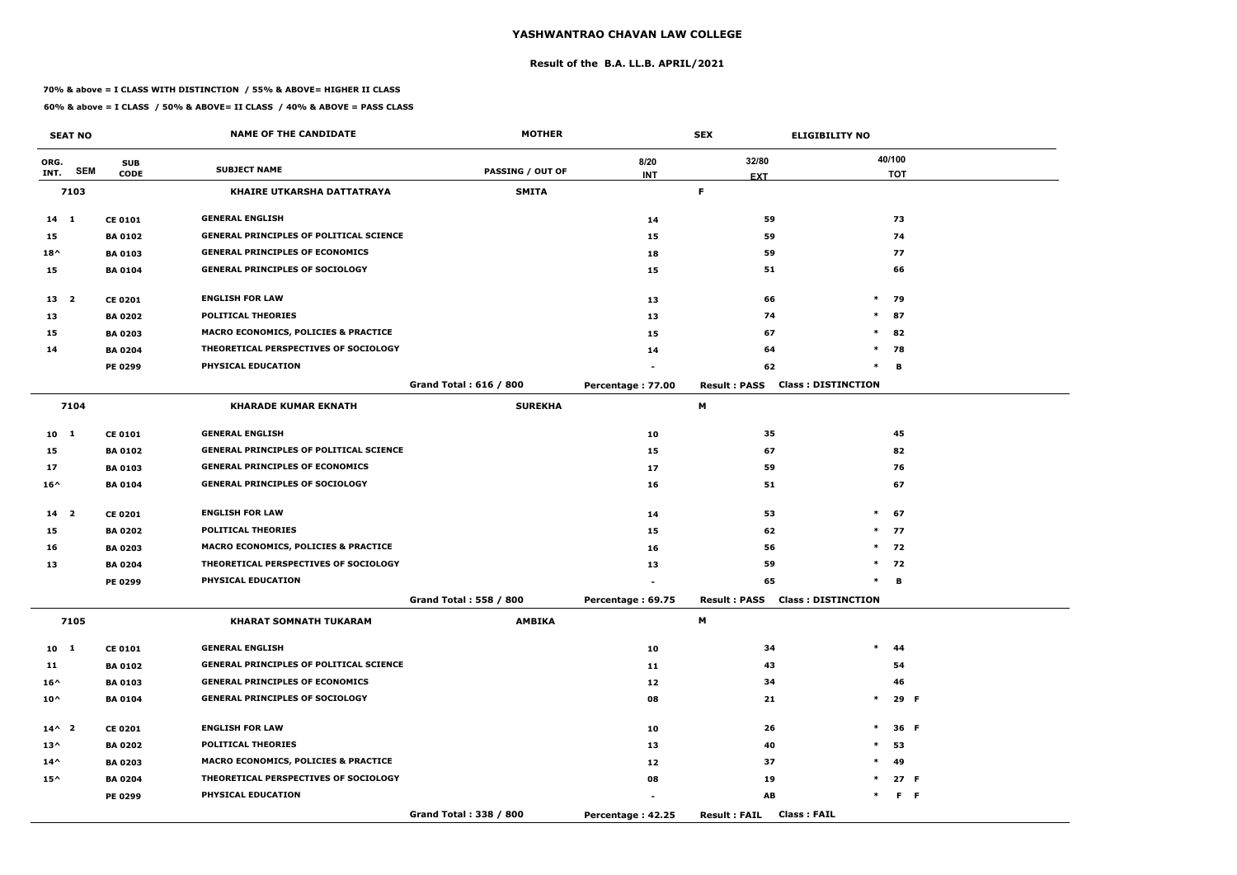#### **Result of the B.A. LL.B. APRIL/2021**

#### **70% & above = I CLASS WITH DISTINCTION / 55% & ABOVE= HIGHER II CLASS**

|                 | <b>SEAT NO</b> |                | <b>NAME OF THE CANDIDATE</b>                    | <b>MOTHER</b>           |                   | <b>SEX</b>                                 | <b>ELIGIBILITY NO</b>     |
|-----------------|----------------|----------------|-------------------------------------------------|-------------------------|-------------------|--------------------------------------------|---------------------------|
| ORG.            |                | <b>SUB</b>     |                                                 |                         | 8/20              | 32/80                                      | 40/100                    |
| INT.            | <b>SEM</b>     | <b>CODE</b>    | <b>SUBJECT NAME</b>                             | <b>PASSING / OUT OF</b> | <b>INT</b>        | <b>EXT</b>                                 | <b>TOT</b>                |
|                 | 7103           |                | <b>KHAIRE UTKARSHA DATTATRAYA</b>               | <b>SMITA</b>            |                   | F.                                         |                           |
| $14 \quad 1$    |                | <b>CE 0101</b> | <b>GENERAL ENGLISH</b>                          |                         | 14                | 59                                         | 73                        |
| 15              |                | <b>BA 0102</b> | <b>GENERAL PRINCIPLES OF POLITICAL SCIENCE</b>  |                         | 15                | 59                                         | 74                        |
| $18^{\wedge}$   |                | <b>BA0103</b>  | <b>GENERAL PRINCIPLES OF ECONOMICS</b>          |                         | 18                | 59                                         | 77                        |
| 15              |                | <b>BA 0104</b> | <b>GENERAL PRINCIPLES OF SOCIOLOGY</b>          |                         | 15                | 51                                         | 66                        |
| 13 <sup>2</sup> |                | <b>CE 0201</b> | <b>ENGLISH FOR LAW</b>                          |                         | 13                | 66                                         | $*$ 79                    |
| 13              |                | <b>BA 0202</b> | <b>POLITICAL THEORIES</b>                       |                         | 13                | 74                                         | $\ast$<br>87              |
| 15              |                | <b>BA 0203</b> | MACRO ECONOMICS, POLICIES & PRACTICE            |                         | 15                | 67                                         | $\ast$<br>82              |
| 14              |                | <b>BA 0204</b> | THEORETICAL PERSPECTIVES OF SOCIOLOGY           |                         | 14                | 64                                         | $*$<br>78                 |
|                 |                | PE 0299        | PHYSICAL EDUCATION                              |                         |                   | 62                                         | $\ast$<br>в               |
|                 |                |                |                                                 | Grand Total: 616 / 800  | Percentage: 77.00 | <b>Result: PASS</b>                        | <b>Class: DISTINCTION</b> |
|                 | 7104           |                | <b>KHARADE KUMAR EKNATH</b>                     | <b>SUREKHA</b>          |                   | М                                          |                           |
| 10 <sub>1</sub> |                | <b>CE 0101</b> | <b>GENERAL ENGLISH</b>                          |                         | 10                | 35                                         | 45                        |
| 15              |                | <b>BA0102</b>  | <b>GENERAL PRINCIPLES OF POLITICAL SCIENCE</b>  |                         | 15                | 67                                         | 82                        |
| 17              |                | <b>BA 0103</b> | <b>GENERAL PRINCIPLES OF ECONOMICS</b>          |                         | 17                | 59                                         | 76                        |
| $16^{\wedge}$   |                | <b>BA 0104</b> | <b>GENERAL PRINCIPLES OF SOCIOLOGY</b>          |                         | 16                | 51                                         | 67                        |
| 14 <sub>2</sub> |                | <b>CE 0201</b> | <b>ENGLISH FOR LAW</b>                          |                         | 14                | 53                                         | $*$ 67                    |
| 15              |                | <b>BA 0202</b> | <b>POLITICAL THEORIES</b>                       |                         | 15                | 62                                         | $*$ 77                    |
| 16              |                | <b>BA 0203</b> | <b>MACRO ECONOMICS, POLICIES &amp; PRACTICE</b> |                         | 16                | 56                                         | $*$ 72                    |
| 13              |                | <b>BA 0204</b> | THEORETICAL PERSPECTIVES OF SOCIOLOGY           |                         | 13                | 59                                         | $*$<br>72                 |
|                 |                | PE 0299        | PHYSICAL EDUCATION                              |                         |                   | 65                                         | в<br>$\ast$               |
|                 |                |                |                                                 | Grand Total: 558 / 800  | Percentage: 69.75 | <b>Result: PASS</b>                        | <b>Class: DISTINCTION</b> |
|                 | 7105           |                | <b>KHARAT SOMNATH TUKARAM</b>                   | <b>AMBIKA</b>           |                   | M                                          |                           |
| 10 <sub>1</sub> |                | <b>CE 0101</b> | <b>GENERAL ENGLISH</b>                          |                         | 10                | 34                                         | $\ast$<br>- 44            |
| 11              |                | <b>BA 0102</b> | <b>GENERAL PRINCIPLES OF POLITICAL SCIENCE</b>  |                         | 11                | 43                                         | 54                        |
| $16^{\wedge}$   |                | <b>BA 0103</b> | <b>GENERAL PRINCIPLES OF ECONOMICS</b>          |                         | 12                | 34                                         | 46                        |
| $10^{\wedge}$   |                | <b>BA 0104</b> | <b>GENERAL PRINCIPLES OF SOCIOLOGY</b>          |                         | 08                | 21                                         | 29 F<br>$\ast$            |
| $14^{\wedge}$ 2 |                | <b>CE 0201</b> | <b>ENGLISH FOR LAW</b>                          |                         | 10                | 26                                         | 36 F<br>$\ast$            |
| $13^{\wedge}$   |                | <b>BA 0202</b> | <b>POLITICAL THEORIES</b>                       |                         | 13                | 40                                         | $\ast$<br>53              |
| $14^{\wedge}$   |                | <b>BA 0203</b> | <b>MACRO ECONOMICS, POLICIES &amp; PRACTICE</b> |                         | 12                | 37                                         | $\ast$<br>49              |
| $15^{\wedge}$   |                | <b>BA 0204</b> | THEORETICAL PERSPECTIVES OF SOCIOLOGY           |                         | 08                | 19                                         | 27 F<br>$\ast$            |
|                 |                | <b>PE 0299</b> | PHYSICAL EDUCATION                              |                         |                   | AB                                         | F <sub>F</sub><br>$\ast$  |
|                 |                |                |                                                 | Grand Total: 338 / 800  | Percentage: 42.25 | <b>Class: FAIL</b><br><b>Result : FAIL</b> |                           |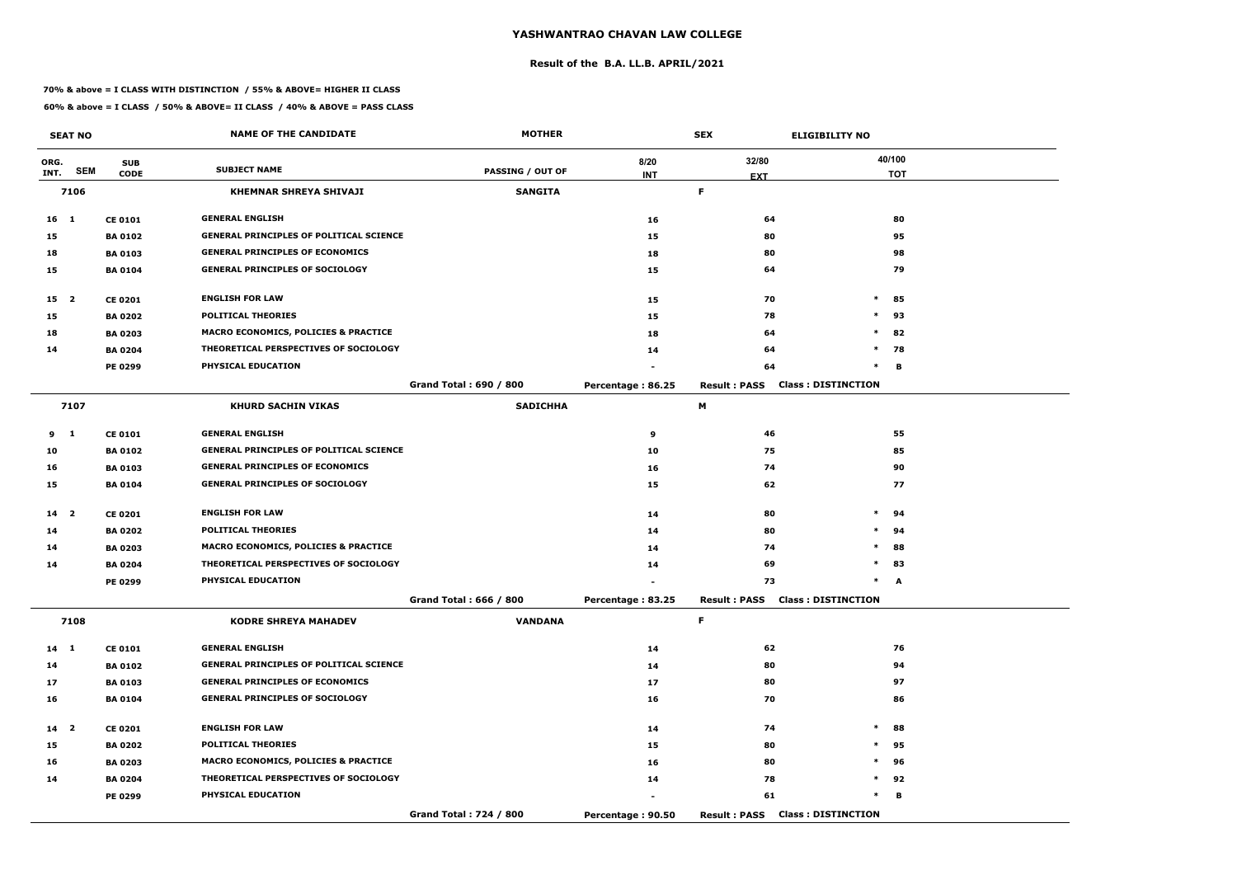#### **Result of the B.A. LL.B. APRIL/2021**

#### **70% & above = I CLASS WITH DISTINCTION / 55% & ABOVE= HIGHER II CLASS**

|                 | <b>SEAT NO</b> |                | <b>NAME OF THE CANDIDATE</b>                    | <b>MOTHER</b>          |                   | <b>SEX</b>                             | <b>ELIGIBILITY NO</b>     |
|-----------------|----------------|----------------|-------------------------------------------------|------------------------|-------------------|----------------------------------------|---------------------------|
| ORG.            |                | <b>SUB</b>     |                                                 |                        | 8/20              | 32/80                                  | 40/100                    |
| INT.            | <b>SEM</b>     | <b>CODE</b>    | <b>SUBJECT NAME</b>                             | PASSING / OUT OF       | <b>INT</b>        | <b>EXT</b>                             | <b>TOT</b>                |
|                 | 7106           |                | <b>KHEMNAR SHREYA SHIVAJI</b>                   | <b>SANGITA</b>         |                   | F.                                     |                           |
| $16 \quad 1$    |                | <b>CE 0101</b> | <b>GENERAL ENGLISH</b>                          |                        | 16                | 64                                     | 80                        |
| 15              |                | <b>BA 0102</b> | <b>GENERAL PRINCIPLES OF POLITICAL SCIENCE</b>  |                        | 15                | 80                                     | 95                        |
| 18              |                | <b>BA 0103</b> | <b>GENERAL PRINCIPLES OF ECONOMICS</b>          |                        | 18                | 80                                     | 98                        |
| 15              |                | <b>BA 0104</b> | <b>GENERAL PRINCIPLES OF SOCIOLOGY</b>          |                        | 15                | 64                                     | 79                        |
| 15 <sup>2</sup> |                | <b>CE 0201</b> | <b>ENGLISH FOR LAW</b>                          |                        | 15                | 70                                     | $\ast$<br>85              |
| 15              |                | <b>BA 0202</b> | <b>POLITICAL THEORIES</b>                       |                        | 15                | 78                                     | $\ast$<br>93              |
| 18              |                | <b>BA 0203</b> | <b>MACRO ECONOMICS, POLICIES &amp; PRACTICE</b> |                        | 18                | 64                                     | $\ast$<br>82              |
| 14              |                | <b>BA 0204</b> | THEORETICAL PERSPECTIVES OF SOCIOLOGY           |                        | 14                | 64                                     | $\ast$<br>78              |
|                 |                | <b>PE 0299</b> | PHYSICAL EDUCATION                              |                        |                   | 64                                     | $\ast$<br>B               |
|                 |                |                |                                                 | Grand Total: 690 / 800 | Percentage: 86.25 | <b>Result: PASS</b>                    | <b>Class: DISTINCTION</b> |
|                 | 7107           |                | <b>KHURD SACHIN VIKAS</b>                       | <b>SADICHHA</b>        |                   | М                                      |                           |
| 9 1             |                | <b>CE 0101</b> | <b>GENERAL ENGLISH</b>                          |                        | 9                 | 46                                     | 55                        |
| 10              |                | <b>BA 0102</b> | <b>GENERAL PRINCIPLES OF POLITICAL SCIENCE</b>  |                        | 10                | 75                                     | 85                        |
| 16              |                | <b>BA 0103</b> | <b>GENERAL PRINCIPLES OF ECONOMICS</b>          |                        | 16                | 74                                     | 90                        |
| 15              |                | <b>BA 0104</b> | <b>GENERAL PRINCIPLES OF SOCIOLOGY</b>          |                        | 15                | 62                                     | 77                        |
| 14 <sub>2</sub> |                | <b>CE 0201</b> | <b>ENGLISH FOR LAW</b>                          |                        | 14                | 80                                     | $\ast$<br>94              |
| 14              |                | <b>BA 0202</b> | <b>POLITICAL THEORIES</b>                       |                        | 14                | 80                                     | $\ast$<br>94              |
| 14              |                | <b>BA 0203</b> | <b>MACRO ECONOMICS, POLICIES &amp; PRACTICE</b> |                        | 14                | 74                                     | $\ast$<br>88              |
| 14              |                | <b>BA 0204</b> | THEORETICAL PERSPECTIVES OF SOCIOLOGY           |                        | 14                | 69                                     | $\ast$<br>83              |
|                 |                | PE 0299        | PHYSICAL EDUCATION                              |                        |                   | 73                                     | $\ast$<br>A               |
|                 |                |                |                                                 | Grand Total: 666 / 800 | Percentage: 83.25 | <b>Result: PASS Class: DISTINCTION</b> |                           |
|                 | 7108           |                | <b>KODRE SHREYA MAHADEV</b>                     | <b>VANDANA</b>         |                   | F.                                     |                           |
| $14 \quad 1$    |                | <b>CE 0101</b> | <b>GENERAL ENGLISH</b>                          |                        | 14                | 62                                     | 76                        |
| 14              |                | <b>BA 0102</b> | <b>GENERAL PRINCIPLES OF POLITICAL SCIENCE</b>  |                        | 14                | 80                                     | 94                        |
| 17              |                | <b>BA 0103</b> | <b>GENERAL PRINCIPLES OF ECONOMICS</b>          |                        | 17                | 80                                     | 97                        |
| 16              |                | <b>BA 0104</b> | <b>GENERAL PRINCIPLES OF SOCIOLOGY</b>          |                        | 16                | 70                                     | 86                        |
| $14$ 2          |                | <b>CE 0201</b> | <b>ENGLISH FOR LAW</b>                          |                        | 14                | 74                                     | $\ast$<br>88              |
| 15              |                | <b>BA 0202</b> | <b>POLITICAL THEORIES</b>                       |                        | 15                | 80                                     | $\ast$<br>95              |
| 16              |                | <b>BA 0203</b> | <b>MACRO ECONOMICS, POLICIES &amp; PRACTICE</b> |                        | 16                | 80                                     | $\ast$<br>96              |
| 14              |                | <b>BA 0204</b> | THEORETICAL PERSPECTIVES OF SOCIOLOGY           |                        | 14                | 78                                     | $\ast$<br>92              |
|                 |                | PE 0299        | <b>PHYSICAL EDUCATION</b>                       |                        |                   | 61                                     | $\ast$<br>в               |
|                 |                |                |                                                 | Grand Total: 724 / 800 | Percentage: 90.50 | <b>Result: PASS Class: DISTINCTION</b> |                           |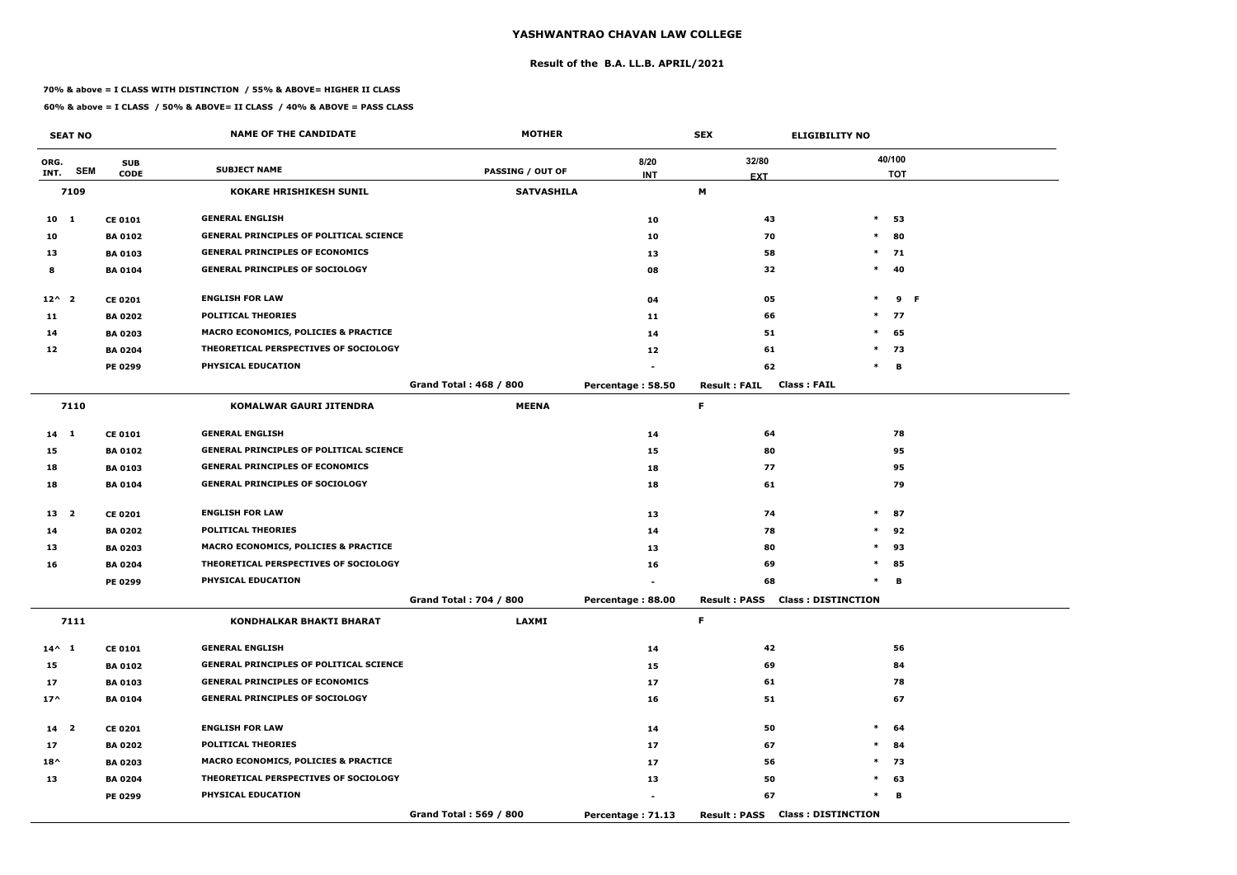#### **Result of the B.A. LL.B. APRIL/2021**

#### **70% & above = I CLASS WITH DISTINCTION / 55% & ABOVE= HIGHER II CLASS**

|                 | <b>SEAT NO</b> |                | <b>NAME OF THE CANDIDATE</b>                    | <b>MOTHER</b>                 |                   | <b>SEX</b>          | <b>ELIGIBILITY NO</b>                  |            |
|-----------------|----------------|----------------|-------------------------------------------------|-------------------------------|-------------------|---------------------|----------------------------------------|------------|
| ORG.            | <b>SEM</b>     | <b>SUB</b>     | <b>SUBJECT NAME</b>                             | <b>PASSING / OUT OF</b>       | 8/20              | 32/80               |                                        | 40/100     |
| INT.            |                | <b>CODE</b>    |                                                 |                               | <b>INT</b>        | <b>EXT</b>          |                                        | <b>TOT</b> |
|                 | 7109           |                | <b>KOKARE HRISHIKESH SUNIL</b>                  | <b>SATVASHILA</b>             |                   | M                   |                                        |            |
| $10$ 1          |                | <b>CE 0101</b> | <b>GENERAL ENGLISH</b>                          |                               | 10                | 43                  | $\ast$                                 | 53         |
| 10              |                | <b>BA 0102</b> | <b>GENERAL PRINCIPLES OF POLITICAL SCIENCE</b>  |                               | 10                | 70                  | $\ast$                                 | 80         |
| 13              |                | <b>BA 0103</b> | <b>GENERAL PRINCIPLES OF ECONOMICS</b>          |                               | 13                | 58                  | $\ast$                                 | 71         |
| 8               |                | <b>BA 0104</b> | <b>GENERAL PRINCIPLES OF SOCIOLOGY</b>          |                               | 08                | 32                  | $\ast$                                 | 40         |
| $12^{\wedge}$ 2 |                | <b>CE 0201</b> | <b>ENGLISH FOR LAW</b>                          |                               | 04                | 05                  | $\ast$                                 | 9 F        |
| 11              |                | <b>BA 0202</b> | <b>POLITICAL THEORIES</b>                       |                               | 11                | 66                  | $\ast$                                 | 77         |
| 14              |                | <b>BA 0203</b> | <b>MACRO ECONOMICS, POLICIES &amp; PRACTICE</b> |                               | 14                | 51                  | $\ast$                                 | 65         |
| 12              |                | <b>BA 0204</b> | THEORETICAL PERSPECTIVES OF SOCIOLOGY           |                               | 12                | 61                  |                                        | $*$ 73     |
|                 |                | <b>PE 0299</b> | PHYSICAL EDUCATION                              |                               |                   | 62                  | $\ast$                                 | B          |
|                 |                |                |                                                 | <b>Grand Total: 468 / 800</b> | Percentage: 58.50 | <b>Result: FAIL</b> | <b>Class: FAIL</b>                     |            |
|                 | 7110           |                | <b>KOMALWAR GAURI JITENDRA</b>                  | <b>MEENA</b>                  |                   | $\mathsf F$         |                                        |            |
| 14 1            |                | <b>CE 0101</b> | <b>GENERAL ENGLISH</b>                          |                               | 14                | 64                  |                                        | 78         |
| 15              |                | <b>BA 0102</b> | <b>GENERAL PRINCIPLES OF POLITICAL SCIENCE</b>  |                               | 15                | 80                  |                                        | 95         |
| 18              |                | <b>BA 0103</b> | <b>GENERAL PRINCIPLES OF ECONOMICS</b>          |                               | 18                | 77                  |                                        | 95         |
| 18              |                | <b>BA 0104</b> | <b>GENERAL PRINCIPLES OF SOCIOLOGY</b>          |                               | 18                | 61                  |                                        | 79         |
| 13 2            |                | <b>CE 0201</b> | <b>ENGLISH FOR LAW</b>                          |                               | 13                | 74                  |                                        | $*$ 87     |
| 14              |                | <b>BA 0202</b> | <b>POLITICAL THEORIES</b>                       |                               | 14                | 78                  | $\ast$                                 | 92         |
| 13              |                | <b>BA 0203</b> | <b>MACRO ECONOMICS, POLICIES &amp; PRACTICE</b> |                               | 13                | 80                  | $\ast$                                 | 93         |
| 16              |                | <b>BA 0204</b> | THEORETICAL PERSPECTIVES OF SOCIOLOGY           |                               | 16                | 69                  | $\ast$                                 | 85         |
|                 |                | PE 0299        | PHYSICAL EDUCATION                              |                               |                   | 68                  | $\ast$                                 | В          |
|                 |                |                |                                                 | Grand Total: 704 / 800        | Percentage: 88.00 |                     | <b>Result: PASS Class: DISTINCTION</b> |            |
|                 | 7111           |                | KONDHALKAR BHAKTI BHARAT                        | <b>LAXMI</b>                  |                   | F.                  |                                        |            |
| $14^{\wedge} 1$ |                | <b>CE 0101</b> | <b>GENERAL ENGLISH</b>                          |                               | 14                | 42                  |                                        | 56         |
| 15              |                | <b>BA 0102</b> | <b>GENERAL PRINCIPLES OF POLITICAL SCIENCE</b>  |                               | 15                | 69                  |                                        | 84         |
| 17              |                | <b>BA 0103</b> | <b>GENERAL PRINCIPLES OF ECONOMICS</b>          |                               | 17                | 61                  |                                        | 78         |
| $17^{\wedge}$   |                | <b>BA 0104</b> | <b>GENERAL PRINCIPLES OF SOCIOLOGY</b>          |                               | 16                | 51                  |                                        | 67         |
| 14 <sub>2</sub> |                | <b>CE 0201</b> | <b>ENGLISH FOR LAW</b>                          |                               | 14                | 50                  |                                        | $*$ 64     |
| 17              |                | <b>BA 0202</b> | <b>POLITICAL THEORIES</b>                       |                               | 17                | 67                  |                                        | $*$ 84     |
| $18^{\wedge}$   |                | <b>BA 0203</b> | <b>MACRO ECONOMICS, POLICIES &amp; PRACTICE</b> |                               | 17                | 56                  |                                        | $*$ 73     |
| 13              |                | <b>BA 0204</b> | THEORETICAL PERSPECTIVES OF SOCIOLOGY           |                               | 13                | 50                  |                                        | $*$ 63     |
|                 |                | <b>PE 0299</b> | PHYSICAL EDUCATION                              |                               |                   | 67                  | $\ast$                                 | В          |
|                 |                |                |                                                 | Grand Total: 569 / 800        | Percentage: 71.13 |                     | <b>Result: PASS Class: DISTINCTION</b> |            |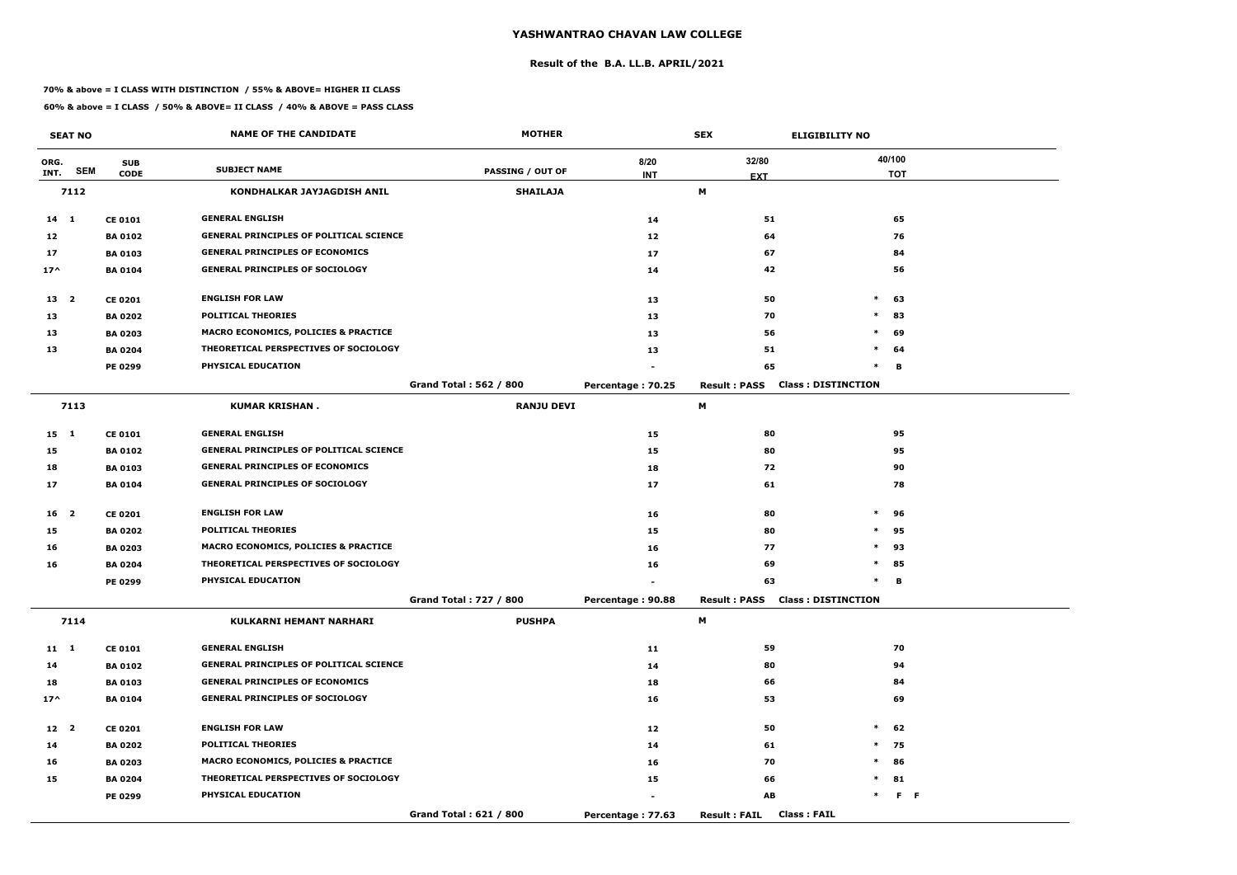#### **Result of the B.A. LL.B. APRIL/2021**

#### **70% & above = I CLASS WITH DISTINCTION / 55% & ABOVE= HIGHER II CLASS**

|                 | <b>SEAT NO</b> |                | <b>NAME OF THE CANDIDATE</b>                    | <b>MOTHER</b>                 |                   | <b>SEX</b>                                  | <b>ELIGIBILITY NO</b>     |
|-----------------|----------------|----------------|-------------------------------------------------|-------------------------------|-------------------|---------------------------------------------|---------------------------|
| ORG.            |                | <b>SUB</b>     |                                                 |                               | 8/20              | 32/80                                       | 40/100                    |
| INT.            | <b>SEM</b>     | <b>CODE</b>    | <b>SUBJECT NAME</b>                             | PASSING / OUT OF              | <b>INT</b>        | <b>EXT</b>                                  | <b>TOT</b>                |
|                 | 7112           |                | KONDHALKAR JAYJAGDISH ANIL                      | <b>SHAILAJA</b>               |                   | M                                           |                           |
| $14 \quad 1$    |                | <b>CE 0101</b> | <b>GENERAL ENGLISH</b>                          |                               | 14                | 51                                          | 65                        |
| 12              |                | <b>BA 0102</b> | <b>GENERAL PRINCIPLES OF POLITICAL SCIENCE</b>  |                               | 12                | 64                                          | 76                        |
| 17              |                | <b>BA 0103</b> | <b>GENERAL PRINCIPLES OF ECONOMICS</b>          |                               | 17                | 67                                          | 84                        |
| $17^{\wedge}$   |                | <b>BA 0104</b> | <b>GENERAL PRINCIPLES OF SOCIOLOGY</b>          |                               | 14                | 42                                          | 56                        |
| 13 2            |                | <b>CE 0201</b> | <b>ENGLISH FOR LAW</b>                          |                               | 13                | 50                                          | $\ast$<br>63              |
| 13              |                | <b>BA 0202</b> | <b>POLITICAL THEORIES</b>                       |                               | 13                | 70                                          | $\ast$<br>83              |
| 13              |                | <b>BA 0203</b> | <b>MACRO ECONOMICS, POLICIES &amp; PRACTICE</b> |                               | 13                | 56                                          | $\ast$<br>69              |
| 13              |                | <b>BA 0204</b> | THEORETICAL PERSPECTIVES OF SOCIOLOGY           |                               | 13                | 51                                          | $\ast$<br>64              |
|                 |                | <b>PE 0299</b> | PHYSICAL EDUCATION                              |                               |                   | 65                                          | $\ast$<br>В               |
|                 |                |                |                                                 | Grand Total: 562 / 800        | Percentage: 70.25 | <b>Result: PASS</b>                         | <b>Class: DISTINCTION</b> |
|                 | 7113           |                | <b>KUMAR KRISHAN.</b>                           | <b>RANJU DEVI</b>             |                   | М                                           |                           |
| $15 \quad 1$    |                | <b>CE 0101</b> | <b>GENERAL ENGLISH</b>                          |                               | 15                | 80                                          | 95                        |
| 15              |                | <b>BA 0102</b> | <b>GENERAL PRINCIPLES OF POLITICAL SCIENCE</b>  |                               | 15                | 80                                          | 95                        |
| 18              |                | <b>BA 0103</b> | <b>GENERAL PRINCIPLES OF ECONOMICS</b>          |                               | 18                | 72                                          | 90                        |
| 17              |                | <b>BA 0104</b> | <b>GENERAL PRINCIPLES OF SOCIOLOGY</b>          |                               | 17                | 61                                          | 78                        |
| 16 <sub>2</sub> |                | <b>CE 0201</b> | <b>ENGLISH FOR LAW</b>                          |                               | 16                | 80                                          | $\ast$<br>96              |
| 15              |                | <b>BA 0202</b> | <b>POLITICAL THEORIES</b>                       |                               | 15                | 80                                          | 95<br>$\ast$              |
| 16              |                | <b>BA 0203</b> | <b>MACRO ECONOMICS, POLICIES &amp; PRACTICE</b> |                               | 16                | 77                                          | $\ast$<br>93              |
| 16              |                | <b>BA 0204</b> | THEORETICAL PERSPECTIVES OF SOCIOLOGY           |                               | 16                | 69                                          | $\ast$<br>85              |
|                 |                | <b>PE 0299</b> | PHYSICAL EDUCATION                              |                               |                   | 63                                          | в<br>$\ast$               |
|                 |                |                |                                                 | <b>Grand Total: 727 / 800</b> | Percentage: 90.88 | <b>Result: PASS Class: DISTINCTION</b>      |                           |
|                 | 7114           |                | KULKARNI HEMANT NARHARI                         | <b>PUSHPA</b>                 |                   | M                                           |                           |
| $11 \quad 1$    |                | <b>CE 0101</b> | <b>GENERAL ENGLISH</b>                          |                               | 11                | 59                                          | 70                        |
| 14              |                | <b>BA 0102</b> | <b>GENERAL PRINCIPLES OF POLITICAL SCIENCE</b>  |                               | 14                | 80                                          | 94                        |
| 18              |                | <b>BA 0103</b> | <b>GENERAL PRINCIPLES OF ECONOMICS</b>          |                               | 18                | 66                                          | 84                        |
| $17^{\wedge}$   |                | <b>BA 0104</b> | <b>GENERAL PRINCIPLES OF SOCIOLOGY</b>          |                               | 16                | 53                                          | 69                        |
| 12 <sup>2</sup> |                | <b>CE 0201</b> | <b>ENGLISH FOR LAW</b>                          |                               | 12                | 50                                          | $\ast$<br>62              |
| 14              |                | <b>BA 0202</b> | POLITICAL THEORIES                              |                               | 14                | 61                                          | $*$ 75                    |
| 16              |                | <b>BA 0203</b> | <b>MACRO ECONOMICS, POLICIES &amp; PRACTICE</b> |                               | 16                | 70                                          | $\ast$<br>86              |
| 15              |                | <b>BA 0204</b> | THEORETICAL PERSPECTIVES OF SOCIOLOGY           |                               | 15                | 66                                          | $*$ 81                    |
|                 |                | <b>PE 0299</b> | <b>PHYSICAL EDUCATION</b>                       |                               |                   | AB                                          | $\ast$<br>F <sub>F</sub>  |
|                 |                |                |                                                 | Grand Total: 621 / 800        | Percentage: 77.63 | <b>Class : FAIL</b><br><b>Result : FAIL</b> |                           |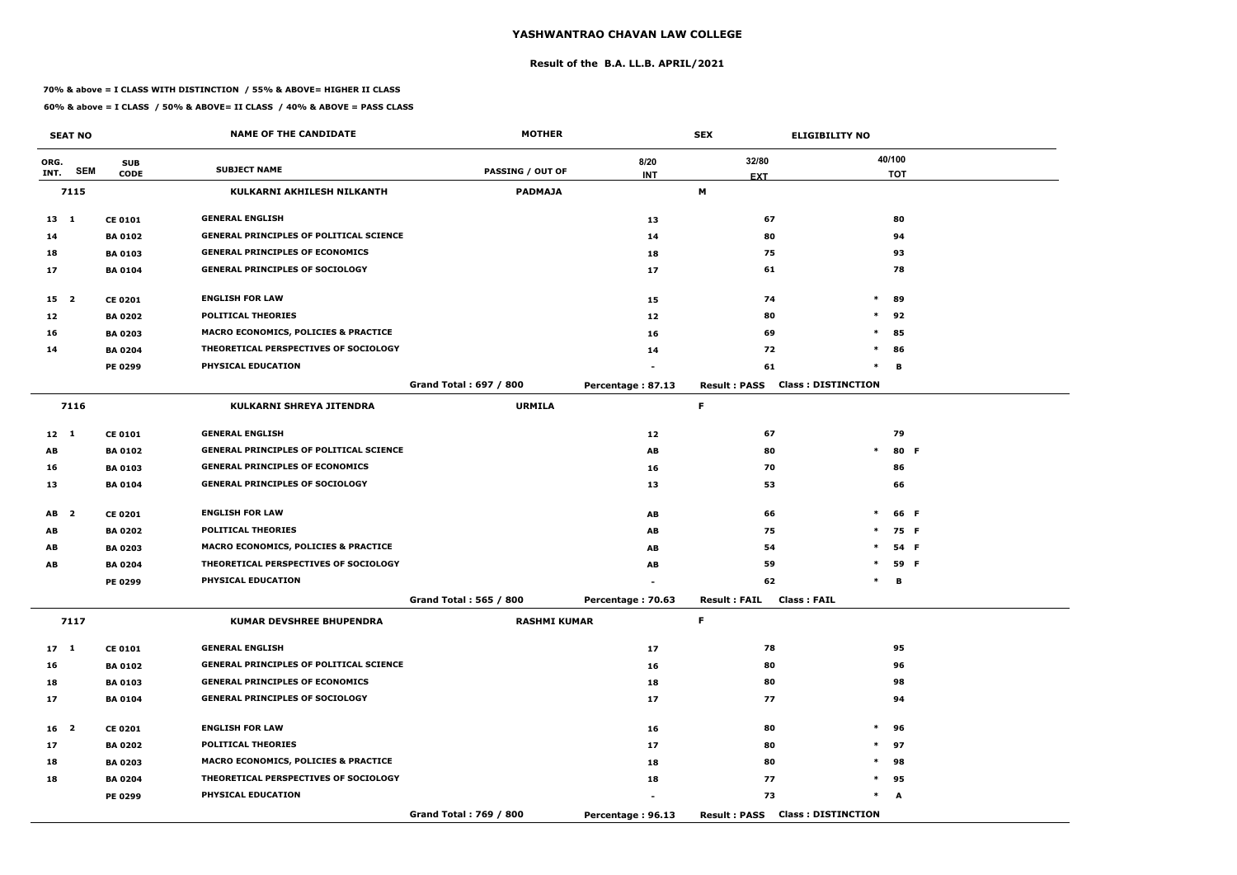#### **Result of the B.A. LL.B. APRIL/2021**

#### **70% & above = I CLASS WITH DISTINCTION / 55% & ABOVE= HIGHER II CLASS**

|                 | <b>SEAT NO</b> |                | <b>NAME OF THE CANDIDATE</b>                    | <b>MOTHER</b>                 |                   | <b>SEX</b>                                | <b>ELIGIBILITY NO</b>     |
|-----------------|----------------|----------------|-------------------------------------------------|-------------------------------|-------------------|-------------------------------------------|---------------------------|
| ORG.            |                | <b>SUB</b>     |                                                 |                               | 8/20              | 32/80                                     | 40/100                    |
| INT.            | <b>SEM</b>     | <b>CODE</b>    | <b>SUBJECT NAME</b>                             | PASSING / OUT OF              | <b>INT</b>        | <b>EXT</b>                                | <b>TOT</b>                |
|                 | 7115           |                | KULKARNI AKHILESH NILKANTH                      | <b>PADMAJA</b>                |                   | M                                         |                           |
| $13 \quad 1$    |                | <b>CE 0101</b> | <b>GENERAL ENGLISH</b>                          |                               | 13                | 67                                        | 80                        |
| 14              |                | <b>BA 0102</b> | <b>GENERAL PRINCIPLES OF POLITICAL SCIENCE</b>  |                               | 14                | 80                                        | 94                        |
| 18              |                | <b>BA 0103</b> | <b>GENERAL PRINCIPLES OF ECONOMICS</b>          |                               | 18                | 75                                        | 93                        |
| 17              |                | <b>BA0104</b>  | <b>GENERAL PRINCIPLES OF SOCIOLOGY</b>          |                               | 17                | 61                                        | 78                        |
| 15 <sub>2</sub> |                | <b>CE 0201</b> | <b>ENGLISH FOR LAW</b>                          |                               | 15                | 74                                        | $\ast$<br>89              |
| 12              |                | <b>BA 0202</b> | <b>POLITICAL THEORIES</b>                       |                               | 12                | 80                                        | $\ast$<br>92              |
| 16              |                | <b>BA 0203</b> | <b>MACRO ECONOMICS, POLICIES &amp; PRACTICE</b> |                               | 16                | 69                                        | $\ast$<br>85              |
| 14              |                | <b>BA 0204</b> | THEORETICAL PERSPECTIVES OF SOCIOLOGY           |                               | 14                | 72                                        | $\ast$<br>86              |
|                 |                | PE 0299        | PHYSICAL EDUCATION                              |                               |                   | 61                                        | В<br>$\ast$               |
|                 |                |                |                                                 | <b>Grand Total: 697 / 800</b> | Percentage: 87.13 | <b>Result: PASS</b>                       | <b>Class: DISTINCTION</b> |
|                 | 7116           |                | KULKARNI SHREYA JITENDRA                        | <b>URMILA</b>                 |                   | F                                         |                           |
| $12 \quad 1$    |                | <b>CE 0101</b> | <b>GENERAL ENGLISH</b>                          |                               | 12                | 67                                        | 79                        |
| AB              |                | <b>BA 0102</b> | <b>GENERAL PRINCIPLES OF POLITICAL SCIENCE</b>  |                               | AB                | 80                                        | $\ast$<br>80 F            |
| 16              |                | <b>BA 0103</b> | <b>GENERAL PRINCIPLES OF ECONOMICS</b>          |                               | 16                | 70                                        | 86                        |
| 13              |                | <b>BA 0104</b> | <b>GENERAL PRINCIPLES OF SOCIOLOGY</b>          |                               | 13                | 53                                        | 66                        |
| AB <sub>2</sub> |                | <b>CE 0201</b> | <b>ENGLISH FOR LAW</b>                          |                               | AB                | 66                                        | $\ast$<br>66 F            |
| AB              |                | <b>BA 0202</b> | <b>POLITICAL THEORIES</b>                       |                               | AB                | 75                                        | 75 F<br>$\ast$            |
| AB              |                | <b>BA 0203</b> | <b>MACRO ECONOMICS, POLICIES &amp; PRACTICE</b> |                               | AB                | 54                                        | 54 F<br>$\ast$            |
| AB              |                | <b>BA 0204</b> | THEORETICAL PERSPECTIVES OF SOCIOLOGY           |                               | AB                | 59                                        | $\ast$<br>59 F            |
|                 |                | PE 0299        | PHYSICAL EDUCATION                              |                               |                   | 62                                        | в<br>$\ast$               |
|                 |                |                |                                                 | Grand Total: 565 / 800        | Percentage: 70.63 | <b>Result: FAIL</b><br><b>Class: FAIL</b> |                           |
|                 | 7117           |                | <b>KUMAR DEVSHREE BHUPENDRA</b>                 | <b>RASHMI KUMAR</b>           |                   | F.                                        |                           |
| $17 \quad 1$    |                | <b>CE 0101</b> | <b>GENERAL ENGLISH</b>                          |                               | 17                | 78                                        | 95                        |
| 16              |                | <b>BA 0102</b> | <b>GENERAL PRINCIPLES OF POLITICAL SCIENCE</b>  |                               | 16                | 80                                        | 96                        |
| 18              |                | <b>BA 0103</b> | <b>GENERAL PRINCIPLES OF ECONOMICS</b>          |                               | 18                | 80                                        | 98                        |
| 17              |                | <b>BA 0104</b> | <b>GENERAL PRINCIPLES OF SOCIOLOGY</b>          |                               | 17                | 77                                        | 94                        |
| 16 <sub>2</sub> |                | <b>CE 0201</b> | <b>ENGLISH FOR LAW</b>                          |                               | 16                | 80                                        | $\ast$<br>96              |
| 17              |                | <b>BA 0202</b> | <b>POLITICAL THEORIES</b>                       |                               | 17                | 80                                        | $\ast$<br>97              |
| 18              |                | <b>BA 0203</b> | <b>MACRO ECONOMICS, POLICIES &amp; PRACTICE</b> |                               | 18                | 80                                        | 98<br>$\ast$              |
| 18              |                | <b>BA 0204</b> | THEORETICAL PERSPECTIVES OF SOCIOLOGY           |                               | 18                | 77                                        | 95<br>$\ast$              |
|                 |                | <b>PE 0299</b> | PHYSICAL EDUCATION                              |                               |                   | 73                                        | $\ast$<br>A               |
|                 |                |                |                                                 | Grand Total: 769 / 800        | Percentage: 96.13 | <b>Result: PASS Class: DISTINCTION</b>    |                           |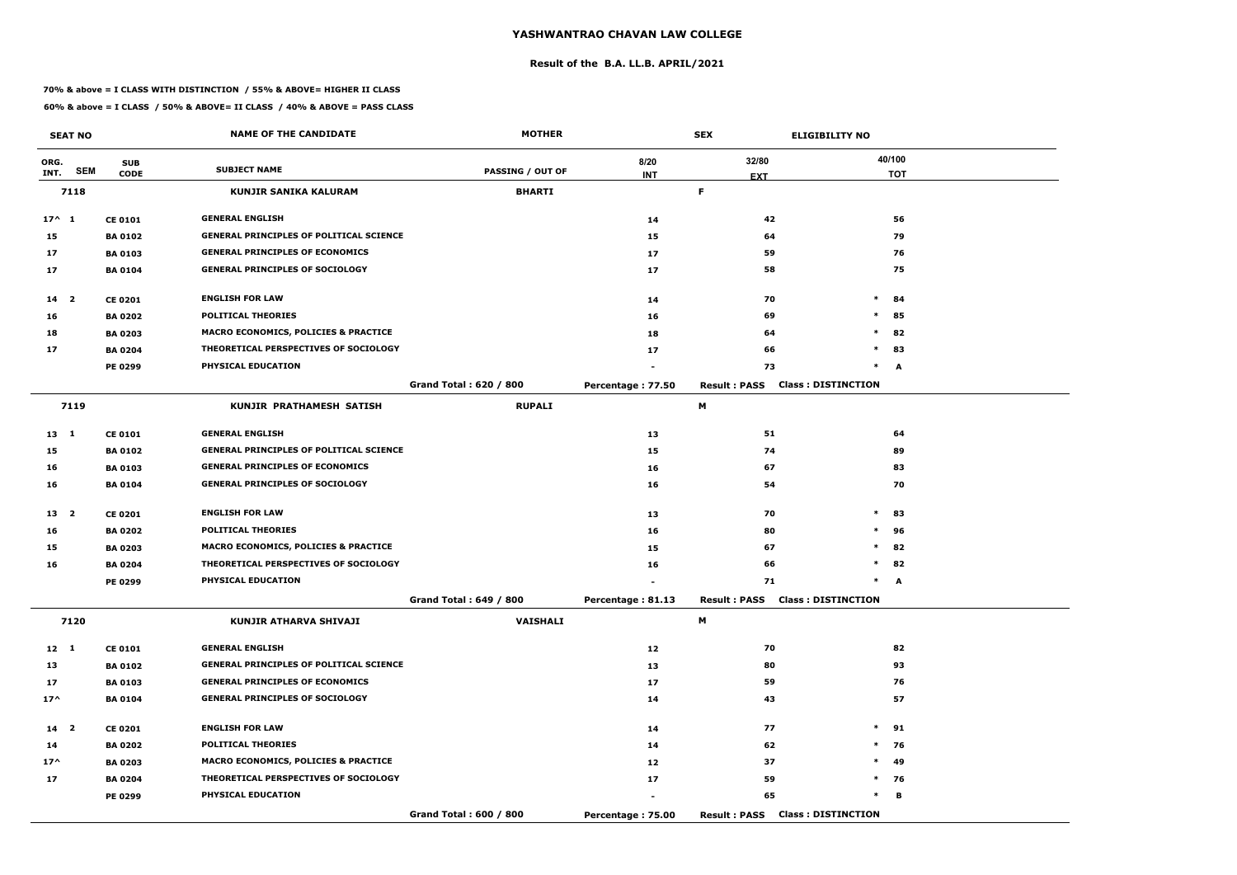#### **Result of the B.A. LL.B. APRIL/2021**

#### **70% & above = I CLASS WITH DISTINCTION / 55% & ABOVE= HIGHER II CLASS**

|                 | <b>SEAT NO</b> |                | <b>NAME OF THE CANDIDATE</b>                    | <b>MOTHER</b>           |                   | <b>SEX</b>          | <b>ELIGIBILITY NO</b>                  |
|-----------------|----------------|----------------|-------------------------------------------------|-------------------------|-------------------|---------------------|----------------------------------------|
| ORG.            |                | <b>SUB</b>     | <b>SUBJECT NAME</b>                             |                         | 8/20              | 32/80               | 40/100                                 |
| INT.            | <b>SEM</b>     | <b>CODE</b>    |                                                 | <b>PASSING / OUT OF</b> | <b>INT</b>        | <b>EXT</b>          | <b>TOT</b>                             |
|                 | 7118           |                | <b>KUNJIR SANIKA KALURAM</b>                    | <b>BHARTI</b>           |                   | F.                  |                                        |
| $17^{\wedge} 1$ |                | <b>CE 0101</b> | <b>GENERAL ENGLISH</b>                          |                         | 14                | 42                  | 56                                     |
| 15              |                | <b>BA 0102</b> | <b>GENERAL PRINCIPLES OF POLITICAL SCIENCE</b>  |                         | 15                | 64                  | 79                                     |
| 17              |                | <b>BA 0103</b> | <b>GENERAL PRINCIPLES OF ECONOMICS</b>          |                         | 17                | 59                  | 76                                     |
| 17              |                | <b>BA 0104</b> | <b>GENERAL PRINCIPLES OF SOCIOLOGY</b>          |                         | 17                | 58                  | 75                                     |
| $14 2$          |                | <b>CE 0201</b> | <b>ENGLISH FOR LAW</b>                          |                         | 14                | 70                  | $\ast$<br>84                           |
| 16              |                | <b>BA 0202</b> | <b>POLITICAL THEORIES</b>                       |                         | 16                | 69                  | $\ast$<br>85                           |
| 18              |                | <b>BA 0203</b> | MACRO ECONOMICS, POLICIES & PRACTICE            |                         | 18                | 64                  | $\ast$<br>82                           |
| 17              |                | <b>BA 0204</b> | THEORETICAL PERSPECTIVES OF SOCIOLOGY           |                         | 17                | 66                  | $\ast$<br>83                           |
|                 |                | <b>PE 0299</b> | PHYSICAL EDUCATION                              |                         |                   | 73                  | $\ast$<br>A                            |
|                 |                |                |                                                 | Grand Total: 620 / 800  | Percentage: 77.50 | <b>Result: PASS</b> | <b>Class: DISTINCTION</b>              |
|                 | 7119           |                | KUNJIR PRATHAMESH SATISH                        | <b>RUPALI</b>           |                   | М                   |                                        |
| $13 \quad 1$    |                | <b>CE 0101</b> | <b>GENERAL ENGLISH</b>                          |                         | 13                | 51                  | 64                                     |
| 15              |                | <b>BA 0102</b> | <b>GENERAL PRINCIPLES OF POLITICAL SCIENCE</b>  |                         | 15                | 74                  | 89                                     |
| 16              |                | <b>BA 0103</b> | <b>GENERAL PRINCIPLES OF ECONOMICS</b>          |                         | 16                | 67                  | 83                                     |
| 16              |                | <b>BA 0104</b> | <b>GENERAL PRINCIPLES OF SOCIOLOGY</b>          |                         | 16                | 54                  | 70                                     |
| 13 <sub>2</sub> |                | <b>CE 0201</b> | <b>ENGLISH FOR LAW</b>                          |                         | 13                | 70                  | $\ast$<br>83                           |
| 16              |                | <b>BA 0202</b> | <b>POLITICAL THEORIES</b>                       |                         | 16                | 80                  | $\ast$<br>96                           |
| 15              |                | <b>BA 0203</b> | <b>MACRO ECONOMICS, POLICIES &amp; PRACTICE</b> |                         | 15                | 67                  | $\ast$<br>82                           |
| 16              |                | <b>BA 0204</b> | THEORETICAL PERSPECTIVES OF SOCIOLOGY           |                         | 16                | 66                  | $\ast$<br>82                           |
|                 |                | PE 0299        | PHYSICAL EDUCATION                              |                         |                   | 71                  | $\ast$<br>A                            |
|                 |                |                |                                                 | Grand Total: 649 / 800  | Percentage: 81.13 |                     | <b>Result: PASS Class: DISTINCTION</b> |
|                 | 7120           |                | KUNJIR ATHARVA SHIVAJI                          | <b>VAISHALI</b>         |                   | M                   |                                        |
| $12 \quad 1$    |                | <b>CE 0101</b> | <b>GENERAL ENGLISH</b>                          |                         | 12                | 70                  | 82                                     |
| 13              |                | <b>BA 0102</b> | <b>GENERAL PRINCIPLES OF POLITICAL SCIENCE</b>  |                         | 13                | 80                  | 93                                     |
| 17              |                | <b>BA 0103</b> | <b>GENERAL PRINCIPLES OF ECONOMICS</b>          |                         | 17                | 59                  | 76                                     |
| $17^{\wedge}$   |                | <b>BA 0104</b> | <b>GENERAL PRINCIPLES OF SOCIOLOGY</b>          |                         | 14                | 43                  | 57                                     |
| 14 <sup>2</sup> |                | <b>CE 0201</b> | <b>ENGLISH FOR LAW</b>                          |                         | 14                | 77                  | $*$ 91                                 |
| 14              |                | <b>BA 0202</b> | <b>POLITICAL THEORIES</b>                       |                         | 14                | 62                  | $*$ 76                                 |
| $17^{\wedge}$   |                | <b>BA 0203</b> | <b>MACRO ECONOMICS, POLICIES &amp; PRACTICE</b> |                         | 12                | 37                  | $\ast$<br>49                           |
| 17              |                | <b>BA 0204</b> | THEORETICAL PERSPECTIVES OF SOCIOLOGY           |                         | 17                | 59                  | $*$ 76                                 |
|                 |                | PE 0299        | <b>PHYSICAL EDUCATION</b>                       |                         |                   | 65                  | $\ast$<br>В                            |
|                 |                |                |                                                 | Grand Total: 600 / 800  | Percentage: 75.00 |                     | <b>Result: PASS Class: DISTINCTION</b> |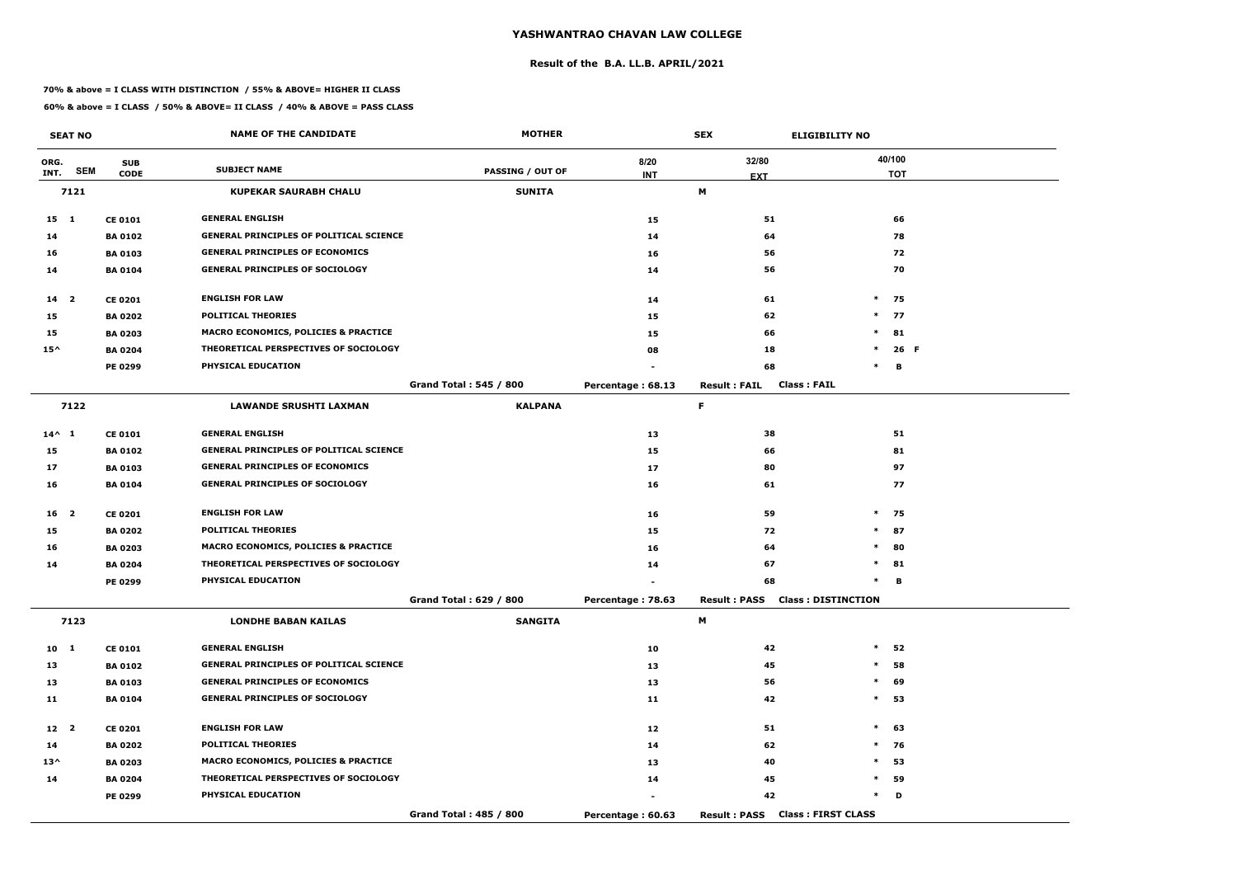#### **Result of the B.A. LL.B. APRIL/2021**

#### **70% & above = I CLASS WITH DISTINCTION / 55% & ABOVE= HIGHER II CLASS**

|                 | <b>SEAT NO</b> |                | <b>NAME OF THE CANDIDATE</b>                    | <b>MOTHER</b>                 |                   | <b>SEX</b>                             | <b>ELIGIBILITY NO</b>     |
|-----------------|----------------|----------------|-------------------------------------------------|-------------------------------|-------------------|----------------------------------------|---------------------------|
| ORG.            |                | <b>SUB</b>     |                                                 |                               | 8/20              | 32/80                                  | 40/100                    |
| INT.            | <b>SEM</b>     | <b>CODE</b>    | <b>SUBJECT NAME</b>                             | <b>PASSING / OUT OF</b>       | <b>INT</b>        | <b>EXT</b>                             | <b>TOT</b>                |
|                 | 7121           |                | <b>KUPEKAR SAURABH CHALU</b>                    | <b>SUNITA</b>                 |                   | M                                      |                           |
| $15 \quad 1$    |                | <b>CE 0101</b> | <b>GENERAL ENGLISH</b>                          |                               | 15                | 51                                     | 66                        |
| 14              |                | <b>BA 0102</b> | <b>GENERAL PRINCIPLES OF POLITICAL SCIENCE</b>  |                               | 14                | 64                                     | 78                        |
| 16              |                | <b>BA 0103</b> | <b>GENERAL PRINCIPLES OF ECONOMICS</b>          |                               | 16                | 56                                     | 72                        |
| 14              |                | <b>BA 0104</b> | <b>GENERAL PRINCIPLES OF SOCIOLOGY</b>          |                               | 14                | 56                                     | 70                        |
| $14 \quad 2$    |                | <b>CE 0201</b> | <b>ENGLISH FOR LAW</b>                          |                               | 14                | 61                                     | $\ast$<br>75              |
| 15              |                | <b>BA 0202</b> | <b>POLITICAL THEORIES</b>                       |                               | 15                | 62                                     | $\ast$<br>77              |
| 15              |                | <b>BA 0203</b> | <b>MACRO ECONOMICS, POLICIES &amp; PRACTICE</b> |                               | 15                | 66                                     | $\ast$<br>81              |
| $15^{\wedge}$   |                | <b>BA 0204</b> | THEORETICAL PERSPECTIVES OF SOCIOLOGY           |                               | 08                | 18                                     | $\ast$<br>26 F            |
|                 |                | <b>PE 0299</b> | PHYSICAL EDUCATION                              |                               |                   | 68                                     | В<br>$\ast$               |
|                 |                |                |                                                 | <b>Grand Total: 545 / 800</b> | Percentage: 68.13 | <b>Result: FAIL</b>                    | <b>Class: FAIL</b>        |
|                 | 7122           |                | <b>LAWANDE SRUSHTI LAXMAN</b>                   | <b>KALPANA</b>                |                   | F                                      |                           |
| $14^{\wedge}$ 1 |                | <b>CE 0101</b> | <b>GENERAL ENGLISH</b>                          |                               | 13                | 38                                     | 51                        |
| 15              |                | <b>BA 0102</b> | <b>GENERAL PRINCIPLES OF POLITICAL SCIENCE</b>  |                               | 15                | 66                                     | 81                        |
| 17              |                | <b>BA 0103</b> | <b>GENERAL PRINCIPLES OF ECONOMICS</b>          |                               | 17                | 80                                     | 97                        |
| 16              |                | <b>BA 0104</b> | <b>GENERAL PRINCIPLES OF SOCIOLOGY</b>          |                               | 16                | 61                                     | 77                        |
| 16 <sub>2</sub> |                | <b>CE 0201</b> | <b>ENGLISH FOR LAW</b>                          |                               | 16                | 59                                     | $*$<br>75                 |
| 15              |                | <b>BA 0202</b> | <b>POLITICAL THEORIES</b>                       |                               | 15                | 72                                     | $*$<br>87                 |
| 16              |                | <b>BA 0203</b> | <b>MACRO ECONOMICS, POLICIES &amp; PRACTICE</b> |                               | 16                | 64                                     | $\ast$<br>80              |
| 14              |                | <b>BA 0204</b> | THEORETICAL PERSPECTIVES OF SOCIOLOGY           |                               | 14                | 67                                     | $\ast$<br>81              |
|                 |                | PE 0299        | PHYSICAL EDUCATION                              |                               |                   | 68                                     | в<br>$\ast$               |
|                 |                |                |                                                 | Grand Total: 629 / 800        | Percentage: 78.63 | <b>Result: PASS Class: DISTINCTION</b> |                           |
|                 | 7123           |                | <b>LONDHE BABAN KAILAS</b>                      | <b>SANGITA</b>                |                   | M                                      |                           |
| $10 \quad 1$    |                | <b>CE 0101</b> | <b>GENERAL ENGLISH</b>                          |                               | 10                | 42                                     | $*$ 52                    |
| 13              |                | <b>BA 0102</b> | <b>GENERAL PRINCIPLES OF POLITICAL SCIENCE</b>  |                               | 13                | 45                                     | $\ast$<br>58              |
| 13              |                | <b>BA 0103</b> | <b>GENERAL PRINCIPLES OF ECONOMICS</b>          |                               | 13                | 56                                     | $\ast$<br>69              |
| 11              |                | <b>BA 0104</b> | <b>GENERAL PRINCIPLES OF SOCIOLOGY</b>          |                               | 11                | 42                                     | $*$ 53                    |
| 12 <sup>2</sup> |                | <b>CE 0201</b> | <b>ENGLISH FOR LAW</b>                          |                               | 12                | 51                                     | $*$<br>63                 |
| 14              |                | <b>BA 0202</b> | <b>POLITICAL THEORIES</b>                       |                               | 14                | 62                                     | $\ast$<br>76              |
| $13^{\wedge}$   |                | <b>BA 0203</b> | MACRO ECONOMICS, POLICIES & PRACTICE            |                               | 13                | 40                                     | 53<br>$\ast$              |
| 14              |                | <b>BA 0204</b> | THEORETICAL PERSPECTIVES OF SOCIOLOGY           |                               | 14                | 45                                     | $\ast$<br>59              |
|                 |                | <b>PE 0299</b> | PHYSICAL EDUCATION                              |                               | $\blacksquare$    | 42                                     | $\ast$<br>D               |
|                 |                |                |                                                 | Grand Total: 485 / 800        | Percentage: 60.63 | <b>Result: PASS</b>                    | <b>Class: FIRST CLASS</b> |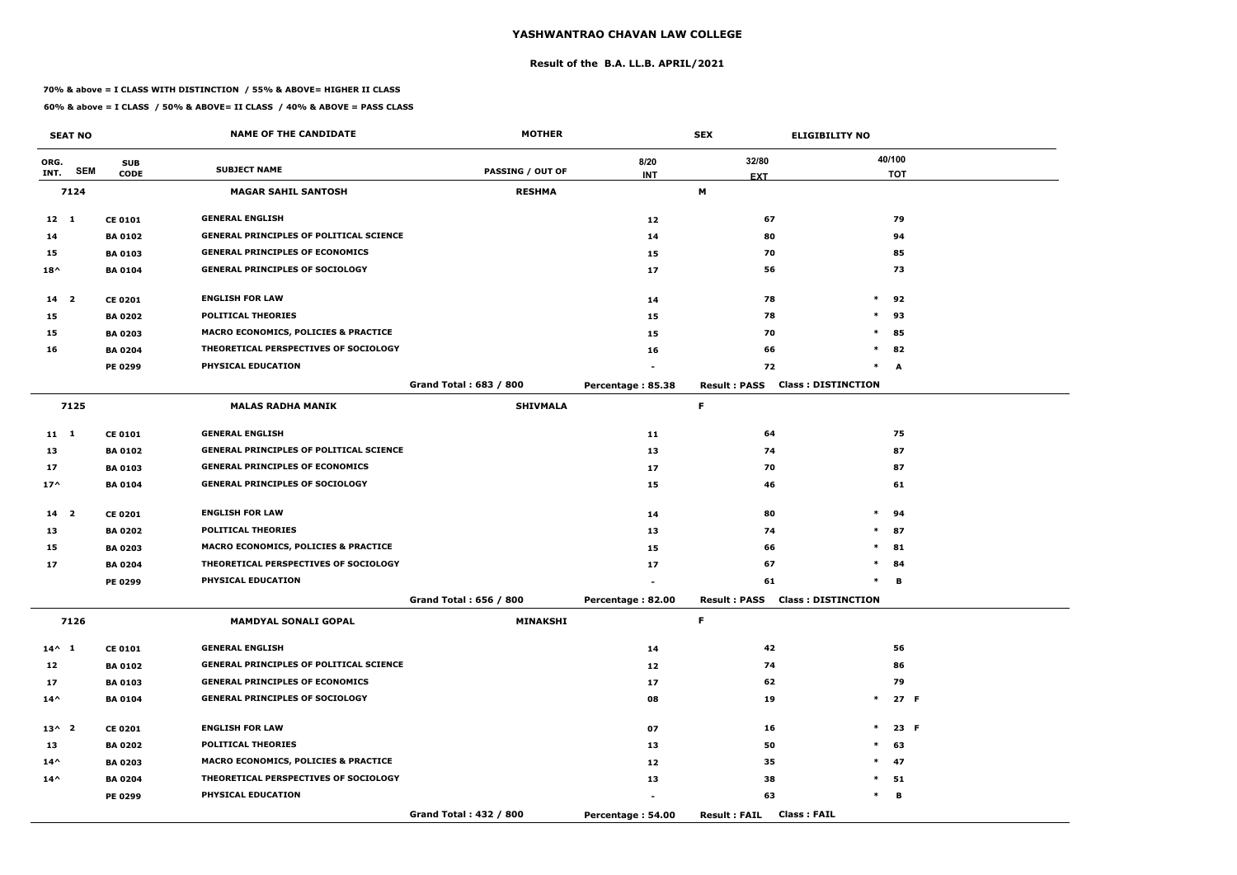#### **Result of the B.A. LL.B. APRIL/2021**

#### **70% & above = I CLASS WITH DISTINCTION / 55% & ABOVE= HIGHER II CLASS**

|                 | <b>SEAT NO</b> |                | <b>NAME OF THE CANDIDATE</b>                    | <b>MOTHER</b>           |                   | <b>SEX</b>                                 | <b>ELIGIBILITY NO</b>     |            |
|-----------------|----------------|----------------|-------------------------------------------------|-------------------------|-------------------|--------------------------------------------|---------------------------|------------|
| ORG.            |                | <b>SUB</b>     |                                                 |                         | 8/20              | 32/80                                      | 40/100                    |            |
| INT.            | <b>SEM</b>     | <b>CODE</b>    | <b>SUBJECT NAME</b>                             | <b>PASSING / OUT OF</b> | <b>INT</b>        | <b>EXT</b>                                 |                           | <b>TOT</b> |
|                 | 7124           |                | <b>MAGAR SAHIL SANTOSH</b>                      | <b>RESHMA</b>           |                   | М                                          |                           |            |
| $12 \quad 1$    |                | <b>CE 0101</b> | <b>GENERAL ENGLISH</b>                          |                         | 12                | 67                                         |                           | 79         |
| 14              |                | <b>BA 0102</b> | <b>GENERAL PRINCIPLES OF POLITICAL SCIENCE</b>  |                         | 14                | 80                                         |                           | 94         |
| 15              |                | <b>BA 0103</b> | <b>GENERAL PRINCIPLES OF ECONOMICS</b>          |                         | 15                | 70                                         |                           | 85         |
| $18^{\wedge}$   |                | <b>BA 0104</b> | <b>GENERAL PRINCIPLES OF SOCIOLOGY</b>          |                         | 17                | 56                                         |                           | 73         |
| 14 <sup>2</sup> |                | <b>CE 0201</b> | <b>ENGLISH FOR LAW</b>                          |                         | 14                | 78                                         | $\ast$                    | 92         |
| 15              |                | <b>BA 0202</b> | <b>POLITICAL THEORIES</b>                       |                         | 15                | 78                                         | $\ast$                    | 93         |
| 15              |                | <b>BA 0203</b> | <b>MACRO ECONOMICS, POLICIES &amp; PRACTICE</b> |                         | 15                | 70                                         | $\ast$                    | 85         |
| 16              |                | <b>BA 0204</b> | THEORETICAL PERSPECTIVES OF SOCIOLOGY           |                         | 16                | 66                                         | $*$                       | 82         |
|                 |                | PE 0299        | PHYSICAL EDUCATION                              |                         |                   | 72                                         | $\ast$                    | A          |
|                 |                |                |                                                 | Grand Total: 683 / 800  | Percentage: 85.38 | <b>Result: PASS</b>                        | <b>Class: DISTINCTION</b> |            |
|                 | 7125           |                | <b>MALAS RADHA MANIK</b>                        | <b>SHIVMALA</b>         |                   | F                                          |                           |            |
| $11 \quad 1$    |                | <b>CE 0101</b> | <b>GENERAL ENGLISH</b>                          |                         | 11                | 64                                         |                           | 75         |
| 13              |                | <b>BA 0102</b> | <b>GENERAL PRINCIPLES OF POLITICAL SCIENCE</b>  |                         | 13                | 74                                         |                           | 87         |
| 17              |                | <b>BA 0103</b> | <b>GENERAL PRINCIPLES OF ECONOMICS</b>          |                         | 17                | 70                                         |                           | 87         |
| $17^$           |                | <b>BA 0104</b> | <b>GENERAL PRINCIPLES OF SOCIOLOGY</b>          |                         | 15                | 46                                         |                           | 61         |
| 14 <sub>2</sub> |                | <b>CE 0201</b> | <b>ENGLISH FOR LAW</b>                          |                         | 14                | 80                                         | $\ast$                    | 94         |
| 13              |                | <b>BA 0202</b> | <b>POLITICAL THEORIES</b>                       |                         | 13                | 74                                         | $*$                       | 87         |
| 15              |                | <b>BA 0203</b> | <b>MACRO ECONOMICS, POLICIES &amp; PRACTICE</b> |                         | 15                | 66                                         | $\ast$                    | 81         |
| 17              |                | <b>BA 0204</b> | THEORETICAL PERSPECTIVES OF SOCIOLOGY           |                         | 17                | 67                                         | $\ast$                    | 84         |
|                 |                | PE 0299        | PHYSICAL EDUCATION                              |                         |                   | 61                                         | $\ast$                    | в          |
|                 |                |                |                                                 | Grand Total: 656 / 800  | Percentage: 82.00 | <b>Result: PASS Class: DISTINCTION</b>     |                           |            |
|                 | 7126           |                | <b>MAMDYAL SONALI GOPAL</b>                     | <b>MINAKSHI</b>         |                   | F.                                         |                           |            |
| $14^{\wedge} 1$ |                | <b>CE 0101</b> | <b>GENERAL ENGLISH</b>                          |                         | 14                | 42                                         |                           | 56         |
| 12              |                | <b>BA 0102</b> | <b>GENERAL PRINCIPLES OF POLITICAL SCIENCE</b>  |                         | 12                | 74                                         |                           | 86         |
| 17              |                | <b>BA 0103</b> | <b>GENERAL PRINCIPLES OF ECONOMICS</b>          |                         | 17                | 62                                         |                           | 79         |
| $14^{\wedge}$   |                | <b>BA 0104</b> | <b>GENERAL PRINCIPLES OF SOCIOLOGY</b>          |                         | 08                | 19                                         |                           | $*$ 27 F   |
| $13^{\wedge}2$  |                | <b>CE 0201</b> | <b>ENGLISH FOR LAW</b>                          |                         | 07                | 16                                         | $\ast$                    | 23 F       |
| 13              |                | <b>BA 0202</b> | <b>POLITICAL THEORIES</b>                       |                         | 13                | 50                                         | $\ast$                    | 63         |
| $14^{\wedge}$   |                | <b>BA 0203</b> | <b>MACRO ECONOMICS, POLICIES &amp; PRACTICE</b> |                         | 12                | 35                                         | $*$                       | 47         |
| $14^{\wedge}$   |                | <b>BA 0204</b> | THEORETICAL PERSPECTIVES OF SOCIOLOGY           |                         | 13                | 38                                         | $*$ 51                    |            |
|                 |                | <b>PE 0299</b> | PHYSICAL EDUCATION                              |                         |                   | 63                                         | $\ast$                    | В          |
|                 |                |                |                                                 | Grand Total: 432 / 800  | Percentage: 54.00 | <b>Class: FAIL</b><br><b>Result : FAIL</b> |                           |            |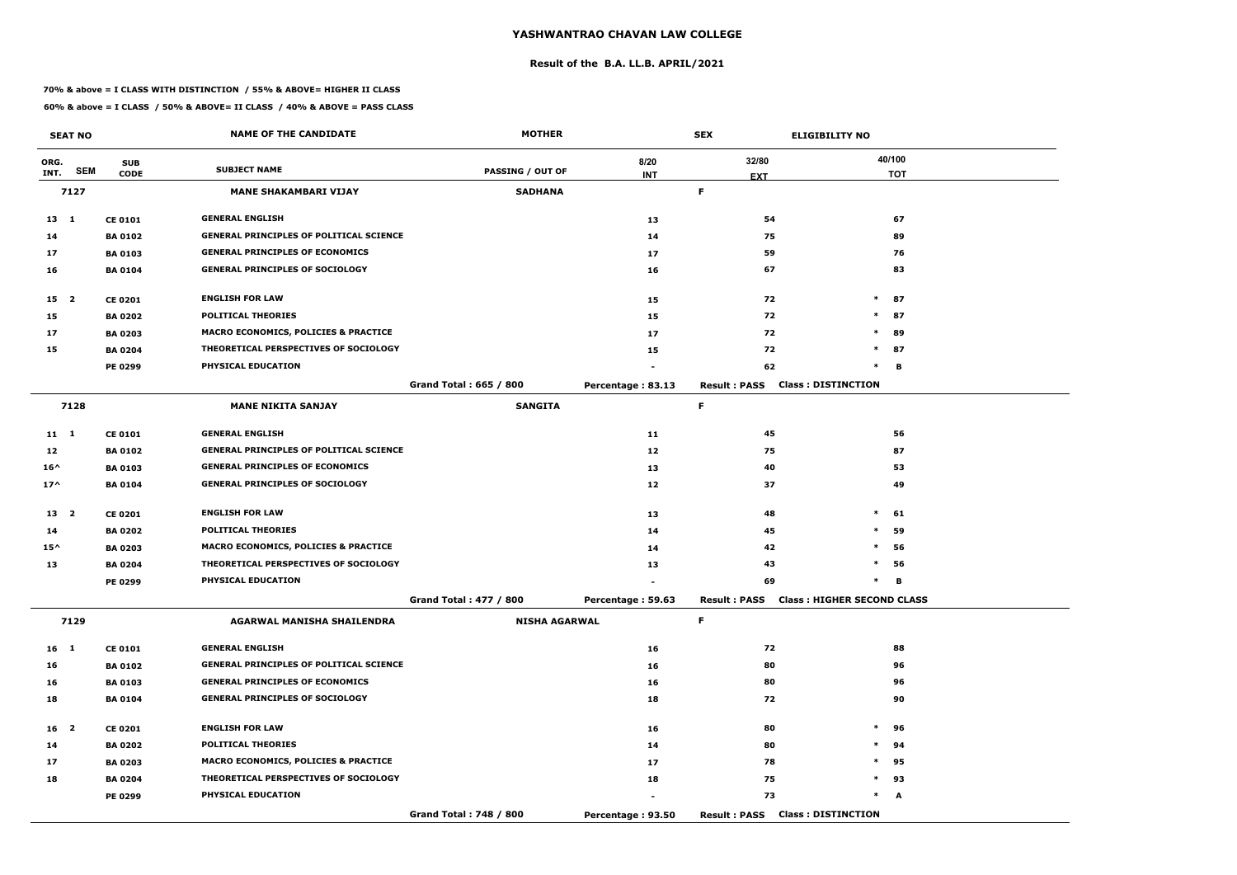#### **Result of the B.A. LL.B. APRIL/2021**

#### **70% & above = I CLASS WITH DISTINCTION / 55% & ABOVE= HIGHER II CLASS**

|                 | <b>SEAT NO</b> |                | <b>NAME OF THE CANDIDATE</b>                    | <b>MOTHER</b>                 |                   | <b>SEX</b>          | <b>ELIGIBILITY NO</b>                   |
|-----------------|----------------|----------------|-------------------------------------------------|-------------------------------|-------------------|---------------------|-----------------------------------------|
| ORG.            |                | <b>SUB</b>     |                                                 |                               | 8/20              | 32/80               | 40/100                                  |
| INT.            | <b>SEM</b>     | <b>CODE</b>    | <b>SUBJECT NAME</b>                             | <b>PASSING / OUT OF</b>       | <b>INT</b>        | <b>EXT</b>          | <b>TOT</b>                              |
|                 | 7127           |                | <b>MANE SHAKAMBARI VIJAY</b>                    | <b>SADHANA</b>                |                   | F.                  |                                         |
| $13 \quad 1$    |                | <b>CE 0101</b> | <b>GENERAL ENGLISH</b>                          |                               | 13                | 54                  | 67                                      |
| 14              |                | <b>BA 0102</b> | <b>GENERAL PRINCIPLES OF POLITICAL SCIENCE</b>  |                               | 14                | 75                  | 89                                      |
| 17              |                | <b>BA0103</b>  | <b>GENERAL PRINCIPLES OF ECONOMICS</b>          |                               | 17                | 59                  | 76                                      |
| 16              |                | <b>BA 0104</b> | <b>GENERAL PRINCIPLES OF SOCIOLOGY</b>          |                               | 16                | 67                  | 83                                      |
| 15 <sub>2</sub> |                | <b>CE 0201</b> | <b>ENGLISH FOR LAW</b>                          |                               | 15                | 72                  | $\ast$<br>87                            |
| 15              |                | <b>BA 0202</b> | <b>POLITICAL THEORIES</b>                       |                               | 15                | 72                  | $\ast$<br>87                            |
| 17              |                | <b>BA 0203</b> | MACRO ECONOMICS, POLICIES & PRACTICE            |                               | 17                | 72                  | $\ast$<br>89                            |
| 15              |                | <b>BA 0204</b> | THEORETICAL PERSPECTIVES OF SOCIOLOGY           |                               | 15                | 72                  | 87<br>$\ast$                            |
|                 |                | <b>PE 0299</b> | PHYSICAL EDUCATION                              |                               |                   | 62                  | в<br>$\ast$                             |
|                 |                |                |                                                 | Grand Total: 665 / 800        | Percentage: 83.13 | <b>Result: PASS</b> | <b>Class: DISTINCTION</b>               |
|                 | 7128           |                | <b>MANE NIKITA SANJAY</b>                       | <b>SANGITA</b>                |                   | F                   |                                         |
| $11 \quad 1$    |                | <b>CE 0101</b> | <b>GENERAL ENGLISH</b>                          |                               | 11                | 45                  | 56                                      |
| 12              |                | <b>BA 0102</b> | <b>GENERAL PRINCIPLES OF POLITICAL SCIENCE</b>  |                               | 12                | 75                  | 87                                      |
| $16^{\wedge}$   |                | <b>BA 0103</b> | <b>GENERAL PRINCIPLES OF ECONOMICS</b>          |                               | 13                | 40                  | 53                                      |
| $17^$           |                | <b>BA 0104</b> | <b>GENERAL PRINCIPLES OF SOCIOLOGY</b>          |                               | 12                | 37                  | 49                                      |
| 13 <sub>2</sub> |                | <b>CE 0201</b> | <b>ENGLISH FOR LAW</b>                          |                               | 13                | 48                  | $\ast$<br>61                            |
| 14              |                | <b>BA 0202</b> | <b>POLITICAL THEORIES</b>                       |                               | 14                | 45                  | $\ast$<br>59                            |
| $15^{\wedge}$   |                | <b>BA 0203</b> | MACRO ECONOMICS, POLICIES & PRACTICE            |                               | 14                | 42                  | $\ast$<br>56                            |
| 13              |                | <b>BA 0204</b> | THEORETICAL PERSPECTIVES OF SOCIOLOGY           |                               | 13                | 43                  | $\ast$<br>56                            |
|                 |                | <b>PE 0299</b> | PHYSICAL EDUCATION                              |                               |                   | 69                  | В<br>$\ast$                             |
|                 |                |                |                                                 | <b>Grand Total: 477 / 800</b> | Percentage: 59.63 |                     | Result: PASS Class: HIGHER SECOND CLASS |
|                 | 7129           |                | AGARWAL MANISHA SHAILENDRA                      | <b>NISHA AGARWAL</b>          |                   | F.                  |                                         |
| 16 <sub>1</sub> |                | <b>CE 0101</b> | <b>GENERAL ENGLISH</b>                          |                               | 16                | 72                  | 88                                      |
| 16              |                | <b>BA 0102</b> | <b>GENERAL PRINCIPLES OF POLITICAL SCIENCE</b>  |                               | 16                | 80                  | 96                                      |
| 16              |                | <b>BA 0103</b> | <b>GENERAL PRINCIPLES OF ECONOMICS</b>          |                               | 16                | 80                  | 96                                      |
| 18              |                | <b>BA 0104</b> | <b>GENERAL PRINCIPLES OF SOCIOLOGY</b>          |                               | 18                | 72                  | 90                                      |
| 16 <sub>2</sub> |                | <b>CE 0201</b> | <b>ENGLISH FOR LAW</b>                          |                               | 16                | 80                  | $\ast$<br>96                            |
| 14              |                | <b>BA 0202</b> | <b>POLITICAL THEORIES</b>                       |                               | 14                | 80                  | $\ast$<br>94                            |
| 17              |                | <b>BA 0203</b> | <b>MACRO ECONOMICS, POLICIES &amp; PRACTICE</b> |                               | 17                | 78                  | $\ast$<br>95                            |
| 18              |                | <b>BA 0204</b> | THEORETICAL PERSPECTIVES OF SOCIOLOGY           |                               | 18                | 75                  | 93<br>$\ast$                            |
|                 |                | <b>PE 0299</b> | PHYSICAL EDUCATION                              |                               |                   | 73                  | $*$ $-$<br>A                            |
|                 |                |                |                                                 | Grand Total: 748 / 800        | Percentage: 93.50 |                     | <b>Result: PASS Class: DISTINCTION</b>  |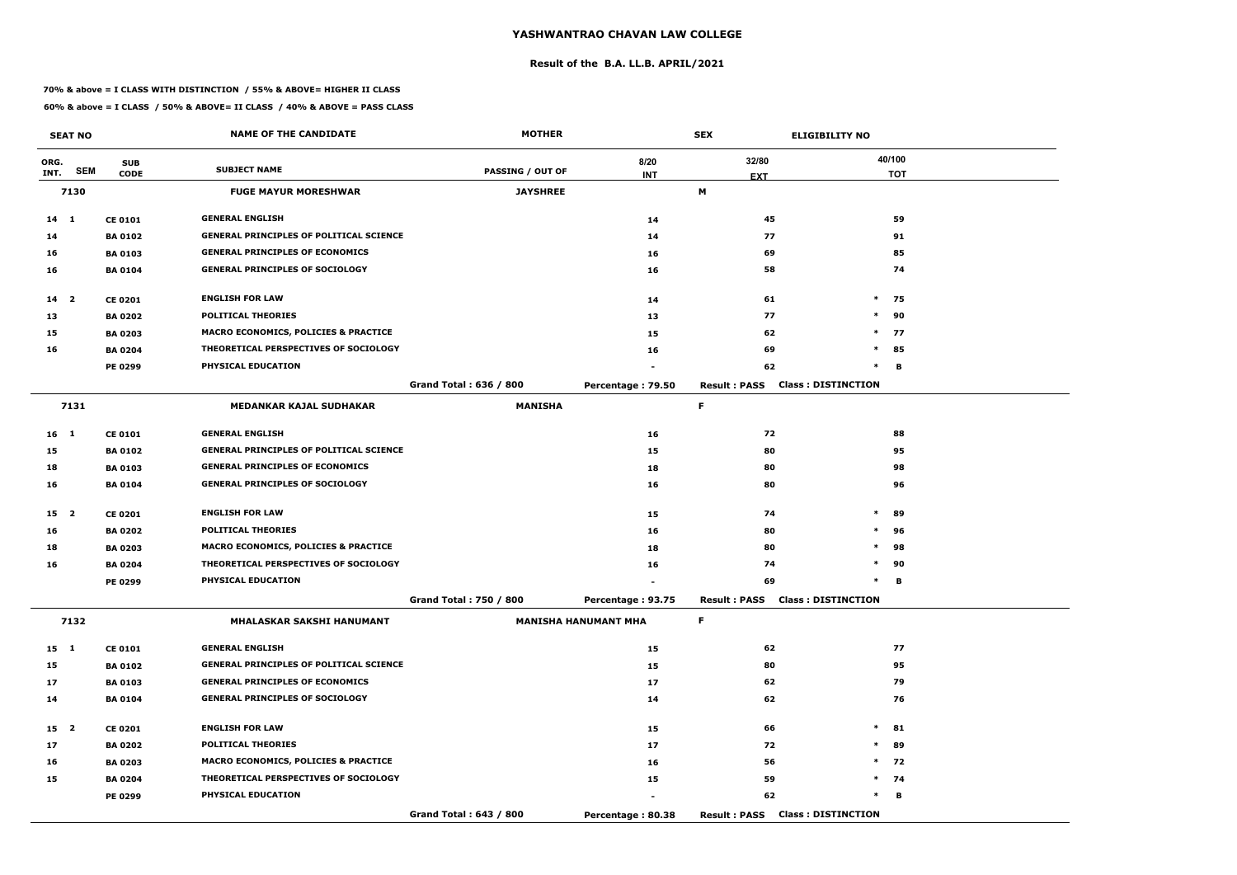#### **Result of the B.A. LL.B. APRIL/2021**

#### **70% & above = I CLASS WITH DISTINCTION / 55% & ABOVE= HIGHER II CLASS**

|                 | <b>SEAT NO</b> |                | <b>NAME OF THE CANDIDATE</b>                    | <b>MOTHER</b>           |                             | <b>SEX</b>                             | <b>ELIGIBILITY NO</b>     |
|-----------------|----------------|----------------|-------------------------------------------------|-------------------------|-----------------------------|----------------------------------------|---------------------------|
| ORG.            | <b>SEM</b>     | <b>SUB</b>     | <b>SUBJECT NAME</b>                             | <b>PASSING / OUT OF</b> | 8/20                        | 32/80                                  | 40/100                    |
| INT.            |                | <b>CODE</b>    |                                                 |                         | <b>INT</b>                  | <b>EXT</b>                             | <b>TOT</b>                |
|                 | 7130           |                | <b>FUGE MAYUR MORESHWAR</b>                     | <b>JAYSHREE</b>         |                             | M                                      |                           |
| $14 \quad 1$    |                | <b>CE 0101</b> | <b>GENERAL ENGLISH</b>                          |                         | 14                          | 45                                     | 59                        |
| 14              |                | <b>BA 0102</b> | <b>GENERAL PRINCIPLES OF POLITICAL SCIENCE</b>  |                         | 14                          | 77                                     | 91                        |
| 16              |                | <b>BA0103</b>  | <b>GENERAL PRINCIPLES OF ECONOMICS</b>          |                         | 16                          | 69                                     | 85                        |
| 16              |                | <b>BA 0104</b> | <b>GENERAL PRINCIPLES OF SOCIOLOGY</b>          |                         | 16                          | 58                                     | 74                        |
| 14 2            |                | <b>CE 0201</b> | <b>ENGLISH FOR LAW</b>                          |                         | 14                          | 61                                     | $*$ 75                    |
| 13              |                | <b>BA 0202</b> | <b>POLITICAL THEORIES</b>                       |                         | 13                          | 77                                     | $\ast$<br>90              |
| 15              |                | <b>BA 0203</b> | MACRO ECONOMICS, POLICIES & PRACTICE            |                         | 15                          | 62                                     | $\ast$<br>77              |
| 16              |                | <b>BA 0204</b> | THEORETICAL PERSPECTIVES OF SOCIOLOGY           |                         | 16                          | 69                                     | $*$ 85                    |
|                 |                | PE 0299        | PHYSICAL EDUCATION                              |                         |                             | 62                                     | $\ast$<br>в               |
|                 |                |                |                                                 | Grand Total: 636 / 800  | Percentage: 79.50           | <b>Result: PASS</b>                    | <b>Class: DISTINCTION</b> |
|                 | 7131           |                | <b>MEDANKAR KAJAL SUDHAKAR</b>                  | <b>MANISHA</b>          |                             | F.                                     |                           |
| 16 <sub>1</sub> |                | <b>CE 0101</b> | <b>GENERAL ENGLISH</b>                          |                         | 16                          | 72                                     | 88                        |
| 15              |                | <b>BA 0102</b> | <b>GENERAL PRINCIPLES OF POLITICAL SCIENCE</b>  |                         | 15                          | 80                                     | 95                        |
| 18              |                | <b>BA 0103</b> | <b>GENERAL PRINCIPLES OF ECONOMICS</b>          |                         | 18                          | 80                                     | 98                        |
| 16              |                | <b>BA 0104</b> | <b>GENERAL PRINCIPLES OF SOCIOLOGY</b>          |                         | 16                          | 80                                     | 96                        |
| 15 2            |                | <b>CE 0201</b> | <b>ENGLISH FOR LAW</b>                          |                         | 15                          | 74                                     | $\ast$<br>89              |
| 16              |                | <b>BA 0202</b> | <b>POLITICAL THEORIES</b>                       |                         | 16                          | 80                                     | $\ast$<br>96              |
| 18              |                | <b>BA 0203</b> | <b>MACRO ECONOMICS, POLICIES &amp; PRACTICE</b> |                         | 18                          | 80                                     | $\ast$<br>98              |
| 16              |                | <b>BA 0204</b> | THEORETICAL PERSPECTIVES OF SOCIOLOGY           |                         | 16                          | 74                                     | $\ast$<br>90              |
|                 |                | PE 0299        | PHYSICAL EDUCATION                              |                         |                             | 69                                     | $\ast$<br>В               |
|                 |                |                |                                                 | Grand Total: 750 / 800  | Percentage: 93.75           | <b>Result: PASS Class: DISTINCTION</b> |                           |
|                 | 7132           |                | MHALASKAR SAKSHI HANUMANT                       |                         | <b>MANISHA HANUMANT MHA</b> | F.                                     |                           |
| 15 1            |                | <b>CE 0101</b> | <b>GENERAL ENGLISH</b>                          |                         | 15                          | 62                                     | 77                        |
| 15              |                | <b>BA 0102</b> | <b>GENERAL PRINCIPLES OF POLITICAL SCIENCE</b>  |                         | 15                          | 80                                     | 95                        |
| 17              |                | <b>BA 0103</b> | <b>GENERAL PRINCIPLES OF ECONOMICS</b>          |                         | 17                          | 62                                     | 79                        |
| 14              |                | <b>BA 0104</b> | <b>GENERAL PRINCIPLES OF SOCIOLOGY</b>          |                         | 14                          | 62                                     | 76                        |
| 15 2            |                | <b>CE 0201</b> | <b>ENGLISH FOR LAW</b>                          |                         | 15                          | 66                                     | $\ast$<br>81              |
| 17              |                | <b>BA 0202</b> | <b>POLITICAL THEORIES</b>                       |                         | 17                          | 72                                     | $\ast$<br>89              |
| 16              |                | <b>BA 0203</b> | <b>MACRO ECONOMICS, POLICIES &amp; PRACTICE</b> |                         | 16                          | 56                                     | $*$ 72                    |
| 15              |                | <b>BA 0204</b> | THEORETICAL PERSPECTIVES OF SOCIOLOGY           |                         | 15                          | 59                                     | $*$ 74                    |
|                 |                | <b>PE 0299</b> | PHYSICAL EDUCATION                              |                         |                             | 62                                     | $\ast$<br>В               |
|                 |                |                |                                                 | Grand Total: 643 / 800  | Percentage: 80.38           | <b>Result: PASS Class: DISTINCTION</b> |                           |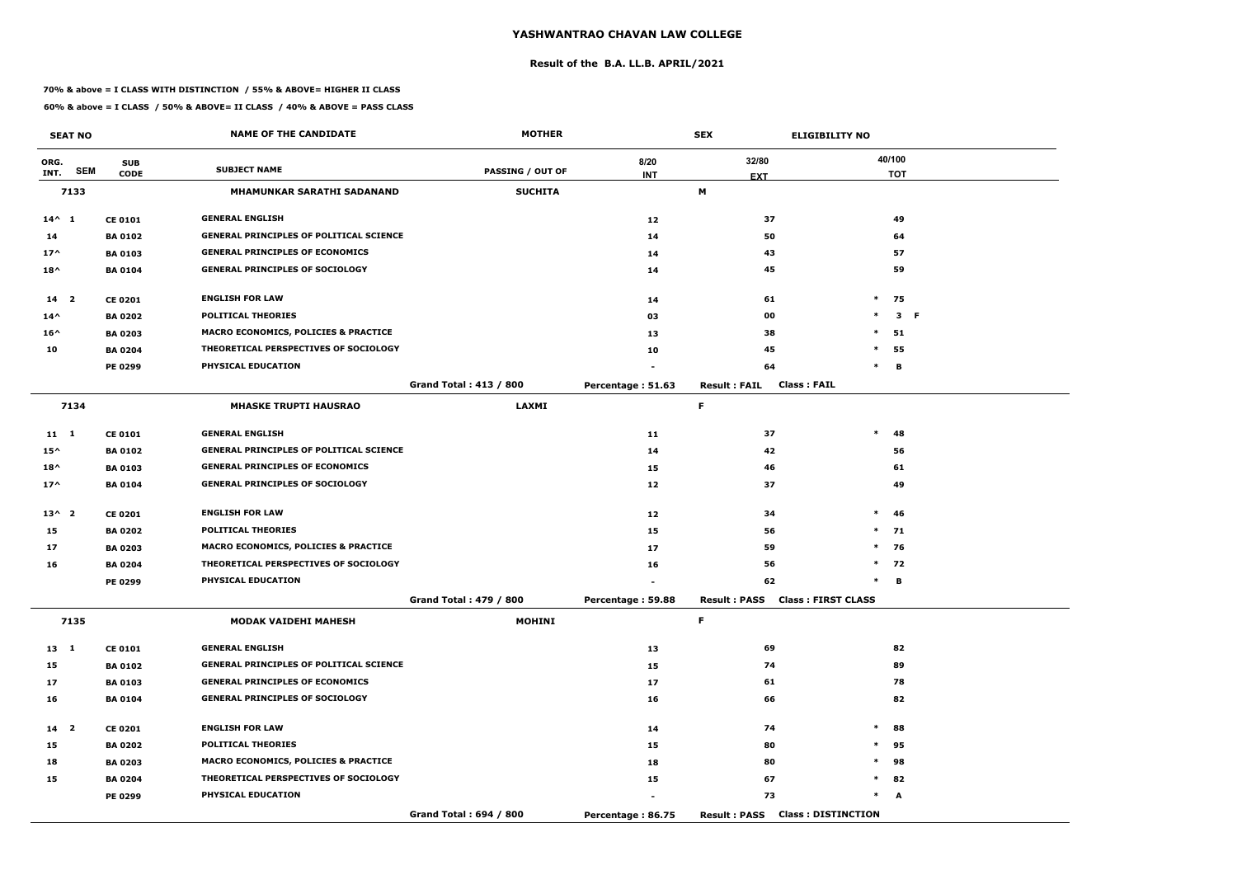#### **Result of the B.A. LL.B. APRIL/2021**

#### **70% & above = I CLASS WITH DISTINCTION / 55% & ABOVE= HIGHER II CLASS**

|                 | <b>SEAT NO</b> |                | <b>NAME OF THE CANDIDATE</b>                    | <b>MOTHER</b>                 |                   | <b>SEX</b>                                | <b>ELIGIBILITY NO</b>     |
|-----------------|----------------|----------------|-------------------------------------------------|-------------------------------|-------------------|-------------------------------------------|---------------------------|
| ORG.            |                | <b>SUB</b>     | <b>SUBJECT NAME</b>                             |                               | 8/20              | 32/80                                     | 40/100                    |
| INT.            | <b>SEM</b>     | <b>CODE</b>    |                                                 | <b>PASSING / OUT OF</b>       | <b>INT</b>        | <b>EXT</b>                                | <b>TOT</b>                |
|                 | 7133           |                | MHAMUNKAR SARATHI SADANAND                      | <b>SUCHITA</b>                |                   | M                                         |                           |
| $14^{\wedge} 1$ |                | <b>CE 0101</b> | <b>GENERAL ENGLISH</b>                          |                               | $12$              | 37                                        | 49                        |
| 14              |                | <b>BA 0102</b> | <b>GENERAL PRINCIPLES OF POLITICAL SCIENCE</b>  |                               | 14                | 50                                        | 64                        |
| $17^$           |                | <b>BA 0103</b> | <b>GENERAL PRINCIPLES OF ECONOMICS</b>          |                               | 14                | 43                                        | 57                        |
| $18^{\wedge}$   |                | <b>BA 0104</b> | <b>GENERAL PRINCIPLES OF SOCIOLOGY</b>          |                               | 14                | 45                                        | 59                        |
| 14 <sup>2</sup> |                | <b>CE 0201</b> | <b>ENGLISH FOR LAW</b>                          |                               | 14                | 61                                        | $\ast$<br>75              |
| $14^{\wedge}$   |                | <b>BA 0202</b> | <b>POLITICAL THEORIES</b>                       |                               | 03                | 00                                        | $\ast$<br>3 F             |
| $16^{\wedge}$   |                | <b>BA 0203</b> | <b>MACRO ECONOMICS, POLICIES &amp; PRACTICE</b> |                               | 13                | 38                                        | $\ast$<br>51              |
| 10              |                | <b>BA 0204</b> | THEORETICAL PERSPECTIVES OF SOCIOLOGY           |                               | 10                | 45                                        | $\ast$<br>55              |
|                 |                | PE 0299        | PHYSICAL EDUCATION                              |                               |                   | 64                                        | в<br>$\ast$               |
|                 |                |                |                                                 | <b>Grand Total: 413 / 800</b> | Percentage: 51.63 | <b>Class: FAIL</b><br><b>Result: FAIL</b> |                           |
|                 | 7134           |                | <b>MHASKE TRUPTI HAUSRAO</b>                    | <b>LAXMI</b>                  |                   | F                                         |                           |
| 11 1            |                | <b>CE 0101</b> | <b>GENERAL ENGLISH</b>                          |                               | 11                | 37                                        | $\ast$<br>48              |
| $15^{\wedge}$   |                | <b>BA0102</b>  | <b>GENERAL PRINCIPLES OF POLITICAL SCIENCE</b>  |                               | 14                | 42                                        | 56                        |
| $18^{\wedge}$   |                | <b>BA 0103</b> | <b>GENERAL PRINCIPLES OF ECONOMICS</b>          |                               | 15                | 46                                        | 61                        |
| $17^{\wedge}$   |                | <b>BA 0104</b> | <b>GENERAL PRINCIPLES OF SOCIOLOGY</b>          |                               | 12                | 37                                        | 49                        |
| $13^{\wedge}2$  |                | <b>CE 0201</b> | <b>ENGLISH FOR LAW</b>                          |                               | $12$              | 34                                        | $\ast$<br>46              |
| 15              |                | <b>BA 0202</b> | <b>POLITICAL THEORIES</b>                       |                               | 15                | 56                                        | $*$ 71                    |
| 17              |                | <b>BA 0203</b> | <b>MACRO ECONOMICS, POLICIES &amp; PRACTICE</b> |                               | 17                | 59                                        | $\ast$<br>76              |
| 16              |                | <b>BA 0204</b> | THEORETICAL PERSPECTIVES OF SOCIOLOGY           |                               | 16                | 56                                        | $*$<br>72                 |
|                 |                | PE 0299        | PHYSICAL EDUCATION                              |                               |                   | 62                                        | $\ast$<br>в               |
|                 |                |                |                                                 | Grand Total: 479 / 800        | Percentage: 59.88 | Result: PASS Class: FIRST CLASS           |                           |
|                 | 7135           |                | <b>MODAK VAIDEHI MAHESH</b>                     | <b>MOHINI</b>                 |                   | F.                                        |                           |
| 13 1            |                | <b>CE 0101</b> | <b>GENERAL ENGLISH</b>                          |                               | 13                | 69                                        | 82                        |
| 15              |                | <b>BA 0102</b> | <b>GENERAL PRINCIPLES OF POLITICAL SCIENCE</b>  |                               | 15                | 74                                        | 89                        |
| 17              |                | <b>BA 0103</b> | <b>GENERAL PRINCIPLES OF ECONOMICS</b>          |                               | 17                | 61                                        | 78                        |
| 16              |                | <b>BA 0104</b> | <b>GENERAL PRINCIPLES OF SOCIOLOGY</b>          |                               | 16                | 66                                        | 82                        |
| $14$ 2          |                | <b>CE 0201</b> | <b>ENGLISH FOR LAW</b>                          |                               | 14                | 74                                        | $\ast$<br>88              |
| 15              |                | <b>BA 0202</b> | <b>POLITICAL THEORIES</b>                       |                               | 15                | 80                                        | $\ast$<br>95              |
| 18              |                | <b>BA 0203</b> | <b>MACRO ECONOMICS, POLICIES &amp; PRACTICE</b> |                               | 18                | 80                                        | 98<br>$\ast$              |
| 15              |                | <b>BA 0204</b> | THEORETICAL PERSPECTIVES OF SOCIOLOGY           |                               | 15                | 67                                        | $\ast$<br>82              |
|                 |                | <b>PE 0299</b> | PHYSICAL EDUCATION                              |                               |                   | 73                                        | $\ast$<br>A               |
|                 |                |                |                                                 | Grand Total: 694 / 800        | Percentage: 86.75 | <b>Result: PASS</b>                       | <b>Class: DISTINCTION</b> |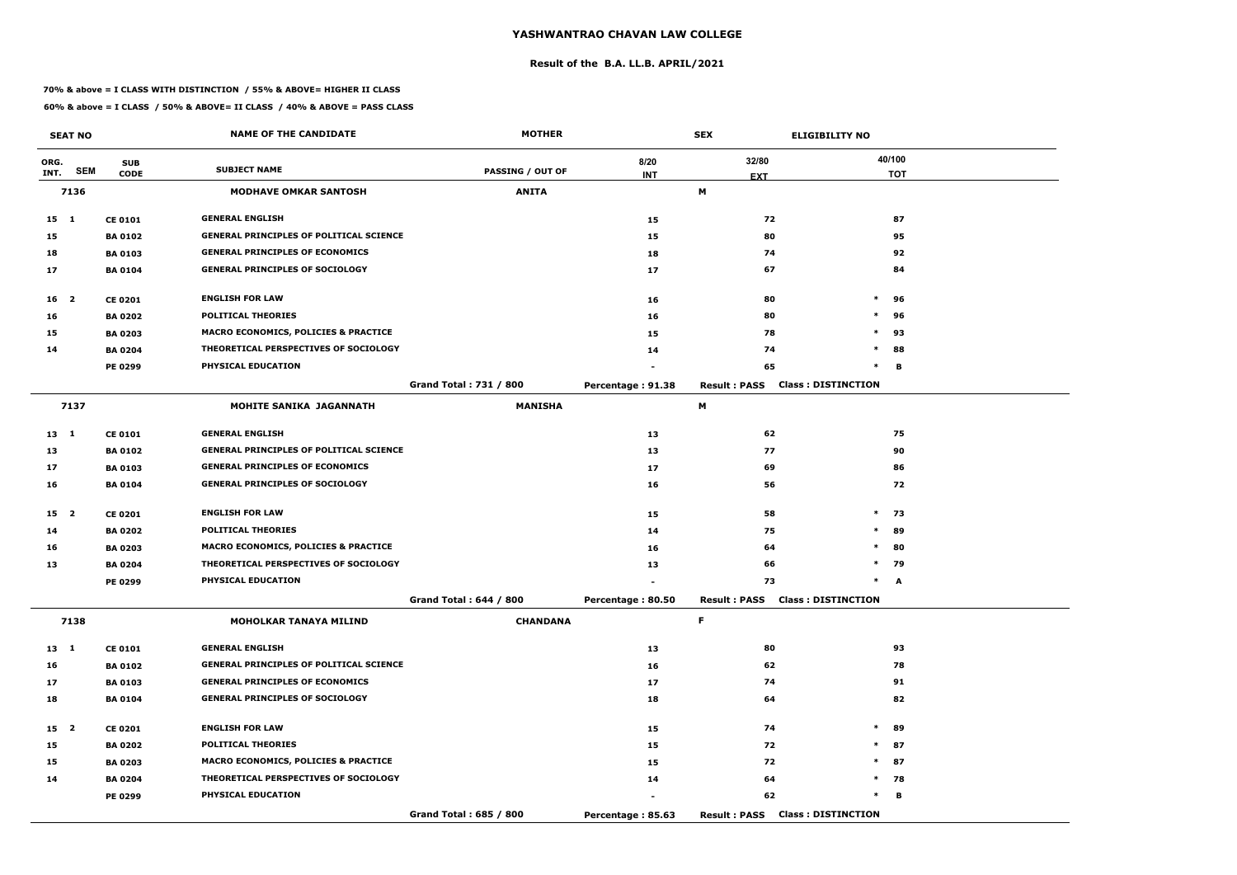#### **Result of the B.A. LL.B. APRIL/2021**

#### **70% & above = I CLASS WITH DISTINCTION / 55% & ABOVE= HIGHER II CLASS**

|                 | <b>SEAT NO</b> |                | <b>NAME OF THE CANDIDATE</b>                    | <b>MOTHER</b>                 |                   | <b>SEX</b>                             | <b>ELIGIBILITY NO</b>     |
|-----------------|----------------|----------------|-------------------------------------------------|-------------------------------|-------------------|----------------------------------------|---------------------------|
| ORG.            |                | <b>SUB</b>     |                                                 |                               | 8/20              | 32/80                                  | 40/100                    |
| INT.            | <b>SEM</b>     | <b>CODE</b>    | <b>SUBJECT NAME</b>                             | <b>PASSING / OUT OF</b>       | <b>INT</b>        | <b>EXT</b>                             | <b>TOT</b>                |
|                 | 7136           |                | <b>MODHAVE OMKAR SANTOSH</b>                    | <b>ANITA</b>                  |                   | М                                      |                           |
| $15 \quad 1$    |                | <b>CE 0101</b> | <b>GENERAL ENGLISH</b>                          |                               | 15                | 72                                     | 87                        |
| 15              |                | <b>BA 0102</b> | <b>GENERAL PRINCIPLES OF POLITICAL SCIENCE</b>  |                               | 15                | 80                                     | 95                        |
| 18              |                | <b>BA 0103</b> | <b>GENERAL PRINCIPLES OF ECONOMICS</b>          |                               | 18                | 74                                     | 92                        |
| 17              |                | <b>BA 0104</b> | <b>GENERAL PRINCIPLES OF SOCIOLOGY</b>          |                               | 17                | 67                                     | 84                        |
| 16 <sup>2</sup> |                | <b>CE 0201</b> | <b>ENGLISH FOR LAW</b>                          |                               | 16                | 80                                     | $\ast$<br>96              |
| 16              |                | <b>BA 0202</b> | <b>POLITICAL THEORIES</b>                       |                               | 16                | 80                                     | $\ast$<br>96              |
| 15              |                | <b>BA 0203</b> | MACRO ECONOMICS, POLICIES & PRACTICE            |                               | 15                | 78                                     | $\ast$<br>93              |
| 14              |                | <b>BA 0204</b> | THEORETICAL PERSPECTIVES OF SOCIOLOGY           |                               | 14                | 74                                     | 88<br>$\ast$              |
|                 |                | <b>PE 0299</b> | PHYSICAL EDUCATION                              |                               |                   | 65                                     | $\ast$<br>В               |
|                 |                |                |                                                 | <b>Grand Total: 731 / 800</b> | Percentage: 91.38 | <b>Result: PASS</b>                    | <b>Class: DISTINCTION</b> |
|                 | 7137           |                | <b>MOHITE SANIKA JAGANNATH</b>                  | <b>MANISHA</b>                |                   | М                                      |                           |
| $13 \quad 1$    |                | <b>CE 0101</b> | <b>GENERAL ENGLISH</b>                          |                               | 13                | 62                                     | 75                        |
| 13              |                | <b>BA 0102</b> | <b>GENERAL PRINCIPLES OF POLITICAL SCIENCE</b>  |                               | 13                | 77                                     | 90                        |
| 17              |                | <b>BA 0103</b> | <b>GENERAL PRINCIPLES OF ECONOMICS</b>          |                               | 17                | 69                                     | 86                        |
| 16              |                | <b>BA 0104</b> | <b>GENERAL PRINCIPLES OF SOCIOLOGY</b>          |                               | 16                | 56                                     | 72                        |
| 15 2            |                | <b>CE 0201</b> | <b>ENGLISH FOR LAW</b>                          |                               | 15                | 58                                     | $\ast$<br>73              |
| 14              |                | <b>BA 0202</b> | <b>POLITICAL THEORIES</b>                       |                               | 14                | 75                                     | $\ast$<br>89              |
| 16              |                | <b>BA 0203</b> | <b>MACRO ECONOMICS, POLICIES &amp; PRACTICE</b> |                               | 16                | 64                                     | $\ast$<br>80              |
| 13              |                | <b>BA 0204</b> | THEORETICAL PERSPECTIVES OF SOCIOLOGY           |                               | 13                | 66                                     | $\ast$<br>79              |
|                 |                | PE 0299        | PHYSICAL EDUCATION                              |                               |                   | 73                                     | $\ast$<br>A               |
|                 |                |                |                                                 | Grand Total: 644 / 800        | Percentage: 80.50 | <b>Result: PASS Class: DISTINCTION</b> |                           |
|                 | 7138           |                | <b>MOHOLKAR TANAYA MILIND</b>                   | <b>CHANDANA</b>               |                   | F.                                     |                           |
| $13 \quad 1$    |                | <b>CE 0101</b> | <b>GENERAL ENGLISH</b>                          |                               | 13                | 80                                     | 93                        |
| 16              |                | <b>BA 0102</b> | <b>GENERAL PRINCIPLES OF POLITICAL SCIENCE</b>  |                               | 16                | 62                                     | 78                        |
| 17              |                | <b>BA 0103</b> | <b>GENERAL PRINCIPLES OF ECONOMICS</b>          |                               | 17                | 74                                     | 91                        |
| 18              |                | <b>BA 0104</b> | <b>GENERAL PRINCIPLES OF SOCIOLOGY</b>          |                               | 18                | 64                                     | 82                        |
| 15 <sub>2</sub> |                | <b>CE 0201</b> | <b>ENGLISH FOR LAW</b>                          |                               | 15                | 74                                     | $\ast$<br>89              |
| 15              |                | <b>BA 0202</b> | <b>POLITICAL THEORIES</b>                       |                               | 15                | 72                                     | $*$ 87                    |
| 15              |                | <b>BA 0203</b> | <b>MACRO ECONOMICS, POLICIES &amp; PRACTICE</b> |                               | 15                | 72                                     | 87<br>$\ast$              |
| 14              |                | <b>BA 0204</b> | THEORETICAL PERSPECTIVES OF SOCIOLOGY           |                               | 14                | 64                                     | $*$ 78                    |
|                 |                | PE 0299        | <b>PHYSICAL EDUCATION</b>                       |                               |                   | 62                                     | $\ast$<br>В               |
|                 |                |                |                                                 | Grand Total: 685 / 800        | Percentage: 85.63 | <b>Result: PASS Class: DISTINCTION</b> |                           |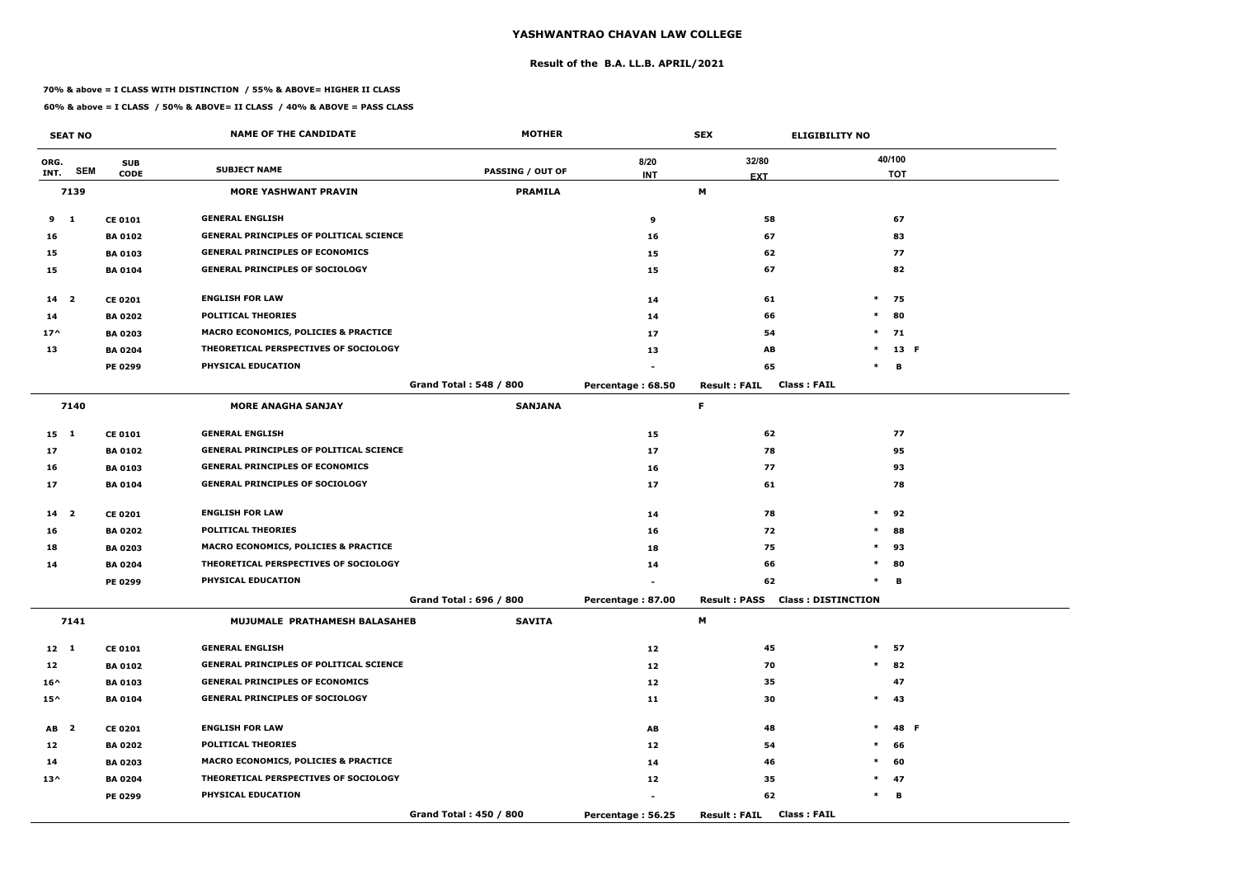#### **Result of the B.A. LL.B. APRIL/2021**

#### **70% & above = I CLASS WITH DISTINCTION / 55% & ABOVE= HIGHER II CLASS**

|                 | <b>SEAT NO</b> |                | <b>NAME OF THE CANDIDATE</b>                    | <b>MOTHER</b>                 |                   | <b>SEX</b><br><b>ELIGIBILITY NO</b>       |        |            |  |
|-----------------|----------------|----------------|-------------------------------------------------|-------------------------------|-------------------|-------------------------------------------|--------|------------|--|
| ORG.            |                | <b>SUB</b>     |                                                 |                               | 8/20              | 32/80                                     |        | 40/100     |  |
| INT.            | <b>SEM</b>     | <b>CODE</b>    | <b>SUBJECT NAME</b>                             | <b>PASSING / OUT OF</b>       | <b>INT</b>        | <b>EXT</b>                                |        | <b>TOT</b> |  |
|                 | 7139           |                | <b>MORE YASHWANT PRAVIN</b>                     | <b>PRAMILA</b>                |                   | М                                         |        |            |  |
| $9 \quad 1$     |                | <b>CE 0101</b> | <b>GENERAL ENGLISH</b>                          |                               | 9                 | 58                                        |        | 67         |  |
| 16              |                | <b>BA 0102</b> | <b>GENERAL PRINCIPLES OF POLITICAL SCIENCE</b>  |                               | 16                | 67                                        |        | 83         |  |
| 15              |                | <b>BA 0103</b> | <b>GENERAL PRINCIPLES OF ECONOMICS</b>          |                               | 15                | 62                                        |        | 77         |  |
| 15              |                | <b>BA 0104</b> | <b>GENERAL PRINCIPLES OF SOCIOLOGY</b>          |                               | 15                | 67                                        |        | 82         |  |
| $14 2$          |                | <b>CE 0201</b> | <b>ENGLISH FOR LAW</b>                          |                               | 14                | 61                                        | $\ast$ | 75         |  |
| 14              |                | <b>BA 0202</b> | <b>POLITICAL THEORIES</b>                       |                               | 14                | 66                                        | $\ast$ | 80         |  |
| $17^$           |                | <b>BA 0203</b> | <b>MACRO ECONOMICS, POLICIES &amp; PRACTICE</b> |                               | 17                | 54                                        | $\ast$ | 71         |  |
| 13              |                | <b>BA 0204</b> | THEORETICAL PERSPECTIVES OF SOCIOLOGY           |                               | 13                | AB                                        | $\ast$ | 13 F       |  |
|                 |                | PE 0299        | PHYSICAL EDUCATION                              |                               |                   | 65                                        | $\ast$ | В          |  |
|                 |                |                |                                                 | <b>Grand Total: 548 / 800</b> | Percentage: 68.50 | <b>Class: FAIL</b><br><b>Result: FAIL</b> |        |            |  |
|                 | 7140           |                | <b>MORE ANAGHA SANJAY</b>                       | <b>SANJANA</b>                |                   | F                                         |        |            |  |
| $15 \quad 1$    |                | <b>CE 0101</b> | <b>GENERAL ENGLISH</b>                          |                               | 15                | 62                                        |        | 77         |  |
| 17              |                | <b>BA0102</b>  | <b>GENERAL PRINCIPLES OF POLITICAL SCIENCE</b>  |                               | 17                | 78                                        |        | 95         |  |
| 16              |                | <b>BA 0103</b> | <b>GENERAL PRINCIPLES OF ECONOMICS</b>          |                               | 16                | 77                                        |        | 93         |  |
| 17              |                | <b>BA0104</b>  | <b>GENERAL PRINCIPLES OF SOCIOLOGY</b>          |                               | 17                | 61                                        |        | 78         |  |
| 14 <sub>2</sub> |                | <b>CE 0201</b> | <b>ENGLISH FOR LAW</b>                          |                               | 14                | 78                                        | $\ast$ | 92         |  |
| 16              |                | <b>BA 0202</b> | <b>POLITICAL THEORIES</b>                       |                               | 16                | 72                                        | $\ast$ | 88         |  |
| 18              |                | <b>BA 0203</b> | <b>MACRO ECONOMICS, POLICIES &amp; PRACTICE</b> |                               | 18                | 75                                        | $\ast$ | 93         |  |
| 14              |                | <b>BA 0204</b> | THEORETICAL PERSPECTIVES OF SOCIOLOGY           |                               | 14                | 66                                        | $\ast$ | 80         |  |
|                 |                | PE 0299        | PHYSICAL EDUCATION                              |                               |                   | 62                                        | $\ast$ | в          |  |
|                 |                |                |                                                 | Grand Total: 696 / 800        | Percentage: 87.00 | <b>Result: PASS Class: DISTINCTION</b>    |        |            |  |
|                 | 7141           |                | MUJUMALE PRATHAMESH BALASAHEB                   | <b>SAVITA</b>                 |                   | M                                         |        |            |  |
| $12 \quad 1$    |                | <b>CE 0101</b> | <b>GENERAL ENGLISH</b>                          |                               | 12                | 45                                        |        | $*$ 57     |  |
| 12              |                | <b>BA 0102</b> | <b>GENERAL PRINCIPLES OF POLITICAL SCIENCE</b>  |                               | 12                | 70                                        | $\ast$ | 82         |  |
| $16^{\wedge}$   |                | <b>BA 0103</b> | <b>GENERAL PRINCIPLES OF ECONOMICS</b>          |                               | 12                | 35                                        |        | 47         |  |
| $15^{\wedge}$   |                | <b>BA 0104</b> | <b>GENERAL PRINCIPLES OF SOCIOLOGY</b>          |                               | 11                | 30                                        | $\ast$ | 43         |  |
| AB <sub>2</sub> |                | <b>CE 0201</b> | <b>ENGLISH FOR LAW</b>                          |                               | AB                | 48                                        | $\ast$ | 48 F       |  |
| 12              |                | <b>BA 0202</b> | <b>POLITICAL THEORIES</b>                       |                               | 12                | 54                                        | $\ast$ | 66         |  |
| 14              |                | <b>BA 0203</b> | <b>MACRO ECONOMICS, POLICIES &amp; PRACTICE</b> |                               | 14                | 46                                        | $\ast$ | 60         |  |
| $13^{\wedge}$   |                | <b>BA 0204</b> | THEORETICAL PERSPECTIVES OF SOCIOLOGY           |                               | 12                | 35                                        | $\ast$ | 47         |  |
|                 |                | <b>PE 0299</b> | PHYSICAL EDUCATION                              |                               |                   | 62                                        | $\ast$ | В          |  |
|                 |                |                |                                                 | Grand Total: 450 / 800        | Percentage: 56.25 | <b>Class: FAIL</b><br><b>Result: FAIL</b> |        |            |  |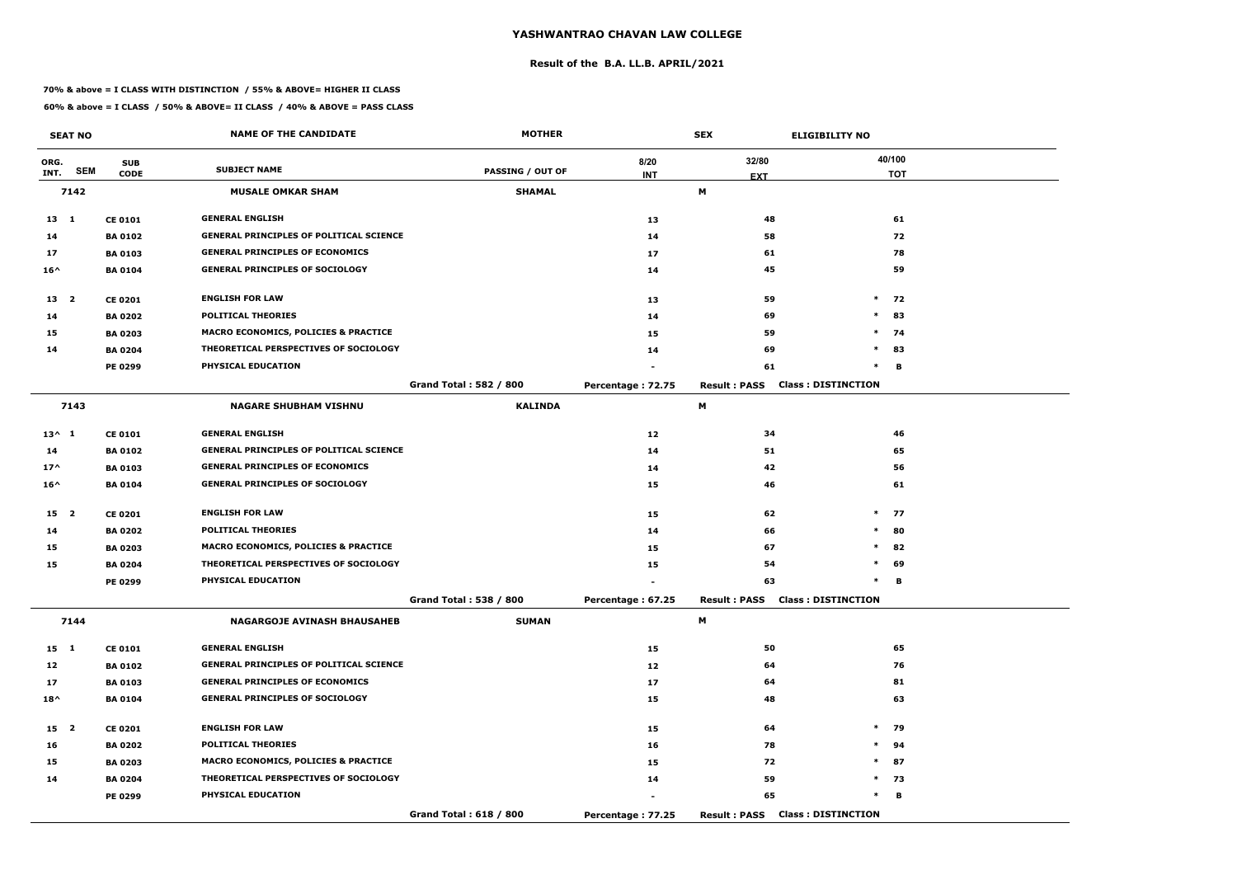#### **Result of the B.A. LL.B. APRIL/2021**

#### **70% & above = I CLASS WITH DISTINCTION / 55% & ABOVE= HIGHER II CLASS**

|                 | <b>SEAT NO</b> |                | <b>NAME OF THE CANDIDATE</b>                    | <b>MOTHER</b>                 |                   | <b>SEX</b>          | <b>ELIGIBILITY NO</b>                  |            |
|-----------------|----------------|----------------|-------------------------------------------------|-------------------------------|-------------------|---------------------|----------------------------------------|------------|
| ORG.            |                | <b>SUB</b>     |                                                 |                               | 8/20              | 32/80               |                                        | 40/100     |
| INT.            | <b>SEM</b>     | <b>CODE</b>    | <b>SUBJECT NAME</b>                             | <b>PASSING / OUT OF</b>       | <b>INT</b>        | <b>EXT</b>          |                                        | <b>TOT</b> |
|                 | 7142           |                | <b>MUSALE OMKAR SHAM</b>                        | <b>SHAMAL</b>                 |                   | М                   |                                        |            |
| $13 \quad 1$    |                | <b>CE 0101</b> | <b>GENERAL ENGLISH</b>                          |                               | 13                | 48                  |                                        | 61         |
| 14              |                | <b>BA 0102</b> | <b>GENERAL PRINCIPLES OF POLITICAL SCIENCE</b>  |                               | 14                | 58                  |                                        | 72         |
| 17              |                | <b>BA 0103</b> | <b>GENERAL PRINCIPLES OF ECONOMICS</b>          |                               | 17                | 61                  |                                        | 78         |
| $16^{\wedge}$   |                | <b>BA0104</b>  | <b>GENERAL PRINCIPLES OF SOCIOLOGY</b>          |                               | 14                | 45                  |                                        | 59         |
| 13 2            |                | <b>CE 0201</b> | <b>ENGLISH FOR LAW</b>                          |                               | 13                | 59                  | $\ast$                                 | 72         |
| 14              |                | <b>BA 0202</b> | <b>POLITICAL THEORIES</b>                       |                               | 14                | 69                  | $\ast$                                 | 83         |
| 15              |                | <b>BA 0203</b> | <b>MACRO ECONOMICS, POLICIES &amp; PRACTICE</b> |                               | 15                | 59                  | $\ast$                                 | 74         |
| 14              |                | <b>BA 0204</b> | THEORETICAL PERSPECTIVES OF SOCIOLOGY           |                               | 14                | 69                  | $*$                                    | 83         |
|                 |                | PE 0299        | PHYSICAL EDUCATION                              |                               |                   | 61                  | $\ast$                                 | B          |
|                 |                |                |                                                 | <b>Grand Total: 582 / 800</b> | Percentage: 72.75 | <b>Result: PASS</b> | <b>Class: DISTINCTION</b>              |            |
|                 | 7143           |                | <b>NAGARE SHUBHAM VISHNU</b>                    | <b>KALINDA</b>                |                   | М                   |                                        |            |
| $13^{\wedge} 1$ |                | <b>CE 0101</b> | <b>GENERAL ENGLISH</b>                          |                               | 12                | 34                  |                                        | 46         |
| 14              |                | <b>BA 0102</b> | <b>GENERAL PRINCIPLES OF POLITICAL SCIENCE</b>  |                               | 14                | 51                  |                                        | 65         |
| $17^$           |                | <b>BA 0103</b> | <b>GENERAL PRINCIPLES OF ECONOMICS</b>          |                               | 14                | 42                  |                                        | 56         |
| $16^{\wedge}$   |                | <b>BA 0104</b> | <b>GENERAL PRINCIPLES OF SOCIOLOGY</b>          |                               | 15                | 46                  |                                        | 61         |
| 15 <sub>2</sub> |                | <b>CE 0201</b> | <b>ENGLISH FOR LAW</b>                          |                               | 15                | 62                  |                                        | $*$ 77     |
| 14              |                | <b>BA 0202</b> | <b>POLITICAL THEORIES</b>                       |                               | 14                | 66                  | $\ast$                                 | 80         |
| 15              |                | <b>BA 0203</b> | MACRO ECONOMICS, POLICIES & PRACTICE            |                               | 15                | 67                  | $\ast$                                 | 82         |
| 15              |                | <b>BA 0204</b> | THEORETICAL PERSPECTIVES OF SOCIOLOGY           |                               | 15                | 54                  | $\ast$                                 | 69         |
|                 |                | <b>PE 0299</b> | PHYSICAL EDUCATION                              |                               |                   | 63                  | $\ast$                                 | в          |
|                 |                |                |                                                 | Grand Total: 538 / 800        | Percentage: 67.25 |                     | <b>Result: PASS Class: DISTINCTION</b> |            |
|                 | 7144           |                | <b>NAGARGOJE AVINASH BHAUSAHEB</b>              | <b>SUMAN</b>                  |                   | M                   |                                        |            |
| 15 1            |                | <b>CE 0101</b> | <b>GENERAL ENGLISH</b>                          |                               | 15                | 50                  |                                        | 65         |
| 12              |                | <b>BA 0102</b> | <b>GENERAL PRINCIPLES OF POLITICAL SCIENCE</b>  |                               | 12                | 64                  |                                        | 76         |
| 17              |                | <b>BA 0103</b> | <b>GENERAL PRINCIPLES OF ECONOMICS</b>          |                               | 17                | 64                  |                                        | 81         |
| $18^{\wedge}$   |                | <b>BA 0104</b> | <b>GENERAL PRINCIPLES OF SOCIOLOGY</b>          |                               | 15                | 48                  |                                        | 63         |
| 15 2            |                | <b>CE 0201</b> | <b>ENGLISH FOR LAW</b>                          |                               | 15                | 64                  | $\ast$                                 | 79         |
| 16              |                | <b>BA 0202</b> | <b>POLITICAL THEORIES</b>                       |                               | 16                | 78                  |                                        | $*$ 94     |
| 15              |                | <b>BA 0203</b> | MACRO ECONOMICS, POLICIES & PRACTICE            |                               | 15                | 72                  | $*$                                    | 87         |
| 14              |                | <b>BA 0204</b> | THEORETICAL PERSPECTIVES OF SOCIOLOGY           |                               | 14                | 59                  |                                        | $*$ 73     |
|                 |                | <b>PE 0299</b> | PHYSICAL EDUCATION                              |                               |                   | 65                  | $\ast$                                 | В          |
|                 |                |                |                                                 | Grand Total: 618 / 800        | Percentage: 77.25 |                     | <b>Result: PASS Class: DISTINCTION</b> |            |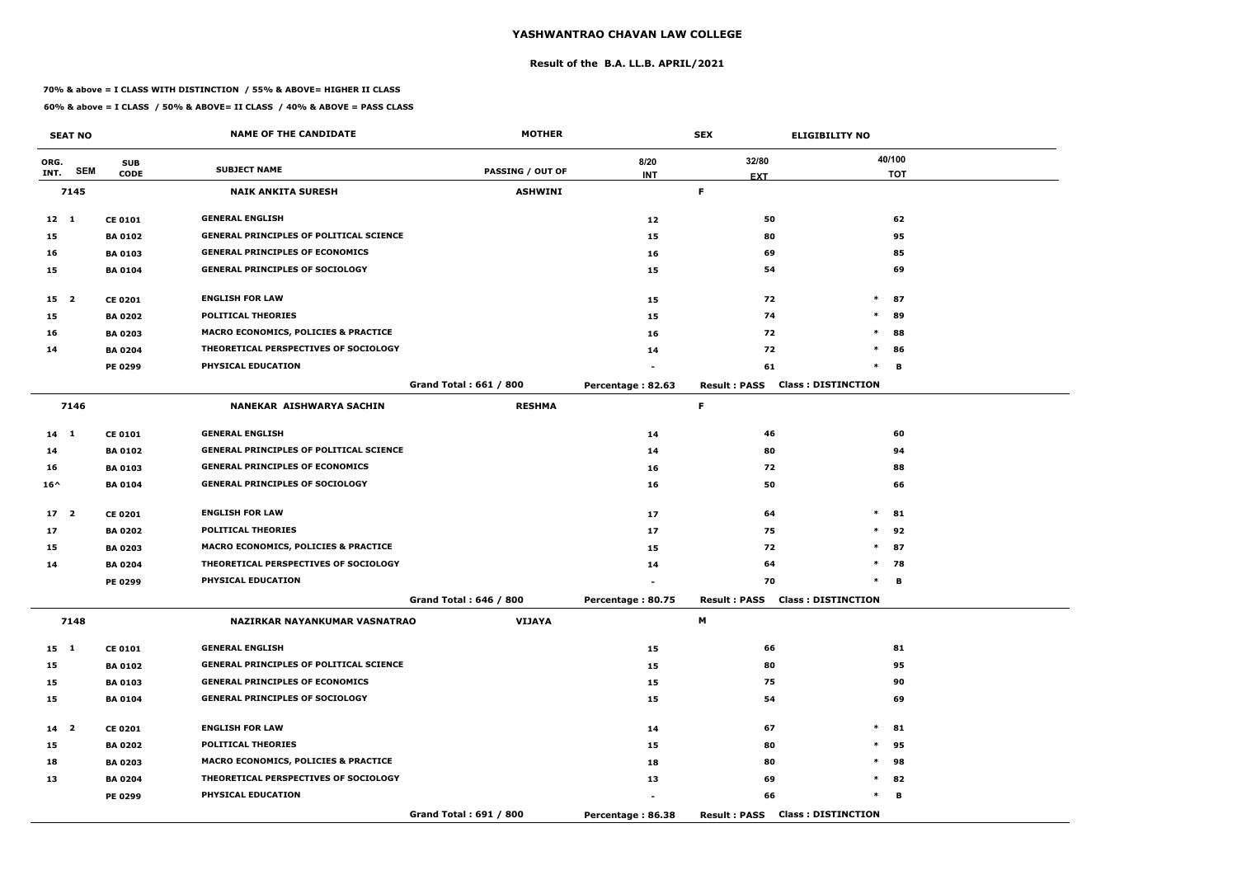#### **Result of the B.A. LL.B. APRIL/2021**

#### **70% & above = I CLASS WITH DISTINCTION / 55% & ABOVE= HIGHER II CLASS**

|                 | <b>SEAT NO</b> |                | <b>NAME OF THE CANDIDATE</b>                   | <b>MOTHER</b>                 |                   | <b>SEX</b>          | <b>ELIGIBILITY NO</b>                  |            |
|-----------------|----------------|----------------|------------------------------------------------|-------------------------------|-------------------|---------------------|----------------------------------------|------------|
| ORG.            |                | <b>SUB</b>     |                                                |                               | 8/20              | 32/80               |                                        | 40/100     |
| INT.            | <b>SEM</b>     | <b>CODE</b>    | <b>SUBJECT NAME</b>                            | <b>PASSING / OUT OF</b>       | <b>INT</b>        | <b>EXT</b>          |                                        | <b>TOT</b> |
|                 | 7145           |                | <b>NAIK ANKITA SURESH</b>                      | <b>ASHWINI</b>                |                   | F.                  |                                        |            |
| $12 \quad 1$    |                | <b>CE 0101</b> | <b>GENERAL ENGLISH</b>                         |                               | 12                | 50                  |                                        | 62         |
| 15              |                | <b>BA 0102</b> | <b>GENERAL PRINCIPLES OF POLITICAL SCIENCE</b> |                               | 15                | 80                  |                                        | 95         |
| 16              |                | <b>BA 0103</b> | <b>GENERAL PRINCIPLES OF ECONOMICS</b>         |                               | 16                | 69                  |                                        | 85         |
| 15              |                | <b>BA0104</b>  | <b>GENERAL PRINCIPLES OF SOCIOLOGY</b>         |                               | 15                | 54                  |                                        | 69         |
| 15 <sub>2</sub> |                | <b>CE 0201</b> | <b>ENGLISH FOR LAW</b>                         |                               | 15                | 72                  | $\ast$                                 | 87         |
| 15              |                | <b>BA 0202</b> | <b>POLITICAL THEORIES</b>                      |                               | 15                | 74                  | $\ast$                                 | 89         |
| 16              |                | <b>BA 0203</b> | MACRO ECONOMICS, POLICIES & PRACTICE           |                               | 16                | 72                  | $\ast$                                 | 88         |
| 14              |                | <b>BA 0204</b> | THEORETICAL PERSPECTIVES OF SOCIOLOGY          |                               | 14                | 72                  | $\ast$                                 | 86         |
|                 |                | PE 0299        | PHYSICAL EDUCATION                             |                               |                   | 61                  | $\ast$                                 | в          |
|                 |                |                |                                                | <b>Grand Total: 661 / 800</b> | Percentage: 82.63 | <b>Result: PASS</b> | <b>Class: DISTINCTION</b>              |            |
|                 | 7146           |                | NANEKAR AISHWARYA SACHIN                       | <b>RESHMA</b>                 |                   | F.                  |                                        |            |
| 14 1            |                | <b>CE 0101</b> | <b>GENERAL ENGLISH</b>                         |                               | 14                | 46                  |                                        | 60         |
| 14              |                | <b>BA 0102</b> | <b>GENERAL PRINCIPLES OF POLITICAL SCIENCE</b> |                               | 14                | 80                  |                                        | 94         |
| 16              |                | <b>BA 0103</b> | <b>GENERAL PRINCIPLES OF ECONOMICS</b>         |                               | 16                | 72                  |                                        | 88         |
| $16^{\wedge}$   |                | <b>BA 0104</b> | <b>GENERAL PRINCIPLES OF SOCIOLOGY</b>         |                               | 16                | 50                  |                                        | 66         |
| 17 <sub>2</sub> |                | <b>CE 0201</b> | <b>ENGLISH FOR LAW</b>                         |                               | 17                | 64                  | $\ast$                                 | 81         |
| 17              |                | <b>BA 0202</b> | <b>POLITICAL THEORIES</b>                      |                               | 17                | 75                  | $\ast$                                 | 92         |
| 15              |                | <b>BA 0203</b> | MACRO ECONOMICS, POLICIES & PRACTICE           |                               | 15                | 72                  | $\ast$                                 | 87         |
| 14              |                | <b>BA 0204</b> | THEORETICAL PERSPECTIVES OF SOCIOLOGY          |                               | 14                | 64                  | $\ast$                                 | 78         |
|                 |                | <b>PE 0299</b> | PHYSICAL EDUCATION                             |                               |                   | 70                  | $\ast$                                 | в          |
|                 |                |                |                                                | Grand Total: 646 / 800        | Percentage: 80.75 |                     | <b>Result: PASS Class: DISTINCTION</b> |            |
|                 | 7148           |                | NAZIRKAR NAYANKUMAR VASNATRAO                  | <b>VIJAYA</b>                 |                   | M                   |                                        |            |
| 15 1            |                | <b>CE 0101</b> | <b>GENERAL ENGLISH</b>                         |                               | 15                | 66                  |                                        | 81         |
| 15              |                | <b>BA 0102</b> | <b>GENERAL PRINCIPLES OF POLITICAL SCIENCE</b> |                               | 15                | 80                  |                                        | 95         |
| 15              |                | <b>BA 0103</b> | <b>GENERAL PRINCIPLES OF ECONOMICS</b>         |                               | 15                | 75                  |                                        | 90         |
| 15              |                | <b>BA 0104</b> | <b>GENERAL PRINCIPLES OF SOCIOLOGY</b>         |                               | 15                | 54                  |                                        | 69         |
| 14 <sub>2</sub> |                | <b>CE 0201</b> | <b>ENGLISH FOR LAW</b>                         |                               | 14                | 67                  | $\ast$                                 | 81         |
| 15              |                | <b>BA 0202</b> | <b>POLITICAL THEORIES</b>                      |                               | 15                | 80                  | $\ast$                                 | 95         |
| 18              |                | <b>BA 0203</b> | MACRO ECONOMICS, POLICIES & PRACTICE           |                               | 18                | 80                  | $\ast$                                 | 98         |
| 13              |                | <b>BA 0204</b> | THEORETICAL PERSPECTIVES OF SOCIOLOGY          |                               | 13                | 69                  |                                        | $*$ 82     |
|                 |                | <b>PE 0299</b> | PHYSICAL EDUCATION                             |                               |                   | 66                  | $\ast$                                 | в          |
|                 |                |                |                                                | Grand Total: 691 / 800        | Percentage: 86.38 | <b>Result: PASS</b> | <b>Class: DISTINCTION</b>              |            |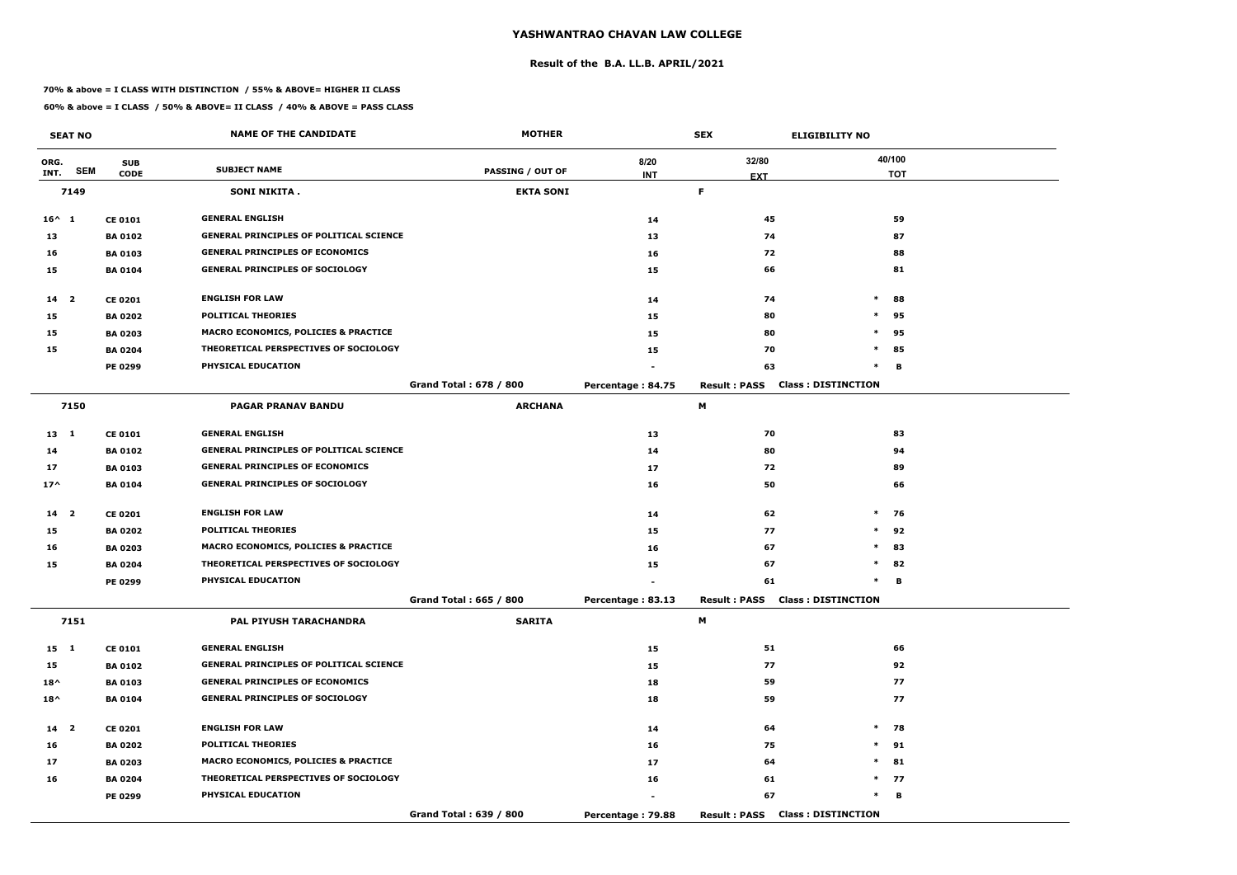#### **Result of the B.A. LL.B. APRIL/2021**

#### **70% & above = I CLASS WITH DISTINCTION / 55% & ABOVE= HIGHER II CLASS**

|                 | <b>SEAT NO</b> |                | <b>NAME OF THE CANDIDATE</b>                    | <b>MOTHER</b>           |                   | <b>SEX</b>                             | <b>ELIGIBILITY NO</b>     |
|-----------------|----------------|----------------|-------------------------------------------------|-------------------------|-------------------|----------------------------------------|---------------------------|
| ORG.            |                | <b>SUB</b>     |                                                 |                         | 8/20              | 32/80                                  | 40/100                    |
| INT.            | <b>SEM</b>     | <b>CODE</b>    | <b>SUBJECT NAME</b>                             | <b>PASSING / OUT OF</b> | <b>INT</b>        | <b>EXT</b>                             | <b>TOT</b>                |
|                 | 7149           |                | <b>SONI NIKITA.</b>                             | <b>EKTA SONI</b>        |                   | F.                                     |                           |
| $16^{\wedge} 1$ |                | <b>CE 0101</b> | <b>GENERAL ENGLISH</b>                          |                         | 14                | 45                                     | 59                        |
| 13              |                | <b>BA 0102</b> | <b>GENERAL PRINCIPLES OF POLITICAL SCIENCE</b>  |                         | 13                | 74                                     | 87                        |
| 16              |                | <b>BA 0103</b> | <b>GENERAL PRINCIPLES OF ECONOMICS</b>          |                         | 16                | 72                                     | 88                        |
| 15              |                | <b>BA 0104</b> | <b>GENERAL PRINCIPLES OF SOCIOLOGY</b>          |                         | 15                | 66                                     | 81                        |
| 14 2            |                | <b>CE 0201</b> | <b>ENGLISH FOR LAW</b>                          |                         | 14                | 74                                     | $\ast$<br>88              |
| 15              |                | <b>BA 0202</b> | <b>POLITICAL THEORIES</b>                       |                         | 15                | 80                                     | $\ast$<br>95              |
| 15              |                | <b>BA 0203</b> | <b>MACRO ECONOMICS, POLICIES &amp; PRACTICE</b> |                         | 15                | 80                                     | $\ast$<br>95              |
| 15              |                | <b>BA 0204</b> | THEORETICAL PERSPECTIVES OF SOCIOLOGY           |                         | 15                | 70                                     | $\ast$<br>85              |
|                 |                | PE 0299        | PHYSICAL EDUCATION                              |                         |                   | 63                                     | $\ast$<br>в               |
|                 |                |                |                                                 | Grand Total: 678 / 800  | Percentage: 84.75 | <b>Result: PASS</b>                    | <b>Class: DISTINCTION</b> |
|                 | 7150           |                | <b>PAGAR PRANAV BANDU</b>                       | <b>ARCHANA</b>          |                   | M                                      |                           |
| $13 \quad 1$    |                | <b>CE 0101</b> | <b>GENERAL ENGLISH</b>                          |                         | 13                | 70                                     | 83                        |
| 14              |                | <b>BA 0102</b> | <b>GENERAL PRINCIPLES OF POLITICAL SCIENCE</b>  |                         | 14                | 80                                     | 94                        |
| 17              |                | <b>BA 0103</b> | <b>GENERAL PRINCIPLES OF ECONOMICS</b>          |                         | 17                | 72                                     | 89                        |
| $17^$           |                | <b>BA 0104</b> | <b>GENERAL PRINCIPLES OF SOCIOLOGY</b>          |                         | 16                | 50                                     | 66                        |
| 14 <sub>2</sub> |                | <b>CE 0201</b> | <b>ENGLISH FOR LAW</b>                          |                         | 14                | 62                                     | $*$ 76                    |
| 15              |                | <b>BA 0202</b> | <b>POLITICAL THEORIES</b>                       |                         | 15                | 77                                     | $*$ 92                    |
| 16              |                | <b>BA 0203</b> | <b>MACRO ECONOMICS, POLICIES &amp; PRACTICE</b> |                         | 16                | 67                                     | $\ast$<br>83              |
| 15              |                | <b>BA 0204</b> | THEORETICAL PERSPECTIVES OF SOCIOLOGY           |                         | 15                | 67                                     | $\ast$<br>82              |
|                 |                | PE 0299        | PHYSICAL EDUCATION                              |                         |                   | 61                                     | $\ast$<br>В               |
|                 |                |                |                                                 | Grand Total: 665 / 800  | Percentage: 83.13 | <b>Result : PASS</b>                   | <b>Class: DISTINCTION</b> |
|                 | 7151           |                | PAL PIYUSH TARACHANDRA                          | <b>SARITA</b>           |                   | M                                      |                           |
| 15 1            |                | <b>CE 0101</b> | <b>GENERAL ENGLISH</b>                          |                         | 15                | 51                                     | 66                        |
| 15              |                | <b>BA 0102</b> | <b>GENERAL PRINCIPLES OF POLITICAL SCIENCE</b>  |                         | 15                | 77                                     | 92                        |
| $18^{\wedge}$   |                | <b>BA 0103</b> | <b>GENERAL PRINCIPLES OF ECONOMICS</b>          |                         | 18                | 59                                     | 77                        |
| $18^{\wedge}$   |                | <b>BA 0104</b> | <b>GENERAL PRINCIPLES OF SOCIOLOGY</b>          |                         | 18                | 59                                     | 77                        |
| 14 <sup>2</sup> |                | <b>CE 0201</b> | <b>ENGLISH FOR LAW</b>                          |                         | 14                | 64                                     | $*$ 78                    |
| 16              |                | <b>BA 0202</b> | <b>POLITICAL THEORIES</b>                       |                         | 16                | 75                                     | $*$ 91                    |
| 17              |                | <b>BA 0203</b> | <b>MACRO ECONOMICS, POLICIES &amp; PRACTICE</b> |                         | 17                | 64                                     | $\ast$<br>81              |
| 16              |                | <b>BA 0204</b> | THEORETICAL PERSPECTIVES OF SOCIOLOGY           |                         | 16                | 61                                     | $*$ 77                    |
|                 |                | <b>PE 0299</b> | PHYSICAL EDUCATION                              |                         |                   | 67                                     | $*$<br>В                  |
|                 |                |                |                                                 | Grand Total: 639 / 800  | Percentage: 79.88 | <b>Result: PASS Class: DISTINCTION</b> |                           |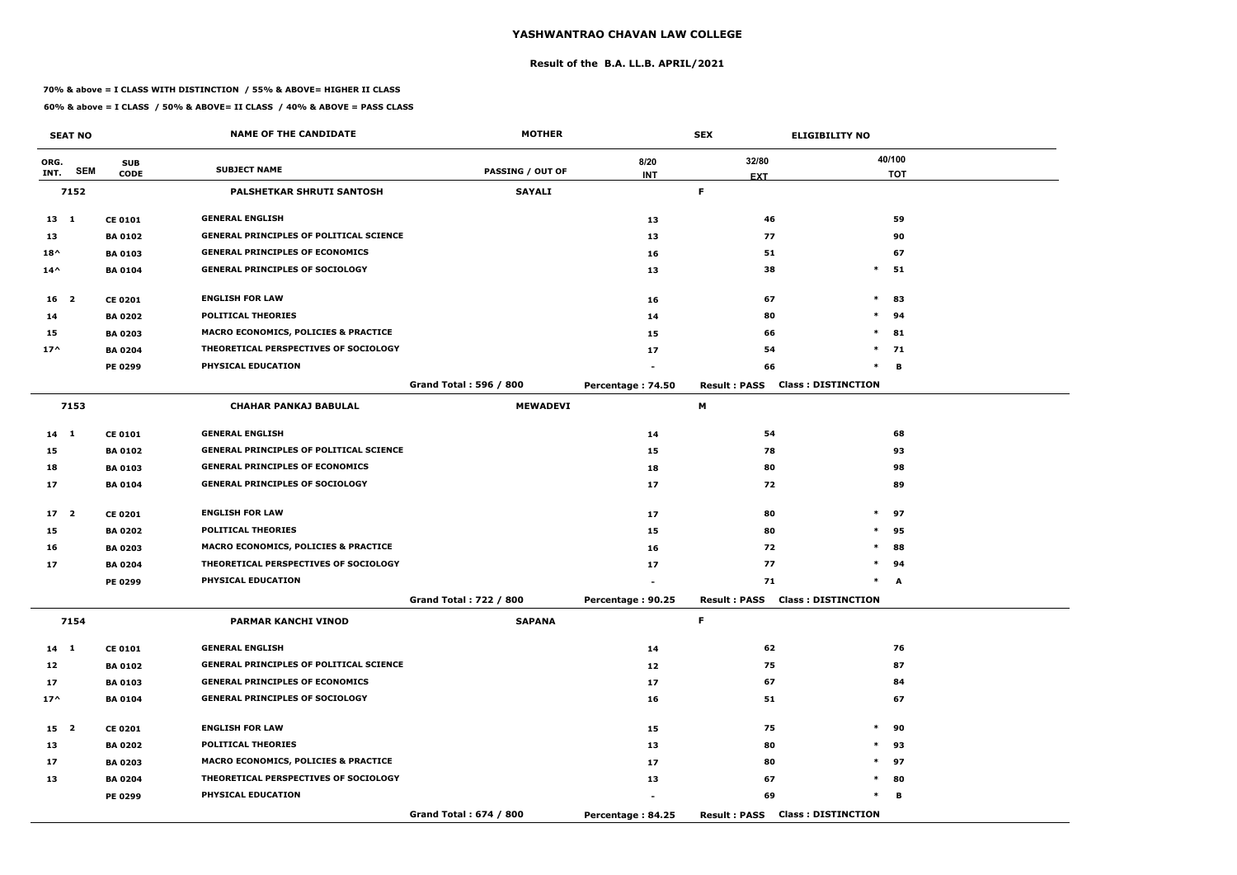#### **Result of the B.A. LL.B. APRIL/2021**

#### **70% & above = I CLASS WITH DISTINCTION / 55% & ABOVE= HIGHER II CLASS**

|                 | <b>SEAT NO</b> |                | <b>NAME OF THE CANDIDATE</b>                    | <b>MOTHER</b>           |                   | <b>SEX</b>                             | <b>ELIGIBILITY NO</b>     |
|-----------------|----------------|----------------|-------------------------------------------------|-------------------------|-------------------|----------------------------------------|---------------------------|
| ORG.            | <b>SEM</b>     | <b>SUB</b>     | <b>SUBJECT NAME</b>                             | <b>PASSING / OUT OF</b> | 8/20              | 32/80                                  | 40/100                    |
| INT.            |                | <b>CODE</b>    |                                                 |                         | <b>INT</b>        | <b>EXT</b>                             | <b>TOT</b>                |
|                 | 7152           |                | PALSHETKAR SHRUTI SANTOSH                       | <b>SAYALI</b>           |                   | F.                                     |                           |
| $13 \quad 1$    |                | <b>CE 0101</b> | <b>GENERAL ENGLISH</b>                          |                         | 13                | 46                                     | 59                        |
| 13              |                | <b>BA 0102</b> | <b>GENERAL PRINCIPLES OF POLITICAL SCIENCE</b>  |                         | 13                | 77                                     | 90                        |
| $18^{\wedge}$   |                | <b>BA 0103</b> | <b>GENERAL PRINCIPLES OF ECONOMICS</b>          |                         | 16                | 51                                     | 67                        |
| $14^{\wedge}$   |                | <b>BA 0104</b> | <b>GENERAL PRINCIPLES OF SOCIOLOGY</b>          |                         | 13                | 38                                     | $*$ 51                    |
| $16 \quad 2$    |                | <b>CE 0201</b> | <b>ENGLISH FOR LAW</b>                          |                         | 16                | 67                                     | $\ast$<br>83              |
| 14              |                | <b>BA 0202</b> | <b>POLITICAL THEORIES</b>                       |                         | 14                | 80                                     | $\ast$<br>94              |
| 15              |                | <b>BA 0203</b> | MACRO ECONOMICS, POLICIES & PRACTICE            |                         | 15                | 66                                     | $\ast$<br>81              |
| $17^$           |                | <b>BA 0204</b> | THEORETICAL PERSPECTIVES OF SOCIOLOGY           |                         | 17                | 54                                     | $\ast$<br>71              |
|                 |                | <b>PE 0299</b> | PHYSICAL EDUCATION                              |                         |                   | 66                                     | $\ast$<br>B               |
|                 |                |                |                                                 | Grand Total: 596 / 800  | Percentage: 74.50 | <b>Result: PASS</b>                    | <b>Class: DISTINCTION</b> |
|                 | 7153           |                | <b>CHAHAR PANKAJ BABULAL</b>                    | <b>MEWADEVI</b>         |                   | М                                      |                           |
| $14$ 1          |                | <b>CE 0101</b> | <b>GENERAL ENGLISH</b>                          |                         | 14                | 54                                     | 68                        |
| 15              |                | <b>BA 0102</b> | <b>GENERAL PRINCIPLES OF POLITICAL SCIENCE</b>  |                         | 15                | 78                                     | 93                        |
| 18              |                | <b>BA 0103</b> | <b>GENERAL PRINCIPLES OF ECONOMICS</b>          |                         | 18                | 80                                     | 98                        |
| 17              |                | <b>BA 0104</b> | <b>GENERAL PRINCIPLES OF SOCIOLOGY</b>          |                         | 17                | 72                                     | 89                        |
| 17 <sub>2</sub> |                | <b>CE 0201</b> | <b>ENGLISH FOR LAW</b>                          |                         | 17                | 80                                     | $\ast$<br>97              |
| 15              |                | <b>BA 0202</b> | <b>POLITICAL THEORIES</b>                       |                         | 15                | 80                                     | $\ast$<br>95              |
| 16              |                | <b>BA 0203</b> | <b>MACRO ECONOMICS, POLICIES &amp; PRACTICE</b> |                         | 16                | 72                                     | $\ast$<br>88              |
| 17              |                | <b>BA 0204</b> | THEORETICAL PERSPECTIVES OF SOCIOLOGY           |                         | 17                | 77                                     | $\ast$<br>94              |
|                 |                | PE 0299        | PHYSICAL EDUCATION                              |                         |                   | 71                                     | $\ast$<br>A               |
|                 |                |                |                                                 | Grand Total: 722 / 800  | Percentage: 90.25 | <b>Result: PASS Class: DISTINCTION</b> |                           |
|                 | 7154           |                | PARMAR KANCHI VINOD                             | <b>SAPANA</b>           |                   | F.                                     |                           |
| $14 \quad 1$    |                | <b>CE 0101</b> | <b>GENERAL ENGLISH</b>                          |                         | 14                | 62                                     | 76                        |
| 12              |                | <b>BA 0102</b> | <b>GENERAL PRINCIPLES OF POLITICAL SCIENCE</b>  |                         | 12                | 75                                     | 87                        |
| 17              |                | <b>BA 0103</b> | <b>GENERAL PRINCIPLES OF ECONOMICS</b>          |                         | 17                | 67                                     | 84                        |
| $17^{\wedge}$   |                | <b>BA 0104</b> | <b>GENERAL PRINCIPLES OF SOCIOLOGY</b>          |                         | 16                | 51                                     | 67                        |
| 15 <sub>2</sub> |                | <b>CE 0201</b> | <b>ENGLISH FOR LAW</b>                          |                         | 15                | 75                                     | $*$<br>90                 |
| 13              |                | <b>BA 0202</b> | <b>POLITICAL THEORIES</b>                       |                         | 13                | 80                                     | $\ast$<br>93              |
| 17              |                | <b>BA 0203</b> | <b>MACRO ECONOMICS, POLICIES &amp; PRACTICE</b> |                         | 17                | 80                                     | $*$ 97                    |
| 13              |                | <b>BA 0204</b> | THEORETICAL PERSPECTIVES OF SOCIOLOGY           |                         | 13                | 67                                     | $*$ 80                    |
|                 |                | PE 0299        | <b>PHYSICAL EDUCATION</b>                       |                         |                   | 69                                     | $\ast$<br>в               |
|                 |                |                |                                                 | Grand Total: 674 / 800  | Percentage: 84.25 | <b>Result: PASS Class: DISTINCTION</b> |                           |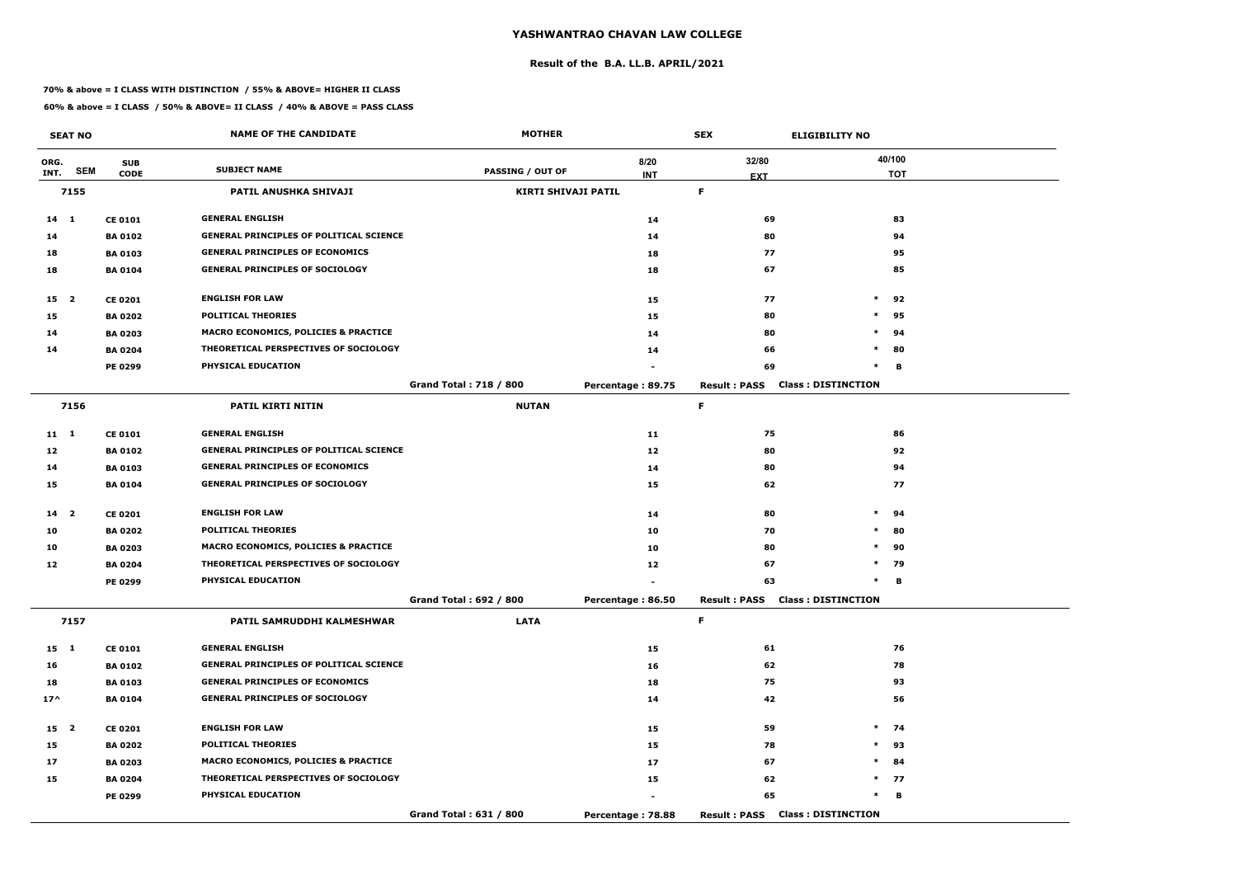#### **Result of the B.A. LL.B. APRIL/2021**

#### **70% & above = I CLASS WITH DISTINCTION / 55% & ABOVE= HIGHER II CLASS**

|                 | <b>SEAT NO</b> |                | <b>NAME OF THE CANDIDATE</b>                   | <b>MOTHER</b>                 |                   | <b>SEX</b>          | <b>ELIGIBILITY NO</b>                  |            |
|-----------------|----------------|----------------|------------------------------------------------|-------------------------------|-------------------|---------------------|----------------------------------------|------------|
| ORG.            |                | <b>SUB</b>     |                                                |                               | 8/20              | 32/80               |                                        | 40/100     |
| INT.            | <b>SEM</b>     | <b>CODE</b>    | <b>SUBJECT NAME</b>                            | <b>PASSING / OUT OF</b>       | <b>INT</b>        | <b>EXT</b>          |                                        | <b>TOT</b> |
|                 | 7155           |                | PATIL ANUSHKA SHIVAJI                          | <b>KIRTI SHIVAJI PATIL</b>    |                   | F.                  |                                        |            |
| $14 \quad 1$    |                | <b>CE 0101</b> | <b>GENERAL ENGLISH</b>                         |                               | 14                | 69                  |                                        | 83         |
| 14              |                | <b>BA 0102</b> | <b>GENERAL PRINCIPLES OF POLITICAL SCIENCE</b> |                               | 14                | 80                  |                                        | 94         |
| 18              |                | <b>BA 0103</b> | <b>GENERAL PRINCIPLES OF ECONOMICS</b>         |                               | 18                | 77                  |                                        | 95         |
| 18              |                | <b>BA0104</b>  | <b>GENERAL PRINCIPLES OF SOCIOLOGY</b>         |                               | 18                | 67                  |                                        | 85         |
| 15 <sub>2</sub> |                | <b>CE 0201</b> | <b>ENGLISH FOR LAW</b>                         |                               | 15                | 77                  | $\ast$                                 | 92         |
| 15              |                | <b>BA 0202</b> | <b>POLITICAL THEORIES</b>                      |                               | 15                | 80                  | $\ast$                                 | 95         |
| 14              |                | <b>BA 0203</b> | MACRO ECONOMICS, POLICIES & PRACTICE           |                               | 14                | 80                  | $\ast$                                 | 94         |
| 14              |                | <b>BA 0204</b> | THEORETICAL PERSPECTIVES OF SOCIOLOGY          |                               | 14                | 66                  | $\ast$                                 | 80         |
|                 |                | PE 0299        | PHYSICAL EDUCATION                             |                               |                   | 69                  | $\ast$                                 | в          |
|                 |                |                |                                                | <b>Grand Total: 718 / 800</b> | Percentage: 89.75 | <b>Result: PASS</b> | <b>Class: DISTINCTION</b>              |            |
|                 | 7156           |                | PATIL KIRTI NITIN                              | <b>NUTAN</b>                  |                   | F                   |                                        |            |
| $11 \quad 1$    |                | <b>CE 0101</b> | <b>GENERAL ENGLISH</b>                         |                               | 11                | 75                  |                                        | 86         |
| 12              |                | <b>BA 0102</b> | GENERAL PRINCIPLES OF POLITICAL SCIENCE        |                               | 12                | 80                  |                                        | 92         |
| 14              |                | <b>BA 0103</b> | <b>GENERAL PRINCIPLES OF ECONOMICS</b>         |                               | 14                | 80                  |                                        | 94         |
| 15              |                | <b>BA 0104</b> | <b>GENERAL PRINCIPLES OF SOCIOLOGY</b>         |                               | 15                | 62                  |                                        | 77         |
| 14 <sub>2</sub> |                | <b>CE 0201</b> | <b>ENGLISH FOR LAW</b>                         |                               | 14                | 80                  | $\ast$                                 | 94         |
| 10              |                | <b>BA 0202</b> | <b>POLITICAL THEORIES</b>                      |                               | 10                | 70                  | $\ast$                                 | 80         |
| 10              |                | <b>BA 0203</b> | MACRO ECONOMICS, POLICIES & PRACTICE           |                               | 10                | 80                  | $\ast$                                 | 90         |
| 12              |                | <b>BA 0204</b> | THEORETICAL PERSPECTIVES OF SOCIOLOGY          |                               | 12                | 67                  | $\ast$                                 | 79         |
|                 |                | <b>PE 0299</b> | PHYSICAL EDUCATION                             |                               |                   | 63                  | $\ast$                                 | в          |
|                 |                |                |                                                | Grand Total: 692 / 800        | Percentage: 86.50 |                     | <b>Result: PASS Class: DISTINCTION</b> |            |
|                 | 7157           |                | PATIL SAMRUDDHI KALMESHWAR                     | <b>LATA</b>                   |                   | F.                  |                                        |            |
| 15 1            |                | <b>CE 0101</b> | <b>GENERAL ENGLISH</b>                         |                               | 15                | 61                  |                                        | 76         |
| 16              |                | <b>BA 0102</b> | <b>GENERAL PRINCIPLES OF POLITICAL SCIENCE</b> |                               | 16                | 62                  |                                        | 78         |
| 18              |                | <b>BA 0103</b> | <b>GENERAL PRINCIPLES OF ECONOMICS</b>         |                               | 18                | 75                  |                                        | 93         |
| $17^{\wedge}$   |                | <b>BA 0104</b> | <b>GENERAL PRINCIPLES OF SOCIOLOGY</b>         |                               | 14                | 42                  |                                        | 56         |
| 15 2            |                | <b>CE 0201</b> | <b>ENGLISH FOR LAW</b>                         |                               | 15                | 59                  |                                        | $*$ 74     |
| 15              |                | <b>BA 0202</b> | <b>POLITICAL THEORIES</b>                      |                               | 15                | 78                  |                                        | $*$ 93     |
| 17              |                | <b>BA 0203</b> | MACRO ECONOMICS, POLICIES & PRACTICE           |                               | 17                | 67                  | $\ast$                                 | 84         |
| 15              |                | <b>BA 0204</b> | THEORETICAL PERSPECTIVES OF SOCIOLOGY          |                               | 15                | 62                  |                                        | $*$ 77     |
|                 |                | <b>PE 0299</b> | PHYSICAL EDUCATION                             |                               |                   | 65                  | $\ast$                                 | B          |
|                 |                |                |                                                | Grand Total: 631 / 800        | Percentage: 78.88 |                     | <b>Result: PASS Class: DISTINCTION</b> |            |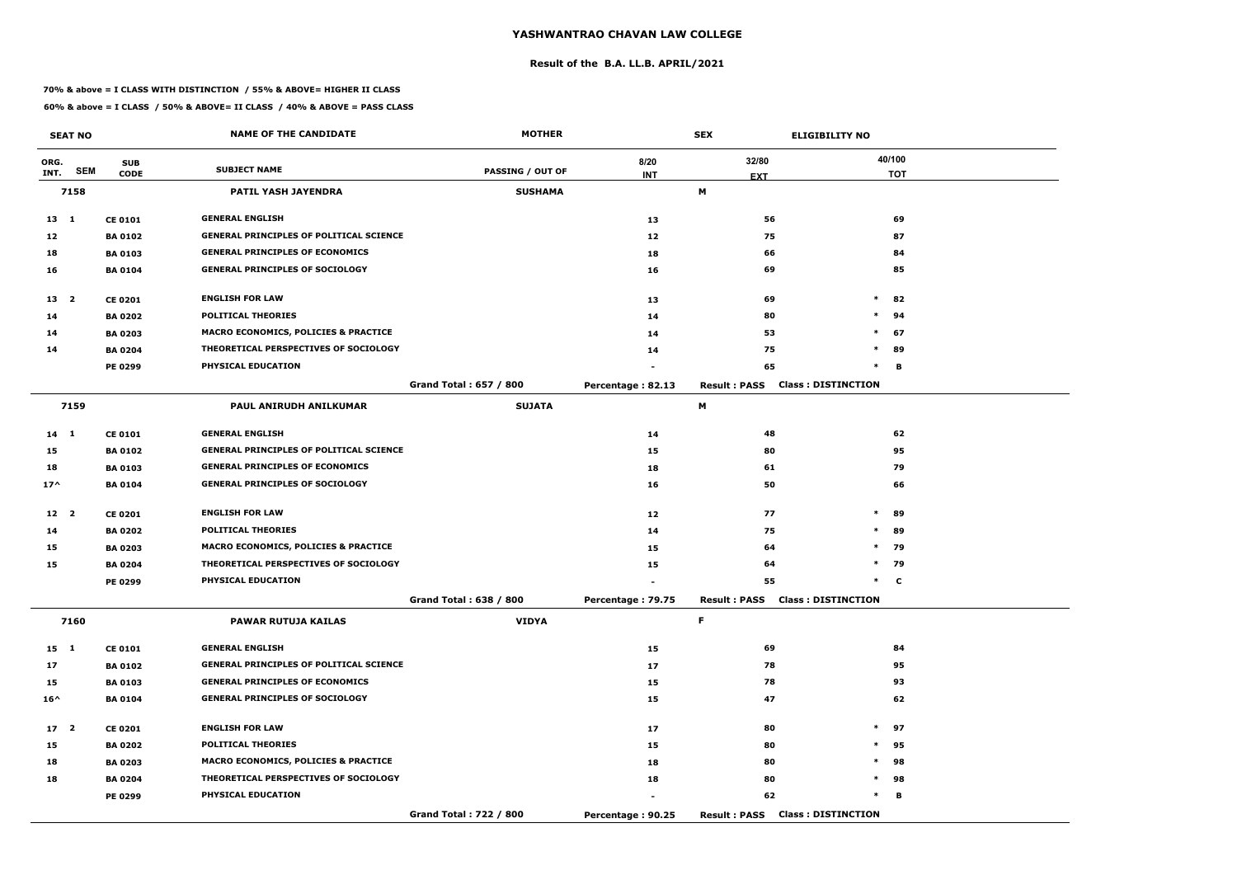#### **Result of the B.A. LL.B. APRIL/2021**

#### **70% & above = I CLASS WITH DISTINCTION / 55% & ABOVE= HIGHER II CLASS**

|                 | <b>SEAT NO</b> |                | <b>NAME OF THE CANDIDATE</b>                    | <b>MOTHER</b>           |                   | <b>SEX</b>                             | <b>ELIGIBILITY NO</b>     |
|-----------------|----------------|----------------|-------------------------------------------------|-------------------------|-------------------|----------------------------------------|---------------------------|
| ORG.            |                | <b>SUB</b>     |                                                 |                         | 8/20              | 32/80                                  | 40/100                    |
| INT.            | <b>SEM</b>     | <b>CODE</b>    | <b>SUBJECT NAME</b>                             | <b>PASSING / OUT OF</b> | <b>INT</b>        | <b>EXT</b>                             | <b>TOT</b>                |
|                 | 7158           |                | PATIL YASH JAYENDRA                             | <b>SUSHAMA</b>          |                   | М                                      |                           |
| $13 \quad 1$    |                | <b>CE 0101</b> | <b>GENERAL ENGLISH</b>                          |                         | 13                | 56                                     | 69                        |
| 12              |                | <b>BA 0102</b> | <b>GENERAL PRINCIPLES OF POLITICAL SCIENCE</b>  |                         | 12                | 75                                     | 87                        |
| 18              |                | <b>BA 0103</b> | <b>GENERAL PRINCIPLES OF ECONOMICS</b>          |                         | 18                | 66                                     | 84                        |
| 16              |                | <b>BA 0104</b> | <b>GENERAL PRINCIPLES OF SOCIOLOGY</b>          |                         | 16                | 69                                     | 85                        |
| 13 <sup>2</sup> |                | <b>CE 0201</b> | <b>ENGLISH FOR LAW</b>                          |                         | 13                | 69                                     | $\ast$<br>82              |
| 14              |                | <b>BA 0202</b> | <b>POLITICAL THEORIES</b>                       |                         | 14                | 80                                     | $\ast$<br>94              |
| 14              |                | <b>BA 0203</b> | MACRO ECONOMICS, POLICIES & PRACTICE            |                         | 14                | 53                                     | $\ast$<br>67              |
| 14              |                | <b>BA 0204</b> | THEORETICAL PERSPECTIVES OF SOCIOLOGY           |                         | 14                | 75                                     | $\ast$<br>89              |
|                 |                | <b>PE 0299</b> | PHYSICAL EDUCATION                              |                         |                   | 65                                     | $\ast$<br>В               |
|                 |                |                |                                                 | Grand Total: 657 / 800  | Percentage: 82.13 | <b>Result: PASS</b>                    | <b>Class: DISTINCTION</b> |
|                 | 7159           |                | PAUL ANIRUDH ANILKUMAR                          | <b>SUJATA</b>           |                   | М                                      |                           |
| $14$ 1          |                | <b>CE 0101</b> | <b>GENERAL ENGLISH</b>                          |                         | 14                | 48                                     | 62                        |
| 15              |                | <b>BA 0102</b> | <b>GENERAL PRINCIPLES OF POLITICAL SCIENCE</b>  |                         | 15                | 80                                     | 95                        |
| 18              |                | <b>BA 0103</b> | <b>GENERAL PRINCIPLES OF ECONOMICS</b>          |                         | 18                | 61                                     | 79                        |
| $17^$           |                | <b>BA 0104</b> | <b>GENERAL PRINCIPLES OF SOCIOLOGY</b>          |                         | 16                | 50                                     | 66                        |
| 12 2            |                | <b>CE 0201</b> | <b>ENGLISH FOR LAW</b>                          |                         | 12                | 77                                     | $\ast$<br>89              |
| 14              |                | <b>BA 0202</b> | <b>POLITICAL THEORIES</b>                       |                         | 14                | 75                                     | $\ast$<br>89              |
| 15              |                | <b>BA 0203</b> | <b>MACRO ECONOMICS, POLICIES &amp; PRACTICE</b> |                         | 15                | 64                                     | $\ast$<br>79              |
| 15              |                | <b>BA 0204</b> | THEORETICAL PERSPECTIVES OF SOCIOLOGY           |                         | 15                | 64                                     | $*$<br>79                 |
|                 |                | PE 0299        | PHYSICAL EDUCATION                              |                         |                   | 55                                     | $\ast$<br>C               |
|                 |                |                |                                                 | Grand Total: 638 / 800  | Percentage: 79.75 | <b>Result: PASS Class: DISTINCTION</b> |                           |
|                 | 7160           |                | <b>PAWAR RUTUJA KAILAS</b>                      | <b>VIDYA</b>            |                   | F.                                     |                           |
| 15 1            |                | <b>CE 0101</b> | <b>GENERAL ENGLISH</b>                          |                         | 15                | 69                                     | 84                        |
| 17              |                | <b>BA 0102</b> | <b>GENERAL PRINCIPLES OF POLITICAL SCIENCE</b>  |                         | 17                | 78                                     | 95                        |
| 15              |                | <b>BA 0103</b> | <b>GENERAL PRINCIPLES OF ECONOMICS</b>          |                         | 15                | 78                                     | 93                        |
| $16^{\wedge}$   |                | <b>BA 0104</b> | <b>GENERAL PRINCIPLES OF SOCIOLOGY</b>          |                         | 15                | 47                                     | 62                        |
| 17 <sup>2</sup> |                | <b>CE 0201</b> | <b>ENGLISH FOR LAW</b>                          |                         | 17                | 80                                     | $*$ 97                    |
| 15              |                | <b>BA 0202</b> | <b>POLITICAL THEORIES</b>                       |                         | 15                | 80                                     | $\ast$<br>95              |
| 18              |                | <b>BA 0203</b> | <b>MACRO ECONOMICS, POLICIES &amp; PRACTICE</b> |                         | 18                | 80                                     | $\ast$<br>98              |
| 18              |                | <b>BA 0204</b> | THEORETICAL PERSPECTIVES OF SOCIOLOGY           |                         | 18                | 80                                     | $\ast$<br>98              |
|                 |                | PE 0299        | <b>PHYSICAL EDUCATION</b>                       |                         |                   | 62                                     | $\ast$<br>в               |
|                 |                |                |                                                 | Grand Total: 722 / 800  | Percentage: 90.25 | <b>Result: PASS Class: DISTINCTION</b> |                           |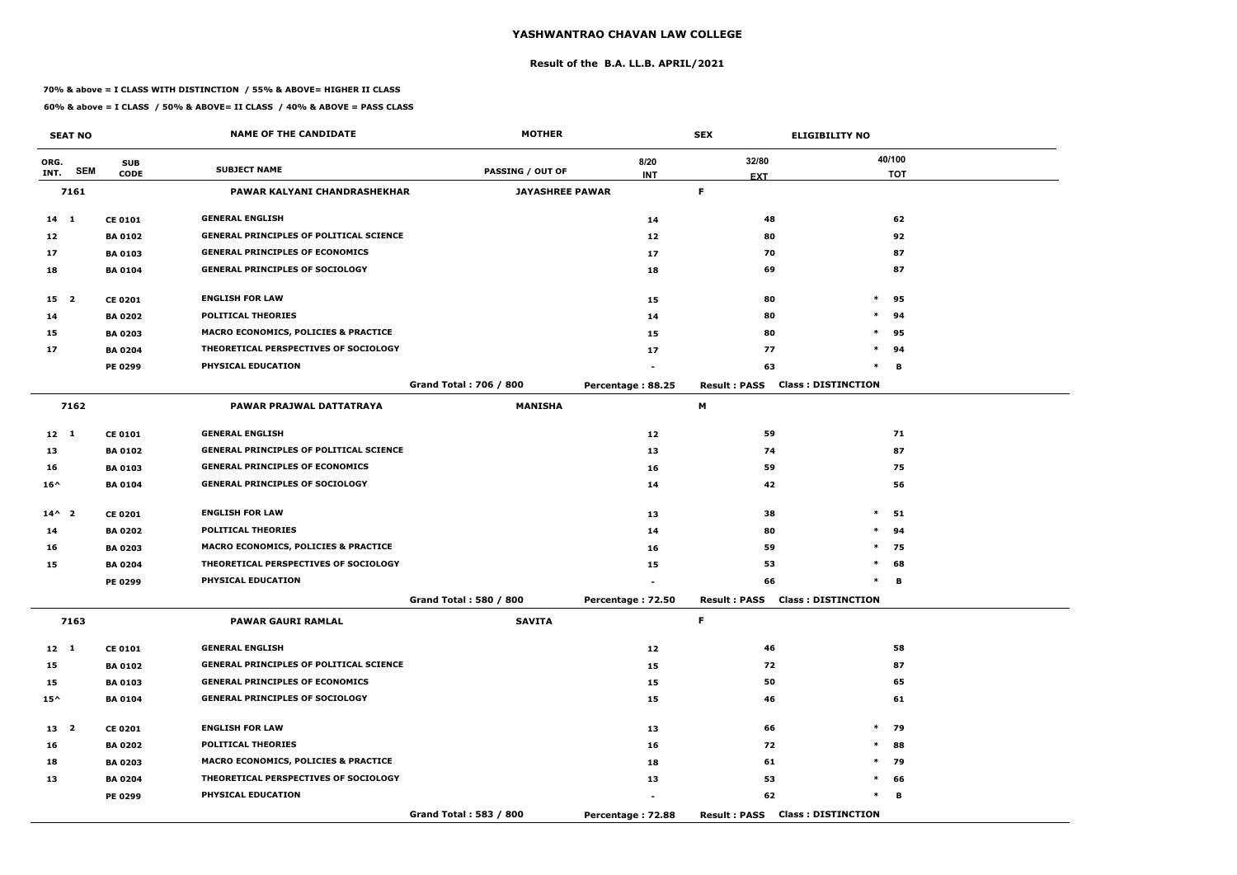#### **Result of the B.A. LL.B. APRIL/2021**

#### **70% & above = I CLASS WITH DISTINCTION / 55% & ABOVE= HIGHER II CLASS**

|                 | <b>SEAT NO</b> |                | <b>NAME OF THE CANDIDATE</b>                    | <b>MOTHER</b>                 |                   | <b>SEX</b>          | <b>ELIGIBILITY NO</b>                  |            |
|-----------------|----------------|----------------|-------------------------------------------------|-------------------------------|-------------------|---------------------|----------------------------------------|------------|
| ORG.            |                | <b>SUB</b>     |                                                 |                               | 8/20              | 32/80               |                                        | 40/100     |
| INT.            | <b>SEM</b>     | <b>CODE</b>    | <b>SUBJECT NAME</b>                             | PASSING / OUT OF              | <b>INT</b>        | <b>EXT</b>          |                                        | <b>TOT</b> |
|                 | 7161           |                | PAWAR KALYANI CHANDRASHEKHAR                    | <b>JAYASHREE PAWAR</b>        |                   | F.                  |                                        |            |
| $14 \quad 1$    |                | <b>CE 0101</b> | <b>GENERAL ENGLISH</b>                          |                               | 14                | 48                  |                                        | 62         |
| 12              |                | <b>BA 0102</b> | <b>GENERAL PRINCIPLES OF POLITICAL SCIENCE</b>  |                               | 12                | 80                  |                                        | 92         |
| 17              |                | <b>BA 0103</b> | <b>GENERAL PRINCIPLES OF ECONOMICS</b>          |                               | 17                | 70                  |                                        | 87         |
| 18              |                | <b>BA 0104</b> | <b>GENERAL PRINCIPLES OF SOCIOLOGY</b>          |                               | 18                | 69                  |                                        | 87         |
| 15 <sub>2</sub> |                | <b>CE 0201</b> | <b>ENGLISH FOR LAW</b>                          |                               | 15                | 80                  | $\ast$                                 | 95         |
| 14              |                | <b>BA 0202</b> | <b>POLITICAL THEORIES</b>                       |                               | 14                | 80                  | $\ast$                                 | 94         |
| 15              |                | <b>BA 0203</b> | <b>MACRO ECONOMICS, POLICIES &amp; PRACTICE</b> |                               | 15                | 80                  | $\ast$                                 | 95         |
| 17              |                | <b>BA 0204</b> | THEORETICAL PERSPECTIVES OF SOCIOLOGY           |                               | 17                | 77                  | $\ast$                                 | 94         |
|                 |                | PE 0299        | PHYSICAL EDUCATION                              |                               |                   | 63                  | $\ast$                                 | в          |
|                 |                |                |                                                 | <b>Grand Total: 706 / 800</b> | Percentage: 88.25 | <b>Result: PASS</b> | <b>Class: DISTINCTION</b>              |            |
|                 | 7162           |                | PAWAR PRAJWAL DATTATRAYA                        | <b>MANISHA</b>                |                   | М                   |                                        |            |
| $12 \quad 1$    |                | <b>CE 0101</b> | <b>GENERAL ENGLISH</b>                          |                               | 12                | 59                  |                                        | 71         |
| 13              |                | <b>BA 0102</b> | <b>GENERAL PRINCIPLES OF POLITICAL SCIENCE</b>  |                               | 13                | 74                  |                                        | 87         |
| 16              |                | <b>BA 0103</b> | <b>GENERAL PRINCIPLES OF ECONOMICS</b>          |                               | 16                | 59                  |                                        | 75         |
| $16^{\wedge}$   |                | <b>BA 0104</b> | <b>GENERAL PRINCIPLES OF SOCIOLOGY</b>          |                               | 14                | 42                  |                                        | 56         |
| $14^{\wedge}2$  |                | <b>CE 0201</b> | <b>ENGLISH FOR LAW</b>                          |                               | 13                | 38                  | $\ast$                                 | 51         |
| 14              |                | <b>BA 0202</b> | <b>POLITICAL THEORIES</b>                       |                               | 14                | 80                  | $\ast$                                 | 94         |
| 16              |                | <b>BA 0203</b> | <b>MACRO ECONOMICS, POLICIES &amp; PRACTICE</b> |                               | 16                | 59                  | $\ast$                                 | 75         |
| 15              |                | <b>BA 0204</b> | THEORETICAL PERSPECTIVES OF SOCIOLOGY           |                               | 15                | 53                  | $\ast$                                 | 68         |
|                 |                | <b>PE 0299</b> | PHYSICAL EDUCATION                              |                               |                   | 66                  | $\ast$                                 | в          |
|                 |                |                |                                                 | Grand Total: 580 / 800        | Percentage: 72.50 |                     | <b>Result: PASS Class: DISTINCTION</b> |            |
|                 | 7163           |                | <b>PAWAR GAURI RAMLAL</b>                       | <b>SAVITA</b>                 |                   | F.                  |                                        |            |
| $12 \quad 1$    |                | <b>CE 0101</b> | <b>GENERAL ENGLISH</b>                          |                               | 12                | 46                  |                                        | 58         |
| 15              |                | <b>BA 0102</b> | <b>GENERAL PRINCIPLES OF POLITICAL SCIENCE</b>  |                               | 15                | 72                  |                                        | 87         |
| 15              |                | <b>BA 0103</b> | <b>GENERAL PRINCIPLES OF ECONOMICS</b>          |                               | 15                | 50                  |                                        | 65         |
| $15^{\wedge}$   |                | <b>BA 0104</b> | <b>GENERAL PRINCIPLES OF SOCIOLOGY</b>          |                               | 15                | 46                  |                                        | 61         |
| 13 <sup>2</sup> |                | <b>CE 0201</b> | <b>ENGLISH FOR LAW</b>                          |                               | 13                | 66                  | $\ast$                                 | 79         |
| 16              |                | <b>BA 0202</b> | <b>POLITICAL THEORIES</b>                       |                               | 16                | 72                  | $\ast$                                 | 88         |
| 18              |                | <b>BA 0203</b> | <b>MACRO ECONOMICS, POLICIES &amp; PRACTICE</b> |                               | 18                | 61                  | $\ast$                                 | 79         |
| 13              |                | <b>BA 0204</b> | THEORETICAL PERSPECTIVES OF SOCIOLOGY           |                               | 13                | 53                  |                                        | $*$ 66     |
|                 |                | <b>PE 0299</b> | <b>PHYSICAL EDUCATION</b>                       |                               |                   | 62                  | $\ast$                                 | в          |
|                 |                |                |                                                 | Grand Total: 583 / 800        | Percentage: 72.88 |                     | <b>Result: PASS Class: DISTINCTION</b> |            |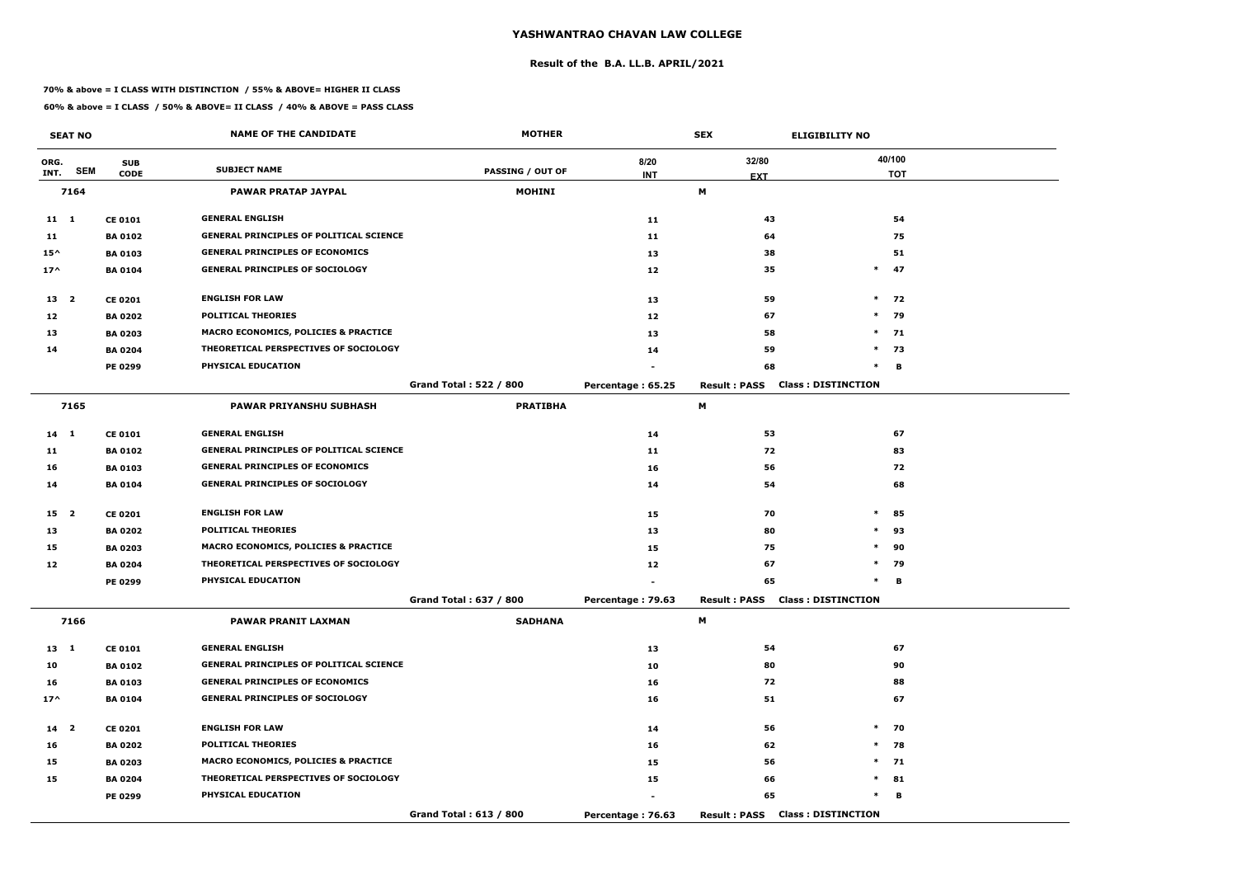#### **Result of the B.A. LL.B. APRIL/2021**

#### **70% & above = I CLASS WITH DISTINCTION / 55% & ABOVE= HIGHER II CLASS**

|                 | <b>SEAT NO</b> |                | <b>NAME OF THE CANDIDATE</b>                   | <b>MOTHER</b>                 |                   | <b>SEX</b>          |                                        |            |
|-----------------|----------------|----------------|------------------------------------------------|-------------------------------|-------------------|---------------------|----------------------------------------|------------|
| ORG.            |                | <b>SUB</b>     |                                                |                               | 8/20              | 32/80               |                                        | 40/100     |
| INT.            | <b>SEM</b>     | <b>CODE</b>    | <b>SUBJECT NAME</b>                            | <b>PASSING / OUT OF</b>       | <b>INT</b>        | <b>EXT</b>          |                                        | <b>TOT</b> |
|                 | 7164           |                | <b>PAWAR PRATAP JAYPAL</b>                     | <b>MOHINI</b>                 |                   | M                   |                                        |            |
| $11 \quad 1$    |                | <b>CE 0101</b> | <b>GENERAL ENGLISH</b>                         |                               | 11                | 43                  |                                        | 54         |
| 11              |                | <b>BA 0102</b> | <b>GENERAL PRINCIPLES OF POLITICAL SCIENCE</b> |                               | 11                | 64                  |                                        | 75         |
| $15^{\wedge}$   |                | <b>BA 0103</b> | <b>GENERAL PRINCIPLES OF ECONOMICS</b>         |                               | 13                | 38                  |                                        | 51         |
| $17^{\wedge}$   |                | <b>BA0104</b>  | <b>GENERAL PRINCIPLES OF SOCIOLOGY</b>         |                               | 12                | 35                  | $\ast$                                 | 47         |
| 13 2            |                | <b>CE 0201</b> | <b>ENGLISH FOR LAW</b>                         |                               | 13                | 59                  |                                        | $*$ 72     |
| 12              |                | <b>BA 0202</b> | <b>POLITICAL THEORIES</b>                      |                               | 12                | 67                  | $*$                                    | 79         |
| 13              |                | <b>BA 0203</b> | MACRO ECONOMICS, POLICIES & PRACTICE           |                               | 13                | 58                  |                                        | $*$ 71     |
| 14              |                | <b>BA 0204</b> | THEORETICAL PERSPECTIVES OF SOCIOLOGY          |                               | 14                | 59                  |                                        | $*$ 73     |
|                 |                | PE 0299        | PHYSICAL EDUCATION                             |                               |                   | 68                  | $\ast$                                 | B          |
|                 |                |                |                                                | <b>Grand Total: 522 / 800</b> | Percentage: 65.25 | <b>Result: PASS</b> | <b>Class: DISTINCTION</b>              |            |
|                 | 7165           |                | <b>PAWAR PRIYANSHU SUBHASH</b>                 | <b>PRATIBHA</b>               |                   | М                   |                                        |            |
| 14 1            |                | <b>CE 0101</b> | <b>GENERAL ENGLISH</b>                         |                               | 14                | 53                  |                                        | 67         |
| 11              |                | <b>BA 0102</b> | <b>GENERAL PRINCIPLES OF POLITICAL SCIENCE</b> |                               | 11                | 72                  |                                        | 83         |
| 16              |                | <b>BA 0103</b> | <b>GENERAL PRINCIPLES OF ECONOMICS</b>         |                               | 16                | 56                  |                                        | 72         |
| 14              |                | <b>BA 0104</b> | <b>GENERAL PRINCIPLES OF SOCIOLOGY</b>         |                               | 14                | 54                  |                                        | 68         |
| 15 <sub>2</sub> |                | <b>CE 0201</b> | <b>ENGLISH FOR LAW</b>                         |                               | 15                | 70                  | $\ast$                                 | 85         |
| 13              |                | <b>BA 0202</b> | <b>POLITICAL THEORIES</b>                      |                               | 13                | 80                  | $\ast$                                 | 93         |
| 15              |                | <b>BA 0203</b> | MACRO ECONOMICS, POLICIES & PRACTICE           |                               | 15                | 75                  | $\ast$                                 | 90         |
| 12              |                | <b>BA 0204</b> | THEORETICAL PERSPECTIVES OF SOCIOLOGY          |                               | 12                | 67                  | $\ast$                                 | 79         |
|                 |                | <b>PE 0299</b> | PHYSICAL EDUCATION                             |                               |                   | 65                  | $\ast$                                 | в          |
|                 |                |                |                                                | Grand Total: 637 / 800        | Percentage: 79.63 |                     | <b>Result: PASS Class: DISTINCTION</b> |            |
|                 | 7166           |                | PAWAR PRANIT LAXMAN                            | <b>SADHANA</b>                |                   | M                   |                                        |            |
| 13 1            |                | <b>CE 0101</b> | <b>GENERAL ENGLISH</b>                         |                               | 13                | 54                  |                                        | 67         |
| 10              |                | <b>BA 0102</b> | <b>GENERAL PRINCIPLES OF POLITICAL SCIENCE</b> |                               | 10                | 80                  |                                        | 90         |
| 16              |                | <b>BA 0103</b> | <b>GENERAL PRINCIPLES OF ECONOMICS</b>         |                               | 16                | 72                  |                                        | 88         |
| $17^{\wedge}$   |                | <b>BA 0104</b> | <b>GENERAL PRINCIPLES OF SOCIOLOGY</b>         |                               | 16                | 51                  |                                        | 67         |
| 14 <sub>2</sub> |                | <b>CE 0201</b> | <b>ENGLISH FOR LAW</b>                         |                               | 14                | 56                  | $*$                                    | 70         |
| 16              |                | <b>BA 0202</b> | <b>POLITICAL THEORIES</b>                      |                               | 16                | 62                  |                                        | $*$ 78     |
| 15              |                | <b>BA 0203</b> | MACRO ECONOMICS, POLICIES & PRACTICE           |                               | 15                | 56                  |                                        | $*$ 71     |
| 15              |                | <b>BA 0204</b> | THEORETICAL PERSPECTIVES OF SOCIOLOGY          |                               | 15                | 66                  |                                        | $*$ 81     |
|                 |                | <b>PE 0299</b> | PHYSICAL EDUCATION                             |                               |                   | 65                  | $\ast$                                 | в          |
|                 |                |                |                                                | Grand Total: 613 / 800        | Percentage: 76.63 |                     | <b>Result: PASS Class: DISTINCTION</b> |            |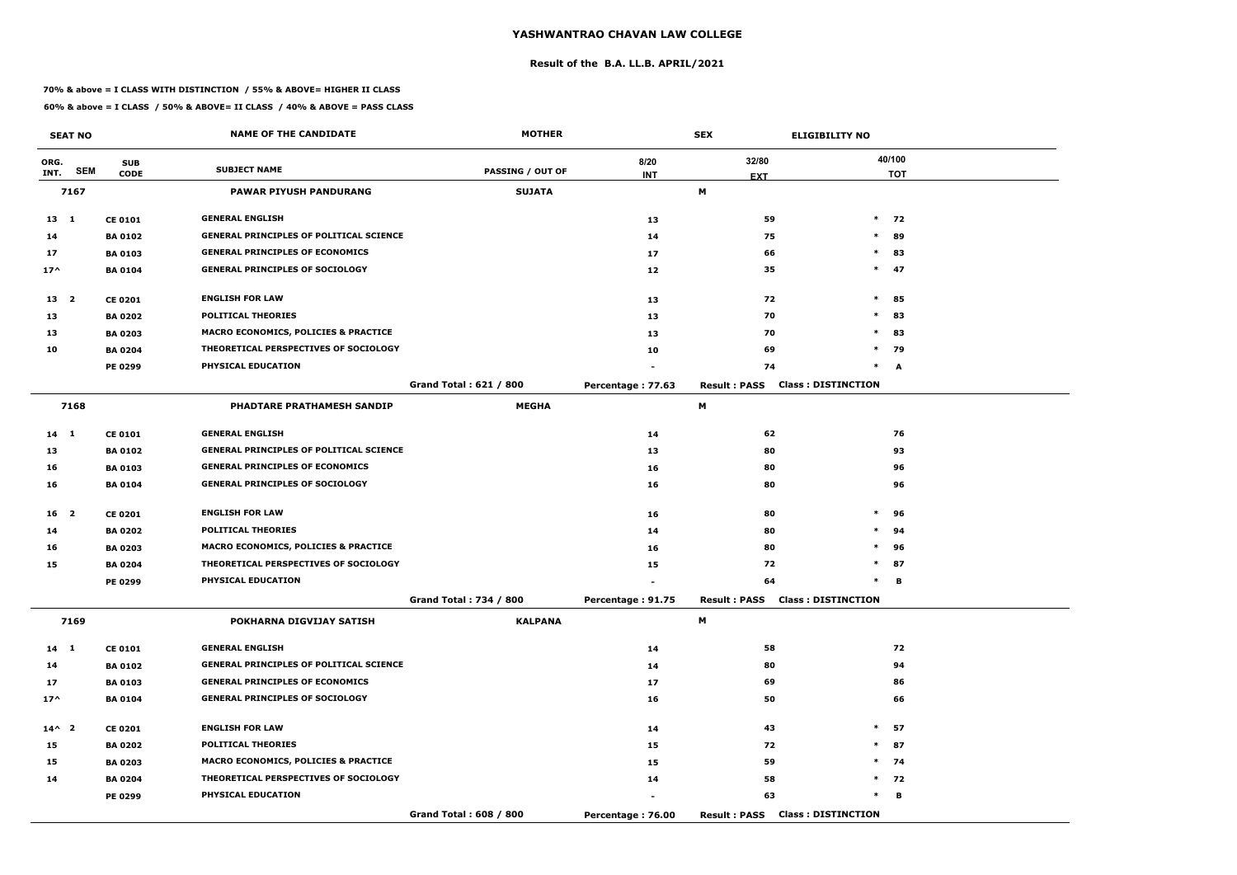#### **Result of the B.A. LL.B. APRIL/2021**

#### **70% & above = I CLASS WITH DISTINCTION / 55% & ABOVE= HIGHER II CLASS**

|                 | <b>SEAT NO</b> |                | <b>NAME OF THE CANDIDATE</b>                    | <b>MOTHER</b>                 |                   | <b>SEX</b>                             | <b>ELIGIBILITY NO</b>     |
|-----------------|----------------|----------------|-------------------------------------------------|-------------------------------|-------------------|----------------------------------------|---------------------------|
| ORG.            |                | <b>SUB</b>     |                                                 |                               | 8/20              | 32/80                                  | 40/100                    |
| INT.            | <b>SEM</b>     | <b>CODE</b>    | <b>SUBJECT NAME</b>                             | <b>PASSING / OUT OF</b>       | <b>INT</b>        | <b>EXT</b>                             | <b>TOT</b>                |
|                 | 7167           |                | <b>PAWAR PIYUSH PANDURANG</b>                   | <b>SUJATA</b>                 |                   | M                                      |                           |
| 13 1            |                | <b>CE 0101</b> | <b>GENERAL ENGLISH</b>                          |                               | 13                | 59                                     | $\ast$<br>72              |
| 14              |                | <b>BA 0102</b> | <b>GENERAL PRINCIPLES OF POLITICAL SCIENCE</b>  |                               | 14                | 75                                     | $\ast$<br>89              |
| 17              |                | <b>BA 0103</b> | <b>GENERAL PRINCIPLES OF ECONOMICS</b>          |                               | 17                | 66                                     | $\ast$<br>83              |
| $17^$           |                | <b>BA0104</b>  | <b>GENERAL PRINCIPLES OF SOCIOLOGY</b>          |                               | $12$              | 35                                     | $*$<br>47                 |
| 13 2            |                | <b>CE 0201</b> | <b>ENGLISH FOR LAW</b>                          |                               | 13                | 72                                     | $\ast$<br>85              |
| 13              |                | <b>BA 0202</b> | <b>POLITICAL THEORIES</b>                       |                               | 13                | 70                                     | $\ast$<br>83              |
| 13              |                | <b>BA 0203</b> | <b>MACRO ECONOMICS, POLICIES &amp; PRACTICE</b> |                               | 13                | 70                                     | 83<br>$\ast$              |
| 10              |                | <b>BA 0204</b> | THEORETICAL PERSPECTIVES OF SOCIOLOGY           |                               | 10                | 69                                     | $\ast$<br>79              |
|                 |                | PE 0299        | PHYSICAL EDUCATION                              |                               |                   | 74                                     | $\ast$<br>$\mathbf{A}$    |
|                 |                |                |                                                 | <b>Grand Total: 621 / 800</b> | Percentage: 77.63 | <b>Result: PASS</b>                    | <b>Class: DISTINCTION</b> |
|                 | 7168           |                | PHADTARE PRATHAMESH SANDIP                      | <b>MEGHA</b>                  |                   | M                                      |                           |
| 14 1            |                | <b>CE 0101</b> | <b>GENERAL ENGLISH</b>                          |                               | 14                | 62                                     | 76                        |
| 13              |                | <b>BA0102</b>  | <b>GENERAL PRINCIPLES OF POLITICAL SCIENCE</b>  |                               | 13                | 80                                     | 93                        |
| 16              |                | <b>BA0103</b>  | <b>GENERAL PRINCIPLES OF ECONOMICS</b>          |                               | 16                | 80                                     | 96                        |
| 16              |                | <b>BA 0104</b> | <b>GENERAL PRINCIPLES OF SOCIOLOGY</b>          |                               | 16                | 80                                     | 96                        |
| 16 <sub>2</sub> |                | <b>CE 0201</b> | <b>ENGLISH FOR LAW</b>                          |                               | 16                | 80                                     | $\ast$<br>96              |
| 14              |                | <b>BA 0202</b> | <b>POLITICAL THEORIES</b>                       |                               | 14                | 80                                     | $\ast$<br>94              |
| 16              |                | <b>BA 0203</b> | MACRO ECONOMICS, POLICIES & PRACTICE            |                               | 16                | 80                                     | $\ast$<br>96              |
| 15              |                | <b>BA 0204</b> | THEORETICAL PERSPECTIVES OF SOCIOLOGY           |                               | 15                | 72                                     | $\ast$<br>87              |
|                 |                | PE 0299        | PHYSICAL EDUCATION                              |                               |                   | 64                                     | в                         |
|                 |                |                |                                                 | Grand Total: 734 / 800        | Percentage: 91.75 | <b>Result: PASS Class: DISTINCTION</b> |                           |
|                 | 7169           |                | POKHARNA DIGVIJAY SATISH                        | <b>KALPANA</b>                |                   | M                                      |                           |
| 14 1            |                | <b>CE 0101</b> | <b>GENERAL ENGLISH</b>                          |                               | 14                | 58                                     | 72                        |
| 14              |                | <b>BA 0102</b> | <b>GENERAL PRINCIPLES OF POLITICAL SCIENCE</b>  |                               | 14                | 80                                     | 94                        |
| 17              |                | <b>BA 0103</b> | <b>GENERAL PRINCIPLES OF ECONOMICS</b>          |                               | 17                | 69                                     | 86                        |
| $17^{\wedge}$   |                | <b>BA 0104</b> | <b>GENERAL PRINCIPLES OF SOCIOLOGY</b>          |                               | 16                | 50                                     | 66                        |
| $14^{\wedge}$ 2 |                | <b>CE 0201</b> | <b>ENGLISH FOR LAW</b>                          |                               | 14                | 43                                     | $\ast$<br>57              |
| 15              |                | <b>BA 0202</b> | <b>POLITICAL THEORIES</b>                       |                               | 15                | 72                                     | $\ast$<br>87              |
| 15              |                | <b>BA 0203</b> | <b>MACRO ECONOMICS, POLICIES &amp; PRACTICE</b> |                               | 15                | 59                                     | $*$ 74                    |
| 14              |                | <b>BA 0204</b> | THEORETICAL PERSPECTIVES OF SOCIOLOGY           |                               | 14                | 58                                     | $*$ 72                    |
|                 |                | <b>PE 0299</b> | PHYSICAL EDUCATION                              |                               |                   | 63                                     | $\ast$<br>в               |
|                 |                |                |                                                 | Grand Total: 608 / 800        | Percentage: 76.00 | <b>Result: PASS</b>                    | <b>Class: DISTINCTION</b> |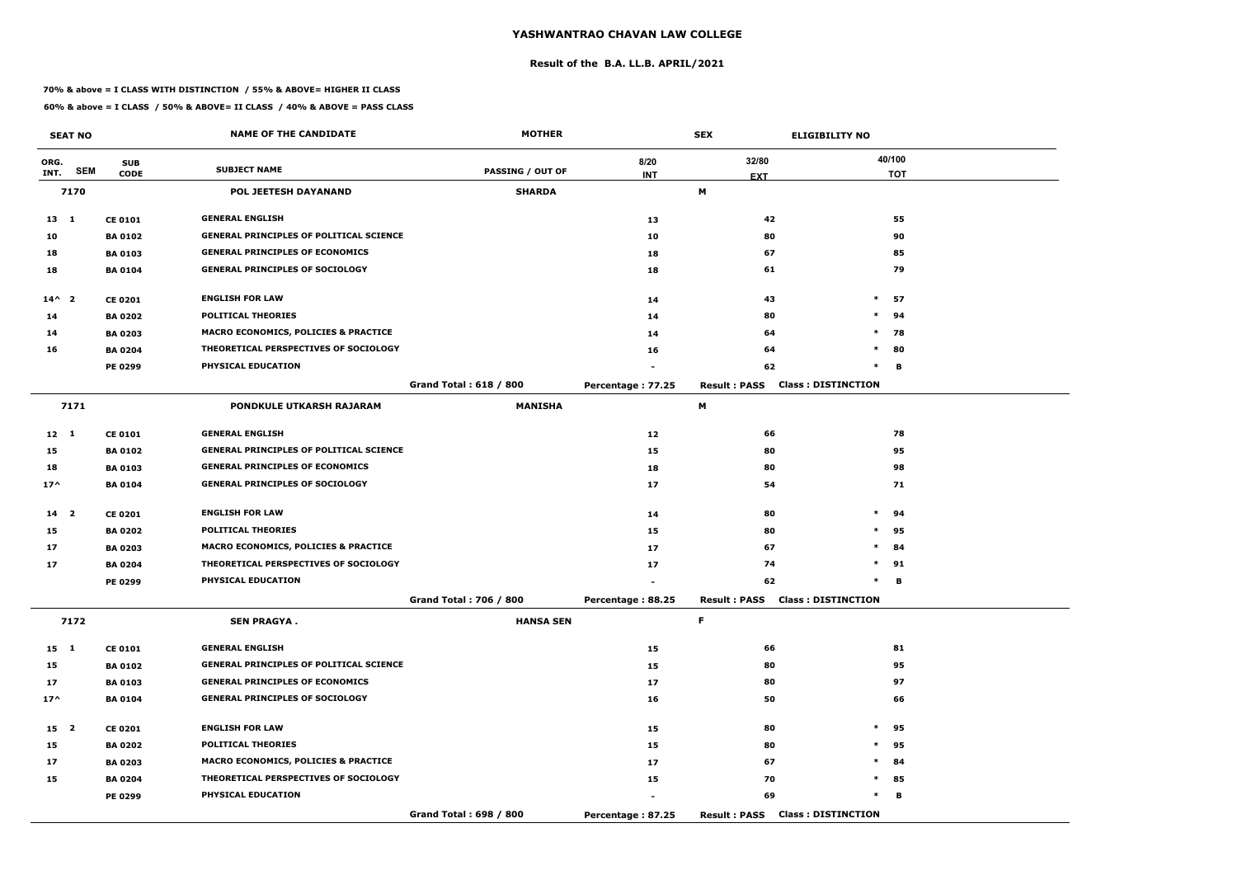#### **Result of the B.A. LL.B. APRIL/2021**

#### **70% & above = I CLASS WITH DISTINCTION / 55% & ABOVE= HIGHER II CLASS**

|                 | <b>SEAT NO</b> |                | <b>NAME OF THE CANDIDATE</b>                    | <b>MOTHER</b>                 |                   | <b>SEX</b>                             | <b>ELIGIBILITY NO</b>     |
|-----------------|----------------|----------------|-------------------------------------------------|-------------------------------|-------------------|----------------------------------------|---------------------------|
| ORG.            |                | <b>SUB</b>     |                                                 |                               | 8/20              | 32/80                                  | 40/100                    |
| INT.            | <b>SEM</b>     | <b>CODE</b>    | <b>SUBJECT NAME</b>                             | <b>PASSING / OUT OF</b>       | <b>INT</b>        | <b>EXT</b>                             | <b>TOT</b>                |
|                 | 7170           |                | POL JEETESH DAYANAND                            | <b>SHARDA</b>                 |                   | M                                      |                           |
| $13 \quad 1$    |                | <b>CE 0101</b> | <b>GENERAL ENGLISH</b>                          |                               | 13                | 42                                     | 55                        |
| 10              |                | <b>BA 0102</b> | <b>GENERAL PRINCIPLES OF POLITICAL SCIENCE</b>  |                               | 10                | 80                                     | 90                        |
| 18              |                | <b>BA 0103</b> | <b>GENERAL PRINCIPLES OF ECONOMICS</b>          |                               | 18                | 67                                     | 85                        |
| 18              |                | <b>BA 0104</b> | <b>GENERAL PRINCIPLES OF SOCIOLOGY</b>          |                               | 18                | 61                                     | 79                        |
| $14^{\wedge}$ 2 |                | <b>CE 0201</b> | <b>ENGLISH FOR LAW</b>                          |                               | 14                | 43                                     | $\ast$<br>57              |
| 14              |                | <b>BA 0202</b> | <b>POLITICAL THEORIES</b>                       |                               | 14                | 80                                     | $\ast$<br>94              |
| 14              |                | <b>BA 0203</b> | <b>MACRO ECONOMICS, POLICIES &amp; PRACTICE</b> |                               | 14                | 64                                     | $\ast$<br>78              |
| 16              |                | <b>BA 0204</b> | THEORETICAL PERSPECTIVES OF SOCIOLOGY           |                               | 16                | 64                                     | $\ast$<br>80              |
|                 |                | PE 0299        | PHYSICAL EDUCATION                              |                               |                   | 62                                     | $\ast$<br>в               |
|                 |                |                |                                                 | <b>Grand Total: 618 / 800</b> | Percentage: 77.25 | <b>Result: PASS</b>                    | <b>Class: DISTINCTION</b> |
|                 | 7171           |                | PONDKULE UTKARSH RAJARAM                        | <b>MANISHA</b>                |                   | М                                      |                           |
| $12 \quad 1$    |                | <b>CE 0101</b> | <b>GENERAL ENGLISH</b>                          |                               | 12                | 66                                     | 78                        |
| 15              |                | <b>BA 0102</b> | <b>GENERAL PRINCIPLES OF POLITICAL SCIENCE</b>  |                               | 15                | 80                                     | 95                        |
| 18              |                | <b>BA 0103</b> | <b>GENERAL PRINCIPLES OF ECONOMICS</b>          |                               | 18                | 80                                     | 98                        |
| $17^$           |                | <b>BA 0104</b> | <b>GENERAL PRINCIPLES OF SOCIOLOGY</b>          |                               | 17                | 54                                     | 71                        |
| 14 <sub>2</sub> |                | <b>CE 0201</b> | <b>ENGLISH FOR LAW</b>                          |                               | 14                | 80                                     | $\ast$<br>94              |
| 15              |                | <b>BA 0202</b> | <b>POLITICAL THEORIES</b>                       |                               | 15                | 80                                     | $\ast$<br>95              |
| 17              |                | <b>BA 0203</b> | <b>MACRO ECONOMICS, POLICIES &amp; PRACTICE</b> |                               | 17                | 67                                     | $\ast$<br>84              |
| 17              |                | <b>BA 0204</b> | THEORETICAL PERSPECTIVES OF SOCIOLOGY           |                               | 17                | 74                                     | $\ast$<br>91              |
|                 |                | PE 0299        | PHYSICAL EDUCATION                              |                               |                   | 62                                     | $\ast$<br>В               |
|                 |                |                |                                                 | Grand Total: 706 / 800        | Percentage: 88.25 | <b>Result: PASS Class: DISTINCTION</b> |                           |
|                 | 7172           |                | <b>SEN PRAGYA.</b>                              | <b>HANSA SEN</b>              |                   | F.                                     |                           |
| 15 1            |                | <b>CE 0101</b> | <b>GENERAL ENGLISH</b>                          |                               | 15                | 66                                     | 81                        |
| 15              |                | <b>BA 0102</b> | <b>GENERAL PRINCIPLES OF POLITICAL SCIENCE</b>  |                               | 15                | 80                                     | 95                        |
| 17              |                | <b>BA 0103</b> | <b>GENERAL PRINCIPLES OF ECONOMICS</b>          |                               | 17                | 80                                     | 97                        |
| $17^{\wedge}$   |                | <b>BA 0104</b> | <b>GENERAL PRINCIPLES OF SOCIOLOGY</b>          |                               | 16                | 50                                     | 66                        |
| 15 2            |                | <b>CE 0201</b> | <b>ENGLISH FOR LAW</b>                          |                               | 15                | 80                                     | $*$ 95                    |
| 15              |                | <b>BA 0202</b> | <b>POLITICAL THEORIES</b>                       |                               | 15                | 80                                     | $\ast$<br>95              |
| 17              |                | <b>BA 0203</b> | <b>MACRO ECONOMICS, POLICIES &amp; PRACTICE</b> |                               | 17                | 67                                     | $\ast$<br>84              |
| 15              |                | <b>BA 0204</b> | THEORETICAL PERSPECTIVES OF SOCIOLOGY           |                               | 15                | 70                                     | $\ast$<br>85              |
|                 |                | <b>PE 0299</b> | PHYSICAL EDUCATION                              |                               |                   | 69                                     | $\ast$<br>в               |
|                 |                |                |                                                 | Grand Total: 698 / 800        | Percentage: 87.25 | <b>Result: PASS Class: DISTINCTION</b> |                           |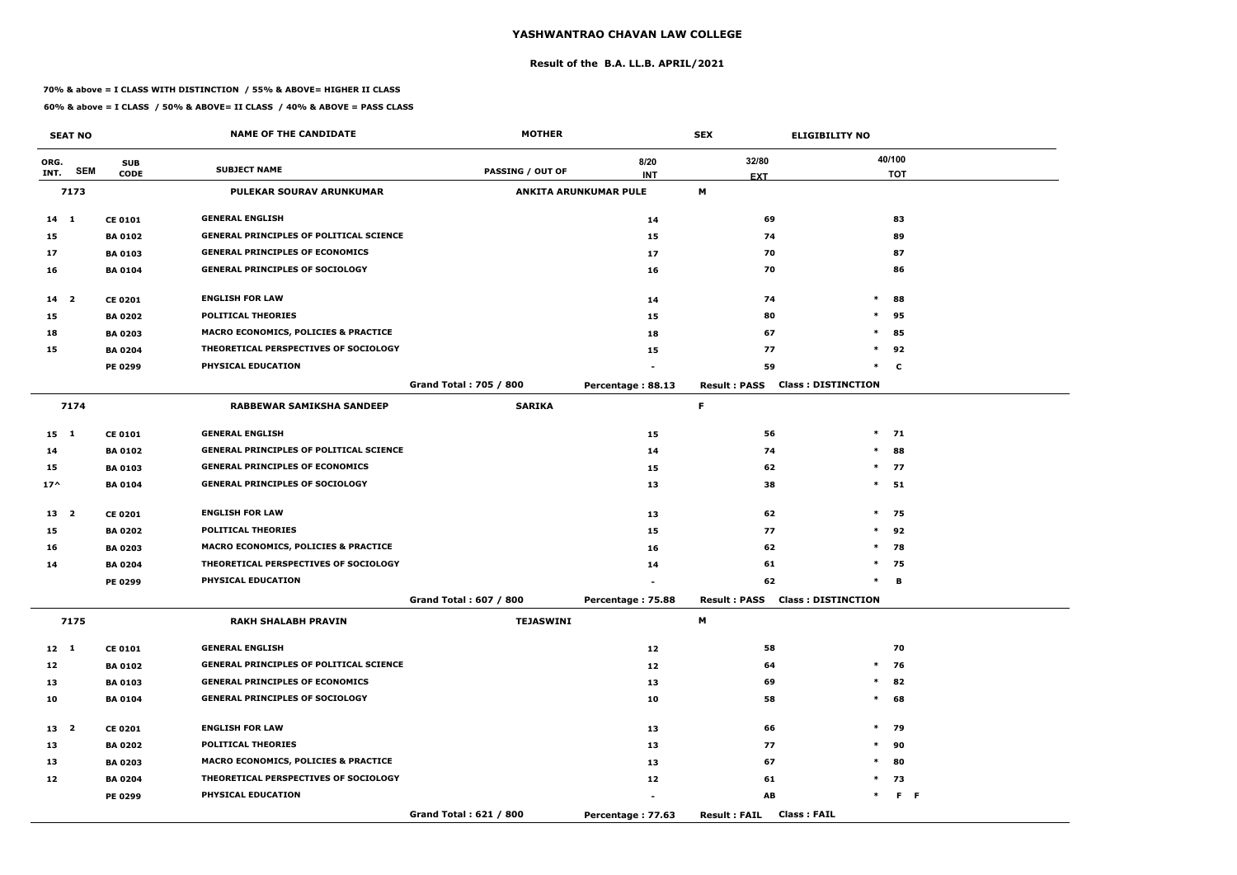#### **Result of the B.A. LL.B. APRIL/2021**

#### **70% & above = I CLASS WITH DISTINCTION / 55% & ABOVE= HIGHER II CLASS**

|                 | <b>SEAT NO</b> |                | <b>NAME OF THE CANDIDATE</b>                    | <b>MOTHER</b>                 |                              | <b>SEX</b>                                | <b>ELIGIBILITY NO</b>     |
|-----------------|----------------|----------------|-------------------------------------------------|-------------------------------|------------------------------|-------------------------------------------|---------------------------|
| ORG.            |                | <b>SUB</b>     |                                                 |                               | 8/20                         | 32/80                                     | 40/100                    |
| INT.            | <b>SEM</b>     | <b>CODE</b>    | <b>SUBJECT NAME</b>                             | <b>PASSING / OUT OF</b>       | <b>INT</b>                   | <b>EXT</b>                                | <b>TOT</b>                |
|                 | 7173           |                | <b>PULEKAR SOURAV ARUNKUMAR</b>                 |                               | <b>ANKITA ARUNKUMAR PULE</b> | M                                         |                           |
| $14 \quad 1$    |                | <b>CE 0101</b> | <b>GENERAL ENGLISH</b>                          |                               | 14                           | 69                                        | 83                        |
| 15              |                | <b>BA 0102</b> | <b>GENERAL PRINCIPLES OF POLITICAL SCIENCE</b>  |                               | 15                           | 74                                        | 89                        |
| 17              |                | <b>BA 0103</b> | <b>GENERAL PRINCIPLES OF ECONOMICS</b>          |                               | 17                           | 70                                        | 87                        |
| 16              |                | <b>BA 0104</b> | <b>GENERAL PRINCIPLES OF SOCIOLOGY</b>          |                               | 16                           | 70                                        | 86                        |
| $14 2$          |                | <b>CE 0201</b> | <b>ENGLISH FOR LAW</b>                          |                               | 14                           | 74                                        | $\ast$<br>88              |
| 15              |                | <b>BA 0202</b> | <b>POLITICAL THEORIES</b>                       |                               | 15                           | 80                                        | 95<br>$\ast$              |
| 18              |                | <b>BA 0203</b> | <b>MACRO ECONOMICS, POLICIES &amp; PRACTICE</b> |                               | 18                           | 67                                        | $\ast$<br>85              |
| 15              |                | <b>BA 0204</b> | THEORETICAL PERSPECTIVES OF SOCIOLOGY           |                               | 15                           | 77                                        | $\ast$<br>92              |
|                 |                | <b>PE 0299</b> | PHYSICAL EDUCATION                              |                               |                              | 59                                        | $\ast$<br>$\mathbf c$     |
|                 |                |                |                                                 | <b>Grand Total: 705 / 800</b> | Percentage: 88.13            | <b>Result: PASS</b>                       | <b>Class: DISTINCTION</b> |
|                 | 7174           |                | <b>RABBEWAR SAMIKSHA SANDEEP</b>                | <b>SARIKA</b>                 |                              | F                                         |                           |
| $15 \quad 1$    |                | <b>CE 0101</b> | <b>GENERAL ENGLISH</b>                          |                               | 15                           | 56                                        | $\ast$<br>71              |
| 14              |                | <b>BA 0102</b> | <b>GENERAL PRINCIPLES OF POLITICAL SCIENCE</b>  |                               | 14                           | 74                                        | $\ast$<br>88              |
| 15              |                | <b>BA 0103</b> | <b>GENERAL PRINCIPLES OF ECONOMICS</b>          |                               | 15                           | 62                                        | $*$ 77                    |
| $17^$           |                | <b>BA 0104</b> | <b>GENERAL PRINCIPLES OF SOCIOLOGY</b>          |                               | 13                           | 38                                        | $*$ 51                    |
| 13 2            |                | <b>CE 0201</b> | <b>ENGLISH FOR LAW</b>                          |                               | 13                           | 62                                        | $*$ 75                    |
| 15              |                | <b>BA 0202</b> | <b>POLITICAL THEORIES</b>                       |                               | 15                           | 77                                        | $*$ 92                    |
| 16              |                | <b>BA 0203</b> | <b>MACRO ECONOMICS, POLICIES &amp; PRACTICE</b> |                               | 16                           | 62                                        | $\ast$<br>78              |
| 14              |                | <b>BA 0204</b> | THEORETICAL PERSPECTIVES OF SOCIOLOGY           |                               | 14                           | 61                                        | $\ast$<br>75              |
|                 |                | <b>PE 0299</b> | PHYSICAL EDUCATION                              |                               |                              | 62                                        | $\ast$<br>в               |
|                 |                |                |                                                 | Grand Total: 607 / 800        | Percentage: 75.88            | <b>Result: PASS Class: DISTINCTION</b>    |                           |
|                 | 7175           |                | <b>RAKH SHALABH PRAVIN</b>                      | <b>TEJASWINI</b>              |                              | M                                         |                           |
| $12 \quad 1$    |                | <b>CE 0101</b> | <b>GENERAL ENGLISH</b>                          |                               | 12                           | 58                                        | 70                        |
| 12              |                | <b>BA 0102</b> | <b>GENERAL PRINCIPLES OF POLITICAL SCIENCE</b>  |                               | 12                           | 64                                        | 76<br>$\ast$              |
| 13              |                | <b>BA 0103</b> | <b>GENERAL PRINCIPLES OF ECONOMICS</b>          |                               | 13                           | 69                                        | $*$ 82                    |
| 10              |                | <b>BA 0104</b> | <b>GENERAL PRINCIPLES OF SOCIOLOGY</b>          |                               | 10                           | 58                                        | $*$<br>68                 |
| 13 <sup>2</sup> |                | <b>CE 0201</b> | <b>ENGLISH FOR LAW</b>                          |                               | 13                           | 66                                        | $*$ 79                    |
| 13              |                | <b>BA 0202</b> | <b>POLITICAL THEORIES</b>                       |                               | 13                           | 77                                        | $\ast$<br>90              |
| 13              |                | <b>BA 0203</b> | MACRO ECONOMICS, POLICIES & PRACTICE            |                               | 13                           | 67                                        | $*$<br>80                 |
| 12              |                | <b>BA 0204</b> | THEORETICAL PERSPECTIVES OF SOCIOLOGY           |                               | 12                           | 61                                        | 73<br>$*$                 |
|                 |                | <b>PE 0299</b> | PHYSICAL EDUCATION                              |                               | $\blacksquare$               | $\boldsymbol{\mathsf{A}\mathsf{B}}$       | $\ast$<br>$F$ $F$         |
|                 |                |                |                                                 | Grand Total: 621 / 800        | Percentage: 77.63            | <b>Class: FAIL</b><br><b>Result: FAIL</b> |                           |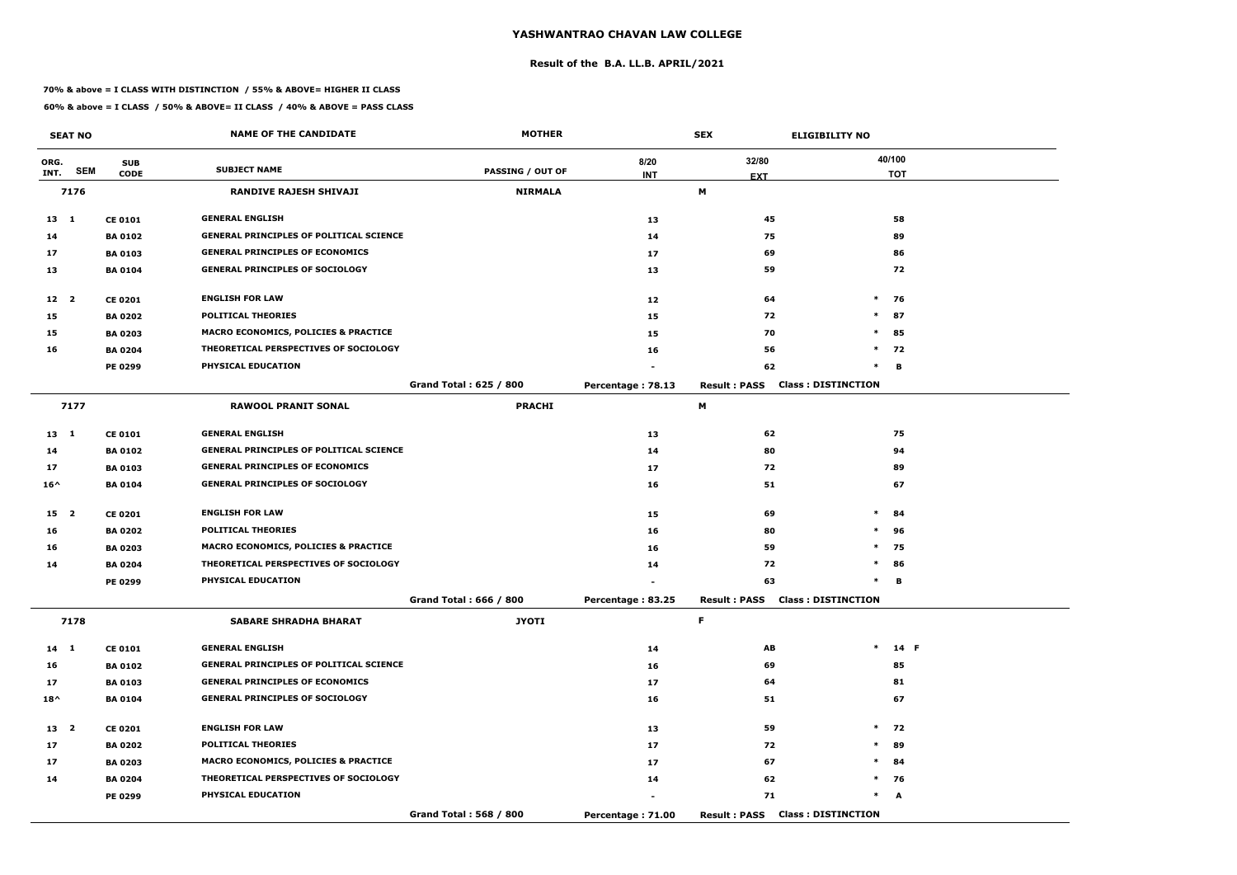#### **Result of the B.A. LL.B. APRIL/2021**

#### **70% & above = I CLASS WITH DISTINCTION / 55% & ABOVE= HIGHER II CLASS**

|                 | <b>SEAT NO</b> |                | <b>NAME OF THE CANDIDATE</b>                    | <b>MOTHER</b>                 |                   | <b>SEX</b>                             | <b>ELIGIBILITY NO</b>     |
|-----------------|----------------|----------------|-------------------------------------------------|-------------------------------|-------------------|----------------------------------------|---------------------------|
| ORG.            |                | <b>SUB</b>     |                                                 |                               | 8/20              | 32/80                                  | 40/100                    |
| INT.            | <b>SEM</b>     | <b>CODE</b>    | <b>SUBJECT NAME</b>                             | <b>PASSING / OUT OF</b>       | <b>INT</b>        | <b>EXT</b>                             | <b>TOT</b>                |
|                 | 7176           |                | <b>RANDIVE RAJESH SHIVAJI</b>                   | <b>NIRMALA</b>                |                   | М                                      |                           |
| $13 \quad 1$    |                | <b>CE 0101</b> | <b>GENERAL ENGLISH</b>                          |                               | 13                | 45                                     | 58                        |
| 14              |                | <b>BA 0102</b> | <b>GENERAL PRINCIPLES OF POLITICAL SCIENCE</b>  |                               | 14                | 75                                     | 89                        |
| 17              |                | <b>BA 0103</b> | <b>GENERAL PRINCIPLES OF ECONOMICS</b>          |                               | 17                | 69                                     | 86                        |
| 13              |                | <b>BA0104</b>  | <b>GENERAL PRINCIPLES OF SOCIOLOGY</b>          |                               | 13                | 59                                     | 72                        |
| $12 \quad 2$    |                | <b>CE 0201</b> | <b>ENGLISH FOR LAW</b>                          |                               | 12                | 64                                     | $\ast$<br>76              |
| 15              |                | <b>BA 0202</b> | <b>POLITICAL THEORIES</b>                       |                               | 15                | 72                                     | $\ast$<br>87              |
| 15              |                | <b>BA 0203</b> | MACRO ECONOMICS, POLICIES & PRACTICE            |                               | 15                | 70                                     | $\ast$<br>85              |
| 16              |                | <b>BA 0204</b> | THEORETICAL PERSPECTIVES OF SOCIOLOGY           |                               | 16                | 56                                     | $*$ 72                    |
|                 |                | PE 0299        | PHYSICAL EDUCATION                              |                               |                   | 62                                     | $\ast$<br>B               |
|                 |                |                |                                                 | <b>Grand Total: 625 / 800</b> | Percentage: 78.13 | <b>Result: PASS</b>                    | <b>Class: DISTINCTION</b> |
|                 | 7177           |                | <b>RAWOOL PRANIT SONAL</b>                      | <b>PRACHI</b>                 |                   | М                                      |                           |
| $13 \quad 1$    |                | <b>CE 0101</b> | <b>GENERAL ENGLISH</b>                          |                               | 13                | 62                                     | 75                        |
| 14              |                | <b>BA 0102</b> | <b>GENERAL PRINCIPLES OF POLITICAL SCIENCE</b>  |                               | 14                | 80                                     | 94                        |
| 17              |                | <b>BA 0103</b> | <b>GENERAL PRINCIPLES OF ECONOMICS</b>          |                               | 17                | 72                                     | 89                        |
| $16^{\wedge}$   |                | <b>BA 0104</b> | <b>GENERAL PRINCIPLES OF SOCIOLOGY</b>          |                               | 16                | 51                                     | 67                        |
| 15 <sub>2</sub> |                | <b>CE 0201</b> | <b>ENGLISH FOR LAW</b>                          |                               | 15                | 69                                     | $\ast$<br>84              |
| 16              |                | <b>BA 0202</b> | <b>POLITICAL THEORIES</b>                       |                               | 16                | 80                                     | 96<br>$\ast$              |
| 16              |                | <b>BA 0203</b> | <b>MACRO ECONOMICS, POLICIES &amp; PRACTICE</b> |                               | 16                | 59                                     | $\ast$<br>75              |
| 14              |                | <b>BA 0204</b> | THEORETICAL PERSPECTIVES OF SOCIOLOGY           |                               | 14                | 72                                     | $\ast$<br>86              |
|                 |                | <b>PE 0299</b> | PHYSICAL EDUCATION                              |                               |                   | 63                                     | $\ast$<br>в               |
|                 |                |                |                                                 | Grand Total: 666 / 800        | Percentage: 83.25 | <b>Result: PASS Class: DISTINCTION</b> |                           |
|                 | 7178           |                | <b>SABARE SHRADHA BHARAT</b>                    | <b>JYOTI</b>                  |                   | F.                                     |                           |
| 14 1            |                | <b>CE 0101</b> | <b>GENERAL ENGLISH</b>                          |                               | 14                | AB                                     | $\ast$<br>14 F            |
| 16              |                | <b>BA 0102</b> | <b>GENERAL PRINCIPLES OF POLITICAL SCIENCE</b>  |                               | 16                | 69                                     | 85                        |
| 17              |                | <b>BA 0103</b> | <b>GENERAL PRINCIPLES OF ECONOMICS</b>          |                               | 17                | 64                                     | 81                        |
| $18^{\wedge}$   |                | <b>BA 0104</b> | <b>GENERAL PRINCIPLES OF SOCIOLOGY</b>          |                               | 16                | 51                                     | 67                        |
| 13 2            |                | <b>CE 0201</b> | <b>ENGLISH FOR LAW</b>                          |                               | 13                | 59                                     | $\ast$<br>72              |
| 17              |                | <b>BA 0202</b> | <b>POLITICAL THEORIES</b>                       |                               | 17                | 72                                     | $*$<br>89                 |
| 17              |                | <b>BA 0203</b> | MACRO ECONOMICS, POLICIES & PRACTICE            |                               | 17                | 67                                     | $\ast$<br>84              |
| 14              |                | <b>BA 0204</b> | THEORETICAL PERSPECTIVES OF SOCIOLOGY           |                               | 14                | 62                                     | $*$ 76                    |
|                 |                | <b>PE 0299</b> | PHYSICAL EDUCATION                              |                               |                   | 71                                     | $\ast$<br>A               |
|                 |                |                |                                                 | Grand Total: 568 / 800        | Percentage: 71.00 | <b>Result: PASS Class: DISTINCTION</b> |                           |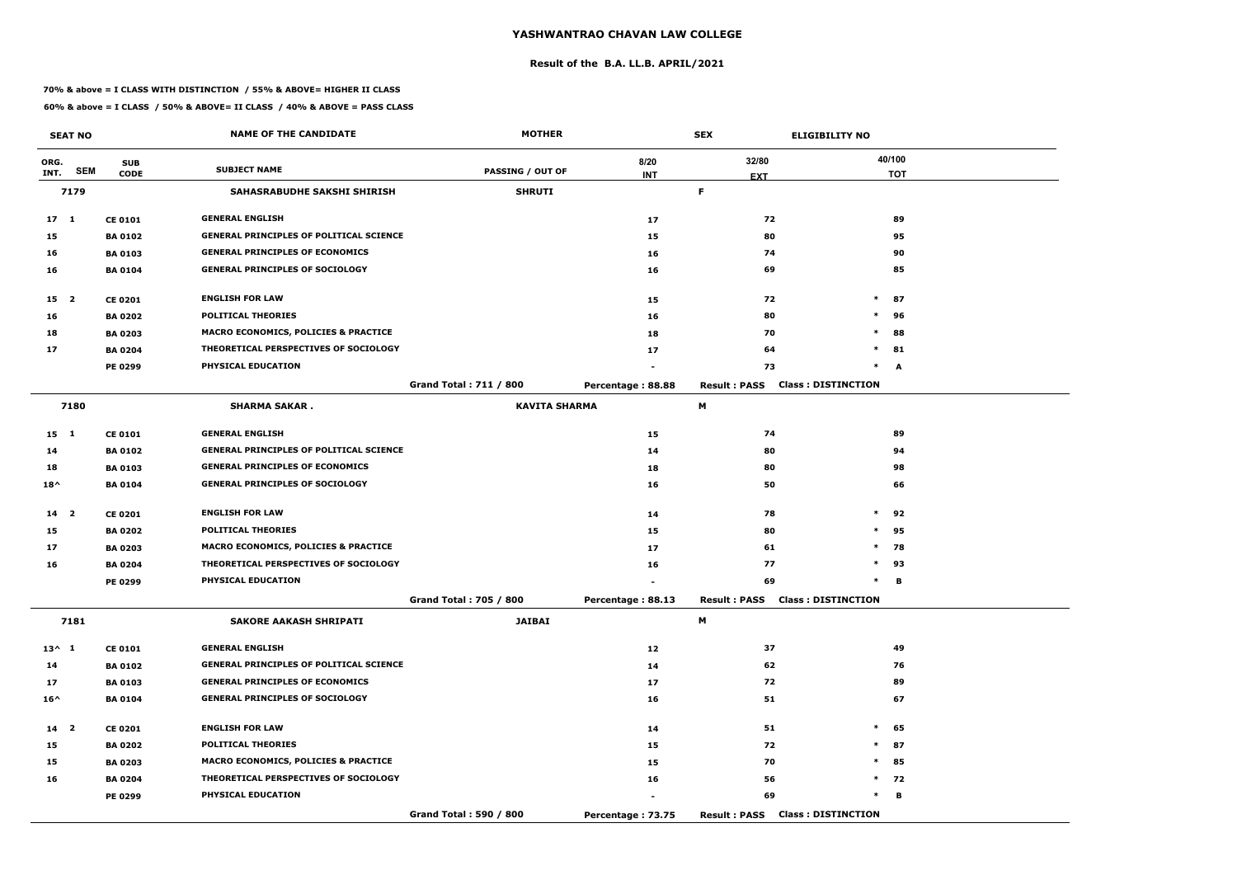#### **Result of the B.A. LL.B. APRIL/2021**

#### **70% & above = I CLASS WITH DISTINCTION / 55% & ABOVE= HIGHER II CLASS**

|                 | <b>SEAT NO</b> |                | <b>NAME OF THE CANDIDATE</b>                    | <b>MOTHER</b>                 |                   | <b>SEX</b>          | <b>ELIGIBILITY NO</b>                  |            |
|-----------------|----------------|----------------|-------------------------------------------------|-------------------------------|-------------------|---------------------|----------------------------------------|------------|
| ORG.            |                | <b>SUB</b>     |                                                 |                               | 8/20              | 32/80               |                                        | 40/100     |
| INT.            | <b>SEM</b>     | <b>CODE</b>    | <b>SUBJECT NAME</b>                             | <b>PASSING / OUT OF</b>       | <b>INT</b>        | <b>EXT</b>          |                                        | <b>TOT</b> |
|                 | 7179           |                | SAHASRABUDHE SAKSHI SHIRISH                     | <b>SHRUTI</b>                 |                   | F.                  |                                        |            |
| 17 <sub>1</sub> |                | <b>CE 0101</b> | <b>GENERAL ENGLISH</b>                          |                               | 17                | 72                  |                                        | 89         |
| 15              |                | <b>BA0102</b>  | <b>GENERAL PRINCIPLES OF POLITICAL SCIENCE</b>  |                               | 15                | 80                  |                                        | 95         |
| 16              |                | <b>BA 0103</b> | <b>GENERAL PRINCIPLES OF ECONOMICS</b>          |                               | 16                | 74                  |                                        | 90         |
| 16              |                | <b>BA0104</b>  | <b>GENERAL PRINCIPLES OF SOCIOLOGY</b>          |                               | 16                | 69                  |                                        | 85         |
| 15 <sub>2</sub> |                | <b>CE 0201</b> | <b>ENGLISH FOR LAW</b>                          |                               | 15                | 72                  | $\ast$                                 | 87         |
| 16              |                | <b>BA 0202</b> | <b>POLITICAL THEORIES</b>                       |                               | 16                | 80                  | $\ast$                                 | 96         |
| 18              |                | <b>BA 0203</b> | <b>MACRO ECONOMICS, POLICIES &amp; PRACTICE</b> |                               | 18                | 70                  | $\ast$                                 | 88         |
| 17              |                | <b>BA 0204</b> | THEORETICAL PERSPECTIVES OF SOCIOLOGY           |                               | 17                | 64                  | $\ast$                                 | 81         |
|                 |                | <b>PE 0299</b> | PHYSICAL EDUCATION                              |                               |                   | 73                  | $\ast$                                 | A          |
|                 |                |                |                                                 | <b>Grand Total: 711 / 800</b> | Percentage: 88.88 | <b>Result: PASS</b> | <b>Class: DISTINCTION</b>              |            |
|                 | 7180           |                | <b>SHARMA SAKAR.</b>                            | <b>KAVITA SHARMA</b>          |                   | M                   |                                        |            |
| $15 \quad 1$    |                | <b>CE 0101</b> | <b>GENERAL ENGLISH</b>                          |                               | 15                | 74                  |                                        | 89         |
| 14              |                | <b>BA0102</b>  | <b>GENERAL PRINCIPLES OF POLITICAL SCIENCE</b>  |                               | 14                | 80                  |                                        | 94         |
| 18              |                | <b>BA0103</b>  | <b>GENERAL PRINCIPLES OF ECONOMICS</b>          |                               | 18                | 80                  |                                        | 98         |
| $18^{\wedge}$   |                | <b>BA 0104</b> | <b>GENERAL PRINCIPLES OF SOCIOLOGY</b>          |                               | 16                | 50                  |                                        | 66         |
| 14 <sub>2</sub> |                | <b>CE 0201</b> | <b>ENGLISH FOR LAW</b>                          |                               | 14                | 78                  | $\ast$                                 | 92         |
| 15              |                | <b>BA 0202</b> | <b>POLITICAL THEORIES</b>                       |                               | 15                | 80                  | $\ast$                                 | 95         |
| 17              |                | <b>BA 0203</b> | <b>MACRO ECONOMICS, POLICIES &amp; PRACTICE</b> |                               | 17                | 61                  | $\ast$                                 | 78         |
| 16              |                | <b>BA 0204</b> | THEORETICAL PERSPECTIVES OF SOCIOLOGY           |                               | 16                | 77                  | $\ast$                                 | 93         |
|                 |                | <b>PE 0299</b> | PHYSICAL EDUCATION                              |                               |                   | 69                  | $\ast$                                 | В          |
|                 |                |                |                                                 | <b>Grand Total: 705 / 800</b> | Percentage: 88.13 |                     | <b>Result: PASS Class: DISTINCTION</b> |            |
|                 | 7181           |                | <b>SAKORE AAKASH SHRIPATI</b>                   | <b>JAIBAI</b>                 |                   | M                   |                                        |            |
| $13^{\wedge} 1$ |                | <b>CE 0101</b> | <b>GENERAL ENGLISH</b>                          |                               | 12                | 37                  |                                        | 49         |
| 14              |                | <b>BA 0102</b> | <b>GENERAL PRINCIPLES OF POLITICAL SCIENCE</b>  |                               | 14                | 62                  |                                        | 76         |
| 17              |                | <b>BA 0103</b> | <b>GENERAL PRINCIPLES OF ECONOMICS</b>          |                               | 17                | 72                  |                                        | 89         |
| $16^{\wedge}$   |                | <b>BA 0104</b> | <b>GENERAL PRINCIPLES OF SOCIOLOGY</b>          |                               | 16                | 51                  |                                        | 67         |
| 14 <sub>2</sub> |                | <b>CE 0201</b> | <b>ENGLISH FOR LAW</b>                          |                               | 14                | 51                  | $\ast$                                 | 65         |
| 15              |                | <b>BA 0202</b> | POLITICAL THEORIES                              |                               | 15                | 72                  | $\ast$                                 | 87         |
| 15              |                | <b>BA 0203</b> | <b>MACRO ECONOMICS, POLICIES &amp; PRACTICE</b> |                               | 15                | 70                  | $\ast$                                 | 85         |
| 16              |                | <b>BA 0204</b> | THEORETICAL PERSPECTIVES OF SOCIOLOGY           |                               | 16                | 56                  |                                        | $*$ 72     |
|                 |                | <b>PE 0299</b> | PHYSICAL EDUCATION                              |                               |                   | 69                  | $\ast$                                 | В          |
|                 |                |                |                                                 | Grand Total: 590 / 800        | Percentage: 73.75 |                     | <b>Result: PASS Class: DISTINCTION</b> |            |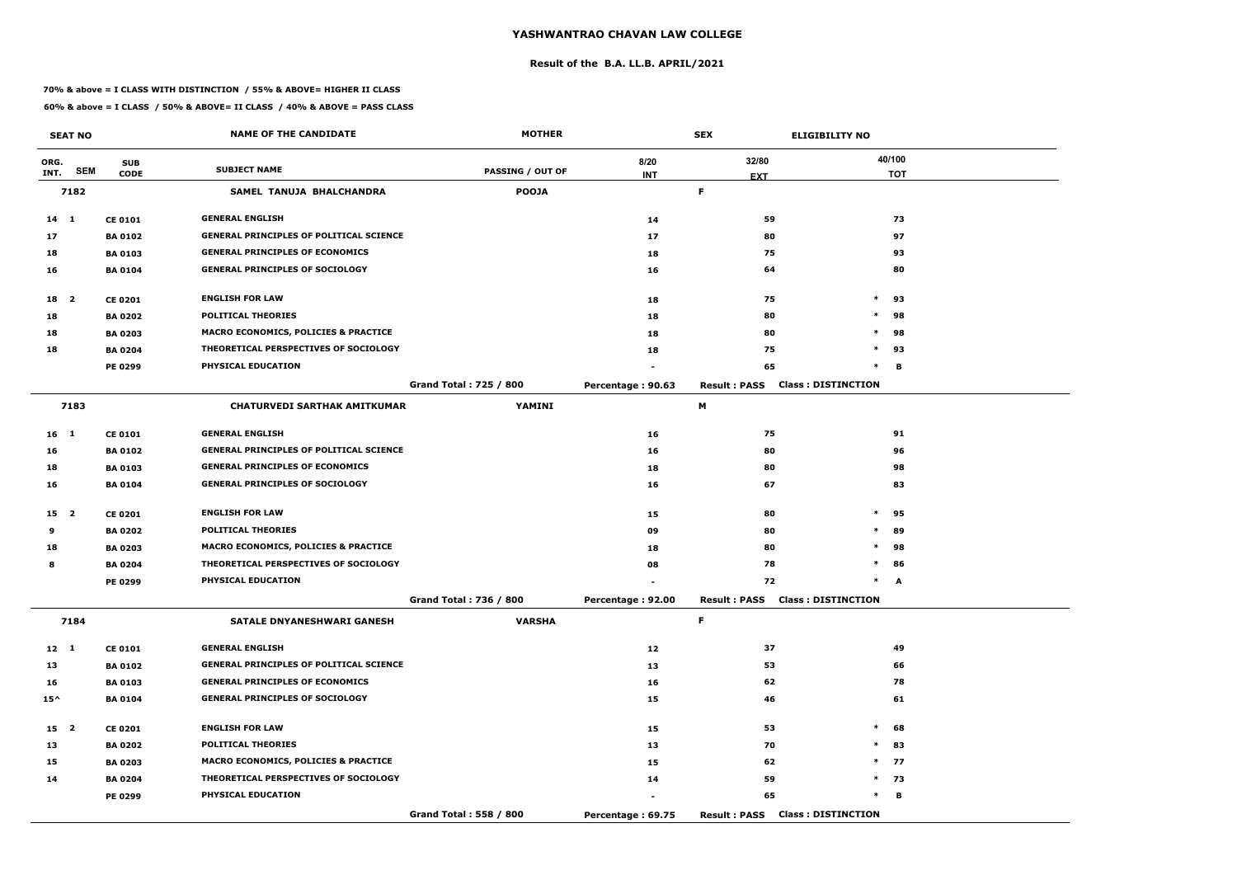#### **Result of the B.A. LL.B. APRIL/2021**

#### **70% & above = I CLASS WITH DISTINCTION / 55% & ABOVE= HIGHER II CLASS**

|                 | <b>SEAT NO</b> |                | <b>NAME OF THE CANDIDATE</b>                   | <b>MOTHER</b>                 |                   | <b>SEX</b>          | <b>ELIGIBILITY NO</b>                  |            |
|-----------------|----------------|----------------|------------------------------------------------|-------------------------------|-------------------|---------------------|----------------------------------------|------------|
| ORG.            |                | <b>SUB</b>     |                                                |                               | 8/20              | 32/80               |                                        | 40/100     |
| INT.            | <b>SEM</b>     | <b>CODE</b>    | <b>SUBJECT NAME</b>                            | <b>PASSING / OUT OF</b>       | <b>INT</b>        | <b>EXT</b>          |                                        | <b>TOT</b> |
|                 | 7182           |                | SAMEL TANUJA BHALCHANDRA                       | <b>POOJA</b>                  |                   | F.                  |                                        |            |
| 14 1            |                | <b>CE 0101</b> | <b>GENERAL ENGLISH</b>                         |                               | 14                | 59                  |                                        | 73         |
| 17              |                | <b>BA 0102</b> | <b>GENERAL PRINCIPLES OF POLITICAL SCIENCE</b> |                               | 17                | 80                  |                                        | 97         |
| 18              |                | <b>BA 0103</b> | <b>GENERAL PRINCIPLES OF ECONOMICS</b>         |                               | 18                | 75                  |                                        | 93         |
| 16              |                | <b>BA 0104</b> | <b>GENERAL PRINCIPLES OF SOCIOLOGY</b>         |                               | 16                | 64                  |                                        | 80         |
| 18 2            |                | <b>CE 0201</b> | <b>ENGLISH FOR LAW</b>                         |                               | 18                | 75                  | $\ast$                                 | 93         |
| 18              |                | <b>BA 0202</b> | <b>POLITICAL THEORIES</b>                      |                               | 18                | 80                  | $\ast$                                 | 98         |
| 18              |                | <b>BA 0203</b> | MACRO ECONOMICS, POLICIES & PRACTICE           |                               | 18                | 80                  | $\ast$                                 | 98         |
| 18              |                | <b>BA 0204</b> | THEORETICAL PERSPECTIVES OF SOCIOLOGY          |                               | 18                | 75                  | $\ast$                                 | 93         |
|                 |                | <b>PE 0299</b> | PHYSICAL EDUCATION                             |                               |                   | 65                  | $\ast$                                 | В          |
|                 |                |                |                                                | <b>Grand Total: 725 / 800</b> | Percentage: 90.63 | <b>Result: PASS</b> | <b>Class: DISTINCTION</b>              |            |
|                 | 7183           |                | <b>CHATURVEDI SARTHAK AMITKUMAR</b>            | YAMINI                        |                   | M                   |                                        |            |
| 16 <sub>1</sub> |                | <b>CE 0101</b> | <b>GENERAL ENGLISH</b>                         |                               | 16                | 75                  |                                        | 91         |
| 16              |                | <b>BA 0102</b> | <b>GENERAL PRINCIPLES OF POLITICAL SCIENCE</b> |                               | 16                | 80                  |                                        | 96         |
| 18              |                | <b>BA 0103</b> | <b>GENERAL PRINCIPLES OF ECONOMICS</b>         |                               | 18                | 80                  |                                        | 98         |
| 16              |                | <b>BA 0104</b> | <b>GENERAL PRINCIPLES OF SOCIOLOGY</b>         |                               | 16                | 67                  |                                        | 83         |
| 15 2            |                | <b>CE 0201</b> | <b>ENGLISH FOR LAW</b>                         |                               | 15                | 80                  | $\ast$                                 | 95         |
| 9               |                | <b>BA 0202</b> | <b>POLITICAL THEORIES</b>                      |                               | 09                | 80                  | $\ast$                                 | 89         |
| 18              |                | <b>BA 0203</b> | MACRO ECONOMICS, POLICIES & PRACTICE           |                               | 18                | 80                  | $\ast$                                 | 98         |
| 8               |                | <b>BA 0204</b> | THEORETICAL PERSPECTIVES OF SOCIOLOGY          |                               | 08                | 78                  | $\ast$                                 | 86         |
|                 |                | <b>PE 0299</b> | PHYSICAL EDUCATION                             |                               |                   | 72                  |                                        | A          |
|                 |                |                |                                                | Grand Total: 736 / 800        | Percentage: 92.00 |                     | <b>Result: PASS Class: DISTINCTION</b> |            |
|                 | 7184           |                | <b>SATALE DNYANESHWARI GANESH</b>              | <b>VARSHA</b>                 |                   | F.                  |                                        |            |
| $12 \quad 1$    |                | <b>CE 0101</b> | <b>GENERAL ENGLISH</b>                         |                               | 12                | 37                  |                                        | 49         |
| 13              |                | <b>BA 0102</b> | <b>GENERAL PRINCIPLES OF POLITICAL SCIENCE</b> |                               | 13                | 53                  |                                        | 66         |
| 16              |                | <b>BA 0103</b> | <b>GENERAL PRINCIPLES OF ECONOMICS</b>         |                               | 16                | 62                  |                                        | 78         |
| $15^{\wedge}$   |                | <b>BA 0104</b> | <b>GENERAL PRINCIPLES OF SOCIOLOGY</b>         |                               | 15                | 46                  |                                        | 61         |
| 15 2            |                | <b>CE 0201</b> | <b>ENGLISH FOR LAW</b>                         |                               | 15                | 53                  | $\ast$                                 | 68         |
| 13              |                | <b>BA 0202</b> | <b>POLITICAL THEORIES</b>                      |                               | 13                | 70                  | $\ast$                                 | 83         |
| 15              |                | <b>BA 0203</b> | MACRO ECONOMICS, POLICIES & PRACTICE           |                               | 15                | 62                  |                                        | $*$ 77     |
| 14              |                | <b>BA 0204</b> | THEORETICAL PERSPECTIVES OF SOCIOLOGY          |                               | 14                | 59                  |                                        | $*$ 73     |
|                 |                | <b>PE 0299</b> | PHYSICAL EDUCATION                             |                               |                   | 65                  | $\ast$                                 | B          |
|                 |                |                |                                                | Grand Total: 558 / 800        | Percentage: 69.75 | <b>Result: PASS</b> | <b>Class: DISTINCTION</b>              |            |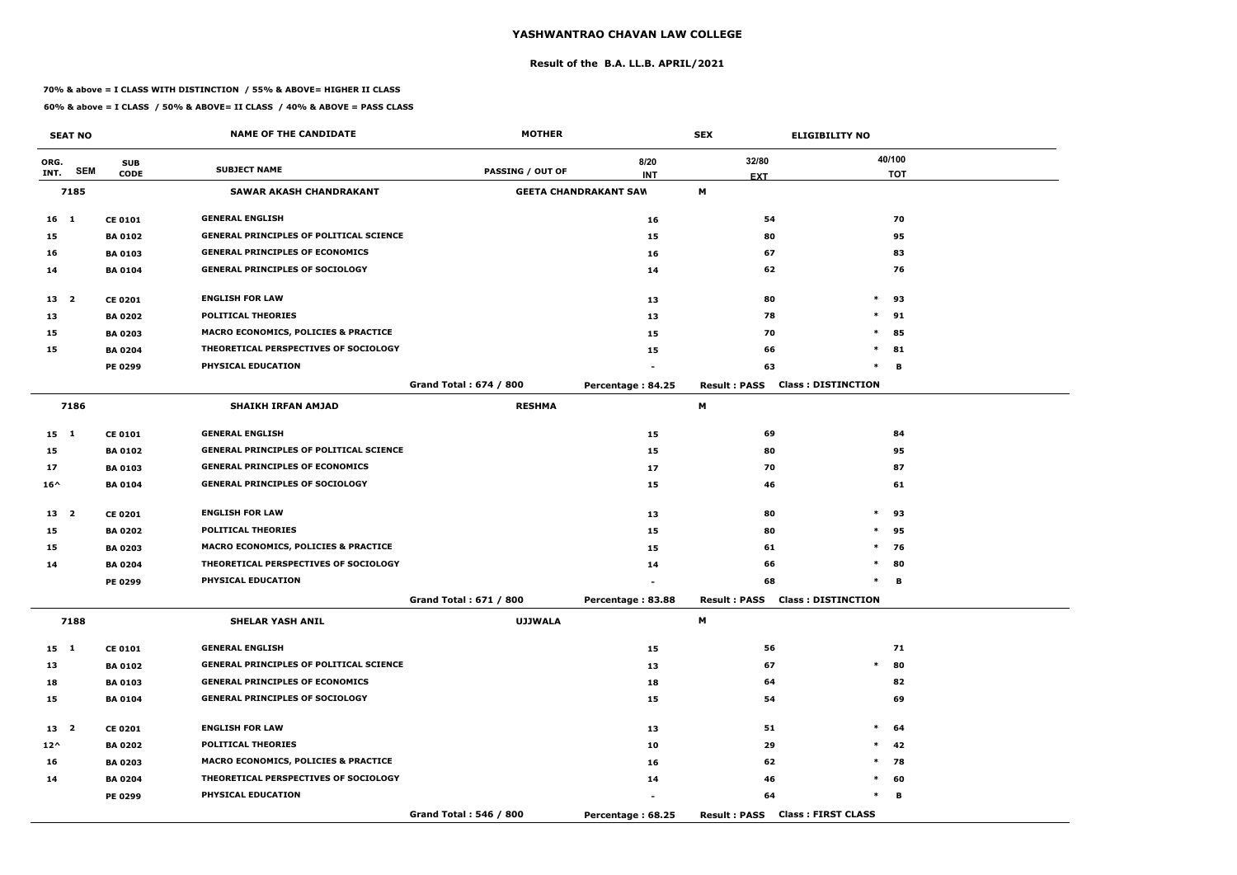#### **Result of the B.A. LL.B. APRIL/2021**

#### **70% & above = I CLASS WITH DISTINCTION / 55% & ABOVE= HIGHER II CLASS**

|                 | <b>SEAT NO</b> |                | <b>NAME OF THE CANDIDATE</b>                    | <b>MOTHER</b>                 |                              | <b>SEX</b>                             | <b>ELIGIBILITY NO</b>     |
|-----------------|----------------|----------------|-------------------------------------------------|-------------------------------|------------------------------|----------------------------------------|---------------------------|
| ORG.            |                | <b>SUB</b>     |                                                 |                               | 8/20                         | 32/80                                  | 40/100                    |
| INT.            | <b>SEM</b>     | <b>CODE</b>    | <b>SUBJECT NAME</b>                             | <b>PASSING / OUT OF</b>       | <b>INT</b>                   | <b>EXT</b>                             | <b>TOT</b>                |
|                 | 7185           |                | <b>SAWAR AKASH CHANDRAKANT</b>                  |                               | <b>GEETA CHANDRAKANT SAW</b> | M                                      |                           |
| 16 <sub>1</sub> |                | <b>CE 0101</b> | <b>GENERAL ENGLISH</b>                          |                               | 16                           | 54                                     | 70                        |
| 15              |                | <b>BA 0102</b> | <b>GENERAL PRINCIPLES OF POLITICAL SCIENCE</b>  |                               | 15                           | 80                                     | 95                        |
| 16              |                | <b>BA0103</b>  | <b>GENERAL PRINCIPLES OF ECONOMICS</b>          |                               | 16                           | 67                                     | 83                        |
| 14              |                | <b>BA 0104</b> | <b>GENERAL PRINCIPLES OF SOCIOLOGY</b>          |                               | 14                           | 62                                     | 76                        |
| 13 <sup>2</sup> |                | <b>CE 0201</b> | <b>ENGLISH FOR LAW</b>                          |                               | 13                           | 80                                     | $*$ 93                    |
| 13              |                | <b>BA 0202</b> | <b>POLITICAL THEORIES</b>                       |                               | 13                           | 78                                     | $\ast$<br>91              |
| 15              |                | <b>BA 0203</b> | <b>MACRO ECONOMICS, POLICIES &amp; PRACTICE</b> |                               | 15                           | 70                                     | $\ast$<br>85              |
| 15              |                | <b>BA 0204</b> | THEORETICAL PERSPECTIVES OF SOCIOLOGY           |                               | 15                           | 66                                     | $\ast$<br>81              |
|                 |                | <b>PE 0299</b> | PHYSICAL EDUCATION                              |                               |                              | 63                                     | $\ast$<br>В               |
|                 |                |                |                                                 | <b>Grand Total: 674 / 800</b> | Percentage: 84.25            | <b>Result: PASS</b>                    | <b>Class: DISTINCTION</b> |
|                 | 7186           |                | <b>SHAIKH IRFAN AMJAD</b>                       | <b>RESHMA</b>                 |                              | M                                      |                           |
| $15 \quad 1$    |                | <b>CE 0101</b> | <b>GENERAL ENGLISH</b>                          |                               | 15                           | 69                                     | 84                        |
| 15              |                | <b>BA 0102</b> | <b>GENERAL PRINCIPLES OF POLITICAL SCIENCE</b>  |                               | 15                           | 80                                     | 95                        |
| 17              |                | <b>BA 0103</b> | <b>GENERAL PRINCIPLES OF ECONOMICS</b>          |                               | 17                           | 70                                     | 87                        |
| $16^{\wedge}$   |                | <b>BA 0104</b> | <b>GENERAL PRINCIPLES OF SOCIOLOGY</b>          |                               | 15                           | 46                                     | 61                        |
| 13 <sub>2</sub> |                | <b>CE 0201</b> | <b>ENGLISH FOR LAW</b>                          |                               | 13                           | 80                                     | $\ast$<br>93              |
| 15              |                | <b>BA 0202</b> | <b>POLITICAL THEORIES</b>                       |                               | 15                           | 80                                     | $\ast$<br>95              |
| 15              |                | <b>BA 0203</b> | <b>MACRO ECONOMICS, POLICIES &amp; PRACTICE</b> |                               | 15                           | 61                                     | $\ast$<br>76              |
| 14              |                | <b>BA 0204</b> | THEORETICAL PERSPECTIVES OF SOCIOLOGY           |                               | 14                           | 66                                     | $\ast$<br>80              |
|                 |                | <b>PE 0299</b> | PHYSICAL EDUCATION                              |                               |                              | 68                                     | В<br>$\ast$               |
|                 |                |                |                                                 | Grand Total: 671 / 800        | Percentage: 83.88            | <b>Result: PASS Class: DISTINCTION</b> |                           |
|                 | 7188           |                | <b>SHELAR YASH ANIL</b>                         | <b>UJJWALA</b>                |                              | M                                      |                           |
| 15 1            |                | <b>CE 0101</b> | <b>GENERAL ENGLISH</b>                          |                               | 15                           | 56                                     | 71                        |
| 13              |                | <b>BA 0102</b> | <b>GENERAL PRINCIPLES OF POLITICAL SCIENCE</b>  |                               | 13                           | 67                                     | $\ast$<br>80              |
| 18              |                | <b>BA 0103</b> | <b>GENERAL PRINCIPLES OF ECONOMICS</b>          |                               | 18                           | 64                                     | 82                        |
| 15              |                | <b>BA 0104</b> | <b>GENERAL PRINCIPLES OF SOCIOLOGY</b>          |                               | 15                           | 54                                     | 69                        |
| 13 <sup>2</sup> |                | <b>CE 0201</b> | <b>ENGLISH FOR LAW</b>                          |                               | 13                           | 51                                     | $\ast$<br>64              |
| $12^{\wedge}$   |                | <b>BA 0202</b> | <b>POLITICAL THEORIES</b>                       |                               | 10                           | 29                                     | $\ast$<br>42              |
| 16              |                | <b>BA 0203</b> | <b>MACRO ECONOMICS, POLICIES &amp; PRACTICE</b> |                               | 16                           | 62                                     | $\ast$<br>78              |
| 14              |                | <b>BA 0204</b> | THEORETICAL PERSPECTIVES OF SOCIOLOGY           |                               | 14                           | 46                                     | $\ast$<br>60              |
|                 |                | <b>PE 0299</b> | PHYSICAL EDUCATION                              |                               |                              | 64                                     | $\ast$<br>В               |
|                 |                |                |                                                 | Grand Total: 546 / 800        | Percentage: 68.25            | Result: PASS Class: FIRST CLASS        |                           |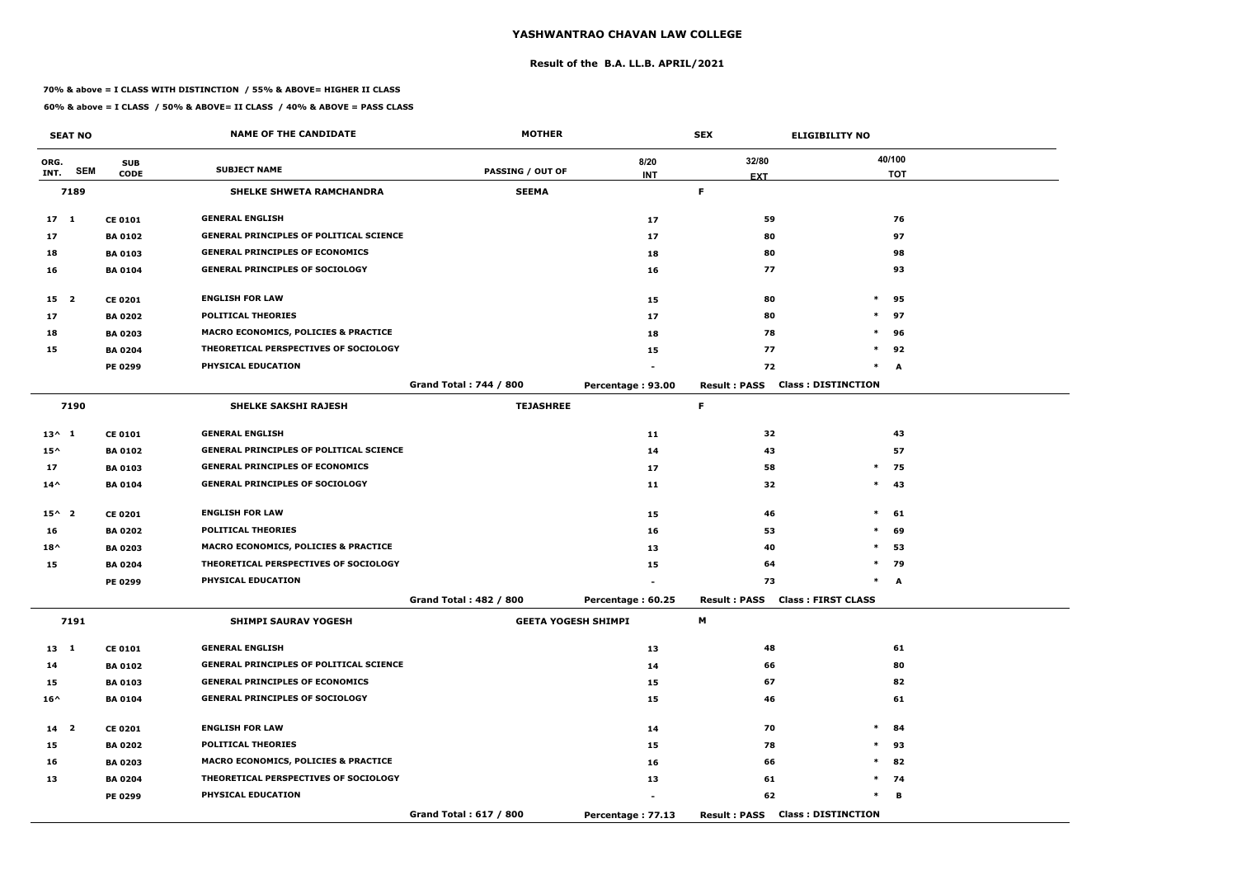#### **Result of the B.A. LL.B. APRIL/2021**

#### **70% & above = I CLASS WITH DISTINCTION / 55% & ABOVE= HIGHER II CLASS**

|                 | <b>SEAT NO</b> |                | <b>NAME OF THE CANDIDATE</b>                    | <b>MOTHER</b>                 |                   | <b>SEX</b>                             | <b>ELIGIBILITY NO</b>     |
|-----------------|----------------|----------------|-------------------------------------------------|-------------------------------|-------------------|----------------------------------------|---------------------------|
| ORG.            |                | <b>SUB</b>     | <b>SUBJECT NAME</b>                             |                               | 8/20              | 32/80                                  | 40/100                    |
| INT.            | <b>SEM</b>     | <b>CODE</b>    |                                                 | <b>PASSING / OUT OF</b>       | <b>INT</b>        | <b>EXT</b>                             | <b>TOT</b>                |
|                 | 7189           |                | SHELKE SHWETA RAMCHANDRA                        | <b>SEEMA</b>                  |                   | F.                                     |                           |
| 17 <sub>1</sub> |                | <b>CE 0101</b> | <b>GENERAL ENGLISH</b>                          |                               | 17                | 59                                     | 76                        |
| 17              |                | <b>BA 0102</b> | <b>GENERAL PRINCIPLES OF POLITICAL SCIENCE</b>  |                               | 17                | 80                                     | 97                        |
| 18              |                | <b>BA 0103</b> | <b>GENERAL PRINCIPLES OF ECONOMICS</b>          |                               | 18                | 80                                     | 98                        |
| 16              |                | <b>BA 0104</b> | <b>GENERAL PRINCIPLES OF SOCIOLOGY</b>          |                               | 16                | 77                                     | 93                        |
| 15 <sub>2</sub> |                | <b>CE 0201</b> | <b>ENGLISH FOR LAW</b>                          |                               | 15                | 80                                     | $\ast$<br>95              |
| 17              |                | <b>BA 0202</b> | <b>POLITICAL THEORIES</b>                       |                               | 17                | 80                                     | $\ast$<br>97              |
| 18              |                | <b>BA 0203</b> | MACRO ECONOMICS, POLICIES & PRACTICE            |                               | 18                | 78                                     | $\ast$<br>96              |
| 15              |                | <b>BA 0204</b> | THEORETICAL PERSPECTIVES OF SOCIOLOGY           |                               | 15                | 77                                     | $\ast$<br>92              |
|                 |                | <b>PE 0299</b> | PHYSICAL EDUCATION                              |                               |                   | 72                                     | $\ast$<br>A               |
|                 |                |                |                                                 | <b>Grand Total: 744 / 800</b> | Percentage: 93.00 | <b>Result: PASS</b>                    | <b>Class: DISTINCTION</b> |
|                 | 7190           |                | <b>SHELKE SAKSHI RAJESH</b>                     | <b>TEJASHREE</b>              |                   | F.                                     |                           |
| $13^{\wedge} 1$ |                | <b>CE 0101</b> | <b>GENERAL ENGLISH</b>                          |                               | 11                | 32                                     | 43                        |
| $15^{\wedge}$   |                | <b>BA 0102</b> | <b>GENERAL PRINCIPLES OF POLITICAL SCIENCE</b>  |                               | 14                | 43                                     | 57                        |
| 17              |                | <b>BA 0103</b> | <b>GENERAL PRINCIPLES OF ECONOMICS</b>          |                               | 17                | 58                                     | $\ast$<br>75              |
| $14^{\wedge}$   |                | <b>BA 0104</b> | <b>GENERAL PRINCIPLES OF SOCIOLOGY</b>          |                               | 11                | 32                                     | $\ast$<br>43              |
| $15^{\wedge} 2$ |                | <b>CE 0201</b> | <b>ENGLISH FOR LAW</b>                          |                               | 15                | 46                                     | $\ast$<br>61              |
| 16              |                | <b>BA 0202</b> | <b>POLITICAL THEORIES</b>                       |                               | 16                | 53                                     | $\ast$<br>69              |
| $18^{\wedge}$   |                | <b>BA 0203</b> | <b>MACRO ECONOMICS, POLICIES &amp; PRACTICE</b> |                               | 13                | 40                                     | $\ast$<br>53              |
| 15              |                | <b>BA 0204</b> | THEORETICAL PERSPECTIVES OF SOCIOLOGY           |                               | 15                | 64                                     | $\ast$<br>79              |
|                 |                | PE 0299        | PHYSICAL EDUCATION                              |                               |                   | 73                                     | $\ast$<br>A               |
|                 |                |                |                                                 | Grand Total: 482 / 800        | Percentage: 60.25 | Result: PASS Class: FIRST CLASS        |                           |
|                 | 7191           |                | <b>SHIMPI SAURAV YOGESH</b>                     | <b>GEETA YOGESH SHIMPI</b>    |                   | M                                      |                           |
| $13 \quad 1$    |                | <b>CE 0101</b> | <b>GENERAL ENGLISH</b>                          |                               | 13                | 48                                     | 61                        |
| 14              |                | <b>BA 0102</b> | <b>GENERAL PRINCIPLES OF POLITICAL SCIENCE</b>  |                               | 14                | 66                                     | 80                        |
| 15              |                | <b>BA 0103</b> | <b>GENERAL PRINCIPLES OF ECONOMICS</b>          |                               | 15                | 67                                     | 82                        |
| $16^{\wedge}$   |                | <b>BA 0104</b> | <b>GENERAL PRINCIPLES OF SOCIOLOGY</b>          |                               | 15                | 46                                     | 61                        |
| 14 <sub>2</sub> |                | <b>CE 0201</b> | <b>ENGLISH FOR LAW</b>                          |                               | 14                | 70                                     | $\ast$<br>84              |
| 15              |                | <b>BA 0202</b> | <b>POLITICAL THEORIES</b>                       |                               | 15                | 78                                     | $\ast$<br>93              |
| 16              |                | <b>BA 0203</b> | <b>MACRO ECONOMICS, POLICIES &amp; PRACTICE</b> |                               | 16                | 66                                     | 82<br>$\ast$              |
| 13              |                | <b>BA 0204</b> | THEORETICAL PERSPECTIVES OF SOCIOLOGY           |                               | 13                | 61                                     | $*$ 74                    |
|                 |                | PE 0299        | <b>PHYSICAL EDUCATION</b>                       |                               |                   | 62                                     | $\ast$<br>В               |
|                 |                |                |                                                 | Grand Total: 617 / 800        | Percentage: 77.13 | <b>Result: PASS Class: DISTINCTION</b> |                           |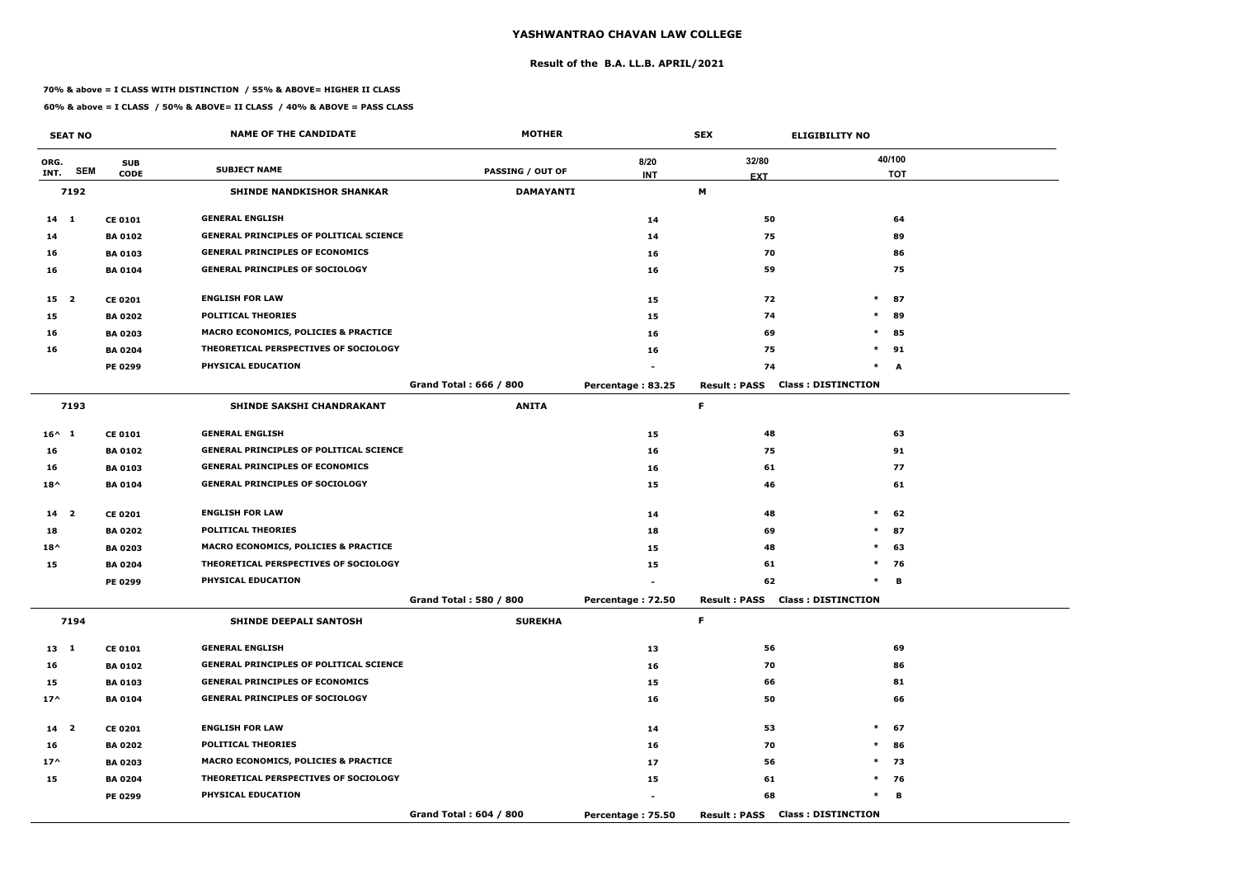#### **Result of the B.A. LL.B. APRIL/2021**

#### **70% & above = I CLASS WITH DISTINCTION / 55% & ABOVE= HIGHER II CLASS**

|                 | <b>SEAT NO</b> |                | <b>NAME OF THE CANDIDATE</b>                    | <b>MOTHER</b>          | <b>SEX</b><br><b>ELIGIBILITY NO</b> |                     |                                        |            |
|-----------------|----------------|----------------|-------------------------------------------------|------------------------|-------------------------------------|---------------------|----------------------------------------|------------|
| ORG.            |                | <b>SUB</b>     |                                                 |                        | 8/20                                | 32/80               |                                        | 40/100     |
| INT.            | <b>SEM</b>     | <b>CODE</b>    | <b>SUBJECT NAME</b>                             | PASSING / OUT OF       | <b>INT</b>                          | <b>EXT</b>          |                                        | <b>TOT</b> |
|                 | 7192           |                | <b>SHINDE NANDKISHOR SHANKAR</b>                | <b>DAMAYANTI</b>       |                                     | M                   |                                        |            |
| $14 \quad 1$    |                | <b>CE 0101</b> | <b>GENERAL ENGLISH</b>                          |                        | 14                                  | 50                  |                                        | 64         |
| 14              |                | <b>BA 0102</b> | <b>GENERAL PRINCIPLES OF POLITICAL SCIENCE</b>  |                        | 14                                  | 75                  |                                        | 89         |
| 16              |                | <b>BA 0103</b> | <b>GENERAL PRINCIPLES OF ECONOMICS</b>          |                        | 16                                  | 70                  |                                        | 86         |
| 16              |                | <b>BA 0104</b> | <b>GENERAL PRINCIPLES OF SOCIOLOGY</b>          |                        | 16                                  | 59                  |                                        | 75         |
| 15 <sub>2</sub> |                | <b>CE 0201</b> | <b>ENGLISH FOR LAW</b>                          |                        | 15                                  | 72                  | $\ast$                                 | 87         |
| 15              |                | <b>BA 0202</b> | <b>POLITICAL THEORIES</b>                       |                        | 15                                  | 74                  | $\ast$                                 | 89         |
| 16              |                | <b>BA 0203</b> | <b>MACRO ECONOMICS, POLICIES &amp; PRACTICE</b> |                        | 16                                  | 69                  | $\ast$                                 | 85         |
| 16              |                | <b>BA 0204</b> | THEORETICAL PERSPECTIVES OF SOCIOLOGY           |                        | 16                                  | 75                  | $\ast$                                 | 91         |
|                 |                | PE 0299        | PHYSICAL EDUCATION                              |                        |                                     | 74                  | $\ast$                                 | A          |
|                 |                |                |                                                 | Grand Total: 666 / 800 | Percentage: 83.25                   | <b>Result: PASS</b> | <b>Class: DISTINCTION</b>              |            |
|                 | 7193           |                | SHINDE SAKSHI CHANDRAKANT                       | <b>ANITA</b>           |                                     | F                   |                                        |            |
| $16^{\wedge} 1$ |                | <b>CE 0101</b> | <b>GENERAL ENGLISH</b>                          |                        | 15                                  | 48                  |                                        | 63         |
| 16              |                | <b>BA 0102</b> | <b>GENERAL PRINCIPLES OF POLITICAL SCIENCE</b>  |                        | 16                                  | 75                  |                                        | 91         |
| 16              |                | <b>BA 0103</b> | <b>GENERAL PRINCIPLES OF ECONOMICS</b>          |                        | 16                                  | 61                  |                                        | 77         |
| $18^{\wedge}$   |                | <b>BA 0104</b> | <b>GENERAL PRINCIPLES OF SOCIOLOGY</b>          |                        | 15                                  | 46                  |                                        | 61         |
| 14 <sub>2</sub> |                | <b>CE 0201</b> | <b>ENGLISH FOR LAW</b>                          |                        | 14                                  | 48                  | $\ast$                                 | 62         |
| 18              |                | <b>BA 0202</b> | <b>POLITICAL THEORIES</b>                       |                        | 18                                  | 69                  | $\ast$                                 | 87         |
| $18^{\wedge}$   |                | <b>BA 0203</b> | <b>MACRO ECONOMICS, POLICIES &amp; PRACTICE</b> |                        | 15                                  | 48                  | $\ast$                                 | 63         |
| 15              |                | <b>BA 0204</b> | THEORETICAL PERSPECTIVES OF SOCIOLOGY           |                        | 15                                  | 61                  | $\ast$                                 | 76         |
|                 |                | PE 0299        | PHYSICAL EDUCATION                              |                        |                                     | 62                  | $\ast$                                 | в          |
|                 |                |                |                                                 | Grand Total: 580 / 800 | Percentage: 72.50                   |                     | <b>Result: PASS Class: DISTINCTION</b> |            |
|                 | 7194           |                | <b>SHINDE DEEPALI SANTOSH</b>                   | <b>SUREKHA</b>         |                                     | F.                  |                                        |            |
| $13 \quad 1$    |                | <b>CE 0101</b> | <b>GENERAL ENGLISH</b>                          |                        | 13                                  | 56                  |                                        | 69         |
| 16              |                | <b>BA 0102</b> | <b>GENERAL PRINCIPLES OF POLITICAL SCIENCE</b>  |                        | 16                                  | 70                  |                                        | 86         |
| 15              |                | <b>BA 0103</b> | <b>GENERAL PRINCIPLES OF ECONOMICS</b>          |                        | 15                                  | 66                  |                                        | 81         |
| $17^{\wedge}$   |                | <b>BA 0104</b> | <b>GENERAL PRINCIPLES OF SOCIOLOGY</b>          |                        | 16                                  | 50                  |                                        | 66         |
| 14 <sub>2</sub> |                | <b>CE 0201</b> | <b>ENGLISH FOR LAW</b>                          |                        | 14                                  | 53                  | $\ast$                                 | 67         |
| 16              |                | <b>BA 0202</b> | <b>POLITICAL THEORIES</b>                       |                        | 16                                  | 70                  | $\ast$                                 | 86         |
| $17^{\wedge}$   |                | <b>BA 0203</b> | <b>MACRO ECONOMICS, POLICIES &amp; PRACTICE</b> |                        | 17                                  | 56                  |                                        | $*$ 73     |
| 15              |                | <b>BA 0204</b> | THEORETICAL PERSPECTIVES OF SOCIOLOGY           |                        | 15                                  | 61                  |                                        | $*$ 76     |
|                 |                | <b>PE 0299</b> | PHYSICAL EDUCATION                              |                        |                                     | 68                  | $\ast$                                 | В          |
|                 |                |                |                                                 | Grand Total: 604 / 800 | Percentage: 75.50                   |                     | <b>Result: PASS Class: DISTINCTION</b> |            |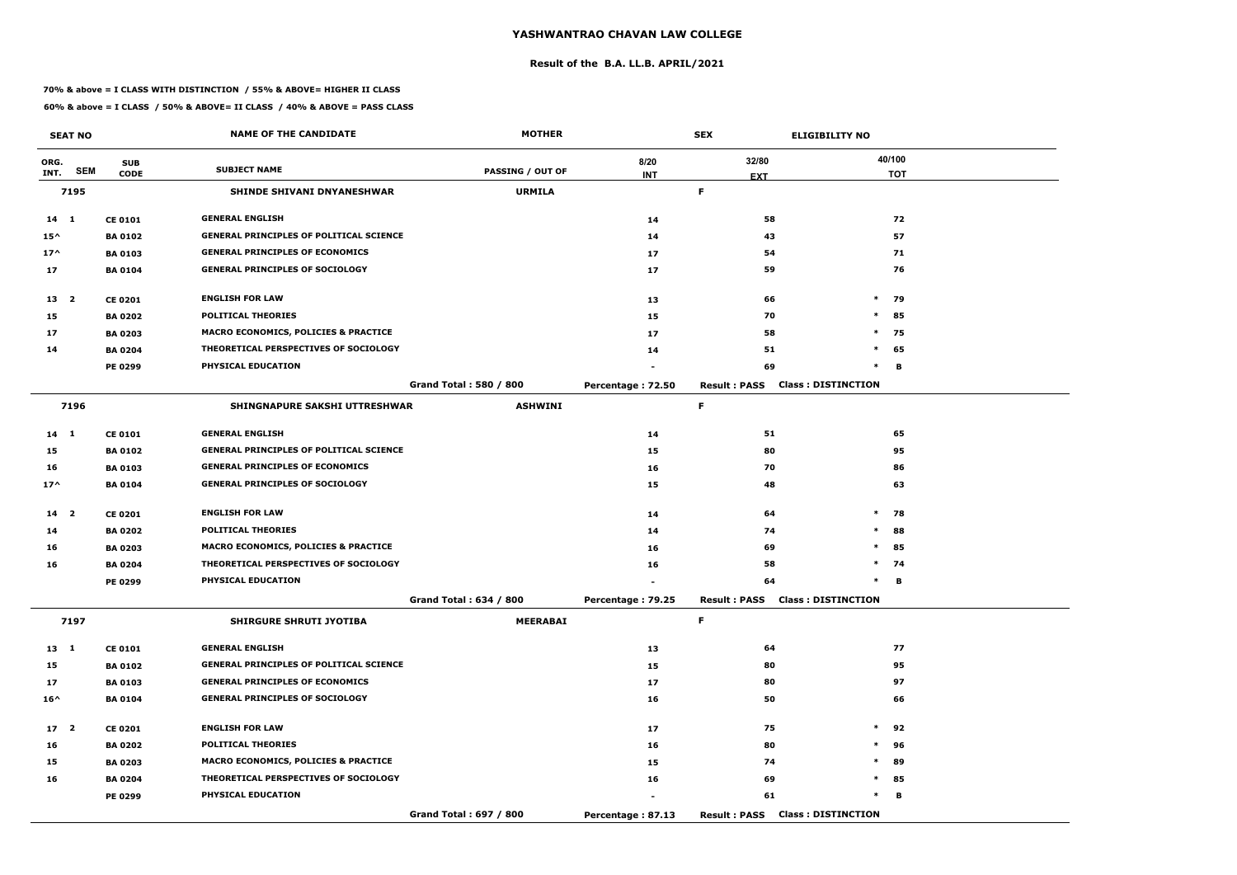#### **Result of the B.A. LL.B. APRIL/2021**

#### **70% & above = I CLASS WITH DISTINCTION / 55% & ABOVE= HIGHER II CLASS**

|                 | <b>SEAT NO</b> |                | <b>NAME OF THE CANDIDATE</b>                    | <b>MOTHER</b>          |                   | <b>SEX</b>          | <b>ELIGIBILITY NO</b>                  |
|-----------------|----------------|----------------|-------------------------------------------------|------------------------|-------------------|---------------------|----------------------------------------|
| ORG.            |                | <b>SUB</b>     |                                                 |                        | 8/20              | 32/80               | 40/100                                 |
| INT.            | <b>SEM</b>     | <b>CODE</b>    | <b>SUBJECT NAME</b>                             | PASSING / OUT OF       | <b>INT</b>        | <b>EXT</b>          | <b>TOT</b>                             |
|                 | 7195           |                | <b>SHINDE SHIVANI DNYANESHWAR</b>               | <b>URMILA</b>          |                   | F.                  |                                        |
| $14 \quad 1$    |                | <b>CE 0101</b> | <b>GENERAL ENGLISH</b>                          |                        | 14                | 58                  | 72                                     |
| $15^{\wedge}$   |                | <b>BA 0102</b> | <b>GENERAL PRINCIPLES OF POLITICAL SCIENCE</b>  |                        | 14                | 43                  | 57                                     |
| $17^{\wedge}$   |                | <b>BA 0103</b> | <b>GENERAL PRINCIPLES OF ECONOMICS</b>          |                        | 17                | 54                  | 71                                     |
| 17              |                | <b>BA 0104</b> | <b>GENERAL PRINCIPLES OF SOCIOLOGY</b>          |                        | 17                | 59                  | 76                                     |
| 13 2            |                | <b>CE 0201</b> | <b>ENGLISH FOR LAW</b>                          |                        | 13                | 66                  | $*$ 79                                 |
| 15              |                | <b>BA 0202</b> | <b>POLITICAL THEORIES</b>                       |                        | 15                | 70                  | 85<br>$\ast$                           |
| 17              |                | <b>BA 0203</b> | <b>MACRO ECONOMICS, POLICIES &amp; PRACTICE</b> |                        | 17                | 58                  | $\ast$<br>75                           |
| 14              |                | <b>BA 0204</b> | THEORETICAL PERSPECTIVES OF SOCIOLOGY           |                        | 14                | 51                  | $\ast$<br>65                           |
|                 |                | PE 0299        | PHYSICAL EDUCATION                              |                        |                   | 69                  | $\ast$<br>В                            |
|                 |                |                |                                                 | Grand Total: 580 / 800 | Percentage: 72.50 | <b>Result: PASS</b> | <b>Class: DISTINCTION</b>              |
|                 | 7196           |                | SHINGNAPURE SAKSHI UTTRESHWAR                   | <b>ASHWINI</b>         |                   | F.                  |                                        |
| $14 \quad 1$    |                | <b>CE 0101</b> | <b>GENERAL ENGLISH</b>                          |                        | 14                | 51                  | 65                                     |
| 15              |                | <b>BA 0102</b> | <b>GENERAL PRINCIPLES OF POLITICAL SCIENCE</b>  |                        | 15                | 80                  | 95                                     |
| 16              |                | <b>BA 0103</b> | <b>GENERAL PRINCIPLES OF ECONOMICS</b>          |                        | 16                | 70                  | 86                                     |
| $17^$           |                | <b>BA 0104</b> | <b>GENERAL PRINCIPLES OF SOCIOLOGY</b>          |                        | 15                | 48                  | 63                                     |
| 14 <sub>2</sub> |                | <b>CE 0201</b> | <b>ENGLISH FOR LAW</b>                          |                        | 14                | 64                  | $\ast$<br>78                           |
| 14              |                | <b>BA 0202</b> | <b>POLITICAL THEORIES</b>                       |                        | 14                | 74                  | 88<br>$\ast$                           |
| 16              |                | <b>BA 0203</b> | <b>MACRO ECONOMICS, POLICIES &amp; PRACTICE</b> |                        | 16                | 69                  | $\ast$<br>85                           |
| 16              |                | <b>BA 0204</b> | THEORETICAL PERSPECTIVES OF SOCIOLOGY           |                        | 16                | 58                  | $\ast$<br>74                           |
|                 |                | <b>PE 0299</b> | PHYSICAL EDUCATION                              |                        |                   | 64                  | в<br>$\ast$                            |
|                 |                |                |                                                 | Grand Total: 634 / 800 | Percentage: 79.25 |                     | <b>Result: PASS Class: DISTINCTION</b> |
|                 | 7197           |                | <b>SHIRGURE SHRUTI JYOTIBA</b>                  | <b>MEERABAI</b>        |                   | F.                  |                                        |
| $13 \quad 1$    |                | <b>CE 0101</b> | <b>GENERAL ENGLISH</b>                          |                        | 13                | 64                  | 77                                     |
| 15              |                | <b>BA 0102</b> | <b>GENERAL PRINCIPLES OF POLITICAL SCIENCE</b>  |                        | 15                | 80                  | 95                                     |
| 17              |                | <b>BA 0103</b> | <b>GENERAL PRINCIPLES OF ECONOMICS</b>          |                        | 17                | 80                  | 97                                     |
| $16^{\wedge}$   |                | <b>BA 0104</b> | <b>GENERAL PRINCIPLES OF SOCIOLOGY</b>          |                        | 16                | 50                  | 66                                     |
| 17 <sup>2</sup> |                | <b>CE 0201</b> | <b>ENGLISH FOR LAW</b>                          |                        | 17                | 75                  | $\ast$<br>92                           |
| 16              |                | <b>BA 0202</b> | <b>POLITICAL THEORIES</b>                       |                        | 16                | 80                  | $\ast$<br>96                           |
| 15              |                | <b>BA 0203</b> | <b>MACRO ECONOMICS, POLICIES &amp; PRACTICE</b> |                        | 15                | 74                  | $\ast$<br>89                           |
| 16              |                | <b>BA 0204</b> | THEORETICAL PERSPECTIVES OF SOCIOLOGY           |                        | 16                | 69                  | $*$ 85                                 |
|                 |                | <b>PE 0299</b> | <b>PHYSICAL EDUCATION</b>                       |                        |                   | 61                  | $\ast$<br>В                            |
|                 |                |                |                                                 | Grand Total: 697 / 800 | Percentage: 87.13 |                     | <b>Result: PASS Class: DISTINCTION</b> |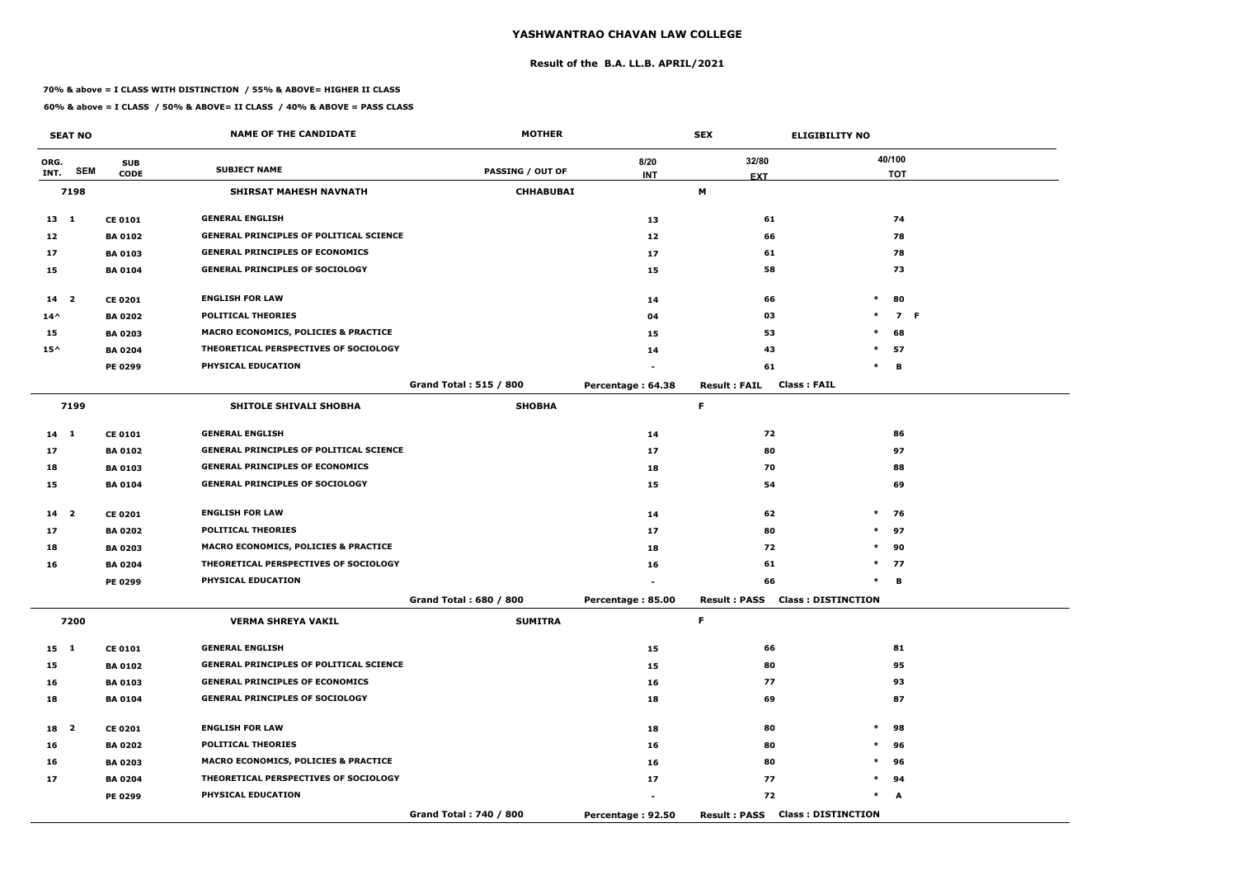#### **Result of the B.A. LL.B. APRIL/2021**

#### **70% & above = I CLASS WITH DISTINCTION / 55% & ABOVE= HIGHER II CLASS**

|                 | <b>SEAT NO</b>          |                | <b>NAME OF THE CANDIDATE</b>                    | <b>MOTHER</b>                 |                   | <b>SEX</b>                             | <b>ELIGIBILITY NO</b>     |
|-----------------|-------------------------|----------------|-------------------------------------------------|-------------------------------|-------------------|----------------------------------------|---------------------------|
| ORG.            |                         | <b>SUB</b>     |                                                 |                               | 8/20              | 32/80                                  | 40/100                    |
| INT.            | <b>SEM</b>              | <b>CODE</b>    | <b>SUBJECT NAME</b>                             | <b>PASSING / OUT OF</b>       | <b>INT</b>        | <b>EXT</b>                             | <b>TOT</b>                |
|                 | 7198                    |                | SHIRSAT MAHESH NAVNATH                          | <b>CHHABUBAI</b>              |                   | М                                      |                           |
| $13 \quad 1$    |                         | <b>CE 0101</b> | <b>GENERAL ENGLISH</b>                          |                               | 13                | 61                                     | 74                        |
| 12              |                         | <b>BA 0102</b> | <b>GENERAL PRINCIPLES OF POLITICAL SCIENCE</b>  |                               | 12                | 66                                     | 78                        |
| 17              |                         | <b>BA 0103</b> | <b>GENERAL PRINCIPLES OF ECONOMICS</b>          |                               | 17                | 61                                     | 78                        |
| 15              |                         | <b>BA 0104</b> | <b>GENERAL PRINCIPLES OF SOCIOLOGY</b>          |                               | 15                | 58                                     | 73                        |
| 14              | $\overline{\mathbf{2}}$ | <b>CE 0201</b> | <b>ENGLISH FOR LAW</b>                          |                               | 14                | 66                                     | $\ast$<br>80              |
| $14^{\wedge}$   |                         | <b>BA 0202</b> | <b>POLITICAL THEORIES</b>                       |                               | 04                | 03                                     | $\ast$<br>7 F             |
| 15              |                         | <b>BA 0203</b> | <b>MACRO ECONOMICS, POLICIES &amp; PRACTICE</b> |                               | 15                | 53                                     | $\ast$<br>68              |
| $15^{\wedge}$   |                         | <b>BA 0204</b> | THEORETICAL PERSPECTIVES OF SOCIOLOGY           |                               | 14                | 43                                     | $*$ 57                    |
|                 |                         | PE 0299        | PHYSICAL EDUCATION                              |                               |                   | 61                                     | В<br>$\ast$               |
|                 |                         |                |                                                 | <b>Grand Total: 515 / 800</b> | Percentage: 64.38 | <b>Result: FAIL</b>                    | <b>Class: FAIL</b>        |
|                 | 7199                    |                | SHITOLE SHIVALI SHOBHA                          | <b>SHOBHA</b>                 |                   | F                                      |                           |
| 14 1            |                         | <b>CE 0101</b> | <b>GENERAL ENGLISH</b>                          |                               | 14                | 72                                     | 86                        |
| 17              |                         | <b>BA 0102</b> | <b>GENERAL PRINCIPLES OF POLITICAL SCIENCE</b>  |                               | 17                | 80                                     | 97                        |
| 18              |                         | <b>BA 0103</b> | <b>GENERAL PRINCIPLES OF ECONOMICS</b>          |                               | 18                | 70                                     | 88                        |
| 15              |                         | <b>BA 0104</b> | <b>GENERAL PRINCIPLES OF SOCIOLOGY</b>          |                               | 15                | 54                                     | 69                        |
| 14 <sub>2</sub> |                         | <b>CE 0201</b> | <b>ENGLISH FOR LAW</b>                          |                               | 14                | 62                                     | $*$ 76                    |
| 17              |                         | <b>BA 0202</b> | <b>POLITICAL THEORIES</b>                       |                               | 17                | 80                                     | $*$ 97                    |
| 18              |                         | <b>BA 0203</b> | MACRO ECONOMICS, POLICIES & PRACTICE            |                               | 18                | 72                                     | $*$ 90                    |
| 16              |                         | <b>BA 0204</b> | THEORETICAL PERSPECTIVES OF SOCIOLOGY           |                               | 16                | 61                                     | $*$ 77                    |
|                 |                         | PE 0299        | PHYSICAL EDUCATION                              |                               |                   | 66                                     | $\ast$<br>в               |
|                 |                         |                |                                                 | Grand Total: 680 / 800        | Percentage: 85.00 | <b>Result: PASS Class: DISTINCTION</b> |                           |
|                 | 7200                    |                | <b>VERMA SHREYA VAKIL</b>                       | <b>SUMITRA</b>                |                   | F.                                     |                           |
| 15 1            |                         | <b>CE 0101</b> | <b>GENERAL ENGLISH</b>                          |                               | 15                | 66                                     | 81                        |
| 15              |                         | <b>BA 0102</b> | <b>GENERAL PRINCIPLES OF POLITICAL SCIENCE</b>  |                               | 15                | 80                                     | 95                        |
| 16              |                         | <b>BA 0103</b> | <b>GENERAL PRINCIPLES OF ECONOMICS</b>          |                               | 16                | 77                                     | 93                        |
| 18              |                         | <b>BA 0104</b> | <b>GENERAL PRINCIPLES OF SOCIOLOGY</b>          |                               | 18                | 69                                     | 87                        |
| 18 2            |                         | <b>CE 0201</b> | <b>ENGLISH FOR LAW</b>                          |                               | 18                | 80                                     | $\ast$<br>98              |
| 16              |                         | <b>BA 0202</b> | <b>POLITICAL THEORIES</b>                       |                               | 16                | 80                                     | $\ast$<br>96              |
| 16              |                         | <b>BA 0203</b> | MACRO ECONOMICS, POLICIES & PRACTICE            |                               | 16                | 80                                     | $*$<br>96                 |
| 17              |                         | <b>BA 0204</b> | THEORETICAL PERSPECTIVES OF SOCIOLOGY           |                               | 17                | 77                                     | $*$ 94                    |
|                 |                         | <b>PE 0299</b> | PHYSICAL EDUCATION                              |                               | $\blacksquare$    | 72                                     | $\ast$<br>A               |
|                 |                         |                |                                                 | Grand Total: 740 / 800        | Percentage: 92.50 | <b>Result: PASS</b>                    | <b>Class: DISTINCTION</b> |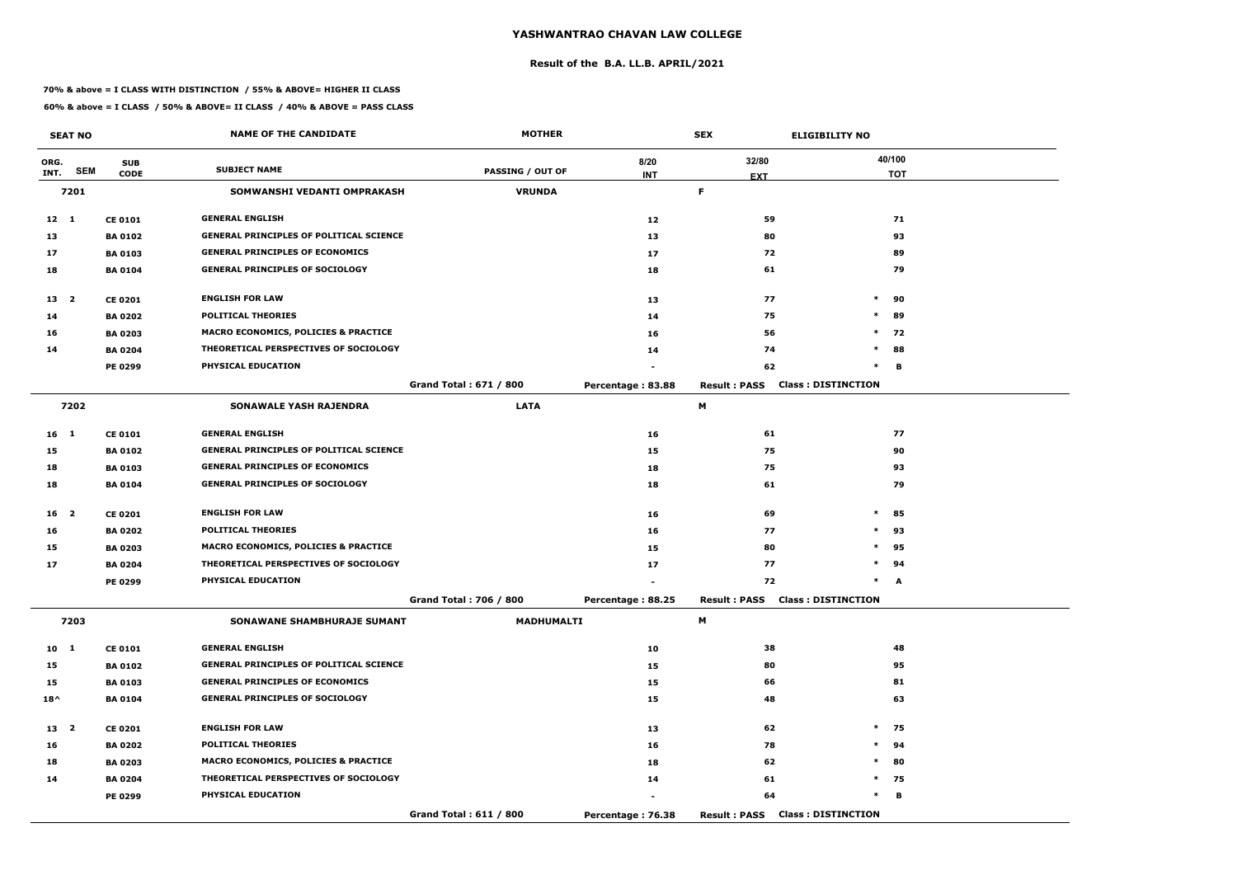#### **Result of the B.A. LL.B. APRIL/2021**

#### **70% & above = I CLASS WITH DISTINCTION / 55% & ABOVE= HIGHER II CLASS**

|                 | <b>SEAT NO</b> |                | <b>NAME OF THE CANDIDATE</b>                    | <b>MOTHER</b>                 |                   | <b>SEX</b>                             | <b>ELIGIBILITY NO</b>     |
|-----------------|----------------|----------------|-------------------------------------------------|-------------------------------|-------------------|----------------------------------------|---------------------------|
| ORG.            |                | <b>SUB</b>     | <b>SUBJECT NAME</b>                             |                               | 8/20              | 32/80                                  | 40/100                    |
| INT.            | <b>SEM</b>     | <b>CODE</b>    |                                                 | <b>PASSING / OUT OF</b>       | <b>INT</b>        | <b>EXT</b>                             | <b>TOT</b>                |
|                 | 7201           |                | SOMWANSHI VEDANTI OMPRAKASH                     | <b>VRUNDA</b>                 |                   | F.                                     |                           |
| $12 \quad 1$    |                | <b>CE 0101</b> | <b>GENERAL ENGLISH</b>                          |                               | 12                | 59                                     | 71                        |
| 13              |                | <b>BA 0102</b> | <b>GENERAL PRINCIPLES OF POLITICAL SCIENCE</b>  |                               | 13                | 80                                     | 93                        |
| 17              |                | <b>BA 0103</b> | <b>GENERAL PRINCIPLES OF ECONOMICS</b>          |                               | 17                | 72                                     | 89                        |
| 18              |                | <b>BA 0104</b> | <b>GENERAL PRINCIPLES OF SOCIOLOGY</b>          |                               | 18                | 61                                     | 79                        |
| 13 <sup>2</sup> |                | <b>CE 0201</b> | <b>ENGLISH FOR LAW</b>                          |                               | 13                | 77                                     | $\ast$<br>90              |
| 14              |                | <b>BA 0202</b> | <b>POLITICAL THEORIES</b>                       |                               | 14                | 75                                     | $\ast$<br>89              |
| 16              |                | <b>BA 0203</b> | MACRO ECONOMICS, POLICIES & PRACTICE            |                               | 16                | 56                                     | $\ast$<br>72              |
| 14              |                | <b>BA 0204</b> | THEORETICAL PERSPECTIVES OF SOCIOLOGY           |                               | 14                | 74                                     | $\ast$<br>88              |
|                 |                | <b>PE 0299</b> | PHYSICAL EDUCATION                              |                               |                   | 62                                     | $\ast$<br>В               |
|                 |                |                |                                                 | <b>Grand Total: 671 / 800</b> | Percentage: 83.88 | <b>Result: PASS</b>                    | <b>Class: DISTINCTION</b> |
|                 | 7202           |                | <b>SONAWALE YASH RAJENDRA</b>                   | <b>LATA</b>                   |                   | М                                      |                           |
| 16 <sub>1</sub> |                | <b>CE 0101</b> | <b>GENERAL ENGLISH</b>                          |                               | 16                | 61                                     | 77                        |
| 15              |                | <b>BA 0102</b> | <b>GENERAL PRINCIPLES OF POLITICAL SCIENCE</b>  |                               | 15                | 75                                     | 90                        |
| 18              |                | <b>BA 0103</b> | <b>GENERAL PRINCIPLES OF ECONOMICS</b>          |                               | 18                | 75                                     | 93                        |
| 18              |                | <b>BA 0104</b> | <b>GENERAL PRINCIPLES OF SOCIOLOGY</b>          |                               | 18                | 61                                     | 79                        |
| 16 2            |                | <b>CE 0201</b> | <b>ENGLISH FOR LAW</b>                          |                               | 16                | 69                                     | $\ast$<br>85              |
| 16              |                | <b>BA 0202</b> | <b>POLITICAL THEORIES</b>                       |                               | 16                | 77                                     | $\ast$<br>93              |
| 15              |                | <b>BA 0203</b> | <b>MACRO ECONOMICS, POLICIES &amp; PRACTICE</b> |                               | 15                | 80                                     | 95<br>$\ast$              |
| 17              |                | <b>BA 0204</b> | THEORETICAL PERSPECTIVES OF SOCIOLOGY           |                               | 17                | 77                                     | $\ast$<br>94              |
|                 |                | PE 0299        | PHYSICAL EDUCATION                              |                               |                   | 72                                     | $\ast$<br>A               |
|                 |                |                |                                                 | Grand Total: 706 / 800        | Percentage: 88.25 | <b>Result: PASS Class: DISTINCTION</b> |                           |
|                 | 7203           |                | SONAWANE SHAMBHURAJE SUMANT                     | <b>MADHUMALTI</b>             |                   | M                                      |                           |
| $10 \quad 1$    |                | <b>CE 0101</b> | <b>GENERAL ENGLISH</b>                          |                               | 10                | 38                                     | 48                        |
| 15              |                | <b>BA 0102</b> | <b>GENERAL PRINCIPLES OF POLITICAL SCIENCE</b>  |                               | 15                | 80                                     | 95                        |
| 15              |                | <b>BA 0103</b> | <b>GENERAL PRINCIPLES OF ECONOMICS</b>          |                               | 15                | 66                                     | 81                        |
| $18^{\wedge}$   |                | <b>BA 0104</b> | <b>GENERAL PRINCIPLES OF SOCIOLOGY</b>          |                               | 15                | 48                                     | 63                        |
| 13 <sup>2</sup> |                | <b>CE 0201</b> | <b>ENGLISH FOR LAW</b>                          |                               | 13                | 62                                     | $\ast$<br>75              |
| 16              |                | <b>BA 0202</b> | <b>POLITICAL THEORIES</b>                       |                               | 16                | 78                                     | $\ast$<br>94              |
| 18              |                | <b>BA 0203</b> | <b>MACRO ECONOMICS, POLICIES &amp; PRACTICE</b> |                               | 18                | 62                                     | $*$<br>80                 |
| 14              |                | <b>BA 0204</b> | THEORETICAL PERSPECTIVES OF SOCIOLOGY           |                               | 14                | 61                                     | $*$ 75                    |
|                 |                | PE 0299        | <b>PHYSICAL EDUCATION</b>                       |                               |                   | 64                                     | $\ast$<br>В               |
|                 |                |                |                                                 | Grand Total: 611 / 800        | Percentage: 76.38 | <b>Result: PASS Class: DISTINCTION</b> |                           |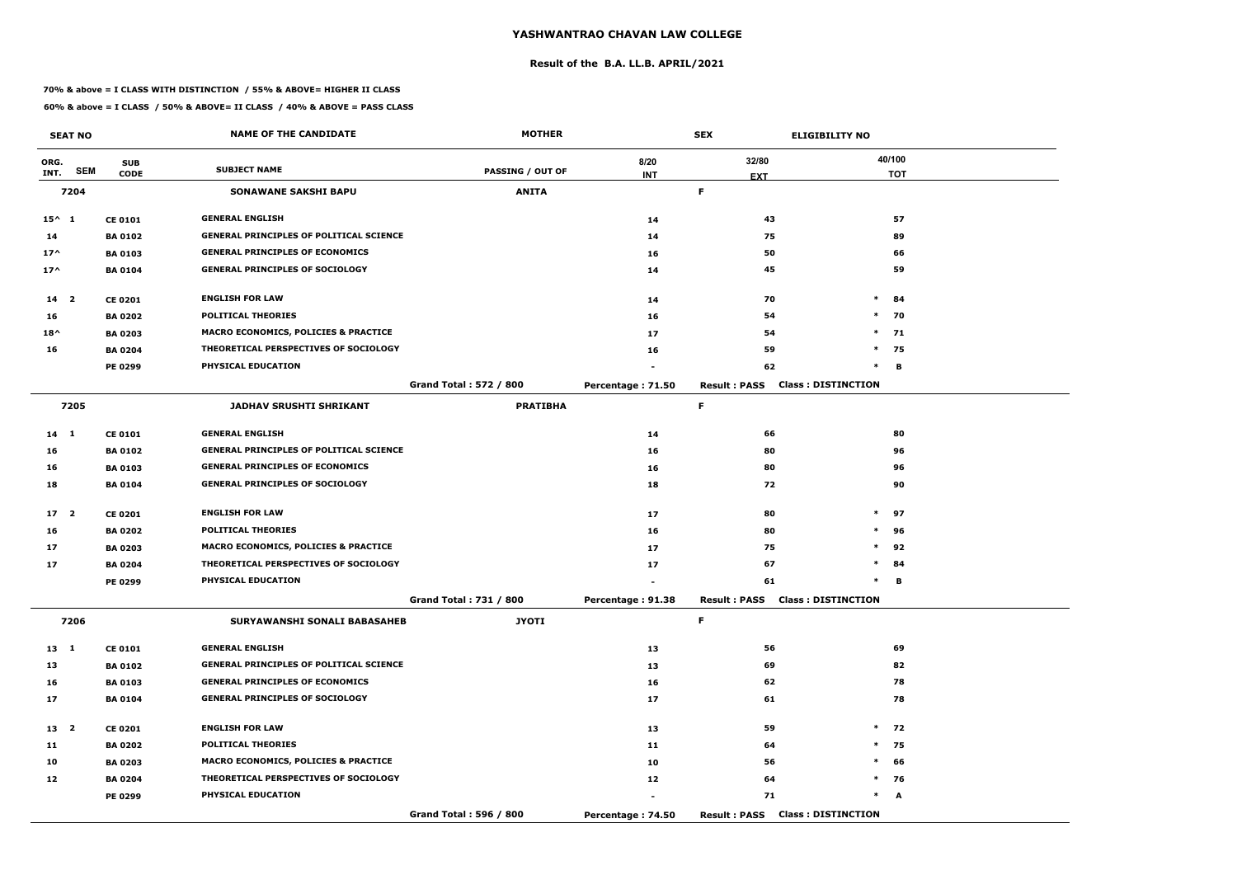#### **Result of the B.A. LL.B. APRIL/2021**

#### **70% & above = I CLASS WITH DISTINCTION / 55% & ABOVE= HIGHER II CLASS**

|                 | <b>SEAT NO</b> |                | <b>NAME OF THE CANDIDATE</b>                    | <b>MOTHER</b>                 |                   | <b>SEX</b>          | <b>ELIGIBILITY NO</b>                  |            |
|-----------------|----------------|----------------|-------------------------------------------------|-------------------------------|-------------------|---------------------|----------------------------------------|------------|
| ORG.            |                | <b>SUB</b>     |                                                 |                               | 8/20              | 32/80               |                                        | 40/100     |
| INT.            | <b>SEM</b>     | <b>CODE</b>    | <b>SUBJECT NAME</b>                             | <b>PASSING / OUT OF</b>       | <b>INT</b>        | <b>EXT</b>          |                                        | <b>TOT</b> |
|                 | 7204           |                | <b>SONAWANE SAKSHI BAPU</b>                     | <b>ANITA</b>                  |                   | F.                  |                                        |            |
| $15^{\wedge} 1$ |                | <b>CE 0101</b> | <b>GENERAL ENGLISH</b>                          |                               | 14                | 43                  |                                        | 57         |
| 14              |                | <b>BA 0102</b> | <b>GENERAL PRINCIPLES OF POLITICAL SCIENCE</b>  |                               | 14                | 75                  |                                        | 89         |
| $17^$           |                | <b>BA0103</b>  | <b>GENERAL PRINCIPLES OF ECONOMICS</b>          |                               | 16                | 50                  |                                        | 66         |
| $17^$           |                | <b>BA 0104</b> | <b>GENERAL PRINCIPLES OF SOCIOLOGY</b>          |                               | 14                | 45                  |                                        | 59         |
| $14 2$          |                | <b>CE 0201</b> | <b>ENGLISH FOR LAW</b>                          |                               | 14                | 70                  | $\ast$                                 | 84         |
| 16              |                | <b>BA 0202</b> | <b>POLITICAL THEORIES</b>                       |                               | 16                | 54                  | $\ast$                                 | 70         |
| $18^{\wedge}$   |                | <b>BA 0203</b> | <b>MACRO ECONOMICS, POLICIES &amp; PRACTICE</b> |                               | 17                | 54                  | $\ast$                                 | 71         |
| 16              |                | <b>BA 0204</b> | THEORETICAL PERSPECTIVES OF SOCIOLOGY           |                               | 16                | 59                  | $\ast$                                 | 75         |
|                 |                | <b>PE 0299</b> | PHYSICAL EDUCATION                              |                               |                   | 62                  | $\ast$                                 | B          |
|                 |                |                |                                                 | <b>Grand Total: 572 / 800</b> | Percentage: 71.50 | <b>Result: PASS</b> | <b>Class: DISTINCTION</b>              |            |
|                 | 7205           |                | <b>JADHAV SRUSHTI SHRIKANT</b>                  | <b>PRATIBHA</b>               |                   | F                   |                                        |            |
| 14 1            |                | <b>CE 0101</b> | <b>GENERAL ENGLISH</b>                          |                               | 14                | 66                  |                                        | 80         |
| 16              |                | <b>BA 0102</b> | <b>GENERAL PRINCIPLES OF POLITICAL SCIENCE</b>  |                               | 16                | 80                  |                                        | 96         |
| 16              |                | <b>BA 0103</b> | <b>GENERAL PRINCIPLES OF ECONOMICS</b>          |                               | 16                | 80                  |                                        | 96         |
| 18              |                | <b>BA 0104</b> | <b>GENERAL PRINCIPLES OF SOCIOLOGY</b>          |                               | 18                | 72                  |                                        | 90         |
| 17 <sub>2</sub> |                | <b>CE 0201</b> | <b>ENGLISH FOR LAW</b>                          |                               | 17                | 80                  | $\ast$                                 | 97         |
| 16              |                | <b>BA 0202</b> | <b>POLITICAL THEORIES</b>                       |                               | 16                | 80                  | $\ast$                                 | 96         |
| 17              |                | <b>BA 0203</b> | MACRO ECONOMICS, POLICIES & PRACTICE            |                               | 17                | 75                  | $\ast$                                 | 92         |
| 17              |                | <b>BA 0204</b> | THEORETICAL PERSPECTIVES OF SOCIOLOGY           |                               | 17                | 67                  | $\ast$                                 | 84         |
|                 |                | <b>PE 0299</b> | PHYSICAL EDUCATION                              |                               |                   | 61                  | $\ast$                                 | в          |
|                 |                |                |                                                 | Grand Total: 731 / 800        | Percentage: 91.38 |                     | <b>Result: PASS Class: DISTINCTION</b> |            |
|                 | 7206           |                | SURYAWANSHI SONALI BABASAHEB                    | <b>JYOTI</b>                  |                   | F.                  |                                        |            |
| $13 \quad 1$    |                | <b>CE 0101</b> | <b>GENERAL ENGLISH</b>                          |                               | 13                | 56                  |                                        | 69         |
| 13              |                | <b>BA 0102</b> | <b>GENERAL PRINCIPLES OF POLITICAL SCIENCE</b>  |                               | 13                | 69                  |                                        | 82         |
| 16              |                | <b>BA 0103</b> | <b>GENERAL PRINCIPLES OF ECONOMICS</b>          |                               | 16                | 62                  |                                        | 78         |
| 17              |                | <b>BA 0104</b> | <b>GENERAL PRINCIPLES OF SOCIOLOGY</b>          |                               | 17                | 61                  |                                        | 78         |
| 13 <sup>2</sup> |                | <b>CE 0201</b> | <b>ENGLISH FOR LAW</b>                          |                               | 13                | 59                  |                                        | $*$ 72     |
| 11              |                | <b>BA 0202</b> | <b>POLITICAL THEORIES</b>                       |                               | 11                | 64                  |                                        | $*$ 75     |
| 10              |                | <b>BA 0203</b> | MACRO ECONOMICS, POLICIES & PRACTICE            |                               | 10                | 56                  | $\ast$                                 | 66         |
| 12              |                | <b>BA 0204</b> | THEORETICAL PERSPECTIVES OF SOCIOLOGY           |                               | 12                | 64                  |                                        | $*$ 76     |
|                 |                | <b>PE 0299</b> | PHYSICAL EDUCATION                              |                               |                   | 71                  | $\ast$                                 | A          |
|                 |                |                |                                                 | Grand Total: 596 / 800        | Percentage: 74.50 |                     | <b>Result: PASS Class: DISTINCTION</b> |            |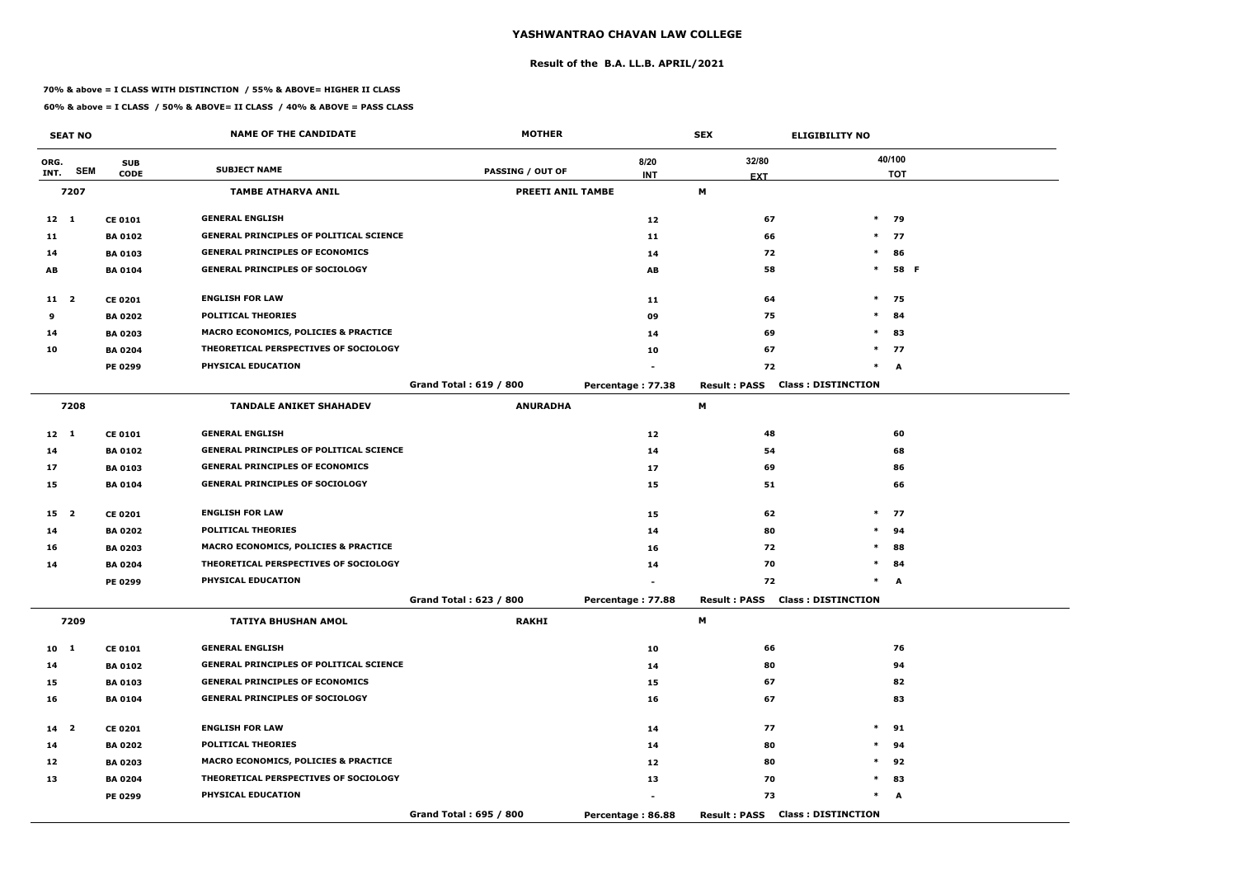#### **Result of the B.A. LL.B. APRIL/2021**

#### **70% & above = I CLASS WITH DISTINCTION / 55% & ABOVE= HIGHER II CLASS**

|                 | <b>SEAT NO</b> |                | <b>NAME OF THE CANDIDATE</b>                    | <b>MOTHER</b>            |                   | <b>SEX</b>          | <b>ELIGIBILITY NO</b>                  |            |
|-----------------|----------------|----------------|-------------------------------------------------|--------------------------|-------------------|---------------------|----------------------------------------|------------|
| ORG.            |                | <b>SUB</b>     |                                                 |                          | 8/20              | 32/80               |                                        | 40/100     |
| INT.            | <b>SEM</b>     | <b>CODE</b>    | <b>SUBJECT NAME</b>                             | PASSING / OUT OF         | <b>INT</b>        | <b>EXT</b>          |                                        | <b>TOT</b> |
|                 | 7207           |                | <b>TAMBE ATHARVA ANIL</b>                       | <b>PREETI ANIL TAMBE</b> |                   | M                   |                                        |            |
| $12 \quad 1$    |                | <b>CE 0101</b> | <b>GENERAL ENGLISH</b>                          |                          | 12                | 67                  |                                        | $*$ 79     |
| 11              |                | <b>BA 0102</b> | <b>GENERAL PRINCIPLES OF POLITICAL SCIENCE</b>  |                          | 11                | 66                  |                                        | $*$ 77     |
| 14              |                | <b>BA 0103</b> | <b>GENERAL PRINCIPLES OF ECONOMICS</b>          |                          | 14                | 72                  | $\ast$                                 | 86         |
| AB              |                | <b>BA 0104</b> | <b>GENERAL PRINCIPLES OF SOCIOLOGY</b>          |                          | AB                | 58                  | $\ast$                                 | 58 F       |
| 11 2            |                | <b>CE 0201</b> | <b>ENGLISH FOR LAW</b>                          |                          | 11                | 64                  |                                        | $*$ 75     |
| 9               |                | <b>BA 0202</b> | <b>POLITICAL THEORIES</b>                       |                          | 09                | 75                  | $\ast$                                 | 84         |
| 14              |                | <b>BA 0203</b> | <b>MACRO ECONOMICS, POLICIES &amp; PRACTICE</b> |                          | 14                | 69                  | $\ast$                                 | 83         |
| 10              |                | <b>BA 0204</b> | THEORETICAL PERSPECTIVES OF SOCIOLOGY           |                          | 10                | 67                  |                                        | $*$ 77     |
|                 |                | PE 0299        | PHYSICAL EDUCATION                              |                          |                   | 72                  |                                        | $*$ A      |
|                 |                |                |                                                 | Grand Total: 619 / 800   | Percentage: 77.38 | <b>Result: PASS</b> | <b>Class: DISTINCTION</b>              |            |
|                 | 7208           |                | <b>TANDALE ANIKET SHAHADEV</b>                  | <b>ANURADHA</b>          |                   | M                   |                                        |            |
| $12 \quad 1$    |                | <b>CE 0101</b> | <b>GENERAL ENGLISH</b>                          |                          | 12                | 48                  |                                        | 60         |
| 14              |                | <b>BA 0102</b> | <b>GENERAL PRINCIPLES OF POLITICAL SCIENCE</b>  |                          | 14                | 54                  |                                        | 68         |
| 17              |                | <b>BA 0103</b> | <b>GENERAL PRINCIPLES OF ECONOMICS</b>          |                          | 17                | 69                  |                                        | 86         |
| 15              |                | <b>BA 0104</b> | <b>GENERAL PRINCIPLES OF SOCIOLOGY</b>          |                          | 15                | 51                  |                                        | 66         |
| 15 <sub>2</sub> |                | <b>CE 0201</b> | <b>ENGLISH FOR LAW</b>                          |                          | 15                | 62                  |                                        | $*$ 77     |
| 14              |                | <b>BA 0202</b> | <b>POLITICAL THEORIES</b>                       |                          | 14                | 80                  | $\ast$                                 | 94         |
| 16              |                | <b>BA 0203</b> | <b>MACRO ECONOMICS, POLICIES &amp; PRACTICE</b> |                          | 16                | 72                  | $\ast$                                 | 88         |
| 14              |                | <b>BA 0204</b> | THEORETICAL PERSPECTIVES OF SOCIOLOGY           |                          | 14                | 70                  | $\ast$                                 | 84         |
|                 |                | <b>PE 0299</b> | PHYSICAL EDUCATION                              |                          |                   | 72                  | $\ast$                                 | A          |
|                 |                |                |                                                 | Grand Total: 623 / 800   | Percentage: 77.88 |                     | <b>Result: PASS Class: DISTINCTION</b> |            |
|                 | 7209           |                | <b>TATIYA BHUSHAN AMOL</b>                      | <b>RAKHI</b>             |                   | M                   |                                        |            |
| 10 <sub>1</sub> |                | <b>CE 0101</b> | <b>GENERAL ENGLISH</b>                          |                          | 10                | 66                  |                                        | 76         |
| 14              |                | <b>BA 0102</b> | <b>GENERAL PRINCIPLES OF POLITICAL SCIENCE</b>  |                          | 14                | 80                  |                                        | 94         |
| 15              |                | <b>BA 0103</b> | <b>GENERAL PRINCIPLES OF ECONOMICS</b>          |                          | 15                | 67                  |                                        | 82         |
| 16              |                | <b>BA 0104</b> | <b>GENERAL PRINCIPLES OF SOCIOLOGY</b>          |                          | 16                | 67                  |                                        | 83         |
| 14 <sub>2</sub> |                | <b>CE 0201</b> | <b>ENGLISH FOR LAW</b>                          |                          | 14                | 77                  |                                        | $*$ 91     |
| 14              |                | <b>BA 0202</b> | <b>POLITICAL THEORIES</b>                       |                          | 14                | 80                  |                                        | $*$ 94     |
| 12              |                | <b>BA 0203</b> | <b>MACRO ECONOMICS, POLICIES &amp; PRACTICE</b> |                          | 12                | 80                  |                                        | $*$ 92     |
| 13              |                | <b>BA 0204</b> | THEORETICAL PERSPECTIVES OF SOCIOLOGY           |                          | 13                | 70                  |                                        | $*$ 83     |
|                 |                | <b>PE 0299</b> | <b>PHYSICAL EDUCATION</b>                       |                          |                   | 73                  |                                        | $*$ A      |
|                 |                |                |                                                 | Grand Total: 695 / 800   | Percentage: 86.88 |                     | <b>Result: PASS Class: DISTINCTION</b> |            |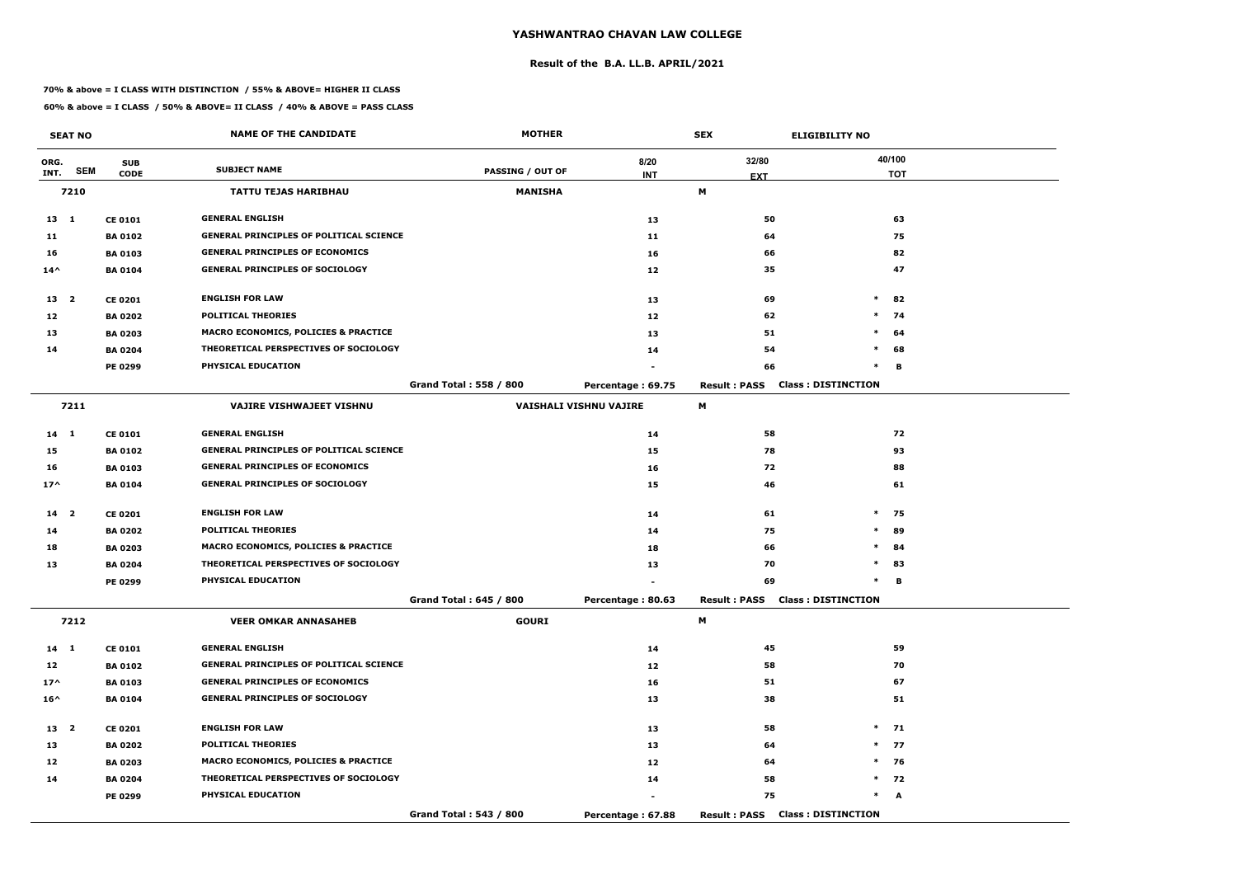#### **Result of the B.A. LL.B. APRIL/2021**

#### **70% & above = I CLASS WITH DISTINCTION / 55% & ABOVE= HIGHER II CLASS**

|                 | <b>SEAT NO</b> |                | <b>NAME OF THE CANDIDATE</b>                    | <b>MOTHER</b>                 |                               | <b>SEX</b>          | <b>ELIGIBILITY NO</b>                  |            |
|-----------------|----------------|----------------|-------------------------------------------------|-------------------------------|-------------------------------|---------------------|----------------------------------------|------------|
| ORG.            |                | <b>SUB</b>     |                                                 |                               | 8/20                          | 32/80               |                                        | 40/100     |
| INT.            | <b>SEM</b>     | <b>CODE</b>    | <b>SUBJECT NAME</b>                             | <b>PASSING / OUT OF</b>       | <b>INT</b>                    | <b>EXT</b>          |                                        | <b>TOT</b> |
|                 | 7210           |                | <b>TATTU TEJAS HARIBHAU</b>                     | <b>MANISHA</b>                |                               | M                   |                                        |            |
| $13 \quad 1$    |                | <b>CE 0101</b> | <b>GENERAL ENGLISH</b>                          |                               | 13                            | 50                  |                                        | 63         |
| 11              |                | <b>BA0102</b>  | <b>GENERAL PRINCIPLES OF POLITICAL SCIENCE</b>  |                               | 11                            | 64                  |                                        | 75         |
| 16              |                | <b>BA 0103</b> | <b>GENERAL PRINCIPLES OF ECONOMICS</b>          |                               | 16                            | 66                  |                                        | 82         |
| $14^{\wedge}$   |                | <b>BA0104</b>  | <b>GENERAL PRINCIPLES OF SOCIOLOGY</b>          |                               | 12                            | 35                  |                                        | 47         |
| 13 2            |                | <b>CE 0201</b> | <b>ENGLISH FOR LAW</b>                          |                               | 13                            | 69                  | $\ast$                                 | 82         |
| 12              |                | <b>BA 0202</b> | <b>POLITICAL THEORIES</b>                       |                               | 12                            | 62                  | $\ast$                                 | 74         |
| 13              |                | <b>BA 0203</b> | <b>MACRO ECONOMICS, POLICIES &amp; PRACTICE</b> |                               | 13                            | 51                  | $\ast$                                 | 64         |
| 14              |                | <b>BA 0204</b> | THEORETICAL PERSPECTIVES OF SOCIOLOGY           |                               | 14                            | 54                  | $\ast$                                 | 68         |
|                 |                | <b>PE 0299</b> | PHYSICAL EDUCATION                              |                               |                               | 66                  | $\ast$                                 | В          |
|                 |                |                |                                                 | <b>Grand Total: 558 / 800</b> | Percentage: 69.75             | <b>Result: PASS</b> | <b>Class: DISTINCTION</b>              |            |
|                 | 7211           |                | <b>VAJIRE VISHWAJEET VISHNU</b>                 |                               | <b>VAISHALI VISHNU VAJIRE</b> | M                   |                                        |            |
| $14 \quad 1$    |                | <b>CE 0101</b> | <b>GENERAL ENGLISH</b>                          |                               | 14                            | 58                  |                                        | 72         |
| 15              |                | <b>BA0102</b>  | <b>GENERAL PRINCIPLES OF POLITICAL SCIENCE</b>  |                               | 15                            | 78                  |                                        | 93         |
| 16              |                | <b>BA0103</b>  | <b>GENERAL PRINCIPLES OF ECONOMICS</b>          |                               | 16                            | 72                  |                                        | 88         |
| $17^$           |                | <b>BA 0104</b> | <b>GENERAL PRINCIPLES OF SOCIOLOGY</b>          |                               | 15                            | 46                  |                                        | 61         |
| 14 <sub>2</sub> |                | <b>CE 0201</b> | <b>ENGLISH FOR LAW</b>                          |                               | 14                            | 61                  |                                        | $*$ 75     |
| 14              |                | <b>BA 0202</b> | <b>POLITICAL THEORIES</b>                       |                               | 14                            | 75                  | $\ast$                                 | 89         |
| 18              |                | <b>BA 0203</b> | <b>MACRO ECONOMICS, POLICIES &amp; PRACTICE</b> |                               | 18                            | 66                  | $\ast$                                 | 84         |
| 13              |                | <b>BA 0204</b> | THEORETICAL PERSPECTIVES OF SOCIOLOGY           |                               | 13                            | 70                  | $\ast$                                 | 83         |
|                 |                | <b>PE 0299</b> | PHYSICAL EDUCATION                              |                               |                               | 69                  | $\ast$                                 | В          |
|                 |                |                |                                                 | Grand Total: 645 / 800        | Percentage: 80.63             |                     | <b>Result: PASS Class: DISTINCTION</b> |            |
|                 | 7212           |                | <b>VEER OMKAR ANNASAHEB</b>                     | <b>GOURI</b>                  |                               | M                   |                                        |            |
| $14 \quad 1$    |                | <b>CE 0101</b> | <b>GENERAL ENGLISH</b>                          |                               | 14                            | 45                  |                                        | 59         |
| 12              |                | <b>BA 0102</b> | <b>GENERAL PRINCIPLES OF POLITICAL SCIENCE</b>  |                               | 12                            | 58                  |                                        | 70         |
| $17^{\wedge}$   |                | <b>BA 0103</b> | <b>GENERAL PRINCIPLES OF ECONOMICS</b>          |                               | 16                            | 51                  |                                        | 67         |
| $16^{\wedge}$   |                | <b>BA 0104</b> | <b>GENERAL PRINCIPLES OF SOCIOLOGY</b>          |                               | 13                            | 38                  |                                        | 51         |
| 13 2            |                | <b>CE 0201</b> | <b>ENGLISH FOR LAW</b>                          |                               | 13                            | 58                  |                                        | $*$ 71     |
| 13              |                | <b>BA 0202</b> | POLITICAL THEORIES                              |                               | 13                            | 64                  |                                        | $*$ 77     |
| 12              |                | <b>BA 0203</b> | <b>MACRO ECONOMICS, POLICIES &amp; PRACTICE</b> |                               | 12                            | 64                  |                                        | $*$ 76     |
| 14              |                | <b>BA 0204</b> | THEORETICAL PERSPECTIVES OF SOCIOLOGY           |                               | 14                            | 58                  |                                        | $*$ 72     |
|                 |                | <b>PE 0299</b> | PHYSICAL EDUCATION                              |                               |                               | 75                  | $*$                                    | A          |
|                 |                |                |                                                 | Grand Total: 543 / 800        | Percentage: 67.88             |                     | <b>Result: PASS Class: DISTINCTION</b> |            |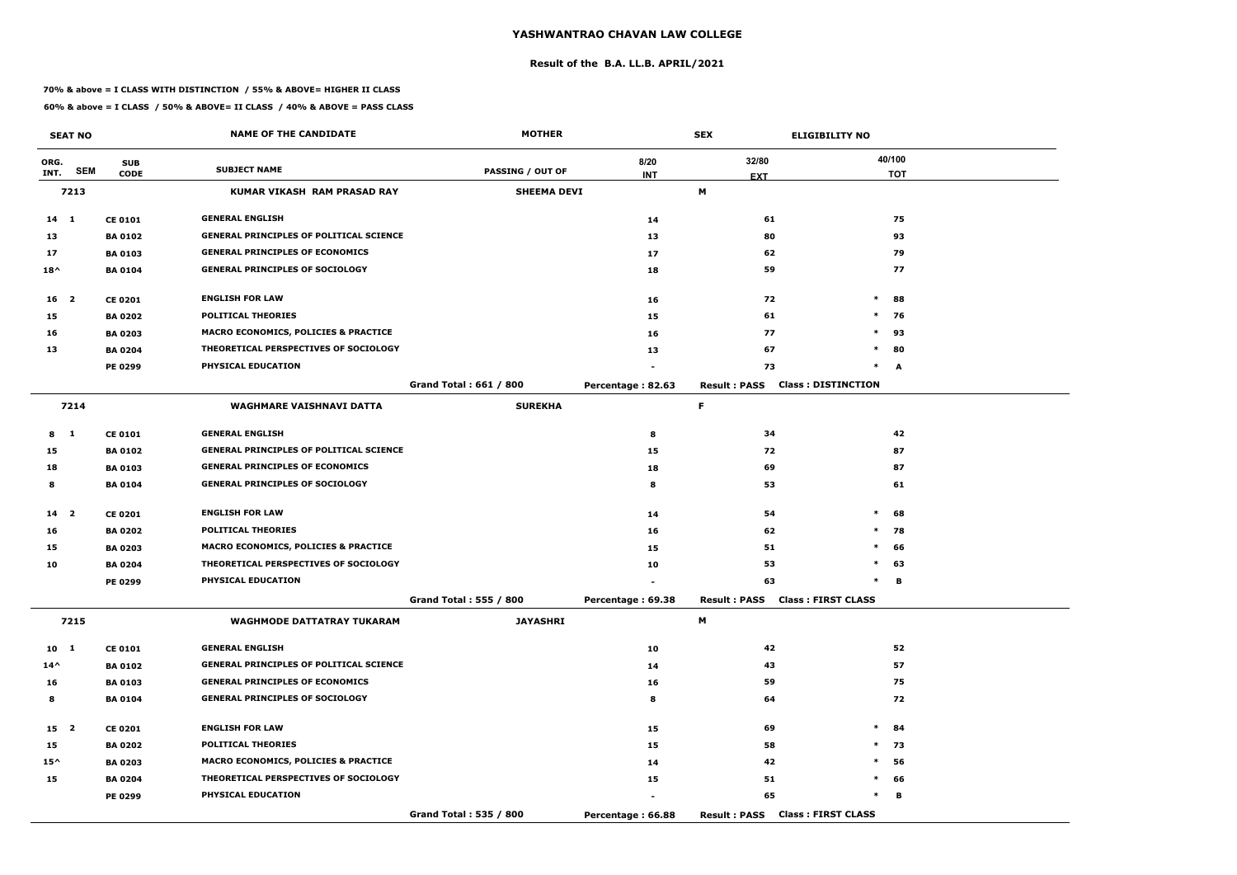#### **Result of the B.A. LL.B. APRIL/2021**

#### **70% & above = I CLASS WITH DISTINCTION / 55% & ABOVE= HIGHER II CLASS**

|                 | <b>SEAT NO</b> |                | <b>NAME OF THE CANDIDATE</b>                    | <b>MOTHER</b>           |                   | <b>SEX</b>          | <b>ELIGIBILITY NO</b>           |
|-----------------|----------------|----------------|-------------------------------------------------|-------------------------|-------------------|---------------------|---------------------------------|
| ORG.            |                | <b>SUB</b>     |                                                 |                         | 8/20              | 32/80               | 40/100                          |
| INT.            | <b>SEM</b>     | <b>CODE</b>    | <b>SUBJECT NAME</b>                             | <b>PASSING / OUT OF</b> | <b>INT</b>        | <b>EXT</b>          | <b>TOT</b>                      |
|                 | 7213           |                | <b>KUMAR VIKASH RAM PRASAD RAY</b>              | <b>SHEEMA DEVI</b>      |                   | М                   |                                 |
| $14 \quad 1$    |                | <b>CE 0101</b> | <b>GENERAL ENGLISH</b>                          |                         | 14                | 61                  | 75                              |
| 13              |                | <b>BA 0102</b> | <b>GENERAL PRINCIPLES OF POLITICAL SCIENCE</b>  |                         | 13                | 80                  | 93                              |
| 17              |                | <b>BA 0103</b> | <b>GENERAL PRINCIPLES OF ECONOMICS</b>          |                         | 17                | 62                  | 79                              |
| $18^{\wedge}$   |                | <b>BA0104</b>  | <b>GENERAL PRINCIPLES OF SOCIOLOGY</b>          |                         | 18                | 59                  | 77                              |
| 16 <sub>2</sub> |                | <b>CE 0201</b> | <b>ENGLISH FOR LAW</b>                          |                         | 16                | 72                  | $\ast$<br>88                    |
| 15              |                | <b>BA 0202</b> | <b>POLITICAL THEORIES</b>                       |                         | 15                | 61                  | $\ast$<br>76                    |
| 16              |                | <b>BA 0203</b> | MACRO ECONOMICS, POLICIES & PRACTICE            |                         | 16                | 77                  | $\ast$<br>93                    |
| 13              |                | <b>BA 0204</b> | THEORETICAL PERSPECTIVES OF SOCIOLOGY           |                         | 13                | 67                  | $\ast$<br>80                    |
|                 |                | <b>PE 0299</b> | PHYSICAL EDUCATION                              |                         |                   | 73                  | $\ast$<br>A                     |
|                 |                |                |                                                 | Grand Total: 661 / 800  | Percentage: 82.63 | <b>Result: PASS</b> | <b>Class: DISTINCTION</b>       |
|                 | 7214           |                | <b>WAGHMARE VAISHNAVI DATTA</b>                 | <b>SUREKHA</b>          |                   | F.                  |                                 |
| 8 1             |                | <b>CE 0101</b> | <b>GENERAL ENGLISH</b>                          |                         | 8                 | 34                  | 42                              |
| 15              |                | <b>BA 0102</b> | <b>GENERAL PRINCIPLES OF POLITICAL SCIENCE</b>  |                         | 15                | 72                  | 87                              |
| 18              |                | <b>BA 0103</b> | <b>GENERAL PRINCIPLES OF ECONOMICS</b>          |                         | 18                | 69                  | 87                              |
| 8               |                | <b>BA 0104</b> | <b>GENERAL PRINCIPLES OF SOCIOLOGY</b>          |                         | 8                 | 53                  | 61                              |
| 14 <sub>2</sub> |                | <b>CE 0201</b> | <b>ENGLISH FOR LAW</b>                          |                         | 14                | 54                  | $\ast$<br>68                    |
| 16              |                | <b>BA 0202</b> | <b>POLITICAL THEORIES</b>                       |                         | 16                | 62                  | $\ast$<br>78                    |
| 15              |                | <b>BA 0203</b> | <b>MACRO ECONOMICS, POLICIES &amp; PRACTICE</b> |                         | 15                | 51                  | 66<br>$\ast$                    |
| 10              |                | <b>BA 0204</b> | THEORETICAL PERSPECTIVES OF SOCIOLOGY           |                         | 10                | 53                  | $\ast$<br>63                    |
|                 |                | PE 0299        | PHYSICAL EDUCATION                              |                         |                   | 63                  | в<br>$\ast$                     |
|                 |                |                |                                                 | Grand Total: 555 / 800  | Percentage: 69.38 |                     | Result: PASS Class: FIRST CLASS |
|                 | 7215           |                | <b>WAGHMODE DATTATRAY TUKARAM</b>               | <b>JAYASHRI</b>         |                   | M                   |                                 |
| $10 \quad 1$    |                | <b>CE 0101</b> | <b>GENERAL ENGLISH</b>                          |                         | 10                | 42                  | 52                              |
| $14^{\wedge}$   |                | <b>BA 0102</b> | <b>GENERAL PRINCIPLES OF POLITICAL SCIENCE</b>  |                         | 14                | 43                  | 57                              |
| 16              |                | <b>BA 0103</b> | <b>GENERAL PRINCIPLES OF ECONOMICS</b>          |                         | 16                | 59                  | 75                              |
| 8               |                | <b>BA 0104</b> | <b>GENERAL PRINCIPLES OF SOCIOLOGY</b>          |                         | 8                 | 64                  | 72                              |
| 15 <sub>2</sub> |                | <b>CE 0201</b> | <b>ENGLISH FOR LAW</b>                          |                         | 15                | 69                  | $\ast$<br>84                    |
| 15              |                | <b>BA 0202</b> | <b>POLITICAL THEORIES</b>                       |                         | 15                | 58                  | $\ast$<br>73                    |
| $15^{\wedge}$   |                | <b>BA 0203</b> | <b>MACRO ECONOMICS, POLICIES &amp; PRACTICE</b> |                         | 14                | 42                  | 56<br>$*$                       |
| 15              |                | <b>BA 0204</b> | THEORETICAL PERSPECTIVES OF SOCIOLOGY           |                         | 15                | 51                  | $\ast$<br>66                    |
|                 |                | PE 0299        | <b>PHYSICAL EDUCATION</b>                       |                         |                   | 65                  | $\ast$<br>в                     |
|                 |                |                |                                                 | Grand Total: 535 / 800  | Percentage: 66.88 |                     | Result: PASS Class: FIRST CLASS |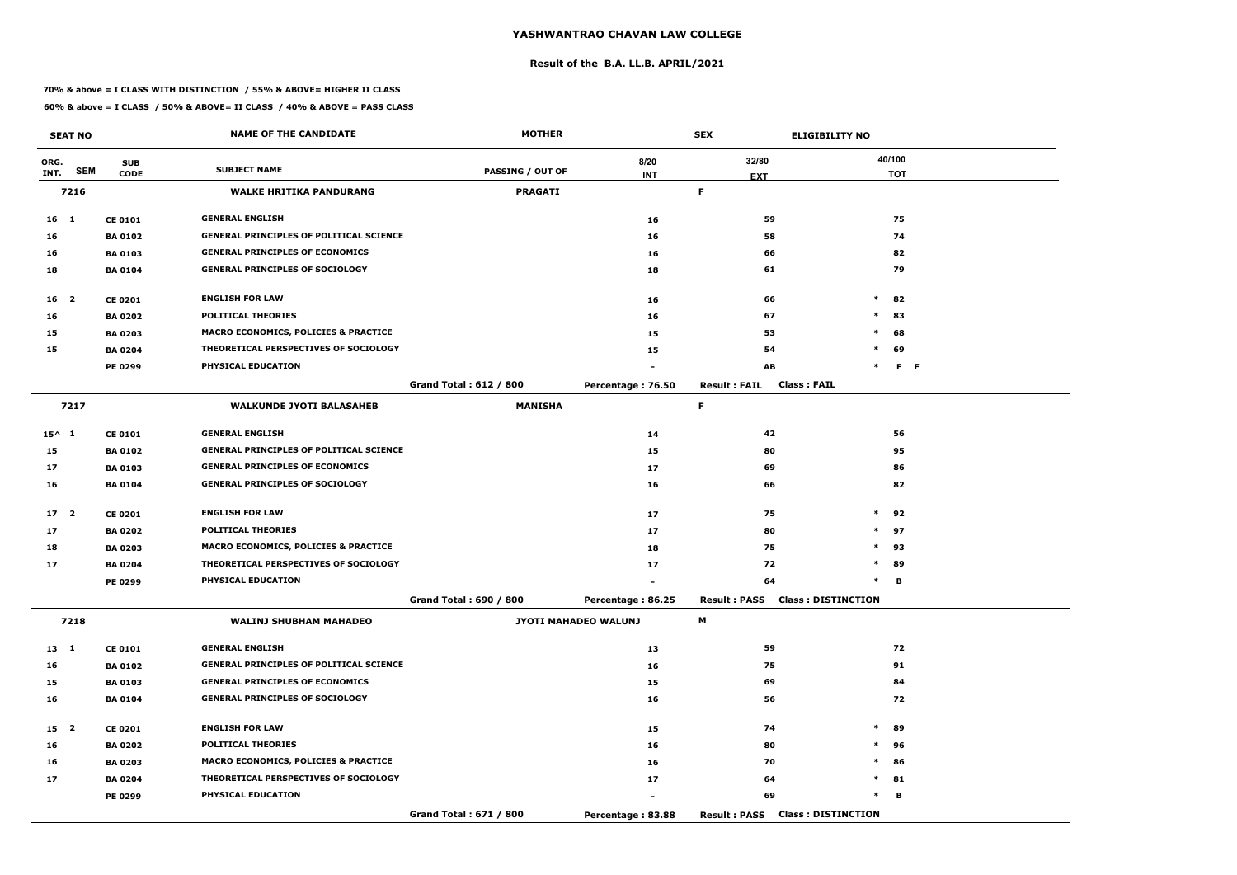#### **Result of the B.A. LL.B. APRIL/2021**

#### **70% & above = I CLASS WITH DISTINCTION / 55% & ABOVE= HIGHER II CLASS**

|                 | <b>SEAT NO</b> |                | <b>NAME OF THE CANDIDATE</b>                   | <b>MOTHER</b>           |                      | <b>SEX</b>                                | <b>ELIGIBILITY NO</b>     |
|-----------------|----------------|----------------|------------------------------------------------|-------------------------|----------------------|-------------------------------------------|---------------------------|
| ORG.            |                | <b>SUB</b>     |                                                |                         | 8/20                 | 32/80                                     | 40/100                    |
| INT.            | <b>SEM</b>     | <b>CODE</b>    | <b>SUBJECT NAME</b>                            | <b>PASSING / OUT OF</b> | <b>INT</b>           | <b>EXT</b>                                | <b>TOT</b>                |
|                 | 7216           |                | <b>WALKE HRITIKA PANDURANG</b>                 | <b>PRAGATI</b>          |                      | F.                                        |                           |
| $16$ 1          |                | <b>CE 0101</b> | <b>GENERAL ENGLISH</b>                         |                         | 16                   | 59                                        | 75                        |
| 16              |                | <b>BA 0102</b> | <b>GENERAL PRINCIPLES OF POLITICAL SCIENCE</b> |                         | 16                   | 58                                        | 74                        |
| 16              |                | <b>BA 0103</b> | <b>GENERAL PRINCIPLES OF ECONOMICS</b>         |                         | 16                   | 66                                        | 82                        |
| 18              |                | <b>BA0104</b>  | <b>GENERAL PRINCIPLES OF SOCIOLOGY</b>         |                         | 18                   | 61                                        | 79                        |
| 16 2            |                | <b>CE 0201</b> | <b>ENGLISH FOR LAW</b>                         |                         | 16                   | 66                                        | $\ast$<br>82              |
| 16              |                | <b>BA 0202</b> | <b>POLITICAL THEORIES</b>                      |                         | 16                   | 67                                        | 83<br>$\ast$              |
| 15              |                | <b>BA 0203</b> | MACRO ECONOMICS, POLICIES & PRACTICE           |                         | 15                   | 53                                        | $\ast$<br>68              |
| 15              |                | <b>BA 0204</b> | THEORETICAL PERSPECTIVES OF SOCIOLOGY          |                         | 15                   | 54                                        | $\ast$<br>69              |
|                 |                | PE 0299        | PHYSICAL EDUCATION                             |                         |                      | AB                                        | $\ast$<br>F <sub>F</sub>  |
|                 |                |                |                                                | Grand Total: 612 / 800  | Percentage: 76.50    | <b>Class: FAIL</b><br><b>Result: FAIL</b> |                           |
|                 | 7217           |                | <b>WALKUNDE JYOTI BALASAHEB</b>                | <b>MANISHA</b>          |                      | F.                                        |                           |
| $15^{\wedge}$ 1 |                | <b>CE 0101</b> | <b>GENERAL ENGLISH</b>                         |                         | 14                   | 42                                        | 56                        |
| 15              |                | <b>BA 0102</b> | <b>GENERAL PRINCIPLES OF POLITICAL SCIENCE</b> |                         | 15                   | 80                                        | 95                        |
| 17              |                | <b>BA 0103</b> | <b>GENERAL PRINCIPLES OF ECONOMICS</b>         |                         | 17                   | 69                                        | 86                        |
| 16              |                | <b>BA 0104</b> | <b>GENERAL PRINCIPLES OF SOCIOLOGY</b>         |                         | 16                   | 66                                        | 82                        |
| 17 <sub>2</sub> |                | <b>CE 0201</b> | <b>ENGLISH FOR LAW</b>                         |                         | 17                   | 75                                        | $\ast$<br>92              |
| 17              |                | <b>BA 0202</b> | <b>POLITICAL THEORIES</b>                      |                         | 17                   | 80                                        | $*$ 97                    |
| 18              |                | <b>BA 0203</b> | MACRO ECONOMICS, POLICIES & PRACTICE           |                         | 18                   | 75                                        | $\ast$<br>93              |
| 17              |                | <b>BA 0204</b> | THEORETICAL PERSPECTIVES OF SOCIOLOGY          |                         | 17                   | 72                                        | $\ast$<br>89              |
|                 |                | PE 0299        | PHYSICAL EDUCATION                             |                         |                      | 64                                        | в<br>$\ast$               |
|                 |                |                |                                                | Grand Total: 690 / 800  | Percentage: 86.25    | <b>Result: PASS</b>                       | <b>Class: DISTINCTION</b> |
|                 | 7218           |                | <b>WALINJ SHUBHAM MAHADEO</b>                  |                         | JYOTI MAHADEO WALUNJ | M                                         |                           |
| 13 1            |                | <b>CE 0101</b> | <b>GENERAL ENGLISH</b>                         |                         | 13                   | 59                                        | 72                        |
| 16              |                | <b>BA 0102</b> | <b>GENERAL PRINCIPLES OF POLITICAL SCIENCE</b> |                         | 16                   | 75                                        | 91                        |
| 15              |                | <b>BA 0103</b> | <b>GENERAL PRINCIPLES OF ECONOMICS</b>         |                         | 15                   | 69                                        | 84                        |
| 16              |                | <b>BA 0104</b> | <b>GENERAL PRINCIPLES OF SOCIOLOGY</b>         |                         | 16                   | 56                                        | 72                        |
| 15 2            |                | <b>CE 0201</b> | <b>ENGLISH FOR LAW</b>                         |                         | 15                   | 74                                        | $\ast$<br>89              |
| 16              |                | <b>BA 0202</b> | <b>POLITICAL THEORIES</b>                      |                         | 16                   | 80                                        | $\ast$<br>96              |
| 16              |                | <b>BA 0203</b> | MACRO ECONOMICS, POLICIES & PRACTICE           |                         | 16                   | 70                                        | $\ast$<br>86              |
| 17              |                | <b>BA 0204</b> | THEORETICAL PERSPECTIVES OF SOCIOLOGY          |                         | 17                   | 64                                        | $*$ 81                    |
|                 |                | <b>PE 0299</b> | PHYSICAL EDUCATION                             |                         | $\sim$               | 69                                        | $\ast$<br>В               |
|                 |                |                |                                                | Grand Total: 671 / 800  | Percentage: 83.88    | <b>Result : PASS</b>                      | <b>Class: DISTINCTION</b> |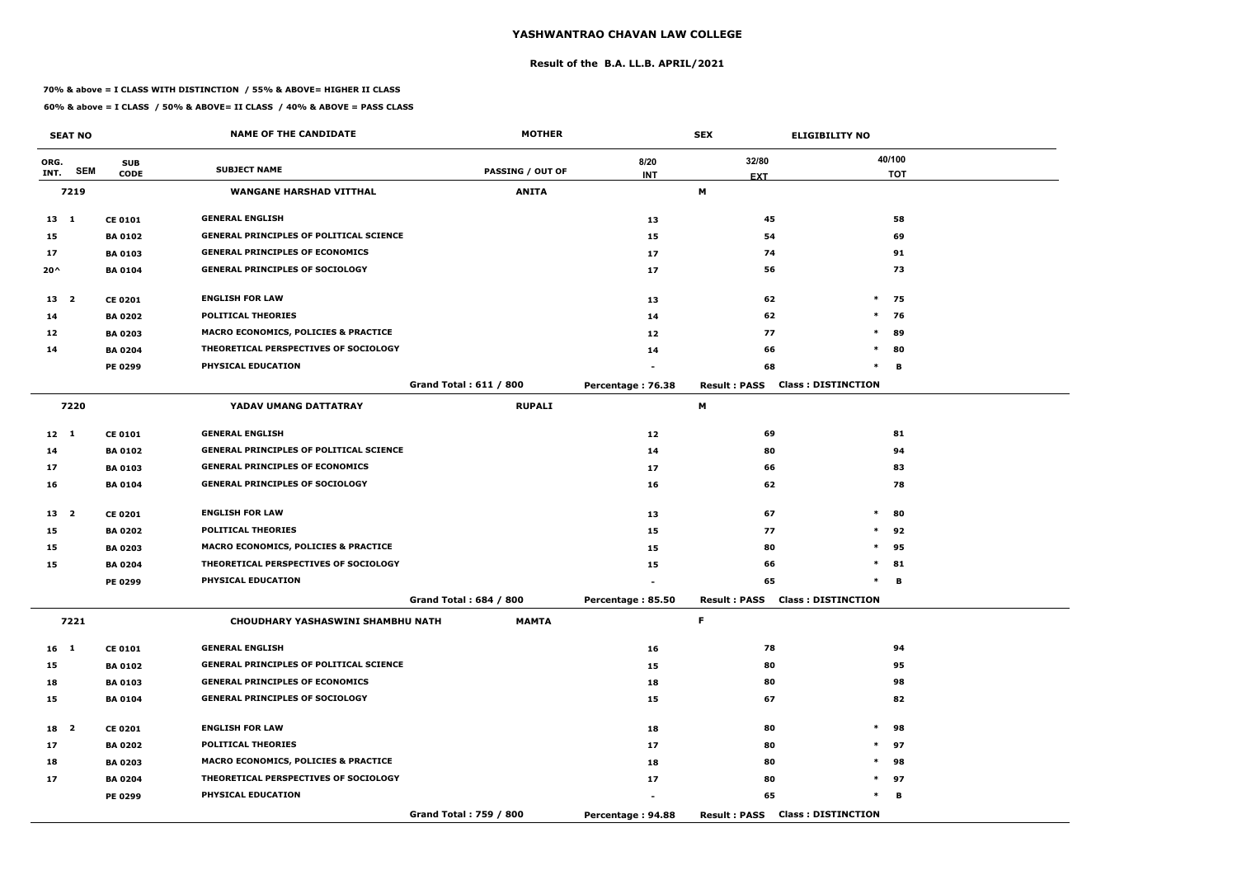# **YASHWANTRAO CHAVAN LAW COLLEGE**

## **Result of the B.A. LL.B. APRIL/2021**

## **70% & above = I CLASS WITH DISTINCTION / 55% & ABOVE= HIGHER II CLASS**

**60% & above = I CLASS / 50% & ABOVE= II CLASS / 40% & ABOVE = PASS CLASS**

|               | <b>SEAT NO</b> |                | <b>NAME OF THE CANDIDATE</b>                    | <b>MOTHER</b>                 | <b>SEX</b>        |                     | <b>ELIGIBILITY NO</b>                  |            |
|---------------|----------------|----------------|-------------------------------------------------|-------------------------------|-------------------|---------------------|----------------------------------------|------------|
| ORG.          |                | <b>SUB</b>     |                                                 |                               | 8/20              | 32/80               |                                        | 40/100     |
| INT.          | <b>SEM</b>     | <b>CODE</b>    | <b>SUBJECT NAME</b>                             | <b>PASSING / OUT OF</b>       | <b>INT</b>        | <b>EXT</b>          |                                        | <b>TOT</b> |
|               | 7219           |                | <b>WANGANE HARSHAD VITTHAL</b>                  | <b>ANITA</b>                  |                   | М                   |                                        |            |
| $13 \quad 1$  |                | <b>CE 0101</b> | <b>GENERAL ENGLISH</b>                          |                               | 13                | 45                  |                                        | 58         |
| 15            |                | <b>BA 0102</b> | <b>GENERAL PRINCIPLES OF POLITICAL SCIENCE</b>  |                               | 15                | 54                  |                                        | 69         |
| 17            |                | <b>BA 0103</b> | <b>GENERAL PRINCIPLES OF ECONOMICS</b>          |                               | 17                | 74                  |                                        | 91         |
| $20^{\wedge}$ |                | <b>BA0104</b>  | <b>GENERAL PRINCIPLES OF SOCIOLOGY</b>          |                               | 17                | 56                  |                                        | 73         |
| 13 2          |                | <b>CE 0201</b> | <b>ENGLISH FOR LAW</b>                          |                               | 13                | 62                  | $\ast$                                 | 75         |
| 14            |                | <b>BA 0202</b> | <b>POLITICAL THEORIES</b>                       |                               | 14                | 62                  | $\ast$                                 | 76         |
| 12            |                | <b>BA 0203</b> | <b>MACRO ECONOMICS, POLICIES &amp; PRACTICE</b> |                               | 12                | 77                  | $\ast$                                 | 89         |
| 14            |                | <b>BA 0204</b> | THEORETICAL PERSPECTIVES OF SOCIOLOGY           |                               | 14                | 66                  | $\ast$                                 | 80         |
|               |                | PE 0299        | PHYSICAL EDUCATION                              |                               |                   | 68                  | $\ast$                                 | в          |
|               |                |                |                                                 | <b>Grand Total: 611 / 800</b> | Percentage: 76.38 | <b>Result: PASS</b> | <b>Class: DISTINCTION</b>              |            |
| 7220          |                |                | YADAV UMANG DATTATRAY                           | <b>RUPALI</b>                 |                   | М                   |                                        |            |
| $12 \quad 1$  |                | <b>CE 0101</b> | <b>GENERAL ENGLISH</b>                          |                               | 12                | 69                  |                                        | 81         |
| 14            |                | <b>BA 0102</b> | <b>GENERAL PRINCIPLES OF POLITICAL SCIENCE</b>  |                               | 14                | 80                  |                                        | 94         |
| 17            |                | <b>BA 0103</b> | <b>GENERAL PRINCIPLES OF ECONOMICS</b>          |                               | 17                | 66                  |                                        | 83         |
| 16            |                | <b>BA 0104</b> | <b>GENERAL PRINCIPLES OF SOCIOLOGY</b>          |                               | 16                | 62                  |                                        | 78         |
| 13 2          |                | <b>CE 0201</b> | <b>ENGLISH FOR LAW</b>                          |                               | 13                | 67                  | $\ast$                                 | 80         |
| 15            |                | <b>BA 0202</b> | <b>POLITICAL THEORIES</b>                       |                               | 15                | 77                  | $*$                                    | 92         |
| 15            |                | <b>BA 0203</b> | <b>MACRO ECONOMICS, POLICIES &amp; PRACTICE</b> |                               | 15                | 80                  | $\ast$                                 | 95         |
| 15            |                | <b>BA 0204</b> | THEORETICAL PERSPECTIVES OF SOCIOLOGY           |                               | 15                | 66                  | $\ast$                                 | 81         |
|               |                | <b>PE 0299</b> | PHYSICAL EDUCATION                              |                               |                   | 65                  | $\ast$                                 | в          |
|               |                |                |                                                 | Grand Total: 684 / 800        | Percentage: 85.50 |                     | <b>Result: PASS Class: DISTINCTION</b> |            |
|               | 7221           |                | CHOUDHARY YASHASWINI SHAMBHU NATH               | <b>MAMTA</b>                  |                   | F.                  |                                        |            |
| $16 \quad 1$  |                | <b>CE 0101</b> | <b>GENERAL ENGLISH</b>                          |                               | 16                | 78                  |                                        | 94         |
| 15            |                | <b>BA 0102</b> | <b>GENERAL PRINCIPLES OF POLITICAL SCIENCE</b>  |                               | 15                | 80                  |                                        | 95         |
| 18            |                | <b>BA 0103</b> | <b>GENERAL PRINCIPLES OF ECONOMICS</b>          |                               | 18                | 80                  |                                        | 98         |
| 15            |                | <b>BA 0104</b> | <b>GENERAL PRINCIPLES OF SOCIOLOGY</b>          |                               | 15                | 67                  |                                        | 82         |
| 18 2          |                | <b>CE 0201</b> | <b>ENGLISH FOR LAW</b>                          |                               | 18                | 80                  | $\ast$                                 | 98         |
| 17            |                | <b>BA 0202</b> | <b>POLITICAL THEORIES</b>                       |                               | 17                | 80                  |                                        | $*$ 97     |
| 18            |                | <b>BA 0203</b> | MACRO ECONOMICS, POLICIES & PRACTICE            |                               | 18                | 80                  | $\ast$                                 | 98         |
| 17            |                | <b>BA 0204</b> | THEORETICAL PERSPECTIVES OF SOCIOLOGY           |                               | 17                | 80                  |                                        | $*$ 97     |
|               |                | <b>PE 0299</b> | PHYSICAL EDUCATION                              |                               |                   | 65                  | $\ast$                                 | в          |
|               |                |                |                                                 | Grand Total: 759 / 800        | Percentage: 94.88 |                     | <b>Result: PASS Class: DISTINCTION</b> |            |